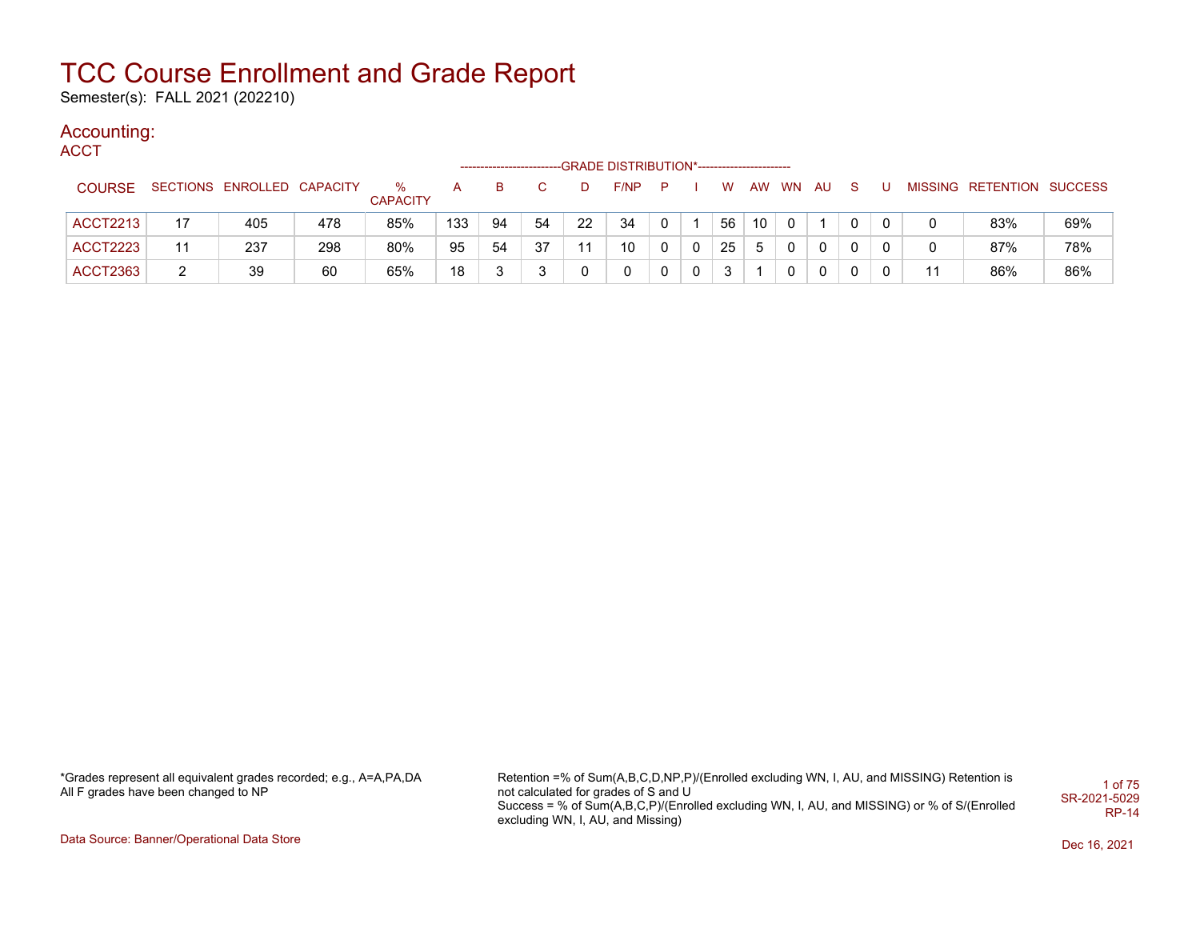Semester(s): FALL 2021 (202210)

#### Accounting:

**ACCT** 

|                 |    |                            |     |                 |     |    |    |    | -GRADE DISTRIBUTION*---------------------- |              |             |    |    |           |              |          |    |                           |     |
|-----------------|----|----------------------------|-----|-----------------|-----|----|----|----|--------------------------------------------|--------------|-------------|----|----|-----------|--------------|----------|----|---------------------------|-----|
| <b>COURSE</b>   |    | SECTIONS ENROLLED CAPACITY |     | %               |     | в  |    |    | F/NP                                       | P            |             | W  | AW | <b>WN</b> | AU.          |          |    | MISSING RETENTION SUCCESS |     |
|                 |    |                            |     | <b>CAPACITY</b> |     |    |    |    |                                            |              |             |    |    |           |              |          |    |                           |     |
| <b>ACCT2213</b> | 17 | 405                        | 478 | 85%             | 133 | 94 | 54 | 22 | 34                                         | $\mathbf{0}$ |             | 56 | 10 | - 0       |              | 0        |    | 83%                       | 69% |
| ACCT2223        | 11 | 237                        | 298 | 80%             | 95  | 54 | 37 | 11 | 10                                         | 0            | $\Omega$    | 25 | 5  | $\Omega$  |              | $\Omega$ |    | 87%                       | 78% |
| ACCT2363        | 2  | 39                         | 60  | 65%             | 18  | ົ  | ົ  |    |                                            | 0            | $\mathbf 0$ | 3  |    | $\Omega$  | $\mathbf{0}$ | $\Omega$ | 11 | 86%                       | 86% |

\*Grades represent all equivalent grades recorded; e.g., A=A,PA,DA All F grades have been changed to NP

Retention =% of Sum(A,B,C,D,NP,P)/(Enrolled excluding WN, I, AU, and MISSING) Retention is not calculated for grades of S and U Success = % of Sum(A,B,C,P)/(Enrolled excluding WN, I, AU, and MISSING) or % of S/(Enrolled excluding WN, I, AU, and Missing) 1 of 75 SR-2021-5029 RP-14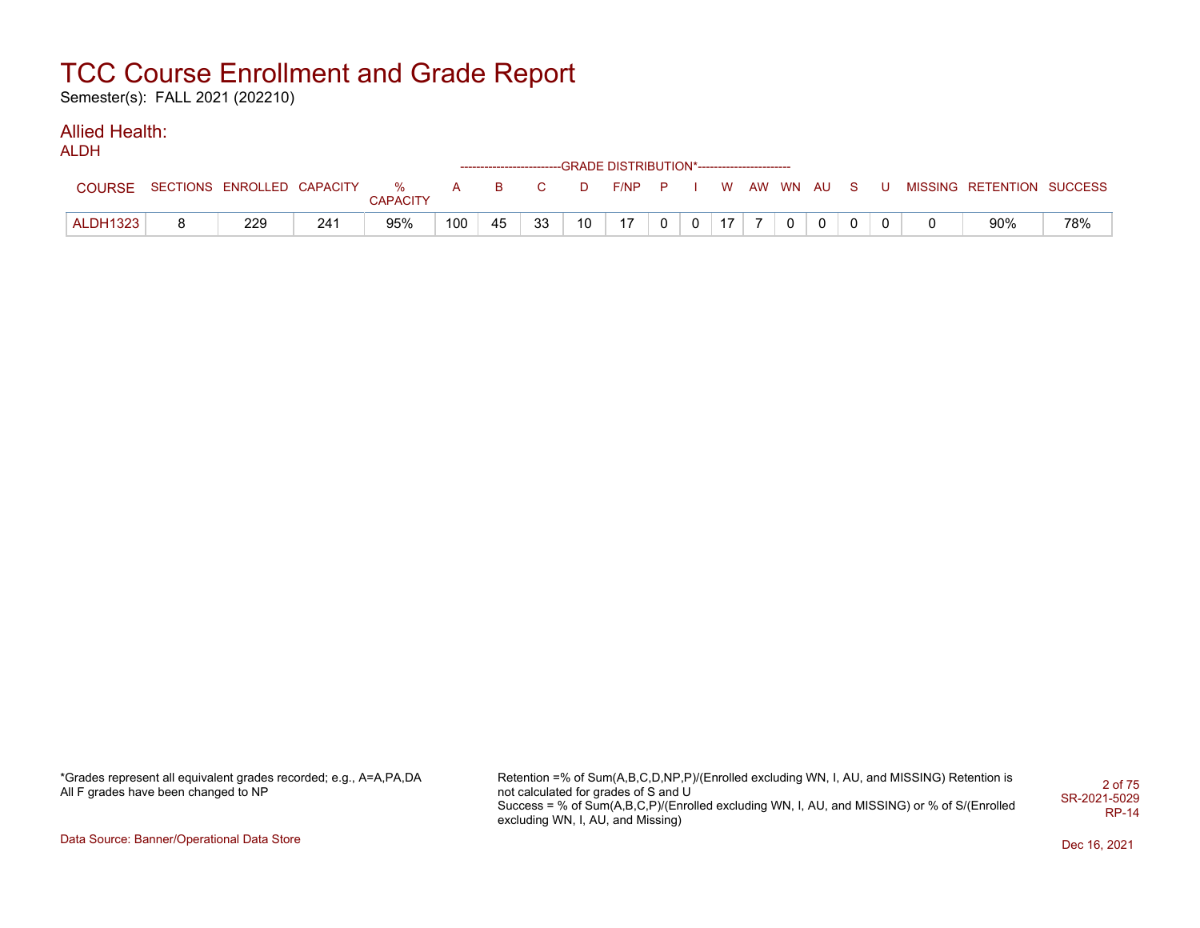Semester(s): FALL 2021 (202210)

#### Allied Health: ALDH

| <b>ILDH</b>     |                                  |     |                 |     |    |    |                 | ------------------------GRADE DISTRIBUTION*----------------------- |                |  |          |                |  |                           |     |
|-----------------|----------------------------------|-----|-----------------|-----|----|----|-----------------|--------------------------------------------------------------------|----------------|--|----------|----------------|--|---------------------------|-----|
| <b>COURSE</b>   | SECTIONS ENROLLED CAPACITY % A B |     | <b>CAPACITY</b> |     |    |    | D               | $F/NP$ $P$ $I$                                                     |                |  |          | W AW WN AU S U |  | MISSING RETENTION SUCCESS |     |
| <b>ALDH1323</b> | 229                              | 241 | 95%             | 100 | 45 | 33 | 10 <sup>°</sup> | 17                                                                 | 0 <sub>0</sub> |  | 17 7 0 0 |                |  | 90%                       | 78% |

\*Grades represent all equivalent grades recorded; e.g., A=A,PA,DA All F grades have been changed to NP

Retention =% of Sum(A,B,C,D,NP,P)/(Enrolled excluding WN, I, AU, and MISSING) Retention is not calculated for grades of S and U Success = % of Sum(A,B,C,P)/(Enrolled excluding WN, I, AU, and MISSING) or % of S/(Enrolled excluding WN, I, AU, and Missing) 2 of 75 SR-2021-5029 RP-14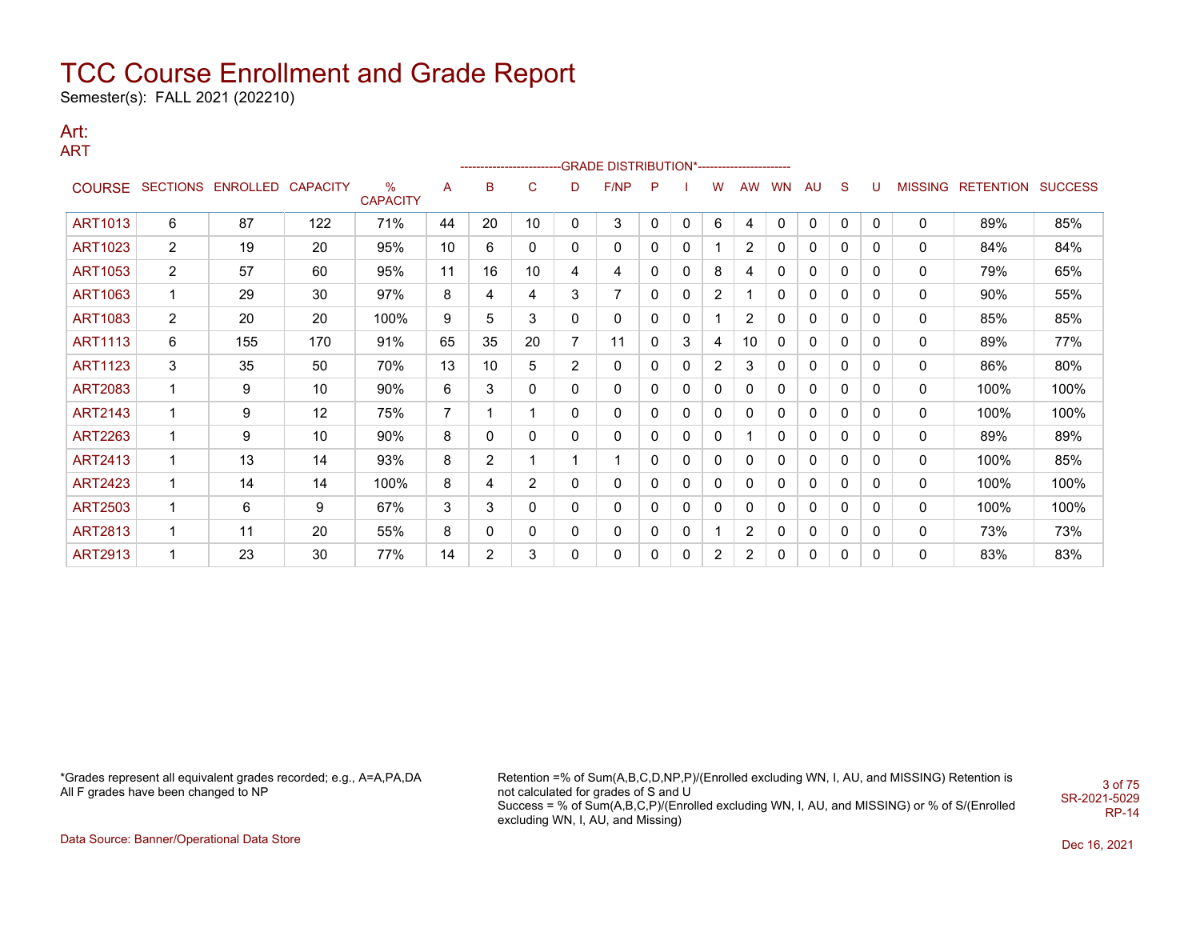Semester(s): FALL 2021 (202210)

#### Art: ART

|                |                 |                 |                 |                      |                 |             |          |                | ------------------------GRADE                DISTRIBUTION*---------------------- |              |              |          |                |              |              |              |              |                |                          |      |
|----------------|-----------------|-----------------|-----------------|----------------------|-----------------|-------------|----------|----------------|----------------------------------------------------------------------------------|--------------|--------------|----------|----------------|--------------|--------------|--------------|--------------|----------------|--------------------------|------|
|                | COURSE SECTIONS | <b>ENROLLED</b> | <b>CAPACITY</b> | %<br><b>CAPACITY</b> | Α               | B           | C        | D              | F/NP                                                                             | P            |              | w        | <b>AW</b>      | <b>WN</b>    | <b>AU</b>    | S            | U            | <b>MISSING</b> | <b>RETENTION SUCCESS</b> |      |
| <b>ART1013</b> | 6               | 87              | 122             | 71%                  | 44              | 20          | 10       | 0              | 3                                                                                | 0            | $\mathbf{0}$ | 6        | 4              | $\mathbf{0}$ | $\mathbf{0}$ | $\mathbf 0$  | 0            | 0              | 89%                      | 85%  |
| <b>ART1023</b> | $\overline{2}$  | 19              | 20              | 95%                  | 10 <sup>°</sup> | 6           | $\Omega$ | 0              | 0                                                                                | $\mathbf{0}$ | 0            | 1        | 2              | 0            | 0            | $\mathbf{0}$ | 0            | 0              | 84%                      | 84%  |
| <b>ART1053</b> | $\overline{2}$  | 57              | 60              | 95%                  | 11              | 16          | 10       | 4              | 4                                                                                | $\mathbf{0}$ | 0            | 8        | 4              | 0            | 0            | $\mathbf{0}$ | $\mathbf{0}$ | 0              | 79%                      | 65%  |
| ART1063        |                 | 29              | 30              | 97%                  | 8               | 4           | 4        | 3              |                                                                                  | 0            | 0            | 2        |                | 0            | 0            | $\mathbf{0}$ | 0            | 0              | 90%                      | 55%  |
| <b>ART1083</b> | $\overline{2}$  | 20              | 20              | 100%                 | 9               | 5           | 3        | 0              | 0                                                                                | $\mathbf{0}$ | 0            | 1        | $\overline{2}$ | 0            | 0            | 0            | 0            | 0              | 85%                      | 85%  |
| <b>ART1113</b> | 6               | 155             | 170             | 91%                  | 65              | 35          | 20       | 7              | 11                                                                               | 0            | 3            | 4        | 10             | 0            | 0            | 0            | 0            | 0              | 89%                      | 77%  |
| <b>ART1123</b> | 3               | 35              | 50              | 70%                  | 13              | 10          | 5        | $\overline{2}$ | 0                                                                                | 0            | 0            | 2        | 3              | 0            | 0            | 0            | 0            | 0              | 86%                      | 80%  |
| <b>ART2083</b> |                 | 9               | 10              | 90%                  | 6               | 3           | $\Omega$ | $\Omega$       | 0                                                                                | $\mathbf{0}$ | 0            | 0        | $\mathbf{0}$   | 0            | 0            | 0            | 0            | 0              | 100%                     | 100% |
| <b>ART2143</b> |                 | 9               | 12              | 75%                  |                 |             |          | $\Omega$       | 0                                                                                | $\mathbf{0}$ | 0            | 0        | $\mathbf{0}$   | 0            | 0            | $\mathbf{0}$ | $\mathbf{0}$ | 0              | 100%                     | 100% |
| ART2263        | 1               | 9               | 10              | 90%                  | 8               | $\mathbf 0$ | 0        | 0              | 0                                                                                | 0            | 0            | 0        |                | 0            | 0            | 0            | 0            | 0              | 89%                      | 89%  |
| <b>ART2413</b> | 1               | 13              | 14              | 93%                  | 8               | 2           |          |                |                                                                                  | $\mathbf{0}$ | 0            | $\Omega$ | $\mathbf{0}$   | 0            | 0            | 0            | 0            | 0              | 100%                     | 85%  |
| <b>ART2423</b> |                 | 14              | 14              | 100%                 | 8               | 4           | 2        | 0              | 0                                                                                | 0            | 0            | 0        | 0              | 0            | 0            | 0            | 0            | 0              | 100%                     | 100% |
| <b>ART2503</b> | 1               | 6               | 9               | 67%                  | 3               | 3           | $\Omega$ | 0              | 0                                                                                | 0            | 0            | 0        | 0              | 0            | 0            | 0            | 0            | 0              | 100%                     | 100% |
| <b>ART2813</b> | 1               | 11              | 20              | 55%                  | 8               | $\mathbf 0$ | 0        | 0              | 0                                                                                | $\mathbf{0}$ | 0            | 1        | 2              | 0            | 0            | $\mathbf{0}$ | $\mathbf{0}$ | 0              | 73%                      | 73%  |
| <b>ART2913</b> |                 | 23              | 30              | 77%                  | 14              | 2           | 3        | 0              | 0                                                                                | 0            | 0            | 2        | 2              | 0            | 0            | 0            | 0            | 0              | 83%                      | 83%  |

\*Grades represent all equivalent grades recorded; e.g., A=A,PA,DA All F grades have been changed to NP

Retention =% of Sum(A,B,C,D,NP,P)/(Enrolled excluding WN, I, AU, and MISSING) Retention is not calculated for grades of S and U Success = % of Sum(A,B,C,P)/(Enrolled excluding WN, I, AU, and MISSING) or % of S/(Enrolled excluding WN, I, AU, and Missing) 3 of 75 SR-2021-5029 RP-14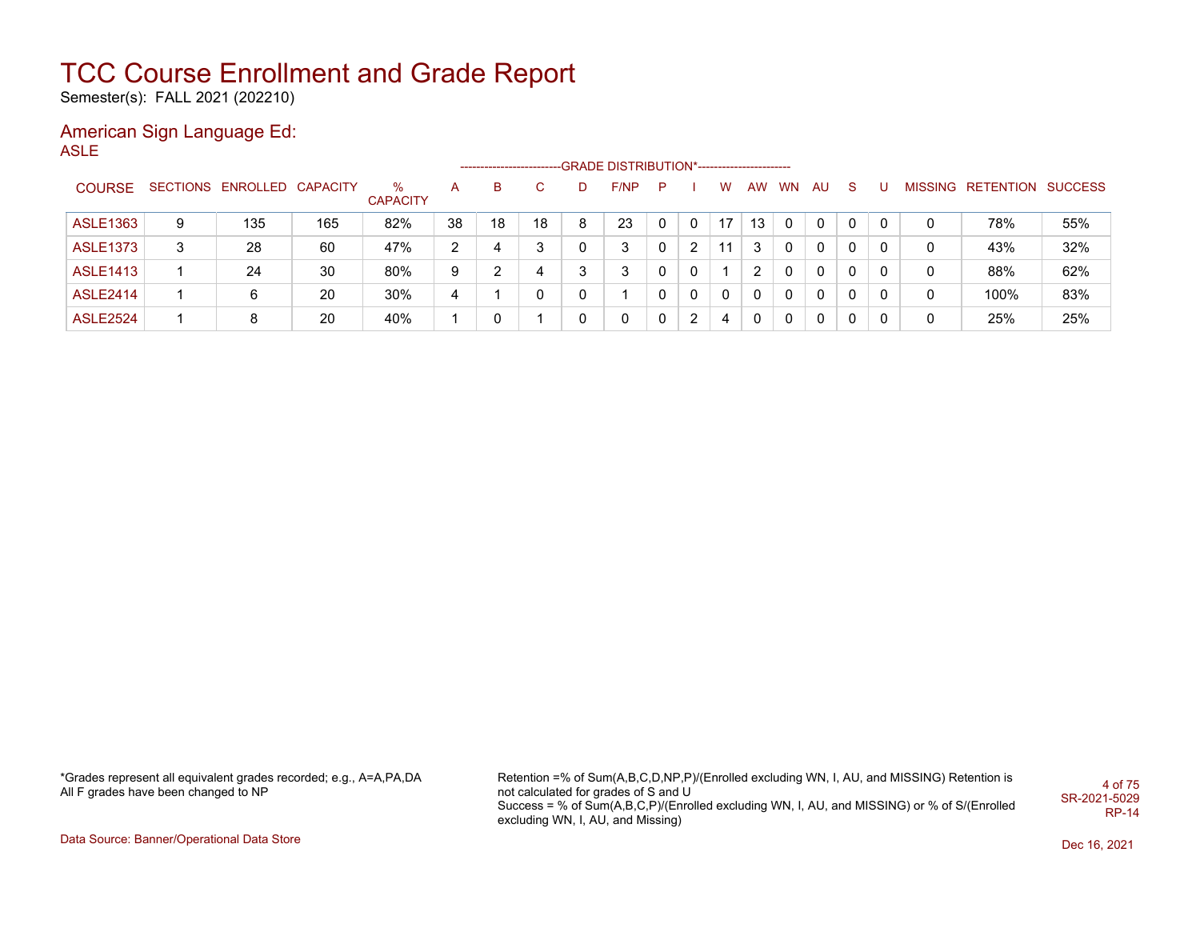Semester(s): FALL 2021 (202210)

## American Sign Language Ed:

ASLE

|                 |   |                            |     |                      |    | ---------------------- |    |   | -GRADE DISTRIBUTION*---------------------- |   |                |          |          |       |    |              |   |   |                           |     |
|-----------------|---|----------------------------|-----|----------------------|----|------------------------|----|---|--------------------------------------------|---|----------------|----------|----------|-------|----|--------------|---|---|---------------------------|-----|
| <b>COURSE</b>   |   | SECTIONS ENROLLED CAPACITY |     | %<br><b>CAPACITY</b> | A  | в                      |    |   | F/NP                                       | P |                | w        |          | AW WN | AU | <sub>S</sub> |   |   | MISSING RETENTION SUCCESS |     |
| <b>ASLE1363</b> | 9 | 135                        | 165 | 82%                  | 38 | 18                     | 18 | 8 | 23                                         |   | 0              | 17       | 13       |       |    | 0            | 0 | 0 | 78%                       | 55% |
| <b>ASLE1373</b> | 3 | 28                         | 60  | 47%                  | 2  | 4                      | 3  |   | 3                                          |   | $\overline{2}$ | 11       | 3        |       | 0  | $\Omega$     | 0 | 0 | 43%                       | 32% |
| <b>ASLE1413</b> |   | 24                         | 30  | 80%                  | 9  | າ                      | 4  |   | 3                                          |   | $\Omega$       |          |          |       | 0  | $\Omega$     | 0 | 0 | 88%                       | 62% |
| <b>ASLE2414</b> |   | 6                          | 20  | 30%                  | 4  |                        |    |   |                                            |   | $\Omega$       | $\Omega$ | $\Omega$ | 0     | 0  | $\Omega$     | 0 | 0 | 100%                      | 83% |
| <b>ASLE2524</b> |   | 8                          | 20  | 40%                  |    |                        |    |   | 0                                          |   | 2              | 4        |          |       | 0  | $\Omega$     |   | 0 | 25%                       | 25% |

\*Grades represent all equivalent grades recorded; e.g., A=A,PA,DA All F grades have been changed to NP

Retention =% of Sum(A,B,C,D,NP,P)/(Enrolled excluding WN, I, AU, and MISSING) Retention is not calculated for grades of S and U Success = % of Sum(A,B,C,P)/(Enrolled excluding WN, I, AU, and MISSING) or % of S/(Enrolled excluding WN, I, AU, and Missing) 4 of 75 SR-2021-5029 RP-14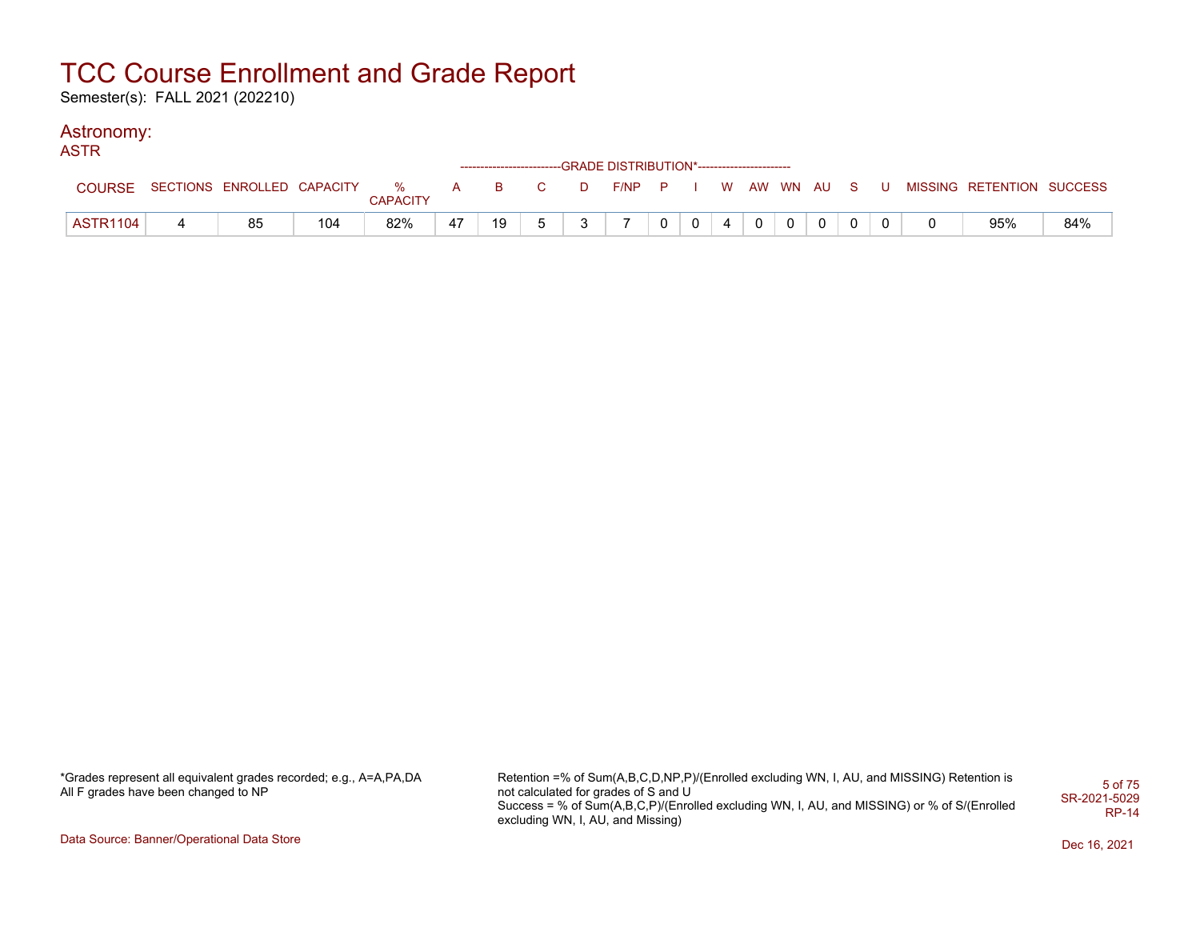Semester(s): FALL 2021 (202210)

### Astronomy:

| <b>ASTR</b>     |                                  |     |                 |    |    |                                                                                                                                                                                                                                                                                                                                    |   | ------------------------GRADE DISTRIBUTION*----------------------- |                |                |                |       |                |          |  |                                                     |     |
|-----------------|----------------------------------|-----|-----------------|----|----|------------------------------------------------------------------------------------------------------------------------------------------------------------------------------------------------------------------------------------------------------------------------------------------------------------------------------------|---|--------------------------------------------------------------------|----------------|----------------|----------------|-------|----------------|----------|--|-----------------------------------------------------|-----|
| COURSE          | SECTIONS ENROLLED CAPACITY % A B |     | <b>CAPACITY</b> |    |    | $\overline{C}$ and $\overline{C}$ and $\overline{C}$ and $\overline{C}$ and $\overline{C}$ and $\overline{C}$ and $\overline{C}$ and $\overline{C}$ and $\overline{C}$ and $\overline{C}$ and $\overline{C}$ and $\overline{C}$ and $\overline{C}$ and $\overline{C}$ and $\overline{C}$ and $\overline{C}$ and $\overline{C}$ and |   |                                                                    |                |                |                |       |                |          |  | D F/NP P I W AW WN AU S U MISSING RETENTION SUCCESS |     |
| <b>ASTR1104</b> | 85                               | 104 | 82%             | 47 | 19 | 5                                                                                                                                                                                                                                                                                                                                  | 3 |                                                                    | 0 <sup>1</sup> | $\overline{0}$ | $\overline{4}$ | $0$ 0 | $\overline{0}$ | $\Omega$ |  | 95%                                                 | 84% |

\*Grades represent all equivalent grades recorded; e.g., A=A,PA,DA All F grades have been changed to NP

Retention =% of Sum(A,B,C,D,NP,P)/(Enrolled excluding WN, I, AU, and MISSING) Retention is not calculated for grades of S and U Success = % of Sum(A,B,C,P)/(Enrolled excluding WN, I, AU, and MISSING) or % of S/(Enrolled excluding WN, I, AU, and Missing) 5 of 75 SR-2021-5029 RP-14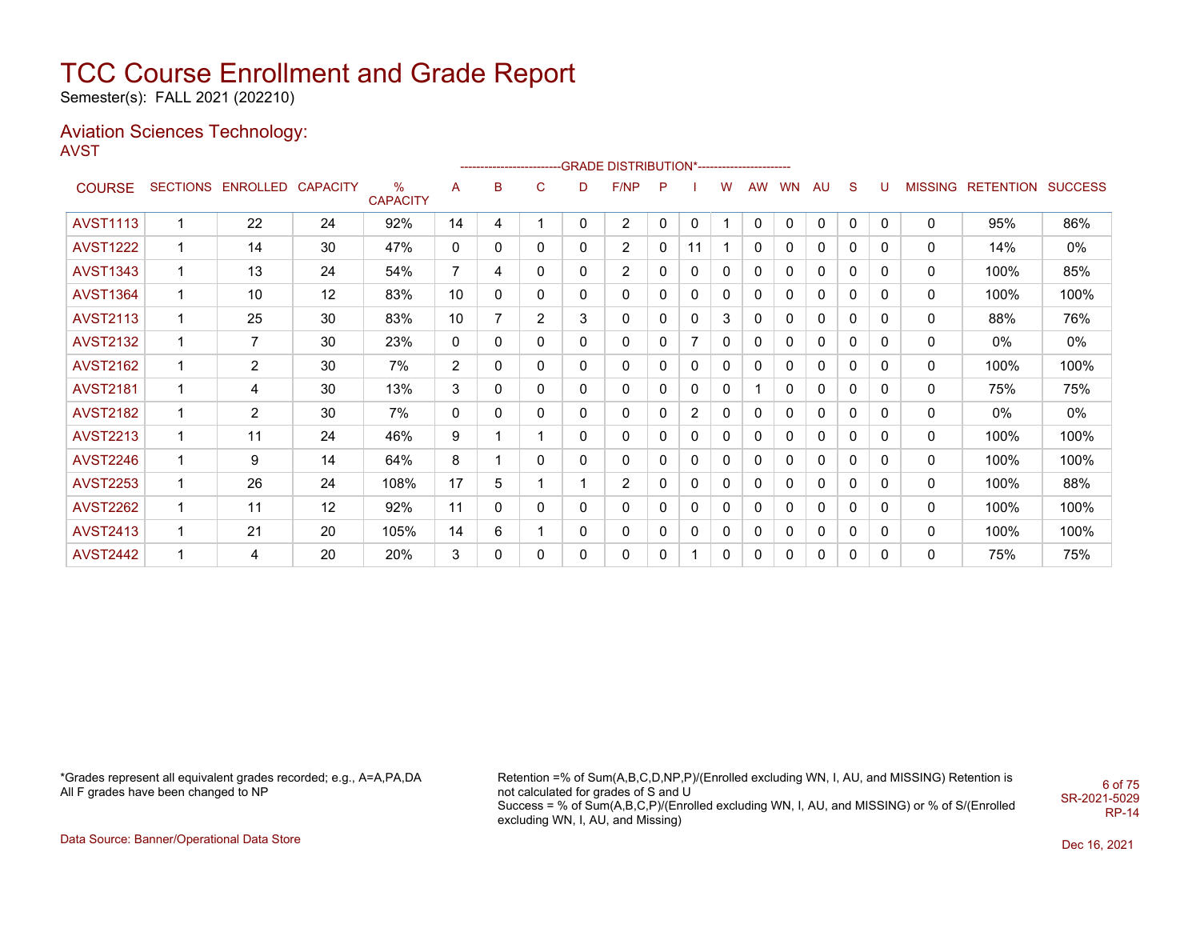Semester(s): FALL 2021 (202210)

#### Aviation Sciences Technology: AVST

|                 |                 |                 |                 |                         |                |   |   |   | --------------------------GRADE                DISTRIBUTION*--------------------- |   |                |              |              |              |              |              |              |                |                  |                |
|-----------------|-----------------|-----------------|-----------------|-------------------------|----------------|---|---|---|-----------------------------------------------------------------------------------|---|----------------|--------------|--------------|--------------|--------------|--------------|--------------|----------------|------------------|----------------|
| <b>COURSE</b>   | <b>SECTIONS</b> | <b>ENROLLED</b> | <b>CAPACITY</b> | $\%$<br><b>CAPACITY</b> | A              | в | C | D | F/NP                                                                              | P |                | w            | <b>AW</b>    | <b>WN</b>    | AU           | S            | U            | <b>MISSING</b> | <b>RETENTION</b> | <b>SUCCESS</b> |
| <b>AVST1113</b> |                 | 22              | 24              | 92%                     | 14             | 4 | 1 | 0 | $\overline{2}$                                                                    | 0 | 0              |              | $\mathbf{0}$ | $\mathbf{0}$ | $\mathbf{0}$ | 0            | 0            | 0              | 95%              | 86%            |
| <b>AVST1222</b> | 1               | 14              | 30              | 47%                     | 0              | 0 | 0 | 0 | $\overline{2}$                                                                    | 0 | 11             |              | 0            | 0            | 0            | 0            | 0            | 0              | 14%              | 0%             |
| <b>AVST1343</b> | 1               | 13              | 24              | 54%                     | $\overline{7}$ | 4 | 0 | 0 | $\overline{c}$                                                                    | 0 | 0              | $\mathbf{0}$ | $\Omega$     | 0            | 0            | $\mathbf{0}$ | 0            | 0              | 100%             | 85%            |
| <b>AVST1364</b> | 1               | 10              | 12              | 83%                     | 10             | 0 | 0 | 0 | 0                                                                                 | 0 | 0              | $\Omega$     | 0            | 0            | 0            | $\mathbf{0}$ | 0            | 0              | 100%             | 100%           |
| <b>AVST2113</b> | 1               | 25              | 30              | 83%                     | 10             | 7 | 2 | 3 | 0                                                                                 | 0 | 0              | 3            | 0            | 0            | 0            | 0            | 0            | 0              | 88%              | 76%            |
| <b>AVST2132</b> | 1               | $\overline{7}$  | 30              | 23%                     | 0              | 0 | 0 | 0 | 0                                                                                 | 0 | 7              | $\mathbf{0}$ | 0            | 0            | 0            | 0            | 0            | 0              | 0%               | $0\%$          |
| <b>AVST2162</b> | 1               | 2               | 30              | 7%                      | $\overline{2}$ | 0 | 0 | 0 | 0                                                                                 | 0 | 0              | $\Omega$     | 0            | 0            | 0            | $\mathbf{0}$ | 0            | 0              | 100%             | 100%           |
| <b>AVST2181</b> | 1               | 4               | 30              | 13%                     | 3              | 0 | 0 | 0 | 0                                                                                 | 0 | 0              | $\mathbf 0$  |              | 0            | 0            | 0            | 0            | 0              | 75%              | 75%            |
| <b>AVST2182</b> | 1               | $\overline{2}$  | 30              | 7%                      | 0              | 0 | 0 | 0 | 0                                                                                 | 0 | $\overline{2}$ | 0            | 0            | 0            | 0            | 0            | 0            | 0              | 0%               | 0%             |
| <b>AVST2213</b> | 1               | 11              | 24              | 46%                     | 9              | 1 | 1 | 0 | 0                                                                                 | 0 | 0              | 0            | 0            | 0            | 0            | 0            | $\mathbf{0}$ | 0              | 100%             | 100%           |
| <b>AVST2246</b> | 1               | 9               | 14              | 64%                     | 8              | 1 | 0 | 0 | 0                                                                                 | 0 | 0              | 0            | 0            | 0            | 0            | 0            | 0            | 0              | 100%             | 100%           |
| <b>AVST2253</b> | 1               | 26              | 24              | 108%                    | 17             | 5 | 1 |   | $\overline{c}$                                                                    | 0 | 0              | 0            | 0            | 0            | 0            | 0            | 0            | 0              | 100%             | 88%            |
| <b>AVST2262</b> | 1               | 11              | 12              | 92%                     | 11             | 0 | 0 | 0 | 0                                                                                 | 0 | 0              | $\mathbf{0}$ | 0            | 0            | 0            | 0            | 0            | 0              | 100%             | 100%           |
| <b>AVST2413</b> | $\mathbf 1$     | 21              | 20              | 105%                    | 14             | 6 | 1 | 0 | 0                                                                                 | 0 | 0              | $\mathbf{0}$ | 0            | $\mathbf{0}$ | 0            | 0            | 0            | 0              | 100%             | 100%           |
| <b>AVST2442</b> | 1               | 4               | 20              | 20%                     | 3              | 0 | 0 | 0 | 0                                                                                 | 0 |                | 0            | 0            | 0            | 0            | 0            | 0            | 0              | 75%              | 75%            |

\*Grades represent all equivalent grades recorded; e.g., A=A,PA,DA All F grades have been changed to NP

Retention =% of Sum(A,B,C,D,NP,P)/(Enrolled excluding WN, I, AU, and MISSING) Retention is not calculated for grades of S and U Success = % of Sum(A,B,C,P)/(Enrolled excluding WN, I, AU, and MISSING) or % of S/(Enrolled excluding WN, I, AU, and Missing) SR-2021-5029

6 of 75

RP-14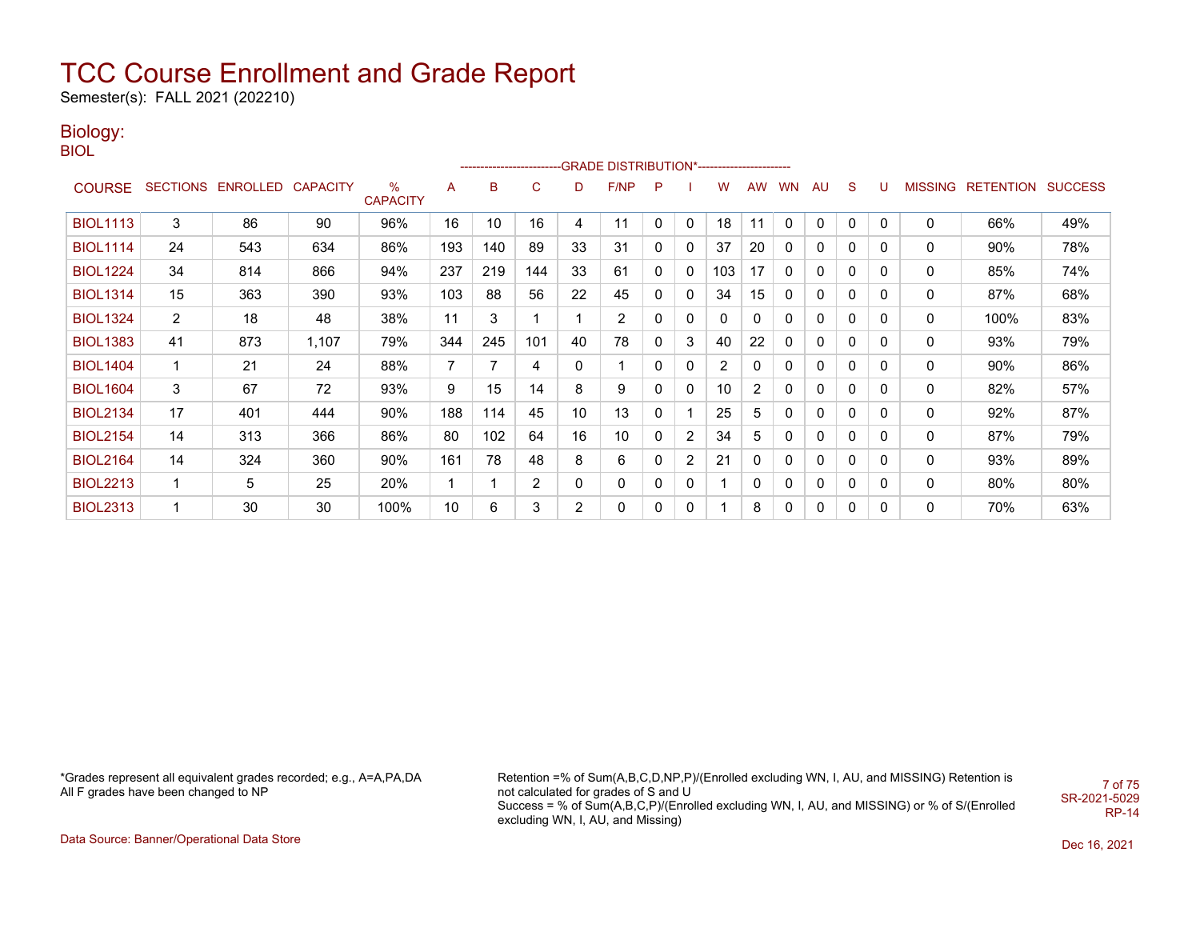Semester(s): FALL 2021 (202210)

## Biology:

BIOL

|                 |                |                   |                 |                         |     |     |     |                | ------------------------GRADE                DISTRIBUTION*---------------------- |              |              |     |                |           |              |              |              |                |                  |                |
|-----------------|----------------|-------------------|-----------------|-------------------------|-----|-----|-----|----------------|----------------------------------------------------------------------------------|--------------|--------------|-----|----------------|-----------|--------------|--------------|--------------|----------------|------------------|----------------|
| <b>COURSE</b>   |                | SECTIONS ENROLLED | <b>CAPACITY</b> | $\%$<br><b>CAPACITY</b> | A   | B   | C   | D              | F/NP                                                                             | P            |              | w   | <b>AW</b>      | <b>WN</b> | AU           | S            |              | <b>MISSING</b> | <b>RETENTION</b> | <b>SUCCESS</b> |
| <b>BIOL1113</b> | 3              | 86                | 90              | 96%                     | 16  | 10  | 16  | 4              | 11                                                                               | 0            | $\mathbf{0}$ | 18  | 11             | 0         | $\mathbf{0}$ | 0            | $\mathbf{0}$ | $\mathbf{0}$   | 66%              | 49%            |
| <b>BIOL1114</b> | 24             | 543               | 634             | 86%                     | 193 | 140 | 89  | 33             | 31                                                                               | 0            | 0            | 37  | 20             | 0         | 0            | 0            | 0            | 0              | 90%              | 78%            |
| <b>BIOL1224</b> | 34             | 814               | 866             | 94%                     | 237 | 219 | 144 | 33             | 61                                                                               | 0            | 0            | 103 | 17             | 0         | 0            | 0            | 0            | 0              | 85%              | 74%            |
| <b>BIOL1314</b> | 15             | 363               | 390             | 93%                     | 103 | 88  | 56  | 22             | 45                                                                               | 0            | 0            | 34  | 15             | 0         | $\mathbf{0}$ | 0            | $\mathbf{0}$ | 0              | 87%              | 68%            |
| <b>BIOL1324</b> | $\overline{2}$ | 18                | 48              | 38%                     | 11  | 3   |     |                | $\overline{2}$                                                                   | $\mathbf{0}$ | 0            | 0   | 0              | 0         | 0            | 0            | 0            | 0              | 100%             | 83%            |
| <b>BIOL1383</b> | 41             | 873               | 1,107           | 79%                     | 344 | 245 | 101 | 40             | 78                                                                               | 0            | 3            | 40  | 22             | 0         | 0            | $\mathbf{0}$ | 0            | 0              | 93%              | 79%            |
| <b>BIOL1404</b> | 1              | 21                | 24              | 88%                     | 7   | 7   | 4   | $\mathbf{0}$   |                                                                                  | 0            | 0            | 2   | 0              | 0         | 0            | $\mathbf{0}$ | $\mathbf{0}$ | 0              | 90%              | 86%            |
| <b>BIOL1604</b> | 3              | 67                | 72              | 93%                     | 9   | 15  | 14  | 8              | 9                                                                                | 0            | 0            | 10  | $\overline{2}$ | 0         | 0            | $\mathbf{0}$ | 0            | 0              | 82%              | 57%            |
| <b>BIOL2134</b> | 17             | 401               | 444             | 90%                     | 188 | 114 | 45  | 10             | 13                                                                               | 0            |              | 25  | 5              | 0         | 0            | $\mathbf{0}$ | 0            | 0              | 92%              | 87%            |
| <b>BIOL2154</b> | 14             | 313               | 366             | 86%                     | 80  | 102 | 64  | 16             | 10                                                                               | 0            | 2            | 34  | 5              | 0         | 0            | $\mathbf{0}$ | 0            | 0              | 87%              | 79%            |
| <b>BIOL2164</b> | 14             | 324               | 360             | 90%                     | 161 | 78  | 48  | 8              | 6                                                                                | $\mathbf{0}$ | 2            | 21  | 0              | 0         | 0            | $\Omega$     | 0            | 0              | 93%              | 89%            |
| <b>BIOL2213</b> | $\mathbf{1}$   | 5                 | 25              | 20%                     |     |     | 2   | 0              | 0                                                                                | 0            | 0            |     | 0              | 0         | 0            | 0            | 0            | 0              | 80%              | 80%            |
| <b>BIOL2313</b> | $\mathbf{1}$   | 30                | 30              | 100%                    | 10  | 6   | 3   | $\overline{2}$ | $\mathbf{0}$                                                                     | 0            | 0            |     | 8              | 0         | 0            | $\mathbf{0}$ | 0            | $\mathbf{0}$   | 70%              | 63%            |

\*Grades represent all equivalent grades recorded; e.g., A=A,PA,DA All F grades have been changed to NP

Retention =% of Sum(A,B,C,D,NP,P)/(Enrolled excluding WN, I, AU, and MISSING) Retention is not calculated for grades of S and U Success = % of Sum(A,B,C,P)/(Enrolled excluding WN, I, AU, and MISSING) or % of S/(Enrolled excluding WN, I, AU, and Missing) 7 of 75 SR-2021-5029 RP-14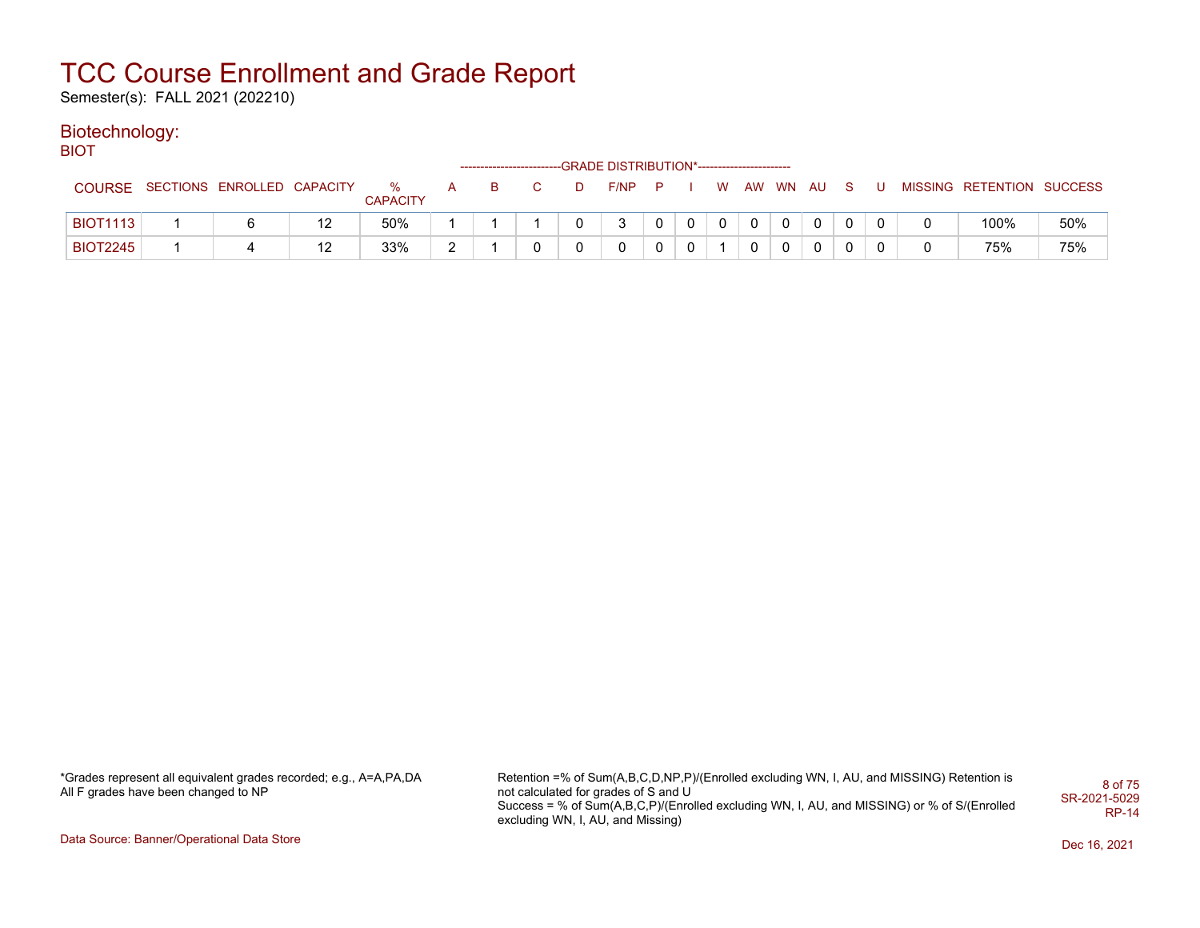Semester(s): FALL 2021 (202210)

### Biotechnology:

BIOT

|                 |                            |    |                      |        |     |   | ------------------------GRADE DISTRIBUTION*----------------------- |                |   |          |              |  |          |  |                           |     |
|-----------------|----------------------------|----|----------------------|--------|-----|---|--------------------------------------------------------------------|----------------|---|----------|--------------|--|----------|--|---------------------------|-----|
| <b>COURSE</b>   | SECTIONS ENROLLED CAPACITY |    | %<br><b>CAPACITY</b> |        | - B | D | F/NP                                                               | $\blacksquare$ |   | <b>W</b> | AW WN AU     |  | S.       |  | MISSING RETENTION SUCCESS |     |
| <b>BIOT1113</b> |                            | 12 | 50%                  |        |     |   | າ                                                                  |                | റ | $\Omega$ | $\mathbf{0}$ |  | $\Omega$ |  | 100%                      | 50% |
| <b>BIOT2245</b> |                            | 12 | 33%                  | $\sim$ |     |   |                                                                    |                |   |          | $\Omega$     |  | 0        |  | 75%                       | 75% |

\*Grades represent all equivalent grades recorded; e.g., A=A,PA,DA All F grades have been changed to NP

Retention =% of Sum(A,B,C,D,NP,P)/(Enrolled excluding WN, I, AU, and MISSING) Retention is not calculated for grades of S and U Success = % of Sum(A,B,C,P)/(Enrolled excluding WN, I, AU, and MISSING) or % of S/(Enrolled excluding WN, I, AU, and Missing) 8 of 75 SR-2021-5029 RP-14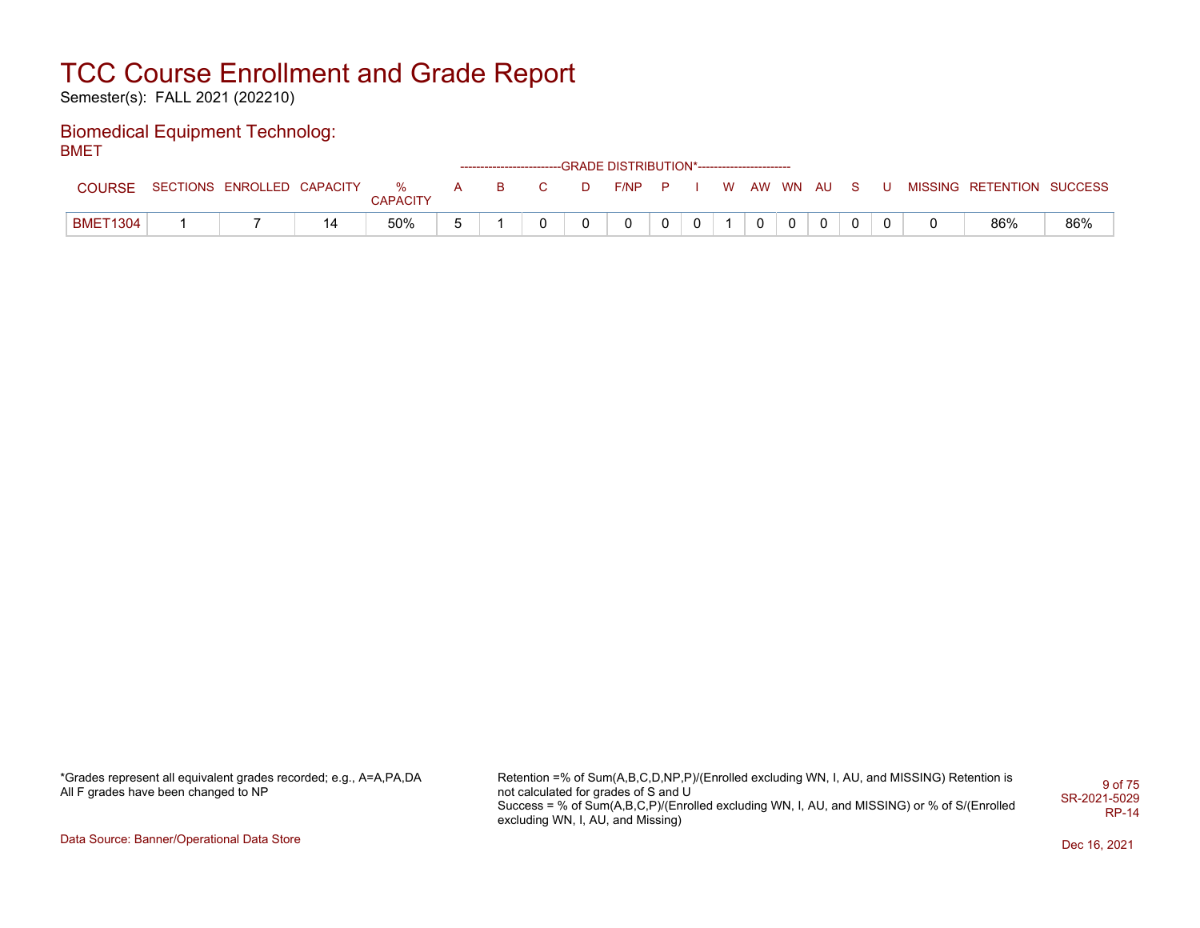Semester(s): FALL 2021 (202210)

#### Biomedical Equipment Technolog: BMET

|                 |                              |    |                 |   |          |                |   | ------------------------GRADE DISTRIBUTION*----------------------- |              |             |              |              |              |     |                           |     |
|-----------------|------------------------------|----|-----------------|---|----------|----------------|---|--------------------------------------------------------------------|--------------|-------------|--------------|--------------|--------------|-----|---------------------------|-----|
| COURSE          | SECTIONS ENROLLED CAPACITY % |    | <b>CAPACITY</b> | A | <b>B</b> | $\overline{C}$ | D | $F/NP$ $P$ $I$                                                     |              |             |              | I WAW WN AUS |              | . U | MISSING RETENTION SUCCESS |     |
| <b>BMET1304</b> |                              | 14 | 50%             |   |          |                | 0 | $\mathbf 0$                                                        | $\mathbf{0}$ | $\mathbf 0$ | $\mathbf{0}$ |              | $\mathbf{0}$ |     | 86%                       | 86% |

\*Grades represent all equivalent grades recorded; e.g., A=A,PA,DA All F grades have been changed to NP

Retention =% of Sum(A,B,C,D,NP,P)/(Enrolled excluding WN, I, AU, and MISSING) Retention is not calculated for grades of S and U Success = % of Sum(A,B,C,P)/(Enrolled excluding WN, I, AU, and MISSING) or % of S/(Enrolled excluding WN, I, AU, and Missing) 9 of 75 SR-2021-5029 RP-14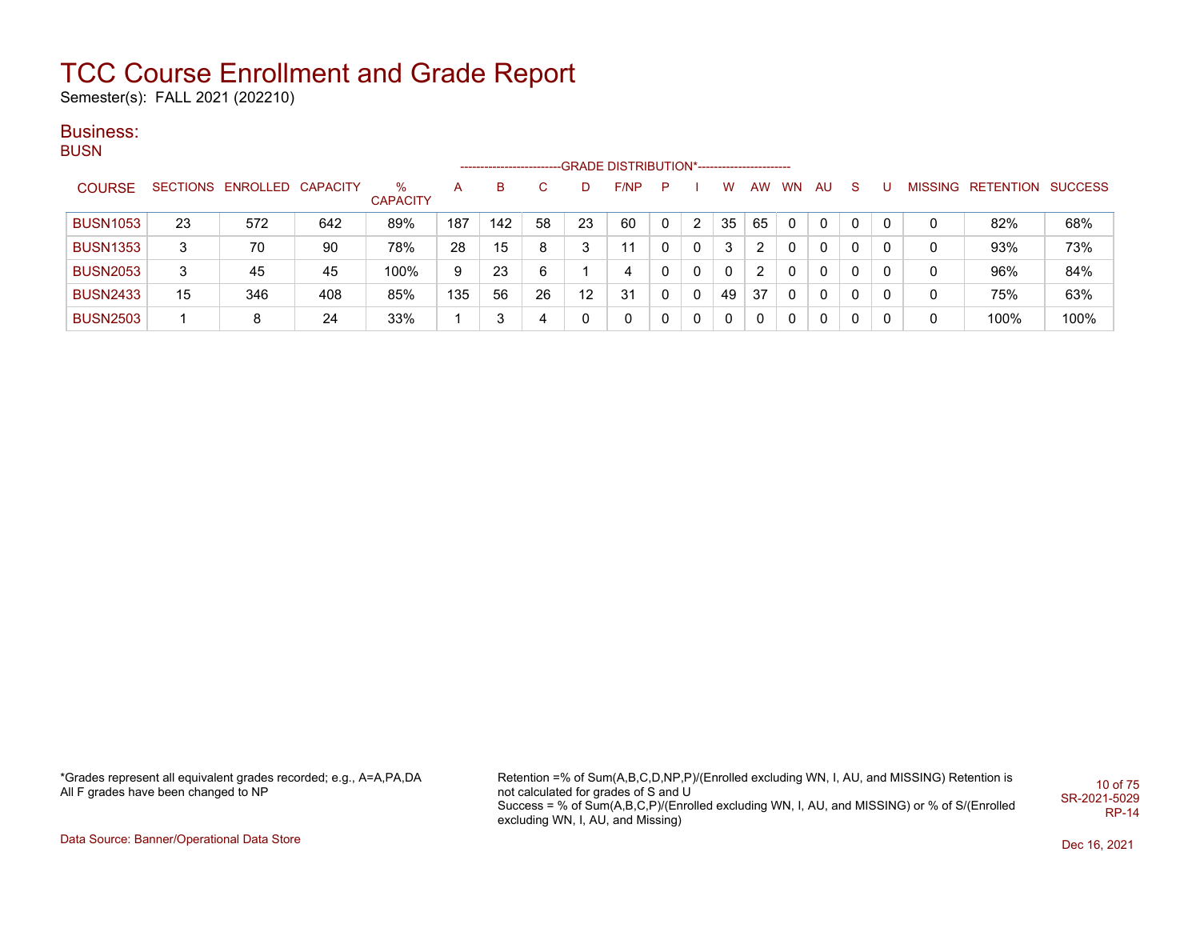Semester(s): FALL 2021 (202210)

### Business:

| <b>BUSN</b>     |    |                            |     |                      |     | --------------------- |              |    | -GRADE DISTRIBUTION*---------------------- |   |              |              |    |           |              |    |          |   |                           |      |
|-----------------|----|----------------------------|-----|----------------------|-----|-----------------------|--------------|----|--------------------------------------------|---|--------------|--------------|----|-----------|--------------|----|----------|---|---------------------------|------|
| <b>COURSE</b>   |    | SECTIONS ENROLLED CAPACITY |     | %<br><b>CAPACITY</b> | A   | B                     | $\mathbf{C}$ |    | F/NP                                       | P |              | w            | AW | <b>WN</b> | AU.          | S. |          |   | MISSING RETENTION SUCCESS |      |
| <b>BUSN1053</b> | 23 | 572                        | 642 | 89%                  | 187 | 142                   | 58           | 23 | 60                                         | 0 | 2            | 35           | 65 | $\Omega$  | 0            | 0  |          | 0 | 82%                       | 68%  |
| <b>BUSN1353</b> | 3  | 70                         | 90  | 78%                  | 28  | 15                    | 8            | 3  | 11                                         |   | 0            | 3            | 2  | $\Omega$  | $\mathbf{0}$ | 0  | $\Omega$ |   | 93%                       | 73%  |
| <b>BUSN2053</b> | 3  | 45                         | 45  | 100%                 | 9   | 23                    | 6            |    | 4                                          |   | $\mathbf{0}$ | $\mathbf{0}$ | 2  | 0         | $\mathbf{0}$ | 0  |          | 0 | 96%                       | 84%  |
| <b>BUSN2433</b> | 15 | 346                        | 408 | 85%                  | 135 | 56                    | 26           | 12 | 31                                         | 0 | 0            | 49           | 37 | 0         | $\mathbf{0}$ | 0  | 0        | 0 | 75%                       | 63%  |
| <b>BUSN2503</b> |    | 8                          | 24  | 33%                  |     | 3                     | 4            | 0  | 0                                          | 0 | 0            | 0            | 0  | 0         | 0            | 0  |          | 0 | 100%                      | 100% |

\*Grades represent all equivalent grades recorded; e.g., A=A,PA,DA All F grades have been changed to NP

Retention =% of Sum(A,B,C,D,NP,P)/(Enrolled excluding WN, I, AU, and MISSING) Retention is not calculated for grades of S and U Success = % of Sum(A,B,C,P)/(Enrolled excluding WN, I, AU, and MISSING) or % of S/(Enrolled excluding WN, I, AU, and Missing) 10 of 75 SR-2021-5029 RP-14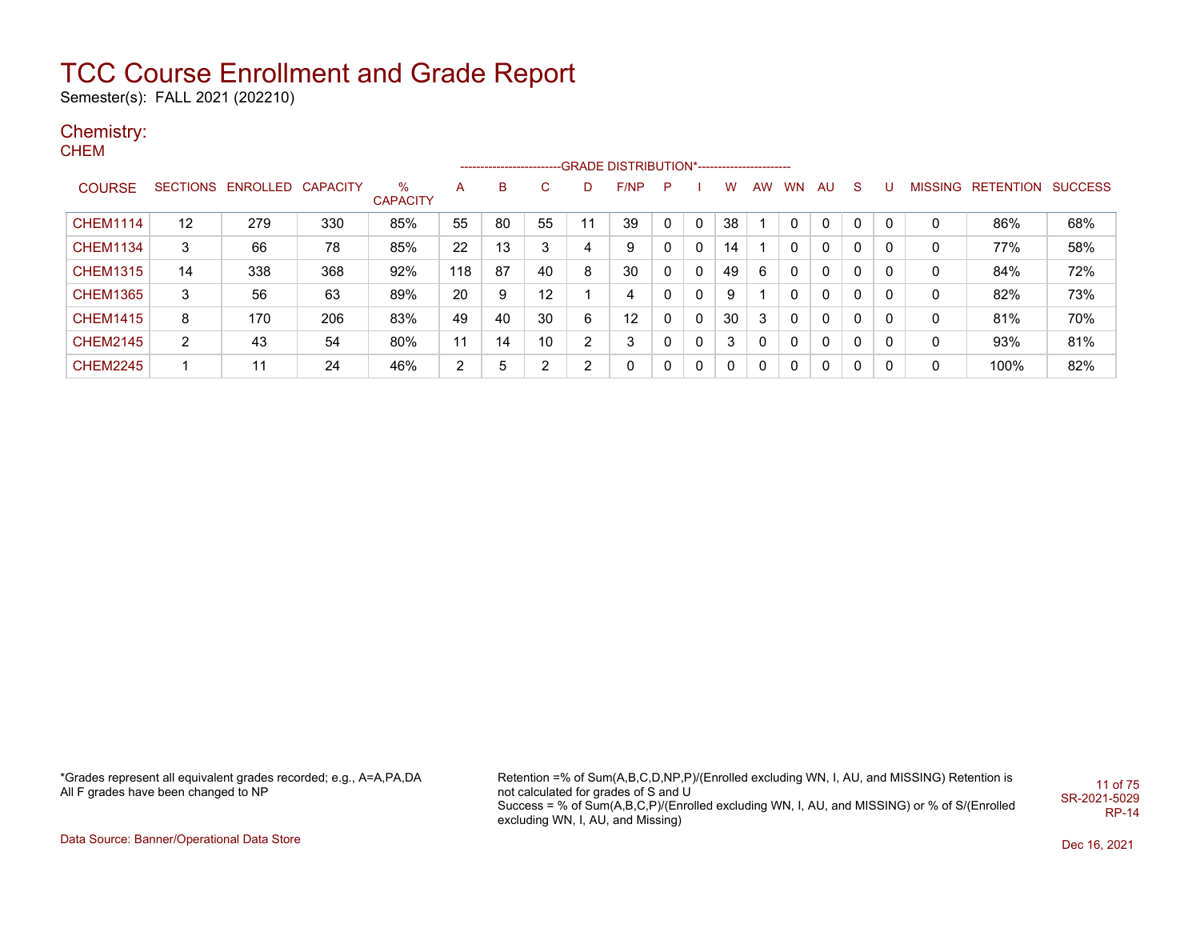Semester(s): FALL 2021 (202210)

## Chemistry:

**CHEM** 

|                 |                |                            |     |                         |                |    |    |    | ------------------------GRADE                DISTRIBUTION*---------------------- |   |   |    |    |           |    |             |   |   |                                  |     |
|-----------------|----------------|----------------------------|-----|-------------------------|----------------|----|----|----|----------------------------------------------------------------------------------|---|---|----|----|-----------|----|-------------|---|---|----------------------------------|-----|
| <b>COURSE</b>   |                | SECTIONS ENROLLED CAPACITY |     | $\%$<br><b>CAPACITY</b> | A              | B  | C. |    | F/NP                                                                             | P |   | w  | AW | <b>WN</b> | AU | S.          | U |   | <b>MISSING RETENTION SUCCESS</b> |     |
| <b>CHEM1114</b> | 12             | 279                        | 330 | 85%                     | 55             | 80 | 55 | 11 | 39                                                                               | 0 | 0 | 38 |    |           | 0  | $\mathbf 0$ | 0 | 0 | 86%                              | 68% |
| <b>CHEM1134</b> | 3              | 66                         | 78  | 85%                     | 22             | 13 | 3  | 4  | 9                                                                                |   | 0 | 14 |    |           | 0  | 0           |   | 0 | 77%                              | 58% |
| <b>CHEM1315</b> | 14             | 338                        | 368 | 92%                     | 118            | 87 | 40 | 8  | 30                                                                               | 0 | 0 | 49 | 6  | 0         | 0  | 0           | 0 | 0 | 84%                              | 72% |
| <b>CHEM1365</b> | 3              | 56                         | 63  | 89%                     | 20             | 9  | 12 |    | 4                                                                                |   | 0 | 9  |    |           | 0  | 0           | 0 | 0 | 82%                              | 73% |
| <b>CHEM1415</b> | 8              | 170                        | 206 | 83%                     | 49             | 40 | 30 | 6  | 12                                                                               |   | 0 | 30 | 3  | 0         | 0  | 0           | 0 | 0 | 81%                              | 70% |
| <b>CHEM2145</b> | $\overline{2}$ | 43                         | 54  | 80%                     | 11             | 14 | 10 | 2  | 3                                                                                |   | 0 | 3  | 0  | 0         | 0  | $\Omega$    | 0 | 0 | 93%                              | 81% |
| <b>CHEM2245</b> |                | 11                         | 24  | 46%                     | $\overline{2}$ | 5  | 2  | 2  | $\mathbf{0}$                                                                     | 0 | 0 | 0  | 0  | 0         | 0  | 0           | 0 | 0 | 100%                             | 82% |

\*Grades represent all equivalent grades recorded; e.g., A=A,PA,DA All F grades have been changed to NP

Retention =% of Sum(A,B,C,D,NP,P)/(Enrolled excluding WN, I, AU, and MISSING) Retention is not calculated for grades of S and U Success = % of Sum(A,B,C,P)/(Enrolled excluding WN, I, AU, and MISSING) or % of S/(Enrolled excluding WN, I, AU, and Missing) 11 of 75 SR-2021-5029 RP-14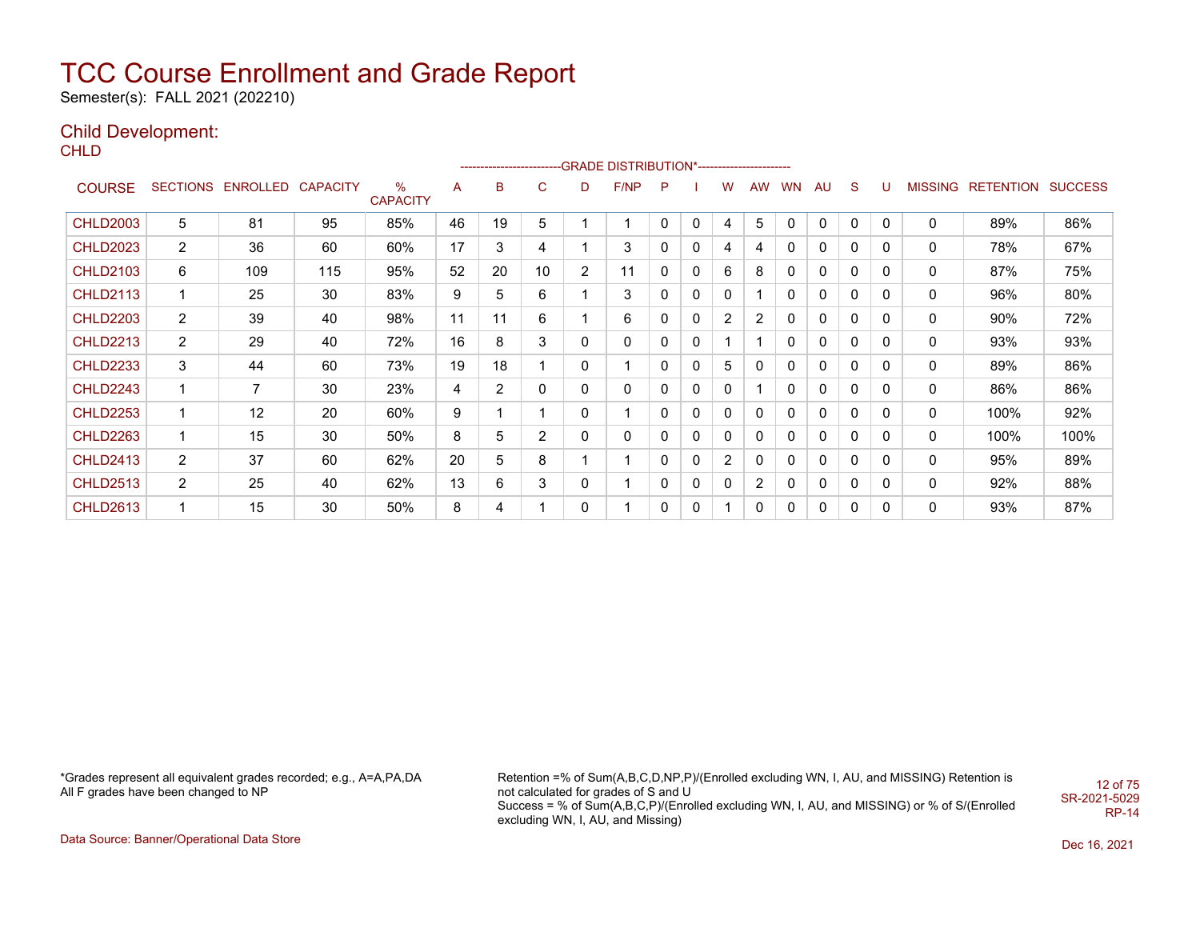Semester(s): FALL 2021 (202210)

### Child Development:

**CHLD** 

|                 |                |                            |     |                         |    |                |                 |                | -------------------------GRADE DISTRIBUTION*---------------------- |   |   |                |              |           |              |          |              |                |                  |                |
|-----------------|----------------|----------------------------|-----|-------------------------|----|----------------|-----------------|----------------|--------------------------------------------------------------------|---|---|----------------|--------------|-----------|--------------|----------|--------------|----------------|------------------|----------------|
| <b>COURSE</b>   |                | SECTIONS ENROLLED CAPACITY |     | $\%$<br><b>CAPACITY</b> | A  | B              | $\mathsf{C}$    | D              | F/NP                                                               | P |   | w              | <b>AW</b>    | <b>WN</b> | AU           | S        | U            | <b>MISSING</b> | <b>RETENTION</b> | <b>SUCCESS</b> |
| <b>CHLD2003</b> | 5              | 81                         | 95  | 85%                     | 46 | 19             | 5               |                | 1                                                                  | 0 | 0 | 4              | 5            | 0         | 0            | 0        | $\mathbf{0}$ | 0              | 89%              | 86%            |
| <b>CHLD2023</b> | $\overline{2}$ | 36                         | 60  | 60%                     | 17 | 3              | 4               |                | 3                                                                  | 0 | 0 | 4              | 4            | 0         | 0            | 0        | $\mathbf{0}$ | 0              | 78%              | 67%            |
| <b>CHLD2103</b> | 6              | 109                        | 115 | 95%                     | 52 | 20             | 10 <sup>1</sup> | $\overline{2}$ | 11                                                                 | 0 | 0 | 6              | 8            | 0         | 0            | $\Omega$ | $\mathbf{0}$ | 0              | 87%              | 75%            |
| <b>CHLD2113</b> | 1              | 25                         | 30  | 83%                     | 9  | 5              | 6               |                | 3                                                                  | 0 | 0 | 0              |              | 0         | $\mathbf{0}$ | 0        | $\mathbf{0}$ | 0              | 96%              | 80%            |
| <b>CHLD2203</b> | $\overline{2}$ | 39                         | 40  | 98%                     | 11 | 11             | 6               |                | 6                                                                  | 0 | 0 | 2              | 2            | 0         | $\mathbf{0}$ | 0        | $\Omega$     | 0              | 90%              | 72%            |
| <b>CHLD2213</b> | 2              | 29                         | 40  | 72%                     | 16 | 8              | 3               | 0              | 0                                                                  | 0 | 0 |                |              | 0         | 0            | 0        | 0            | 0              | 93%              | 93%            |
| <b>CHLD2233</b> | 3              | 44                         | 60  | 73%                     | 19 | 18             |                 | 0              | 1                                                                  | 0 | 0 | 5              | 0            | 0         | 0            | 0        | $\mathbf{0}$ | 0              | 89%              | 86%            |
| <b>CHLD2243</b> | $\mathbf 1$    | 7                          | 30  | 23%                     | 4  | $\overline{2}$ | 0               | 0              | 0                                                                  | 0 | 0 | 0              |              | 0         | 0            | 0        | $\mathbf{0}$ | 0              | 86%              | 86%            |
| <b>CHLD2253</b> | $\mathbf 1$    | 12                         | 20  | 60%                     | 9  |                |                 | 0              | 1                                                                  | 0 | 0 | 0              | 0            | 0         | 0            | 0        | 0            | 0              | 100%             | 92%            |
| <b>CHLD2263</b> | 1              | 15                         | 30  | 50%                     | 8  | 5              | $\overline{2}$  | 0              | 0                                                                  | 0 | 0 | 0              | 0            | 0         | 0            | 0        | 0            | 0              | 100%             | 100%           |
| <b>CHLD2413</b> | $\overline{2}$ | 37                         | 60  | 62%                     | 20 | 5              | 8               |                | 1                                                                  | 0 | 0 | $\overline{2}$ | 0            | 0         | 0            | 0        | 0            | 0              | 95%              | 89%            |
| <b>CHLD2513</b> | $\overline{c}$ | 25                         | 40  | 62%                     | 13 | 6              | 3               | 0              | 1                                                                  | 0 | 0 | 0              | 2            | 0         | 0            | 0        | $\mathbf{0}$ | 0              | 92%              | 88%            |
| <b>CHLD2613</b> | 1              | 15                         | 30  | 50%                     | 8  | 4              |                 | $\mathbf{0}$   | 1                                                                  | 0 | 0 |                | $\mathbf{0}$ | 0         | 0            | $\Omega$ | 0            | 0              | 93%              | 87%            |

\*Grades represent all equivalent grades recorded; e.g., A=A,PA,DA All F grades have been changed to NP

Retention =% of Sum(A,B,C,D,NP,P)/(Enrolled excluding WN, I, AU, and MISSING) Retention is not calculated for grades of S and U Success = % of Sum(A,B,C,P)/(Enrolled excluding WN, I, AU, and MISSING) or % of S/(Enrolled excluding WN, I, AU, and Missing) 12 of 75 SR-2021-5029 RP-14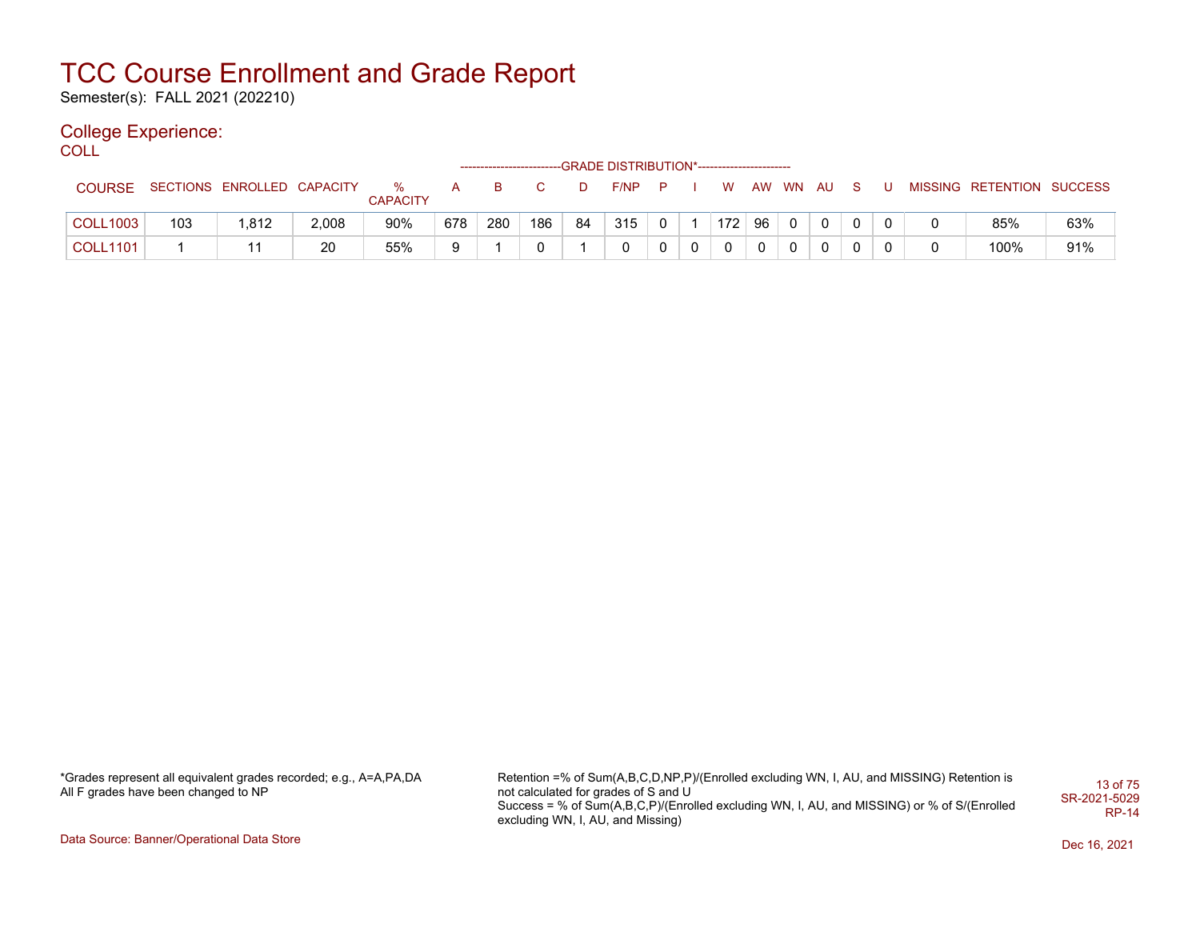Semester(s): FALL 2021 (202210)

## College Experience:

COLL<sup>'</sup>

|                 |     |                            |       |                         |     |     |     |    | ------------------------GRADE DISTRIBUTION*----------------------- |  |                  |    |                     |              |  |                           |     |
|-----------------|-----|----------------------------|-------|-------------------------|-----|-----|-----|----|--------------------------------------------------------------------|--|------------------|----|---------------------|--------------|--|---------------------------|-----|
| <b>COURSE</b>   |     | SECTIONS ENROLLED CAPACITY |       | $\%$<br><b>CAPACITY</b> |     |     |     | D. | F/NP                                                               |  | w                |    | AW WN AU            |              |  | MISSING RETENTION SUCCESS |     |
| <b>COLL1003</b> | 103 | .812                       | 2,008 | 90%                     | 678 | 280 | 186 | 84 | 315                                                                |  | 172 <sub>1</sub> | 96 | $\ldots$ 0 $\ldots$ | $\mathbf{0}$ |  | 85%                       | 63% |
| <b>COLL1101</b> |     |                            | 20    | 55%                     |     |     |     |    | 0                                                                  |  | $\Omega$         |    |                     |              |  | 100%                      | 91% |

\*Grades represent all equivalent grades recorded; e.g., A=A,PA,DA All F grades have been changed to NP

Retention =% of Sum(A,B,C,D,NP,P)/(Enrolled excluding WN, I, AU, and MISSING) Retention is not calculated for grades of S and U Success = % of Sum(A,B,C,P)/(Enrolled excluding WN, I, AU, and MISSING) or % of S/(Enrolled excluding WN, I, AU, and Missing) 13 of 75 SR-2021-5029 RP-14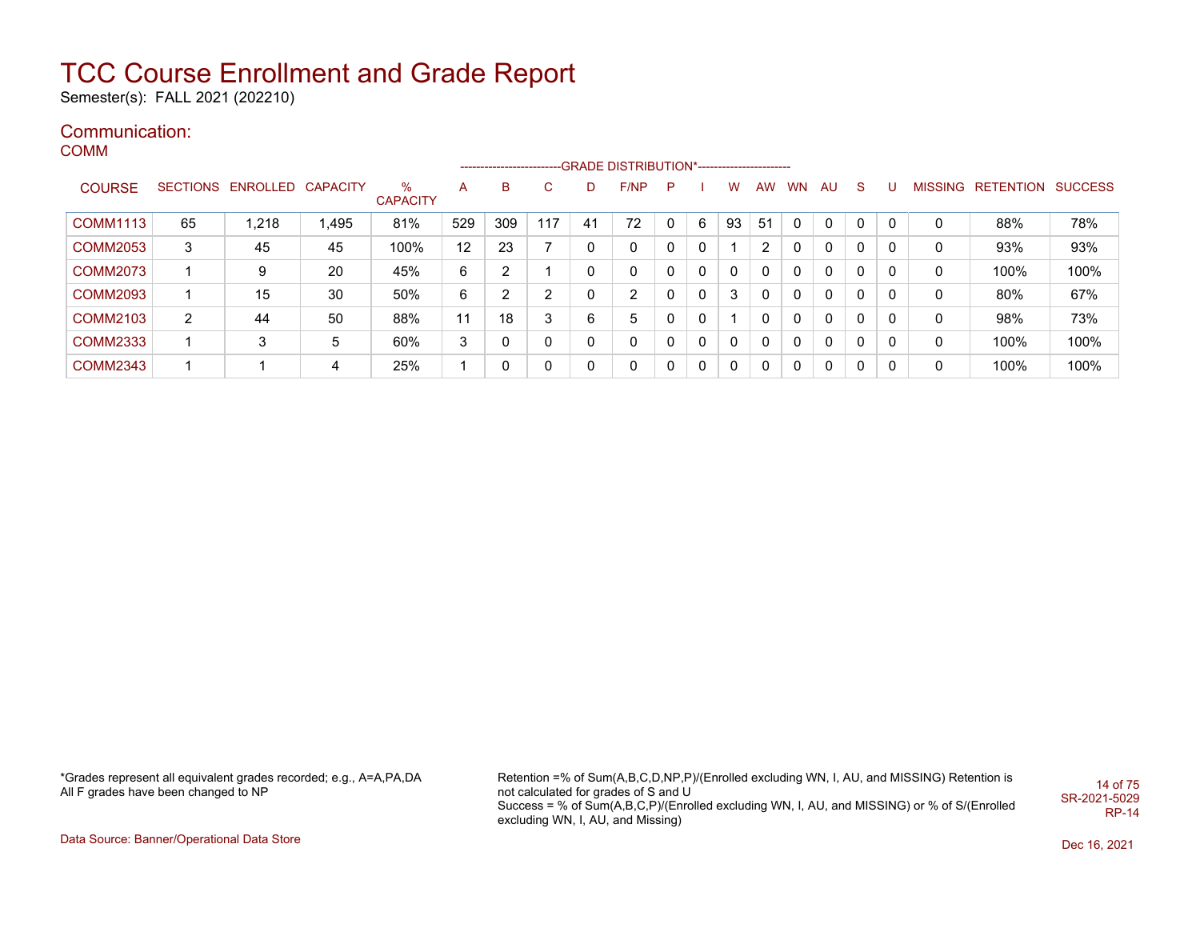Semester(s): FALL 2021 (202210)

## Communication:

COMM

|                 |                |                            |       |                         |     |     |     |    | -------------------------GRADE DISTRIBUTION*---------------------- |              |    |          |           |              |          |          |          |                |           |                |
|-----------------|----------------|----------------------------|-------|-------------------------|-----|-----|-----|----|--------------------------------------------------------------------|--------------|----|----------|-----------|--------------|----------|----------|----------|----------------|-----------|----------------|
| <b>COURSE</b>   |                | SECTIONS ENROLLED CAPACITY |       | $\%$<br><b>CAPACITY</b> | A   | в   | C   | D  | F/NP                                                               | P            |    | w        | <b>AW</b> | <b>WN</b>    | AU       | -S       |          | <b>MISSING</b> | RETENTION | <b>SUCCESS</b> |
| <b>COMM1113</b> | 65             | 1.218                      | 1,495 | 81%                     | 529 | 309 | 117 | 41 | 72                                                                 | $\mathbf{0}$ | 6  | 93       | 51        | $\mathbf{0}$ | $\Omega$ | 0        | $\Omega$ |                | 88%       | 78%            |
| <b>COMM2053</b> | 3              | 45                         | 45    | 100%                    | 12  | 23  |     | 0  | 0                                                                  | 0            | 0  |          |           | $\Omega$     | $\Omega$ | 0        | $\Omega$ | 0              | 93%       | 93%            |
| <b>COMM2073</b> |                | 9                          | 20    | 45%                     | 6   | 2   |     | 0  | 0                                                                  | 0            | 0  |          |           | $\Omega$     | $\Omega$ | 0        | $\Omega$ | 0              | 100%      | 100%           |
| <b>COMM2093</b> |                | 15                         | 30    | 50%                     | 6   | ົ   | 2   | 0  | 2                                                                  |              | 0  | 3        |           | $\Omega$     | $\Omega$ | $\Omega$ | $\Omega$ | 0              | 80%       | 67%            |
| <b>COMM2103</b> | $\overline{2}$ | 44                         | 50    | 88%                     | 11  | 18  | 3   | 6  | 5                                                                  | $\mathbf{0}$ | 0  |          |           | $\Omega$     | $\Omega$ | $\Omega$ | $\Omega$ | 0              | 98%       | 73%            |
| <b>COMM2333</b> |                | 3                          | 5     | 60%                     | 3   | 0   | 0   | 0  | 0                                                                  | $\Omega$     | 0  |          |           | $\Omega$     | $\Omega$ | $\Omega$ | $\Omega$ | 0              | 100%      | 100%           |
| <b>COMM2343</b> |                |                            | 4     | 25%                     |     | 0   | 0   | 0  | 0                                                                  | $\mathbf{0}$ | -0 | $\Omega$ | $\Omega$  | $\Omega$     | $\Omega$ | $\Omega$ | $\Omega$ | 0              | 100%      | 100%           |

\*Grades represent all equivalent grades recorded; e.g., A=A,PA,DA All F grades have been changed to NP

Retention =% of Sum(A,B,C,D,NP,P)/(Enrolled excluding WN, I, AU, and MISSING) Retention is not calculated for grades of S and U Success = % of Sum(A,B,C,P)/(Enrolled excluding WN, I, AU, and MISSING) or % of S/(Enrolled excluding WN, I, AU, and Missing) 14 of 75 SR-2021-5029 RP-14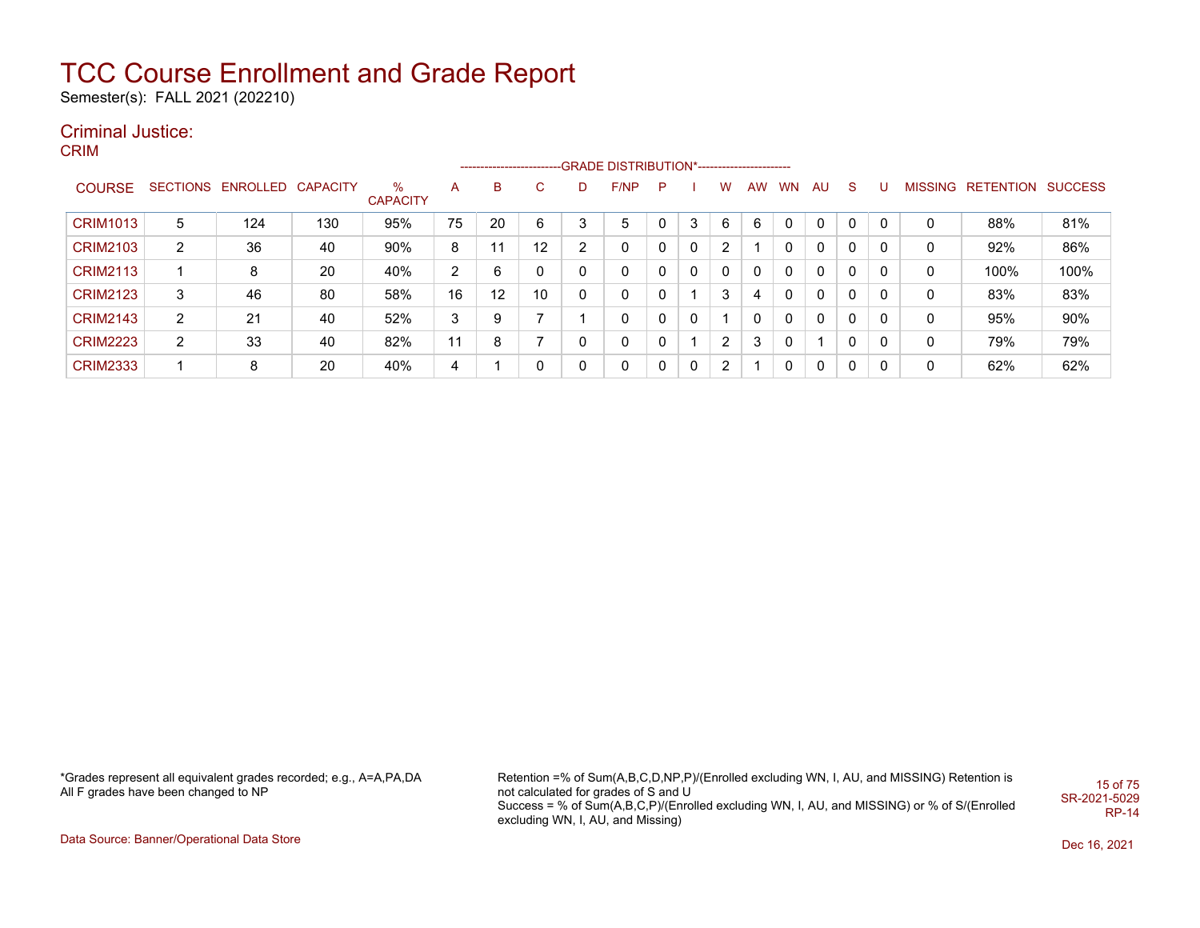Semester(s): FALL 2021 (202210)

## Criminal Justice:

CRIM

|                 |                |                            |     |                      |    |    |    |   | --------------------------GRADE DISTRIBUTION*----------------------- |              |   |                |           |           |                          |          |   |                |                          |      |
|-----------------|----------------|----------------------------|-----|----------------------|----|----|----|---|----------------------------------------------------------------------|--------------|---|----------------|-----------|-----------|--------------------------|----------|---|----------------|--------------------------|------|
| <b>COURSE</b>   |                | SECTIONS ENROLLED CAPACITY |     | %<br><b>CAPACITY</b> | А  | В  | C. | D | F/NP                                                                 | P.           |   | W              | <b>AW</b> | <b>WN</b> | AU                       | S.       | U | <b>MISSING</b> | <b>RETENTION SUCCESS</b> |      |
| <b>CRIM1013</b> | 5              | 124                        | 130 | 95%                  | 75 | 20 | 6  | 3 | 5                                                                    |              | 3 | 6              | 6         |           | $\Omega$                 | $\Omega$ | 0 | 0              | 88%                      | 81%  |
| <b>CRIM2103</b> | $\overline{2}$ | 36                         | 40  | 90%                  | 8  | 11 | 12 | ົ | 0                                                                    | 0            | 0 | 2              |           |           | $\mathbf{0}$             | $\Omega$ |   | 0              | 92%                      | 86%  |
| <b>CRIM2113</b> |                | 8                          | 20  | 40%                  | 2  | 6  | 0  |   | 0                                                                    | 0            | 0 | 0              | 0         | $\Omega$  | $\Omega$                 | $\Omega$ | 0 | 0              | 100%                     | 100% |
| <b>CRIM2123</b> | 3              | 46                         | 80  | 58%                  | 16 | 12 | 10 |   | 0                                                                    | 0            |   | 3              | 4         | $\Omega$  | $\Omega$                 | $\Omega$ | 0 |                | 83%                      | 83%  |
| <b>CRIM2143</b> | $\overline{2}$ | 21                         | 40  | 52%                  | 3  | 9  | ⇁  |   | 0                                                                    | 0            | 0 |                | 0         | $\Omega$  | $\Omega$                 | $\Omega$ | 0 | 0              | 95%                      | 90%  |
| <b>CRIM2223</b> | $\overline{2}$ | 33                         | 40  | 82%                  | 11 | 8  | ⇁  |   | 0                                                                    |              |   | $\overline{2}$ | 3         | $\Omega$  | $\overline{\phantom{a}}$ | $\Omega$ | 0 | 0              | 79%                      | 79%  |
| <b>CRIM2333</b> |                | 8                          | 20  | 40%                  | 4  |    | 0  |   | $\mathbf{0}$                                                         | $\mathbf{0}$ | 0 | 2              |           |           | $\mathbf{0}$             | $\Omega$ | 0 | 0              | 62%                      | 62%  |

\*Grades represent all equivalent grades recorded; e.g., A=A,PA,DA All F grades have been changed to NP

Retention =% of Sum(A,B,C,D,NP,P)/(Enrolled excluding WN, I, AU, and MISSING) Retention is not calculated for grades of S and U Success = % of Sum(A,B,C,P)/(Enrolled excluding WN, I, AU, and MISSING) or % of S/(Enrolled excluding WN, I, AU, and Missing) 15 of 75 SR-2021-5029 RP-14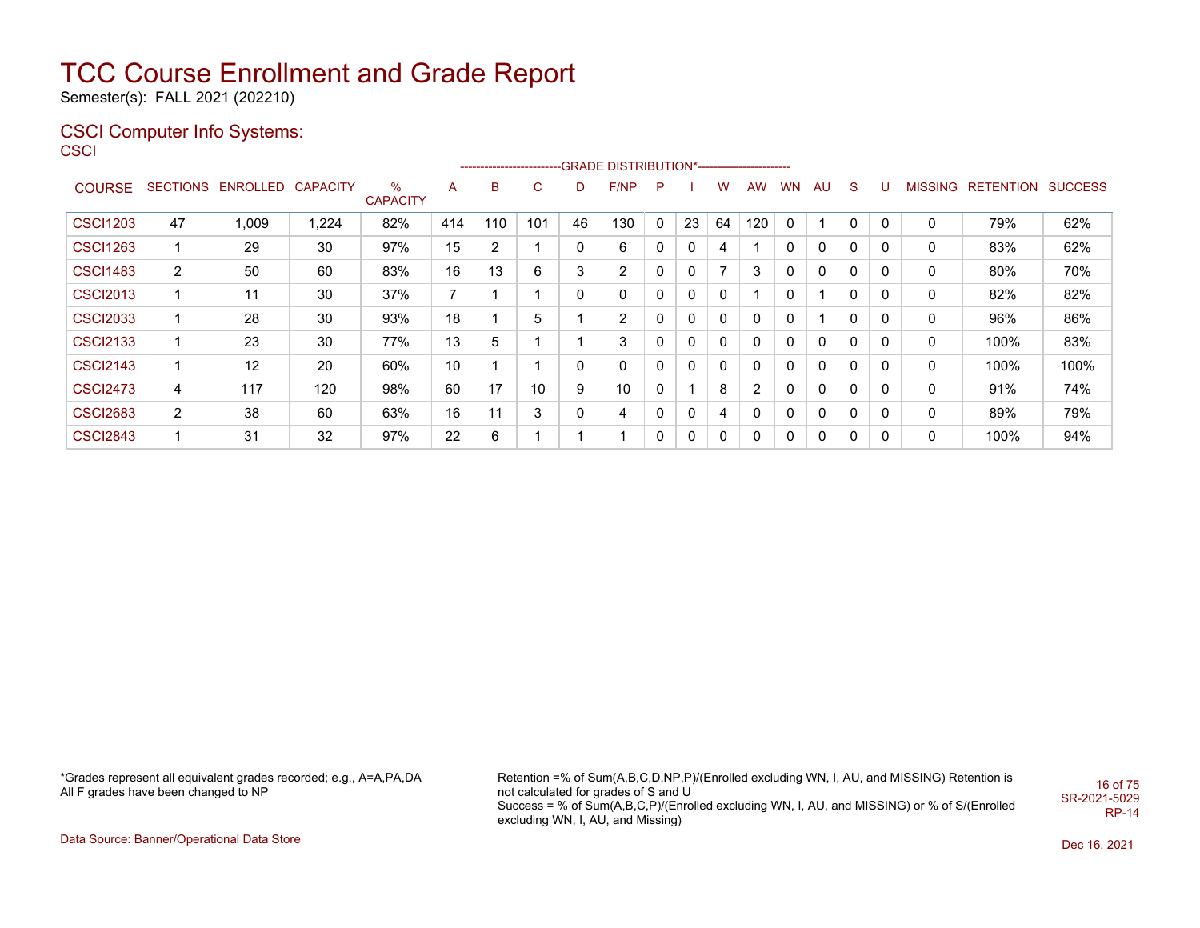Semester(s): FALL 2021 (202210)

#### CSCI Computer Info Systems: **CSCI**

| SCI             |                 |                   |       |                         |     | ---------------------- |     |    | -GRADE DISTRIBUTION*----------------------- |              |    |              |                |              |              |    |          |                |                          |      |
|-----------------|-----------------|-------------------|-------|-------------------------|-----|------------------------|-----|----|---------------------------------------------|--------------|----|--------------|----------------|--------------|--------------|----|----------|----------------|--------------------------|------|
| <b>COURSE</b>   | <b>SECTIONS</b> | ENROLLED CAPACITY |       | $\%$<br><b>CAPACITY</b> | A   | B                      | C   | D  | F/NP                                        | P            |    | w            | <b>AW</b>      | WN           | AU           | S. |          | <b>MISSING</b> | <b>RETENTION SUCCESS</b> |      |
| <b>CSCI1203</b> | 47              | 1,009             | 1,224 | 82%                     | 414 | 110                    | 101 | 46 | 130                                         | $\mathbf{0}$ | 23 | 64           | 120            |              |              | 0  | 0        | 0              | 79%                      | 62%  |
| <b>CSCI1263</b> |                 | 29                | 30    | 97%                     | 15  | 2                      |     | 0  | 6                                           | 0            | 0  | 4            |                | 0            | 0            | 0  | 0        | 0              | 83%                      | 62%  |
| <b>CSCI1483</b> | 2               | 50                | 60    | 83%                     | 16  | 13                     | 6   | 3  | $\overline{2}$                              | 0            | 0  | 7            | 3              | 0            | 0            | 0  | 0        | 0              | 80%                      | 70%  |
| <b>CSCI2013</b> |                 | 11                | 30    | 37%                     | 7   |                        |     | 0  | $\Omega$                                    | 0            | 0  | $\mathbf{0}$ |                | 0            |              | 0  | $\Omega$ | 0              | 82%                      | 82%  |
| <b>CSCI2033</b> |                 | 28                | 30    | 93%                     | 18  |                        | 5   |    | $\mathbf{2}^{\prime}$                       | 0            | 0  | $\mathbf{0}$ | 0              | 0            |              | 0  | 0        | 0              | 96%                      | 86%  |
| <b>CSCI2133</b> |                 | 23                | 30    | 77%                     | 13  | 5                      |     |    | 3                                           | $\mathbf{0}$ | 0  | $\mathbf{0}$ | 0              | 0            | $\mathbf{0}$ | 0  | 0        | 0              | 100%                     | 83%  |
| <b>CSCI2143</b> |                 | 12                | 20    | 60%                     | 10  |                        |     | 0  | $\Omega$                                    | $\mathbf{0}$ | 0  | $\mathbf{0}$ | 0              | 0            | 0            | 0  | 0        | 0              | 100%                     | 100% |
| <b>CSCI2473</b> | 4               | 117               | 120   | 98%                     | 60  | 17                     | 10  | 9  | 10                                          | 0            |    | 8            | $\overline{2}$ | 0            | 0            | 0  | 0        | 0              | 91%                      | 74%  |
| <b>CSCI2683</b> | $\overline{2}$  | 38                | 60    | 63%                     | 16  | 11                     | 3   | 0  | 4                                           | 0            | 0  | 4            | $\mathbf{0}$   | $\mathbf{0}$ | 0            | 0  | 0        | 0              | 89%                      | 79%  |
| <b>CSCI2843</b> |                 | 31                | 32    | 97%                     | 22  | 6                      |     |    |                                             | 0            | 0  | 0            | 0              | 0            | 0            | 0  | 0        | 0              | 100%                     | 94%  |

\*Grades represent all equivalent grades recorded; e.g., A=A,PA,DA All F grades have been changed to NP

Retention =% of Sum(A,B,C,D,NP,P)/(Enrolled excluding WN, I, AU, and MISSING) Retention is not calculated for grades of S and U Success = % of Sum(A,B,C,P)/(Enrolled excluding WN, I, AU, and MISSING) or % of S/(Enrolled excluding WN, I, AU, and Missing) 16 of 75 SR-2021-5029 RP-14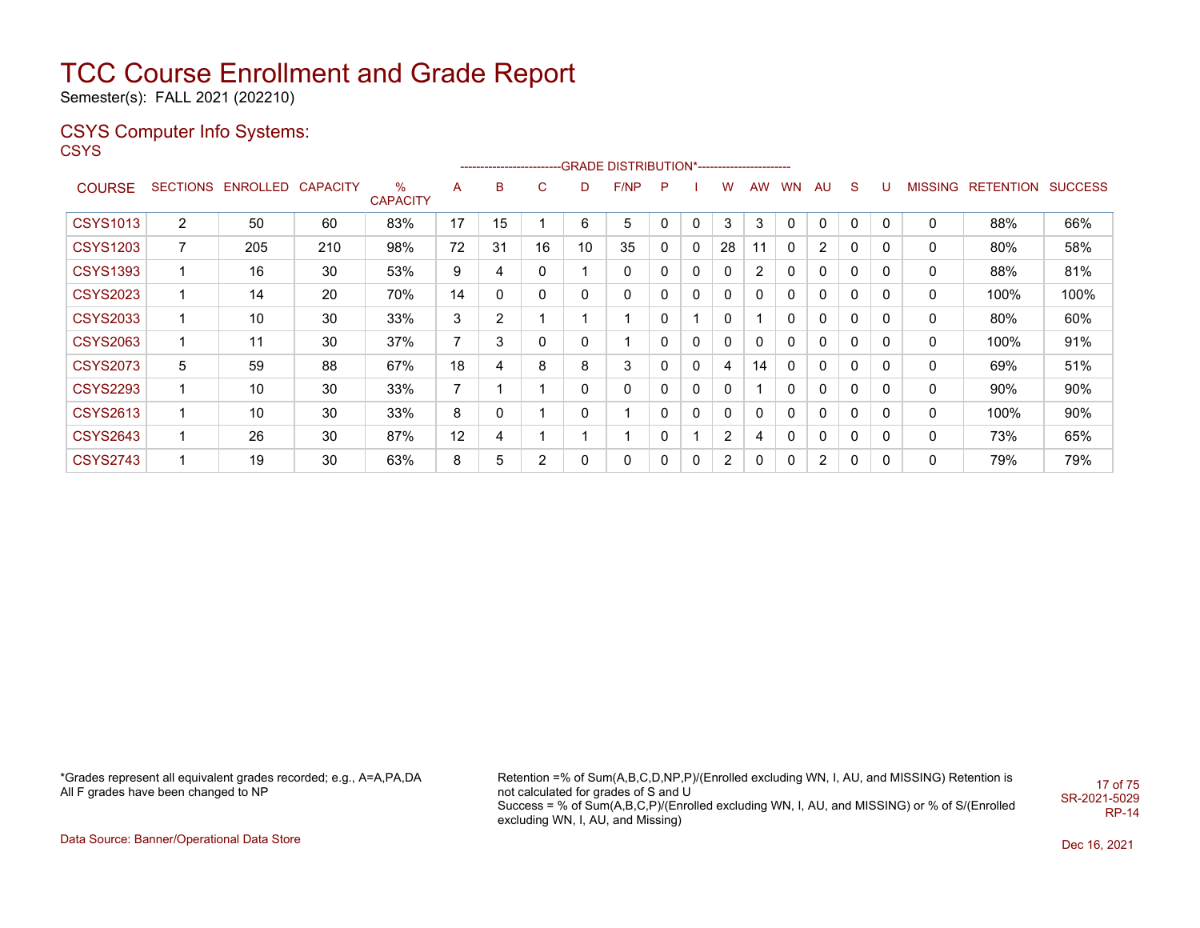Semester(s): FALL 2021 (202210)

## CSYS Computer Info Systems:

**CSYS** 

|                 |                |                   |                 |                      |    |    |                |              | ------------------------GRADE                DISTRIBUTION*---------------------- |              |                          |              |              |           |                |             |             |         |           |                |
|-----------------|----------------|-------------------|-----------------|----------------------|----|----|----------------|--------------|----------------------------------------------------------------------------------|--------------|--------------------------|--------------|--------------|-----------|----------------|-------------|-------------|---------|-----------|----------------|
| <b>COURSE</b>   |                | SECTIONS ENROLLED | <b>CAPACITY</b> | %<br><b>CAPACITY</b> | A  | в  | C              | D            | F/NP                                                                             | P            |                          | w            | <b>AW</b>    | <b>WN</b> | <b>AU</b>      | S.          | U           | MISSING | RETENTION | <b>SUCCESS</b> |
| <b>CSYS1013</b> | $\overline{2}$ | 50                | 60              | 83%                  | 17 | 15 |                | 6            | 5                                                                                |              | 0                        | 3            | 3            |           | 0              |             | $\Omega$    | 0       | 88%       | 66%            |
| <b>CSYS1203</b> | 7              | 205               | 210             | 98%                  | 72 | 31 | 16             | 10           | 35                                                                               | $\mathbf{0}$ | 0                        | 28           |              | 0         | 2              | 0           | 0           | 0       | 80%       | 58%            |
| <b>CSYS1393</b> | 1              | 16                | 30              | 53%                  | 9  | 4  | 0              |              | 0                                                                                | 0            | 0                        | $\mathbf{0}$ | 2            | 0         | 0              | 0           | $\mathbf 0$ | 0       | 88%       | 81%            |
| <b>CSYS2023</b> | 1              | 14                | 20              | 70%                  | 14 | 0  | 0              | 0            | 0                                                                                | 0            | 0                        | $\mathbf{0}$ | $\mathbf{0}$ | 0         | 0              | 0           | 0           | 0       | 100%      | 100%           |
| <b>CSYS2033</b> | 1              | 10                | 30              | 33%                  | 3  | 2  |                |              |                                                                                  | 0            | $\overline{\phantom{a}}$ | 0            |              | 0         | 0              | 0           | 0           | 0       | 80%       | 60%            |
| <b>CSYS2063</b> | 1              | 11                | 30              | 37%                  | 7  | 3  | 0              | 0            |                                                                                  | 0            | 0                        | 0            | 0            | 0         | 0              | 0           | 0           | 0       | 100%      | 91%            |
| <b>CSYS2073</b> | 5              | 59                | 88              | 67%                  | 18 | 4  | 8              | 8            | 3                                                                                | 0            | 0                        | 4            | 14           | 0         | 0              | 0           | 0           | 0       | 69%       | 51%            |
| <b>CSYS2293</b> | 1              | 10                | 30              | 33%                  | 7  |    |                | $\mathbf{0}$ | 0                                                                                | 0            | 0                        | 0            |              | 0         | $\mathbf{0}$   | 0           | 0           | 0       | 90%       | 90%            |
| <b>CSYS2613</b> | 1              | 10                | 30              | 33%                  | 8  | 0  |                | $\mathbf{0}$ |                                                                                  | 0            | 0                        | $\mathbf{0}$ | 0            | 0         | $\mathbf{0}$   | $\mathbf 0$ | 0           | 0       | 100%      | 90%            |
| <b>CSYS2643</b> | 1              | 26                | 30              | 87%                  | 12 | 4  |                |              |                                                                                  | 0            | $\overline{\mathbf{A}}$  | 2            | 4            | 0         | 0              | 0           | 0           | 0       | 73%       | 65%            |
| <b>CSYS2743</b> | 1              | 19                | 30              | 63%                  | 8  | 5  | $\overline{2}$ | 0            | 0                                                                                | 0            | 0                        | 2            | 0            | 0         | $\overline{2}$ | 0           | 0           | 0       | 79%       | 79%            |

\*Grades represent all equivalent grades recorded; e.g., A=A,PA,DA All F grades have been changed to NP

Retention =% of Sum(A,B,C,D,NP,P)/(Enrolled excluding WN, I, AU, and MISSING) Retention is not calculated for grades of S and U Success = % of Sum(A,B,C,P)/(Enrolled excluding WN, I, AU, and MISSING) or % of S/(Enrolled excluding WN, I, AU, and Missing) 17 of 75 SR-2021-5029 RP-14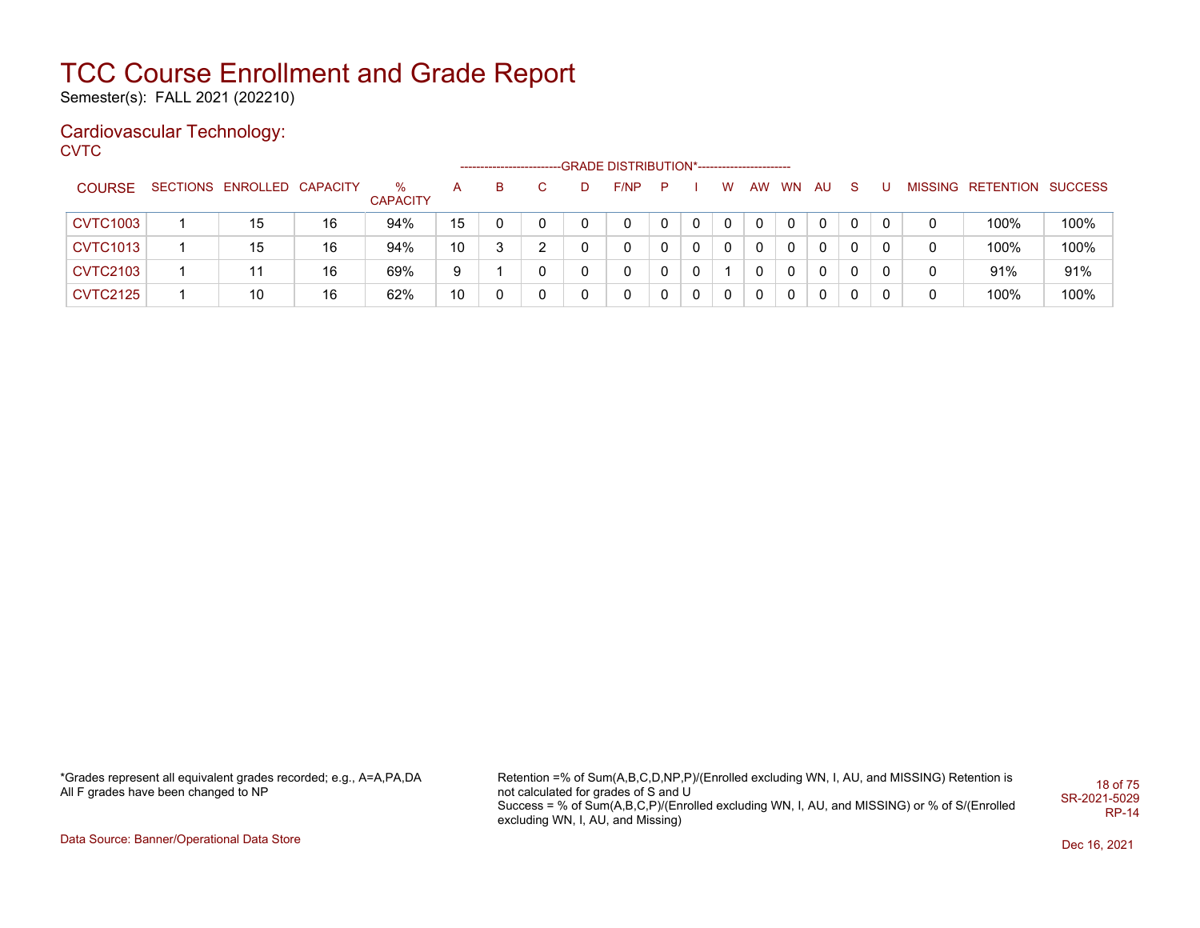Semester(s): FALL 2021 (202210)

### Cardiovascular Technology:

**CVTC** 

|                 |                            |    |                      |    | --------------------- |   |   | -GRADE DISTRIBUTION*----------------------- |     |              |          |          |              |              |   |                           |      |
|-----------------|----------------------------|----|----------------------|----|-----------------------|---|---|---------------------------------------------|-----|--------------|----------|----------|--------------|--------------|---|---------------------------|------|
| <b>COURSE</b>   | SECTIONS ENROLLED CAPACITY |    | %<br><b>CAPACITY</b> | А  | B.                    |   | D | F/NP                                        | - P |              | W        | AW WN    | AU.          | <sub>S</sub> |   | MISSING RETENTION SUCCESS |      |
| <b>CVTC1003</b> | 15                         | 16 | 94%                  | 15 |                       |   |   | 0                                           |     |              | $\Omega$ |          | $\mathbf{0}$ | 0            | 0 | 100%                      | 100% |
| <b>CVTC1013</b> | 15                         | 16 | 94%                  | 10 |                       | ົ |   | 0                                           |     | $\mathbf{0}$ | $\Omega$ |          | $\mathbf{0}$ | 0            | 0 | 100%                      | 100% |
| <b>CVTC2103</b> | 11                         | 16 | 69%                  | 9  |                       |   |   | 0                                           |     | $\Omega$     |          | $\Omega$ | $\Omega$     | $\Omega$     | 0 | 91%                       | 91%  |
| <b>CVTC2125</b> | 10                         | 16 | 62%                  | 10 |                       |   |   | 0                                           |     | $\Omega$     | $\Omega$ |          | $\mathbf{0}$ | 0            | 0 | 100%                      | 100% |

\*Grades represent all equivalent grades recorded; e.g., A=A,PA,DA All F grades have been changed to NP

Retention =% of Sum(A,B,C,D,NP,P)/(Enrolled excluding WN, I, AU, and MISSING) Retention is not calculated for grades of S and U Success = % of Sum(A,B,C,P)/(Enrolled excluding WN, I, AU, and MISSING) or % of S/(Enrolled excluding WN, I, AU, and Missing) 18 of 75 SR-2021-5029 RP-14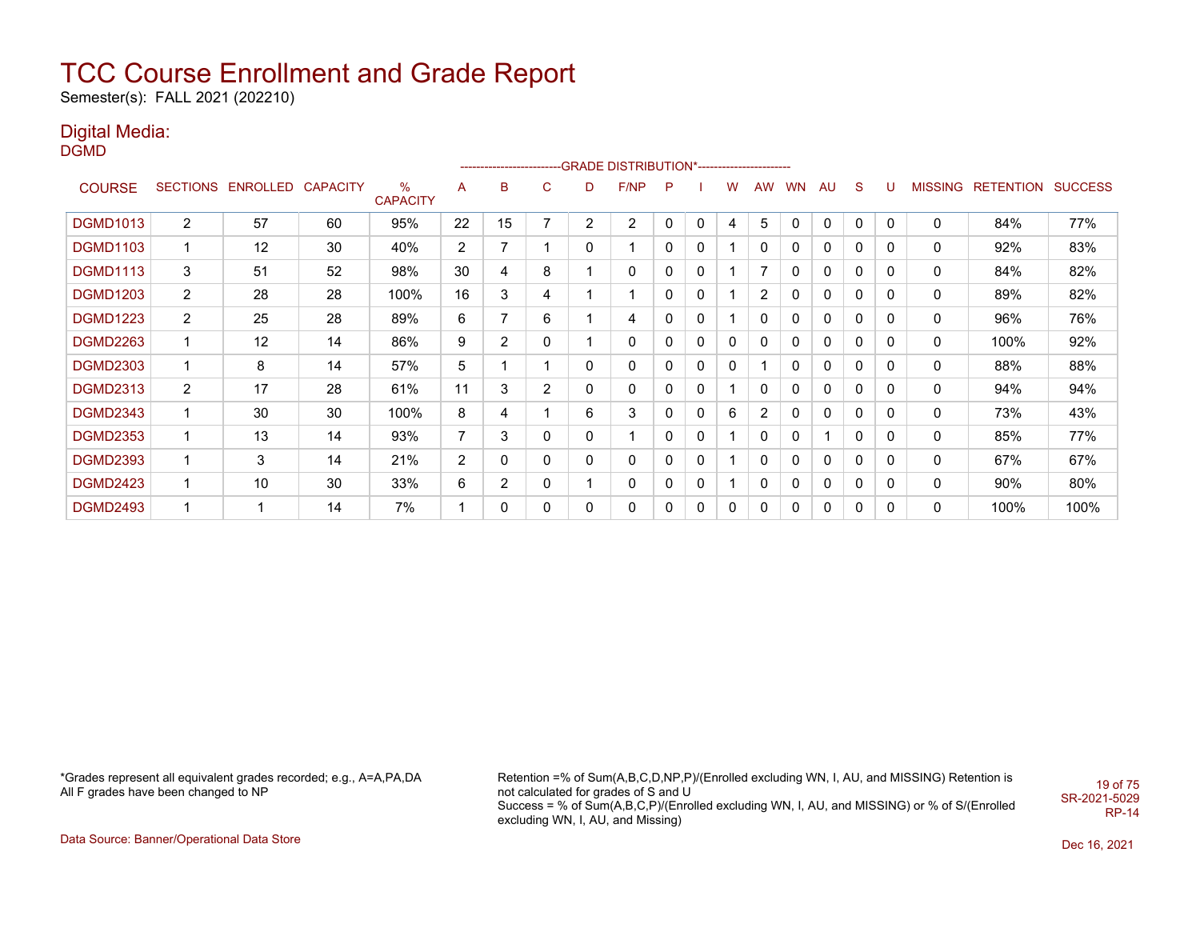Semester(s): FALL 2021 (202210)

## Digital Media:

DGMD

|                 |                 |                   |    |                                  |                |    |              |                | ------------------------GRADE                DISTRIBUTION*---------------------- |   |             |   |                |           |              |          |   |                |                  |                |
|-----------------|-----------------|-------------------|----|----------------------------------|----------------|----|--------------|----------------|----------------------------------------------------------------------------------|---|-------------|---|----------------|-----------|--------------|----------|---|----------------|------------------|----------------|
| <b>COURSE</b>   | <b>SECTIONS</b> | ENROLLED CAPACITY |    | $\frac{0}{0}$<br><b>CAPACITY</b> | A              | В  | C            | D              | F/NP                                                                             | P |             | w | <b>AW</b>      | <b>WN</b> | AU           | S        | U | <b>MISSING</b> | <b>RETENTION</b> | <b>SUCCESS</b> |
| <b>DGMD1013</b> | $\overline{2}$  | 57                | 60 | 95%                              | 22             | 15 | 7            | $\overline{2}$ | $\overline{2}$                                                                   | 0 | 0           | 4 | 5              | 0         | 0            | 0        | 0 | 0              | 84%              | 77%            |
| <b>DGMD1103</b> | 1               | 12                | 30 | 40%                              | $\overline{2}$ | 7  | 1            | 0              | -1                                                                               | 0 | 0           |   | 0              | 0         | 0            | 0        | 0 | 0              | 92%              | 83%            |
| <b>DGMD1113</b> | 3               | 51                | 52 | 98%                              | 30             | 4  | 8            |                | 0                                                                                | 0 | 0           |   |                | 0         | 0            | $\Omega$ | 0 | $\mathbf 0$    | 84%              | 82%            |
| <b>DGMD1203</b> | $\overline{2}$  | 28                | 28 | 100%                             | 16             | 3  | 4            |                | 1                                                                                | 0 | 0           |   | 2              | 0         | 0            | 0        | 0 | 0              | 89%              | 82%            |
| <b>DGMD1223</b> | $\overline{2}$  | 25                | 28 | 89%                              | 6              | 7  | 6            |                | 4                                                                                | 0 | 0           |   | 0              | 0         | $\mathbf{0}$ | 0        | 0 | 0              | 96%              | 76%            |
| <b>DGMD2263</b> | 1               | 12                | 14 | 86%                              | 9              | 2  | 0            |                | 0                                                                                | 0 | 0           | 0 | 0              | 0         | 0            | 0        | 0 | 0              | 100%             | 92%            |
| <b>DGMD2303</b> | 1               | 8                 | 14 | 57%                              | 5              |    | 1            | 0              | 0                                                                                | 0 | 0           | 0 |                | 0         | 0            | 0        | 0 | 0              | 88%              | 88%            |
| <b>DGMD2313</b> | $\overline{2}$  | 17                | 28 | 61%                              | 11             | 3  | 2            | 0              | 0                                                                                | 0 | $\mathbf 0$ |   | 0              | 0         | 0            | 0        | 0 | 0              | 94%              | 94%            |
| <b>DGMD2343</b> | 1               | 30                | 30 | 100%                             | 8              | 4  | 1            | 6              | 3                                                                                | 0 | $\mathbf 0$ | 6 | $\overline{2}$ | 0         | 0            | 0        | 0 | 0              | 73%              | 43%            |
| <b>DGMD2353</b> | 1               | 13                | 14 | 93%                              | 7              | 3  | 0            | 0              | 1                                                                                | 0 | 0           |   | 0              | 0         |              | 0        | 0 | 0              | 85%              | 77%            |
| <b>DGMD2393</b> | 1               | 3                 | 14 | 21%                              | $\overline{2}$ | 0  | 0            | 0              | 0                                                                                | 0 | 0           |   | 0              | 0         | 0            | 0        | 0 | 0              | 67%              | 67%            |
| <b>DGMD2423</b> | 1               | 10                | 30 | 33%                              | 6              | 2  | 0            |                | 0                                                                                | 0 | 0           |   | 0              | 0         | 0            | 0        | 0 | 0              | 90%              | 80%            |
| <b>DGMD2493</b> | 1               |                   | 14 | 7%                               | 1              | 0  | $\mathbf{0}$ | 0              | $\Omega$                                                                         | 0 | 0           | 0 | 0              | 0         | 0            | $\Omega$ | 0 | 0              | 100%             | 100%           |

\*Grades represent all equivalent grades recorded; e.g., A=A,PA,DA All F grades have been changed to NP

Retention =% of Sum(A,B,C,D,NP,P)/(Enrolled excluding WN, I, AU, and MISSING) Retention is not calculated for grades of S and U Success = % of Sum(A,B,C,P)/(Enrolled excluding WN, I, AU, and MISSING) or % of S/(Enrolled excluding WN, I, AU, and Missing) 19 of 75 SR-2021-5029 RP-14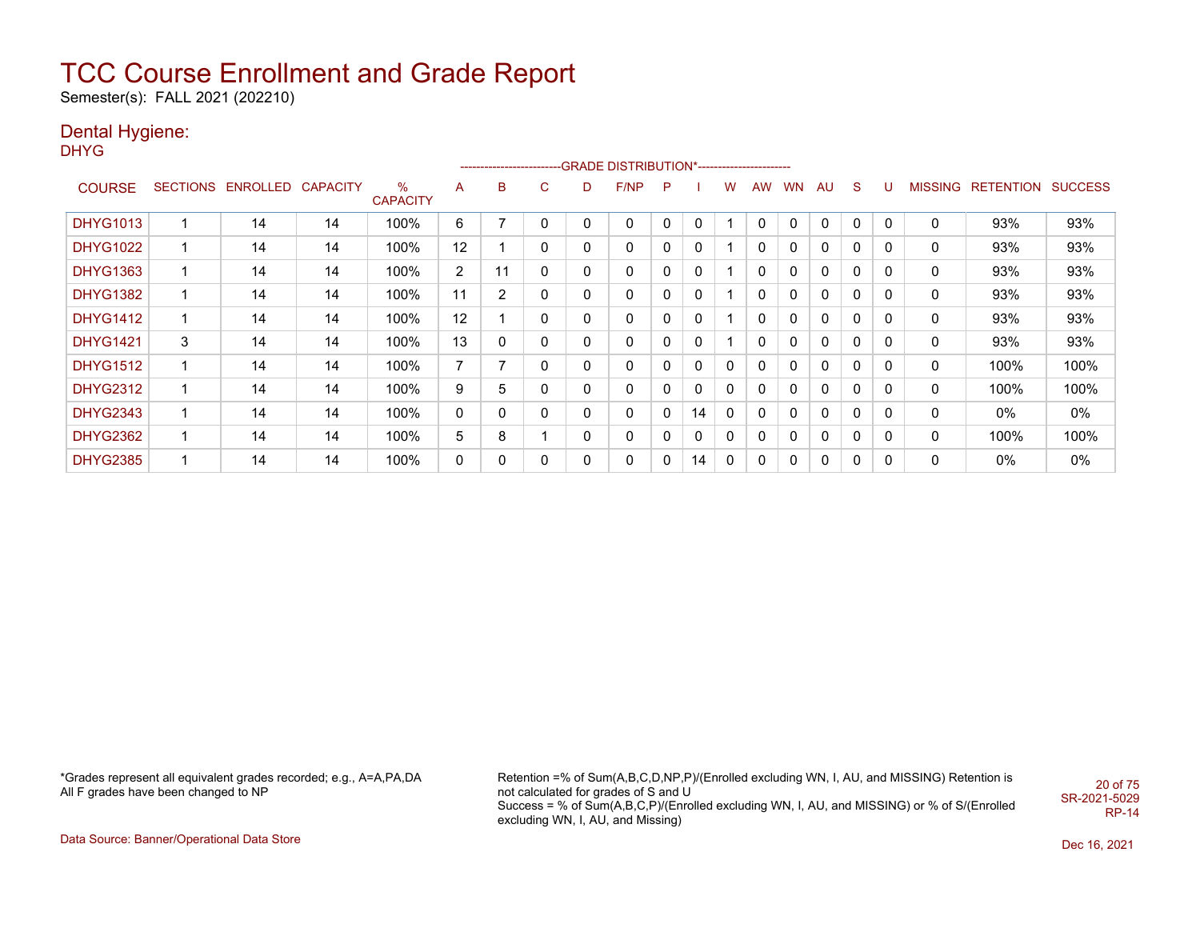Semester(s): FALL 2021 (202210)

## Dental Hygiene:

DHYG

|                 |    |                   |          |                      |                |                |   |              | -------------------------GRADE                DISTRIBUTION*---------------------- |   |          |             |              |           |              |             |          |                |           |                |
|-----------------|----|-------------------|----------|----------------------|----------------|----------------|---|--------------|-----------------------------------------------------------------------------------|---|----------|-------------|--------------|-----------|--------------|-------------|----------|----------------|-----------|----------------|
| <b>COURSE</b>   |    | SECTIONS ENROLLED | CAPACITY | %<br><b>CAPACITY</b> | A              | B              | C | D            | F/NP                                                                              | P |          | w           | AW           | <b>WN</b> | AU           | S.          | IJ       | <b>MISSING</b> | RETENTION | <b>SUCCESS</b> |
| <b>DHYG1013</b> |    | 14                | 14       | 100%                 | 6              |                | 0 | 0            | 0                                                                                 |   | 0        |             | 0            |           | 0            |             | $\Omega$ | 0              | 93%       | 93%            |
| <b>DHYG1022</b> |    | 14                | 14       | 100%                 | 12             |                | 0 | 0            | 0                                                                                 | 0 | 0        |             | $\mathbf{0}$ | 0         | 0            | 0           | 0        | 0              | 93%       | 93%            |
| <b>DHYG1363</b> |    | 14                | 14       | 100%                 | $\overline{2}$ | 11             | 0 | $\mathbf{0}$ | 0                                                                                 | 0 | 0        |             | $\mathbf{0}$ | 0         | 0            | 0           | $\Omega$ | 0              | 93%       | 93%            |
| <b>DHYG1382</b> |    | 14                | 14       | 100%                 | 11             | $\overline{2}$ | 0 | 0            | 0                                                                                 | 0 | 0        |             | $\Omega$     | 0         | 0            | $\mathbf 0$ | $\Omega$ | 0              | 93%       | 93%            |
| <b>DHYG1412</b> | 1  | 14                | 14       | 100%                 | 12             |                | 0 | 0            | 0                                                                                 | 0 | 0        |             | 0            | 0         | 0            | 0           | 0        | 0              | 93%       | 93%            |
| <b>DHYG1421</b> | 3  | 14                | 14       | 100%                 | 13             | 0              | 0 | $\Omega$     | 0                                                                                 |   | 0        |             | 0            | 0         | 0            | $\mathbf 0$ | 0        | 0              | 93%       | 93%            |
| <b>DHYG1512</b> |    | 14                | 14       | 100%                 | $\overline{7}$ | 7              | 0 | 0            | 0                                                                                 | 0 | 0        | $\mathbf 0$ | 0            | 0         | 0            | $\mathbf 0$ | 0        | 0              | 100%      | 100%           |
| <b>DHYG2312</b> | -1 | 14                | 14       | 100%                 | 9              | 5              | 0 | 0            | $\mathbf 0$                                                                       | 0 | $\Omega$ | $\mathbf 0$ | $\mathbf{0}$ | 0         | $\mathbf{0}$ | $\mathbf 0$ | $\Omega$ | 0              | 100%      | 100%           |
| <b>DHYG2343</b> |    | 14                | 14       | 100%                 | 0              | 0              | 0 | 0            | 0                                                                                 | 0 | 14       | $\mathbf 0$ | 0            | 0         | 0            | $\mathbf 0$ | 0        | 0              | 0%        | $0\%$          |
| <b>DHYG2362</b> |    | 14                | 14       | 100%                 | 5              | 8              |   | 0            | 0                                                                                 | 0 | 0        | 0           | 0            | 0         | 0            | 0           | 0        | 0              | 100%      | 100%           |
| <b>DHYG2385</b> |    | 14                | 14       | 100%                 | 0              | 0              | 0 | 0            | 0                                                                                 | 0 | 14       | 0           | 0            |           | 0            | 0           | 0        | 0              | 0%        | $0\%$          |

\*Grades represent all equivalent grades recorded; e.g., A=A,PA,DA All F grades have been changed to NP

Retention =% of Sum(A,B,C,D,NP,P)/(Enrolled excluding WN, I, AU, and MISSING) Retention is not calculated for grades of S and U Success = % of Sum(A,B,C,P)/(Enrolled excluding WN, I, AU, and MISSING) or % of S/(Enrolled excluding WN, I, AU, and Missing) 20 of 75 SR-2021-5029 RP-14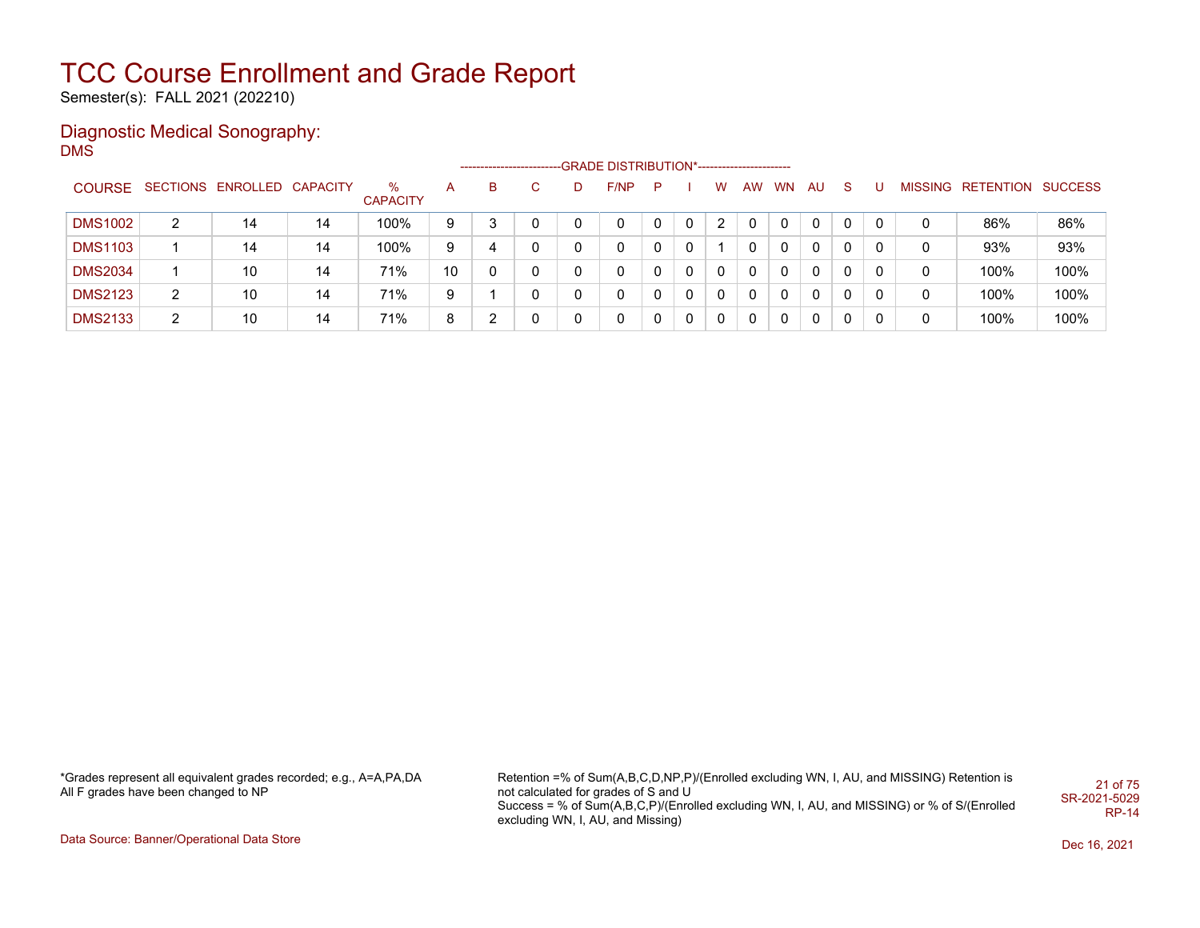Semester(s): FALL 2021 (202210)

#### Diagnostic Medical Sonography: DMS

|                |   |                            |    |                         |    | ---------------------- |    | -GRADE DISTRIBUTION*----------------------- |   |          |   |          |          |              |   |   |                           |      |
|----------------|---|----------------------------|----|-------------------------|----|------------------------|----|---------------------------------------------|---|----------|---|----------|----------|--------------|---|---|---------------------------|------|
| <b>COURSE</b>  |   | SECTIONS ENROLLED CAPACITY |    | $\%$<br><b>CAPACITY</b> | A  | B                      | C. | F/NP                                        | P |          | w | AW WN AU |          | S.           | U |   | MISSING RETENTION SUCCESS |      |
| <b>DMS1002</b> | 2 | 14                         | 14 | 100%                    | 9  |                        |    |                                             |   | $\Omega$ | 2 |          | $\Omega$ | $\mathbf{0}$ | 0 | 0 | 86%                       | 86%  |
| <b>DMS1103</b> |   | 14                         | 14 | 100%                    | 9  | 4                      |    | 0                                           |   | 0        |   | 0        | 0        | 0            | 0 | 0 | 93%                       | 93%  |
| <b>DMS2034</b> |   | 10                         | 14 | 71%                     | 10 |                        |    |                                             |   | $\Omega$ | 0 |          | 0        | 0            | 0 | 0 | 100%                      | 100% |
| <b>DMS2123</b> | 2 | 10                         | 14 | 71%                     | 9  |                        |    | 0                                           |   | $\Omega$ | 0 |          | 0        | $\mathbf{0}$ | 0 | 0 | 100%                      | 100% |
| <b>DMS2133</b> | 2 | 10                         | 14 | 71%                     | 8  |                        |    | 0                                           |   | 0        | 0 |          | 0        | 0            | 0 | 0 | 100%                      | 100% |

\*Grades represent all equivalent grades recorded; e.g., A=A,PA,DA All F grades have been changed to NP

Retention =% of Sum(A,B,C,D,NP,P)/(Enrolled excluding WN, I, AU, and MISSING) Retention is not calculated for grades of S and U Success = % of Sum(A,B,C,P)/(Enrolled excluding WN, I, AU, and MISSING) or % of S/(Enrolled excluding WN, I, AU, and Missing) 21 of 75 SR-2021-5029 RP-14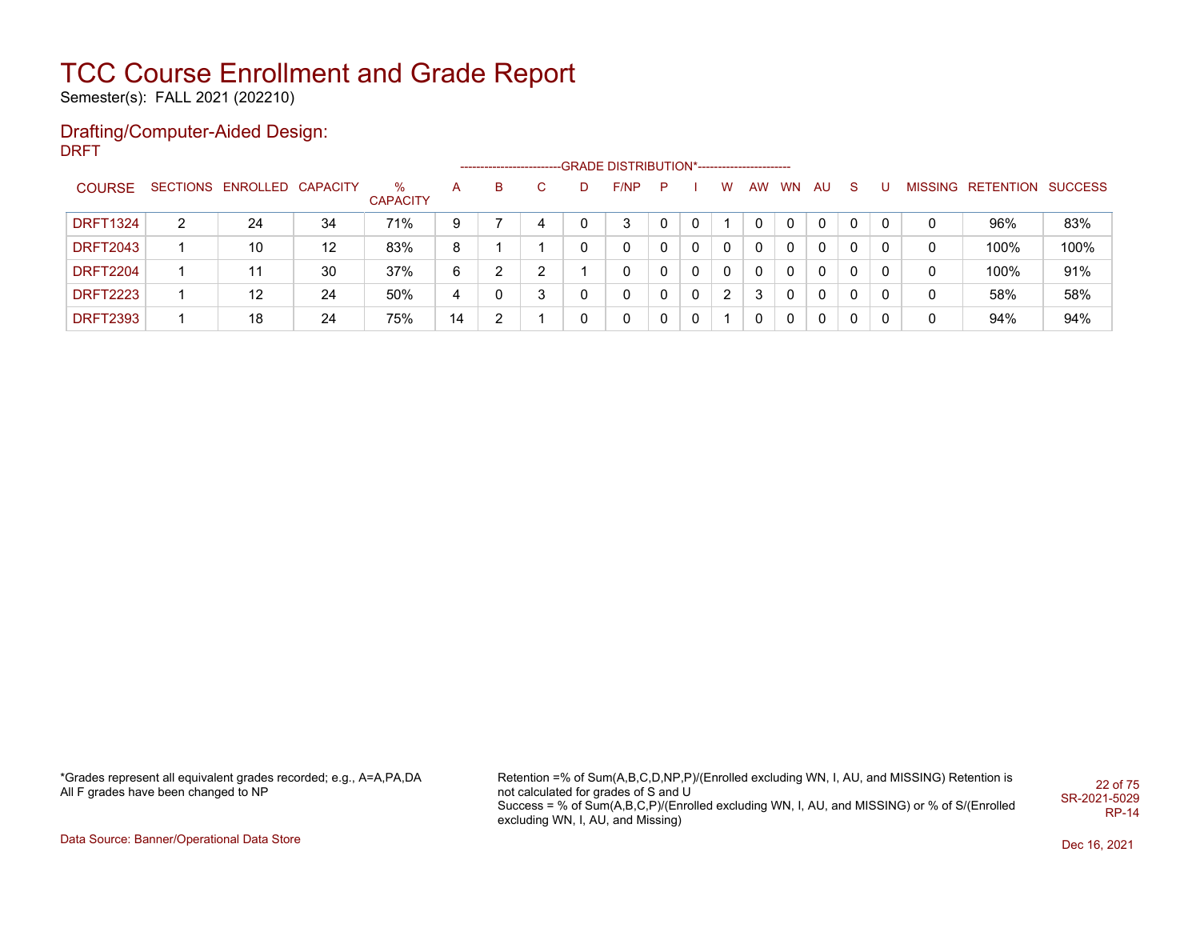Semester(s): FALL 2021 (202210)

#### Drafting/Computer-Aided Design: DRFT

|                 |   |                            |    |                      |    |   |   | ------------------------GRADE                DISTRIBUTION*---------------------- |   |          |   |    |                |              |          |   |   |                           |      |
|-----------------|---|----------------------------|----|----------------------|----|---|---|----------------------------------------------------------------------------------|---|----------|---|----|----------------|--------------|----------|---|---|---------------------------|------|
| <b>COURSE</b>   |   | SECTIONS ENROLLED CAPACITY |    | %<br><b>CAPACITY</b> | А  | в |   | F/NP                                                                             | P |          | W | AW | <b>WN</b>      | AU.          | -S       |   |   | MISSING RETENTION SUCCESS |      |
| <b>DRFT1324</b> | 2 | 24                         | 34 | 71%                  | 9  |   | 4 | 3                                                                                |   | 0        |   | 0  | $\mathbf{0}$   | $\Omega$     | 0        | 0 | 0 | 96%                       | 83%  |
| <b>DRFT2043</b> |   | 10                         | 12 | 83%                  | 8  |   |   | 0                                                                                |   | 0        | 0 | 0  | 0              | $\Omega$     | $\Omega$ |   | 0 | 100%                      | 100% |
| <b>DRFT2204</b> |   |                            | 30 | 37%                  | 6  | ົ | っ | 0                                                                                |   | 0        | 0 | 0  | $\overline{0}$ | $\mathbf{0}$ | $\Omega$ |   | 0 | 100%                      | 91%  |
| <b>DRFT2223</b> |   | 12                         | 24 | 50%                  | 4  | 0 | 3 | 0                                                                                | 0 | $\Omega$ | 2 | 3  |                | $\Omega$     | $\Omega$ | 0 | 0 | 58%                       | 58%  |
| <b>DRFT2393</b> |   | 18                         | 24 | 75%                  | 14 | ົ |   | 0                                                                                | 0 | 0        |   | 0  | $\mathbf{0}$   | $\Omega$     | 0        |   | 0 | 94%                       | 94%  |

\*Grades represent all equivalent grades recorded; e.g., A=A,PA,DA All F grades have been changed to NP

Retention =% of Sum(A,B,C,D,NP,P)/(Enrolled excluding WN, I, AU, and MISSING) Retention is not calculated for grades of S and U Success = % of Sum(A,B,C,P)/(Enrolled excluding WN, I, AU, and MISSING) or % of S/(Enrolled excluding WN, I, AU, and Missing) 22 of 75 SR-2021-5029 RP-14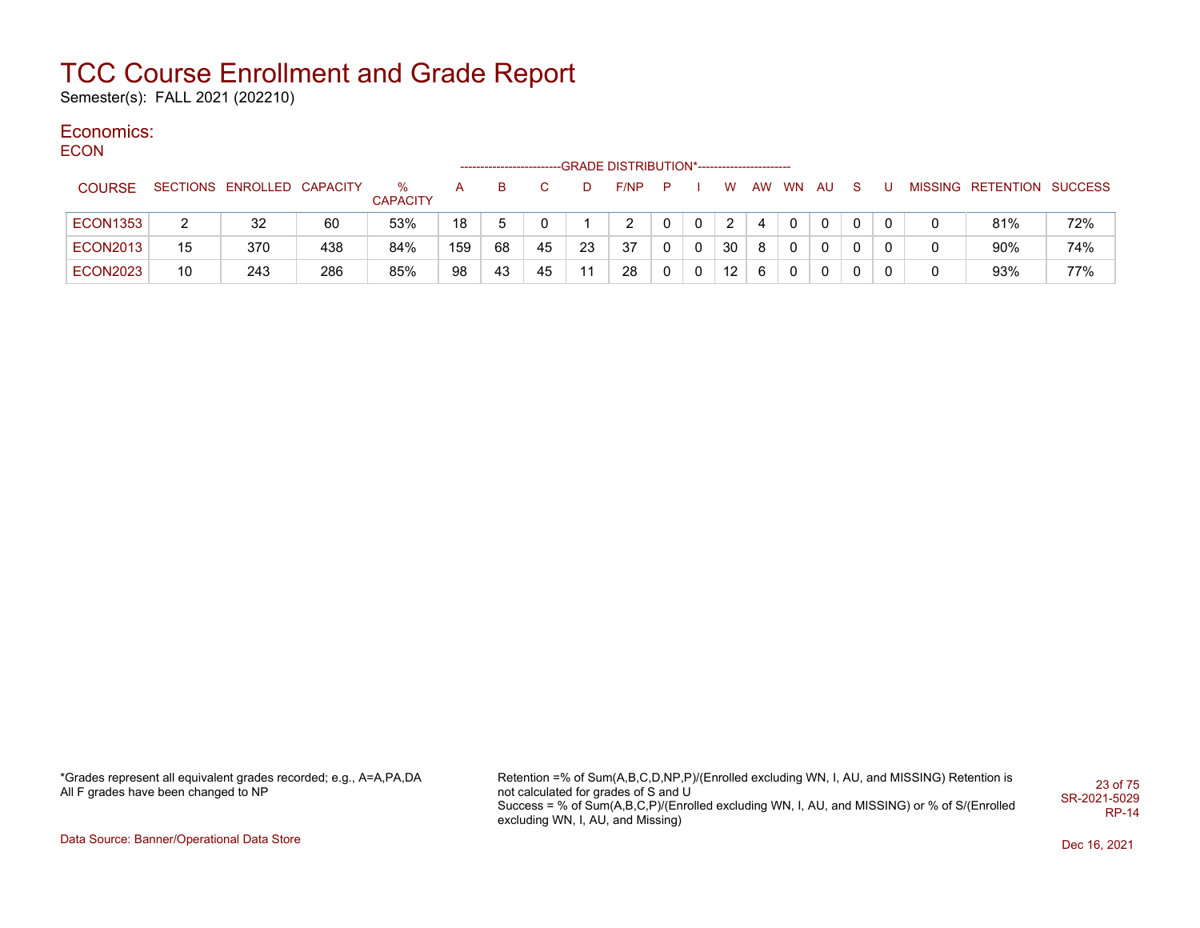Semester(s): FALL 2021 (202210)

#### Economics: ECON

| ∼∪∪             |    |                            |     |                      |     |    |    |    | -GRADE DISTRIBUTION*----------------------- |    |   |                   |    |          |              |          |  |                           |     |
|-----------------|----|----------------------------|-----|----------------------|-----|----|----|----|---------------------------------------------|----|---|-------------------|----|----------|--------------|----------|--|---------------------------|-----|
| <b>COURSE</b>   |    | SECTIONS ENROLLED CAPACITY |     | %<br><b>CAPACITY</b> | A   | B. |    | D  | F/NP                                        | P. |   | W                 |    | AW WN    | AU.          | S.       |  | MISSING RETENTION SUCCESS |     |
| <b>ECON1353</b> | 2  | 32                         | 60  | 53%                  | 18  | 5  | 0  |    |                                             |    | 0 | 2                 |    | $\Omega$ | $\mathbf{0}$ | 0        |  | 81%                       | 72% |
| <b>ECON2013</b> | 15 | 370                        | 438 | 84%                  | 159 | 68 | 45 | 23 | 37                                          | 0  | 0 | 30                | -8 | $\Omega$ | $\Omega$     | $\Omega$ |  | 90%                       | 74% |
| <b>ECON2023</b> | 10 | 243                        | 286 | 85%                  | 98  | 43 | 45 | 11 | 28                                          | 0  | 0 | $12 \overline{ }$ | -6 | $\Omega$ | 0            | 0        |  | 93%                       | 77% |

\*Grades represent all equivalent grades recorded; e.g., A=A,PA,DA All F grades have been changed to NP

Retention =% of Sum(A,B,C,D,NP,P)/(Enrolled excluding WN, I, AU, and MISSING) Retention is not calculated for grades of S and U Success = % of Sum(A,B,C,P)/(Enrolled excluding WN, I, AU, and MISSING) or % of S/(Enrolled excluding WN, I, AU, and Missing) 23 of 75 SR-2021-5029 RP-14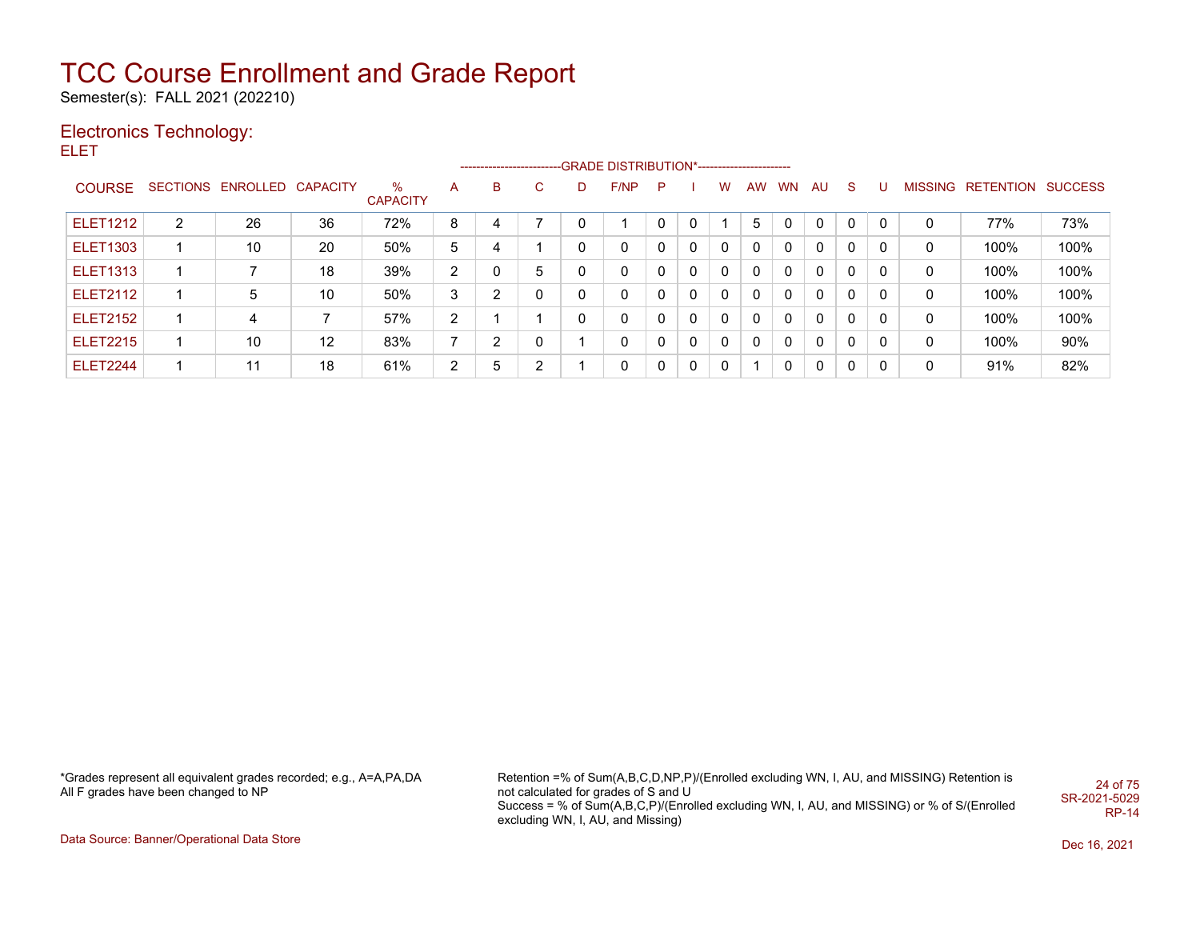Semester(s): FALL 2021 (202210)

## Electronics Technology:

ELET

|                 |                |                   |                   |                      |                       |   |                |   | ------------------------GRADE DISTRIBUTION*----------------------- |   |              |              |              |              |              |              |          |   |                                  |      |
|-----------------|----------------|-------------------|-------------------|----------------------|-----------------------|---|----------------|---|--------------------------------------------------------------------|---|--------------|--------------|--------------|--------------|--------------|--------------|----------|---|----------------------------------|------|
| <b>COURSE</b>   |                | SECTIONS ENROLLED | <b>CAPACITY</b>   | %<br><b>CAPACITY</b> | A                     | B | C.             | D | F/NP                                                               | P |              | W            | AW           | <b>WN</b>    | AU           | S.           | U        |   | <b>MISSING RETENTION SUCCESS</b> |      |
| <b>ELET1212</b> | $\overline{2}$ | 26                | 36                | 72%                  | 8                     | 4 |                | 0 |                                                                    |   | $\Omega$     |              | 5            | 0            | $\mathbf{0}$ | $\mathbf{0}$ | $\Omega$ | 0 | 77%                              | 73%  |
| <b>ELET1303</b> |                | 10                | 20                | 50%                  | 5                     | 4 |                | 0 | 0                                                                  |   | $\mathbf{0}$ | $\Omega$     | 0            | $\Omega$     | $\mathbf{0}$ | $\mathbf{0}$ |          | 0 | 100%                             | 100% |
| <b>ELET1313</b> |                |                   | 18                | 39%                  | $\mathbf{2}^{\prime}$ | 0 | 5              | 0 | 0                                                                  |   | $\Omega$     | $\Omega$     | $\mathbf{0}$ | $\Omega$     | $\mathbf{0}$ | $\Omega$     | 0        | 0 | 100%                             | 100% |
| <b>ELET2112</b> |                | 5                 | 10                | 50%                  | 3                     | າ | $\mathbf{0}$   | 0 | 0                                                                  |   | $\Omega$     | $\Omega$     | $\mathbf{0}$ | $\Omega$     | $\mathbf{0}$ | $\mathbf{0}$ | 0        | 0 | 100%                             | 100% |
| <b>ELET2152</b> |                | 4                 |                   | 57%                  | $\overline{2}$        |   |                | 0 | 0                                                                  |   | $\Omega$     | $\Omega$     | $\Omega$     | $\Omega$     | $\mathbf{0}$ | $\mathbf{0}$ | 0        | 0 | 100%                             | 100% |
| <b>ELET2215</b> |                | 10                | $12 \overline{ }$ | 83%                  | 7                     | 2 | $\mathbf{0}$   |   | $\mathbf{0}$                                                       |   | $\mathbf{0}$ | $\mathbf{0}$ | $\mathbf{0}$ | $\Omega$     | $\mathbf{0}$ | $\mathbf{0}$ | 0        | 0 | 100%                             | 90%  |
| <b>ELET2244</b> |                | 11                | 18                | 61%                  | $\mathbf{2}^{\circ}$  | 5 | $\overline{2}$ |   | 0                                                                  |   | $\mathbf{0}$ | $\mathbf{0}$ |              | <sup>n</sup> | $\mathbf{0}$ | $\mathbf{0}$ | 0        | 0 | 91%                              | 82%  |

\*Grades represent all equivalent grades recorded; e.g., A=A,PA,DA All F grades have been changed to NP

Retention =% of Sum(A,B,C,D,NP,P)/(Enrolled excluding WN, I, AU, and MISSING) Retention is not calculated for grades of S and U Success = % of Sum(A,B,C,P)/(Enrolled excluding WN, I, AU, and MISSING) or % of S/(Enrolled excluding WN, I, AU, and Missing) 24 of 75 SR-2021-5029 RP-14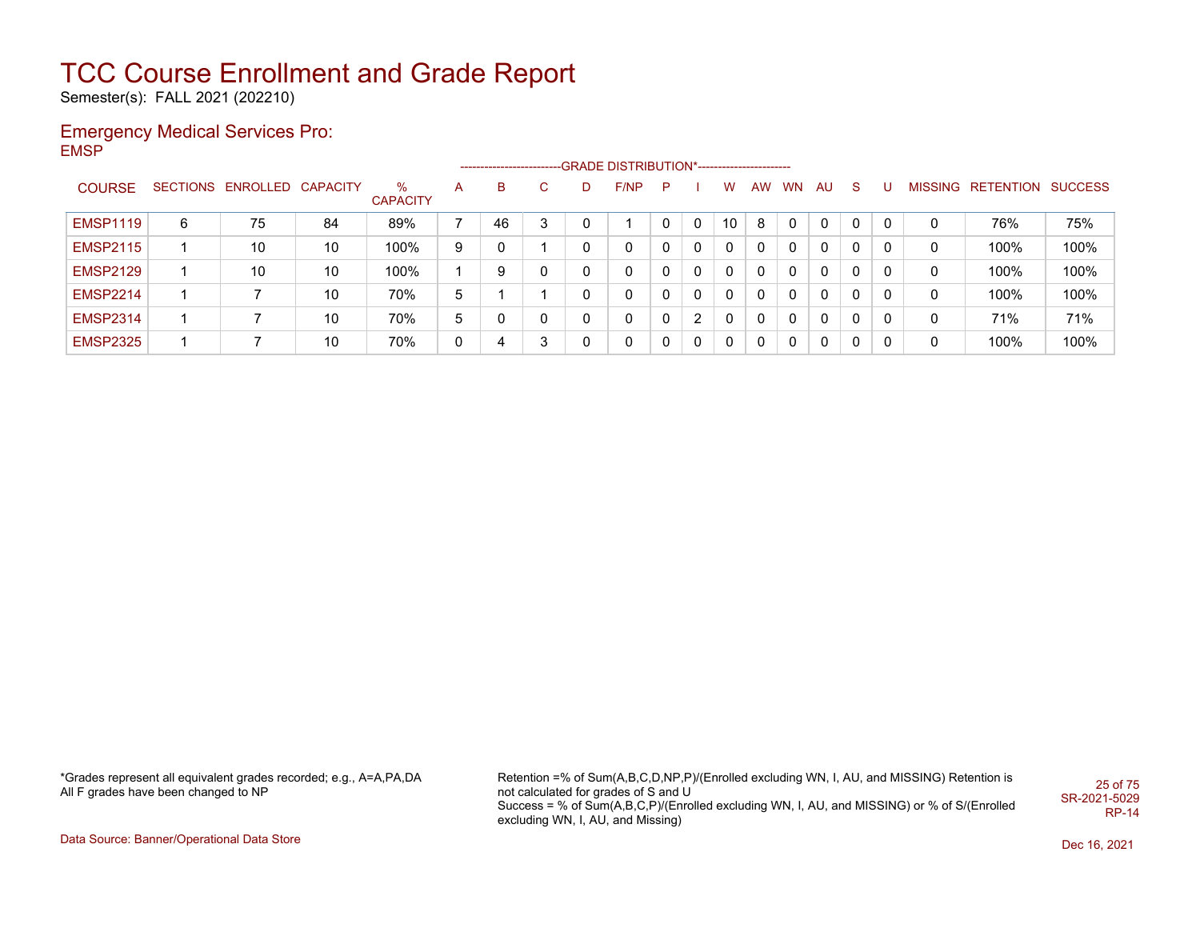Semester(s): FALL 2021 (202210)

#### Emergency Medical Services Pro: EMSP

|                 |   |                            |    |                      |              | ---------------------- |    |   | -- GRADE DISTRIBUTION*------------------------ |   |              |              |    |           |    |    |   |   |                           |      |
|-----------------|---|----------------------------|----|----------------------|--------------|------------------------|----|---|------------------------------------------------|---|--------------|--------------|----|-----------|----|----|---|---|---------------------------|------|
| <b>COURSE</b>   |   | SECTIONS ENROLLED CAPACITY |    | ℅<br><b>CAPACITY</b> | A            | B                      | C. | D | F/NP                                           | P |              | W            | AW | <b>WN</b> | AU | S. |   |   | MISSING RETENTION SUCCESS |      |
| <b>EMSP1119</b> | 6 | 75                         | 84 | 89%                  |              | 46                     | 3  |   |                                                |   | 0            | 10           | 8  |           | 0  | 0  |   | 0 | 76%                       | 75%  |
| <b>EMSP2115</b> |   | 10                         | 10 | 100%                 | 9            | 0                      |    | 0 | 0                                              |   | $\mathbf{0}$ | 0            |    |           | 0  | 0  |   | 0 | 100%                      | 100% |
| <b>EMSP2129</b> |   | 10                         | 10 | 100%                 |              | 9                      | 0  | 0 | 0                                              | 0 | 0            | $\mathbf{0}$ | 0  | 0         | 0  | 0  | 0 | 0 | 100%                      | 100% |
| <b>EMSP2214</b> |   |                            | 10 | 70%                  | 5            |                        |    | 0 | 0                                              | 0 | 0            | 0            |    | 0         | 0  | 0  | 0 | 0 | 100%                      | 100% |
| <b>EMSP2314</b> | 1 |                            | 10 | 70%                  | 5            | 0                      | 0  | 0 | 0                                              | 0 | 2            | $\mathbf{0}$ | 0  | 0         | 0  | 0  | 0 | 0 | 71%                       | 71%  |
| <b>EMSP2325</b> |   |                            | 10 | 70%                  | $\mathbf{0}$ | 4                      | 3  | 0 | 0                                              |   | 0            | 0            |    |           | 0  | 0  | 0 | 0 | 100%                      | 100% |

\*Grades represent all equivalent grades recorded; e.g., A=A,PA,DA All F grades have been changed to NP

Retention =% of Sum(A,B,C,D,NP,P)/(Enrolled excluding WN, I, AU, and MISSING) Retention is not calculated for grades of S and U Success = % of Sum(A,B,C,P)/(Enrolled excluding WN, I, AU, and MISSING) or % of S/(Enrolled excluding WN, I, AU, and Missing) 25 of 75 SR-2021-5029 RP-14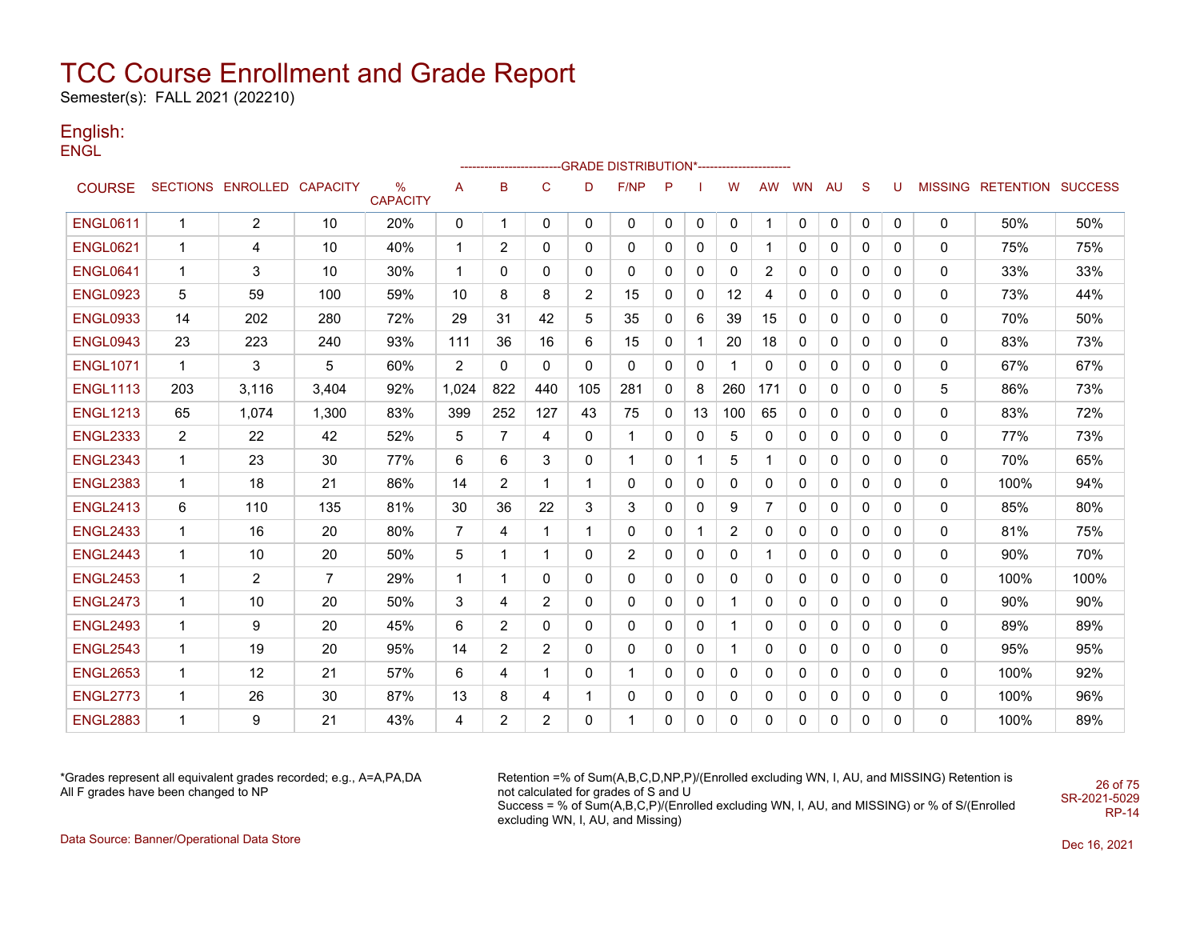Semester(s): FALL 2021 (202210)

#### English: ENGL

|                 |                |                            |                |                         |                |                |                |                | ------------------------GRADE                DISTRIBUTION*---------------------- |              |             |                |           |    |              |   |          |              |                           |      |
|-----------------|----------------|----------------------------|----------------|-------------------------|----------------|----------------|----------------|----------------|----------------------------------------------------------------------------------|--------------|-------------|----------------|-----------|----|--------------|---|----------|--------------|---------------------------|------|
| <b>COURSE</b>   |                | SECTIONS ENROLLED CAPACITY |                | $\%$<br><b>CAPACITY</b> | A              | в              | C              | D              | F/NP                                                                             | P            |             | W              | <b>AW</b> | WN | AU           | S | U        |              | MISSING RETENTION SUCCESS |      |
| <b>ENGL0611</b> | 1              | $\overline{2}$             | 10             | 20%                     | 0              | 1              | 0              | 0              | 0                                                                                | $\mathbf{0}$ | 0           | $\Omega$       | 1         | 0  | 0            | 0 | 0        | $\mathbf{0}$ | 50%                       | 50%  |
| <b>ENGL0621</b> | 1              | 4                          | 10             | 40%                     | 1              | 2              | 0              | 0              | 0                                                                                | 0            | 0           | 0              |           | 0  | 0            | 0 | 0        | 0            | 75%                       | 75%  |
| <b>ENGL0641</b> | 1              | 3                          | 10             | 30%                     |                | 0              | 0              | 0              | 0                                                                                | 0            | 0           | 0              | 2         | 0  | 0            | 0 | 0        | 0            | 33%                       | 33%  |
| <b>ENGL0923</b> | 5              | 59                         | 100            | 59%                     | 10             | 8              | 8              | $\overline{2}$ | 15                                                                               | 0            | 0           | 12             | 4         | 0  | 0            | 0 | 0        | 0            | 73%                       | 44%  |
| <b>ENGL0933</b> | 14             | 202                        | 280            | 72%                     | 29             | 31             | 42             | 5              | 35                                                                               | 0            | 6           | 39             | 15        | 0  | 0            | 0 | 0        | 0            | 70%                       | 50%  |
| <b>ENGL0943</b> | 23             | 223                        | 240            | 93%                     | 111            | 36             | 16             | 6              | 15                                                                               | $\mathbf{0}$ |             | 20             | 18        | 0  | $\mathbf{0}$ | 0 | 0        | 0            | 83%                       | 73%  |
| <b>ENGL1071</b> | $\mathbf 1$    | 3                          | 5              | 60%                     | $\overline{2}$ | 0              | 0              | 0              | 0                                                                                | 0            | 0           | 1              | 0         | 0  | 0            | 0 | 0        | 0            | 67%                       | 67%  |
| <b>ENGL1113</b> | 203            | 3.116                      | 3,404          | 92%                     | 1,024          | 822            | 440            | 105            | 281                                                                              | $\mathbf{0}$ | 8           | 260            | 171       | 0  | 0            | 0 | 0        | 5            | 86%                       | 73%  |
| <b>ENGL1213</b> | 65             | 1,074                      | 1,300          | 83%                     | 399            | 252            | 127            | 43             | 75                                                                               | $\mathbf{0}$ | 13          | 100            | 65        | 0  | $\mathbf{0}$ | 0 | 0        | 0            | 83%                       | 72%  |
| <b>ENGL2333</b> | $\overline{2}$ | 22                         | 42             | 52%                     | 5              | $\overline{7}$ | 4              | 0              | 1                                                                                | 0            | 0           | 5              | 0         | 0  | 0            | 0 | 0        | 0            | 77%                       | 73%  |
| <b>ENGL2343</b> | 1              | 23                         | 30             | 77%                     | 6              | 6              | 3              | 0              | 1                                                                                | 0            | 1           | 5              |           | 0  | 0            | 0 | 0        | 0            | 70%                       | 65%  |
| <b>ENGL2383</b> | 1              | 18                         | 21             | 86%                     | 14             | 2              | $\mathbf 1$    | $\mathbf 1$    | 0                                                                                | 0            | 0           | 0              | 0         | 0  | 0            | 0 | 0        | 0            | 100%                      | 94%  |
| <b>ENGL2413</b> | 6              | 110                        | 135            | 81%                     | 30             | 36             | 22             | 3              | 3                                                                                | 0            | 0           | 9              | 7         | 0  | 0            | 0 | 0        | 0            | 85%                       | 80%  |
| <b>ENGL2433</b> | $\mathbf{1}$   | 16                         | 20             | 80%                     | 7              | 4              | $\mathbf{1}$   | $\mathbf 1$    | 0                                                                                | 0            | $\mathbf 1$ | $\overline{2}$ | 0         | 0  | 0            | 0 | 0        | 0            | 81%                       | 75%  |
| <b>ENGL2443</b> | $\mathbf 1$    | 10                         | 20             | 50%                     | 5              | 1              | $\mathbf 1$    | 0              | $\overline{2}$                                                                   | 0            | 0           | 0              | 1         | 0  | 0            | 0 | 0        | 0            | 90%                       | 70%  |
| <b>ENGL2453</b> | $\mathbf 1$    | 2                          | $\overline{7}$ | 29%                     | -1             | 1              | 0              | 0              | 0                                                                                | 0            | 0           | 0              | 0         | 0  | 0            | 0 | 0        | 0            | 100%                      | 100% |
| <b>ENGL2473</b> | 1              | 10                         | 20             | 50%                     | 3              | 4              | $\overline{2}$ | 0              | 0                                                                                | $\mathbf{0}$ | 0           | 1              | 0         | 0  | 0            | 0 | 0        | 0            | 90%                       | 90%  |
| <b>ENGL2493</b> | 1              | 9                          | 20             | 45%                     | 6              | $\overline{2}$ | 0              | 0              | 0                                                                                | 0            | 0           | 1              | 0         | 0  | 0            | 0 | 0        | 0            | 89%                       | 89%  |
| <b>ENGL2543</b> | 1              | 19                         | 20             | 95%                     | 14             | 2              | 2              | 0              | 0                                                                                | 0            | 0           | 1              | 0         | 0  | 0            | 0 | 0        | 0            | 95%                       | 95%  |
| <b>ENGL2653</b> | 1              | 12                         | 21             | 57%                     | 6              | 4              | 1              | 0              | 1                                                                                | 0            | 0           | $\mathbf{0}$   | 0         | 0  | 0            | 0 | 0        | 0            | 100%                      | 92%  |
| <b>ENGL2773</b> | $\mathbf 1$    | 26                         | 30             | 87%                     | 13             | 8              | 4              | 1              | 0                                                                                | 0            | 0           | 0              | 0         | 0  | 0            | 0 | 0        | 0            | 100%                      | 96%  |
| <b>ENGL2883</b> | 1              | 9                          | 21             | 43%                     | 4              | $\overline{2}$ | 2              | 0              | 1                                                                                | $\Omega$     | 0           | 0              | 0         | 0  | $\Omega$     | 0 | $\Omega$ | $\Omega$     | 100%                      | 89%  |

\*Grades represent all equivalent grades recorded; e.g., A=A,PA,DA All F grades have been changed to NP

Retention =% of Sum(A,B,C,D,NP,P)/(Enrolled excluding WN, I, AU, and MISSING) Retention is not calculated for grades of S and U Success = % of Sum(A,B,C,P)/(Enrolled excluding WN, I, AU, and MISSING) or % of S/(Enrolled excluding WN, I, AU, and Missing)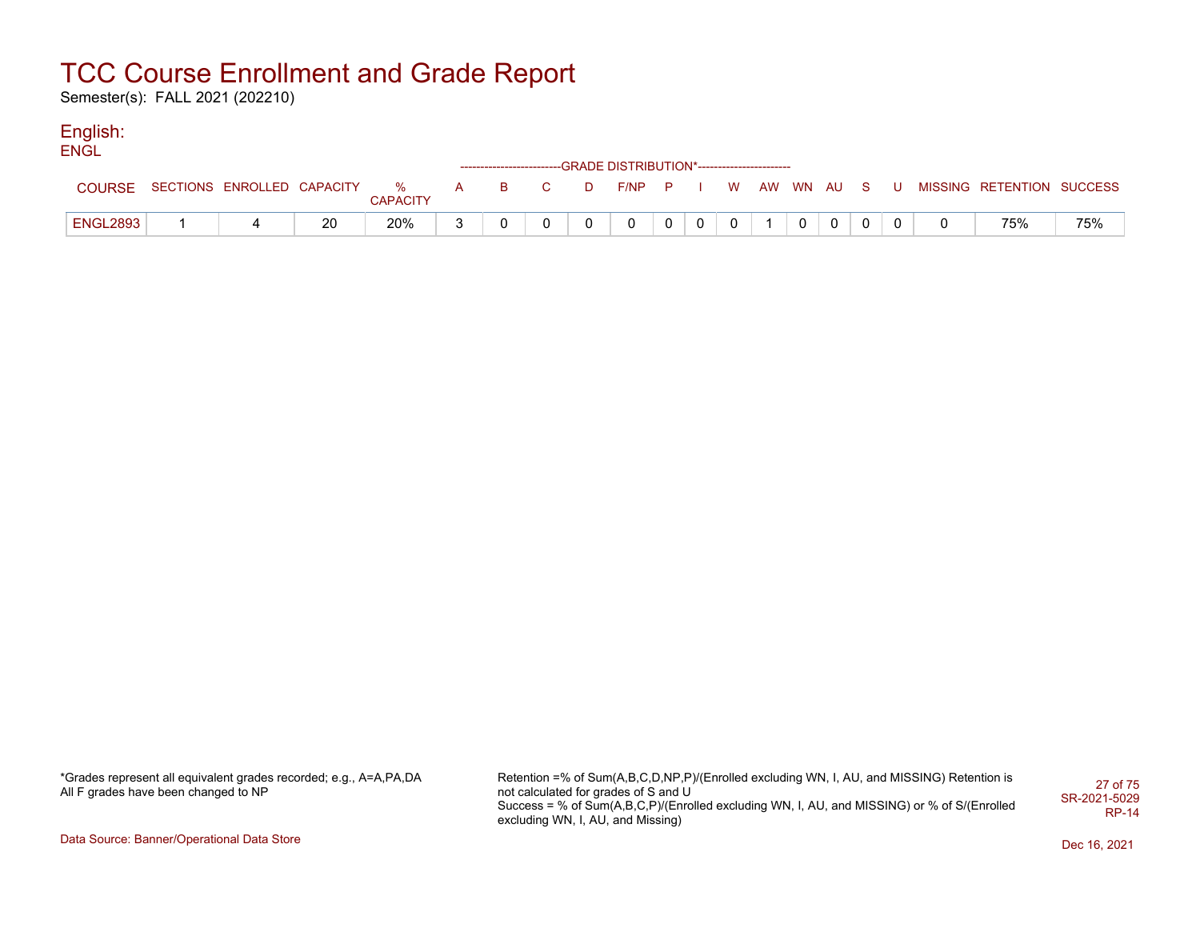Semester(s): FALL 2021 (202210)

#### English: **ENGL**

| ----            |                                  |    |          |  |              |   | ------------------------GRADE DISTRIBUTION*----------------------- |  |          |             |              |  |                                          |     |
|-----------------|----------------------------------|----|----------|--|--------------|---|--------------------------------------------------------------------|--|----------|-------------|--------------|--|------------------------------------------|-----|
| <b>COURSE</b>   | SECTIONS ENROLLED CAPACITY % A B |    | CAPACITY |  | $\mathbf{C}$ | D | $F/NP$ $P$ $I$                                                     |  |          |             |              |  | W AW WN AU S U MISSING RETENTION SUCCESS |     |
| <b>ENGL2893</b> |                                  | 20 | 20%      |  |              |   | 0                                                                  |  | $\Omega$ | $\mathbf 0$ | $\mathbf{0}$ |  | 75%                                      | 75% |

\*Grades represent all equivalent grades recorded; e.g., A=A,PA,DA All F grades have been changed to NP

Retention =% of Sum(A,B,C,D,NP,P)/(Enrolled excluding WN, I, AU, and MISSING) Retention is not calculated for grades of S and U Success = % of Sum(A,B,C,P)/(Enrolled excluding WN, I, AU, and MISSING) or % of S/(Enrolled excluding WN, I, AU, and Missing) 27 of 75 SR-2021-5029 RP-14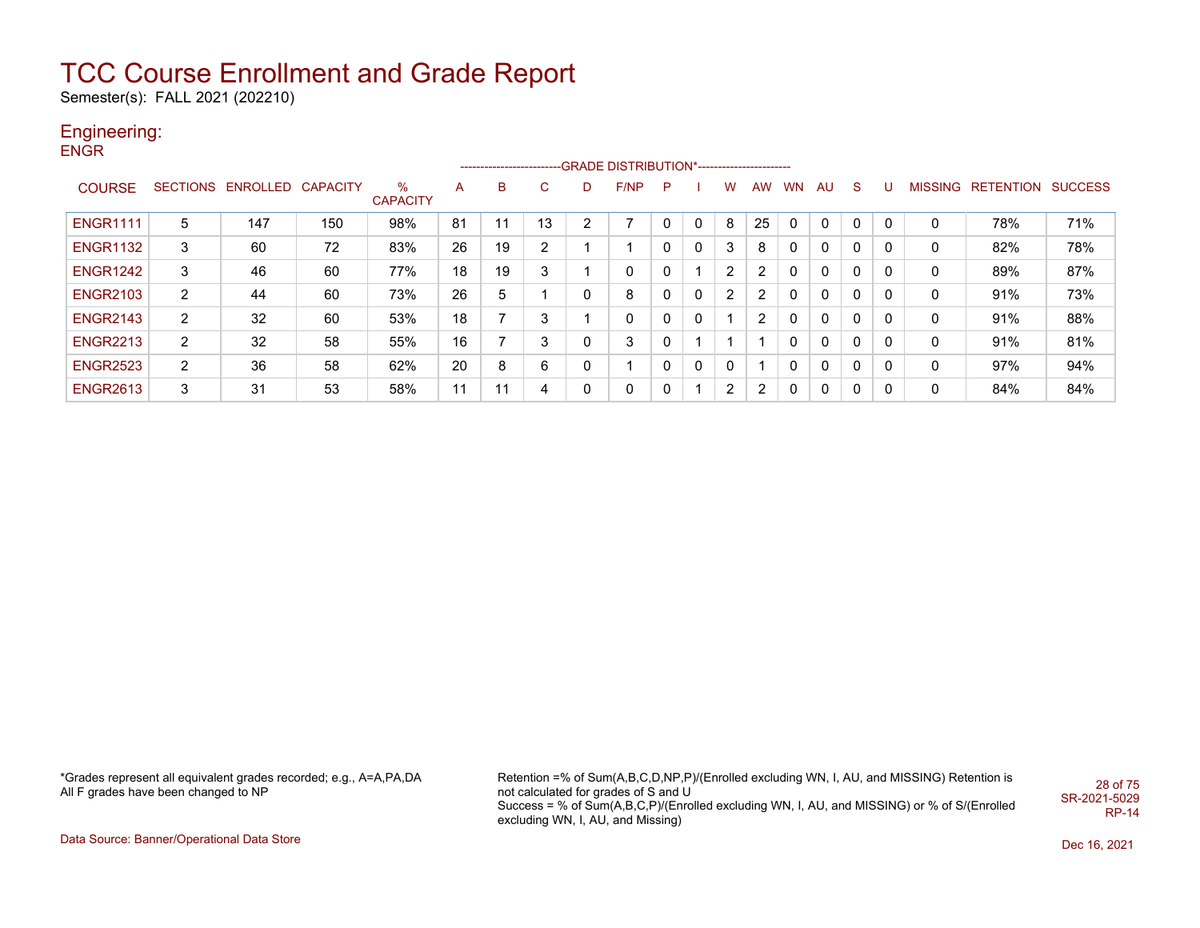Semester(s): FALL 2021 (202210)

## Engineering:

**ENGR** 

|                 |   |                            |     |                         |    |     |    |                | -------------------------GRADE DISTRIBUTION*---------------------- |   |              |          |                |           |              |              |          |                |                          |     |
|-----------------|---|----------------------------|-----|-------------------------|----|-----|----|----------------|--------------------------------------------------------------------|---|--------------|----------|----------------|-----------|--------------|--------------|----------|----------------|--------------------------|-----|
| <b>COURSE</b>   |   | SECTIONS ENROLLED CAPACITY |     | $\%$<br><b>CAPACITY</b> | A  | B   | C. | D              | F/NP                                                               | P |              | w        | <b>AW</b>      | <b>WN</b> | AU           | <sub>S</sub> | U        | <b>MISSING</b> | <b>RETENTION SUCCESS</b> |     |
| <b>ENGR1111</b> | 5 | 147                        | 150 | 98%                     | 81 | . . | 13 | $\overline{2}$ |                                                                    |   | 0            | 8        | 25             |           | 0            | $\Omega$     | $\Omega$ | 0              | 78%                      | 71% |
| <b>ENGR1132</b> | 3 | 60                         | 72  | 83%                     | 26 | 19  | 2  |                | 4                                                                  |   | 0            | 3        | 8              | 0         | $\mathbf{0}$ | $\mathbf{0}$ | 0        | 0              | 82%                      | 78% |
| <b>ENGR1242</b> | 3 | 46                         | 60  | 77%                     | 18 | 19  | 3  |                | 0                                                                  | 0 |              | 2        | 2              | 0         | 0            | 0            | 0        | 0              | 89%                      | 87% |
| <b>ENGR2103</b> | 2 | 44                         | 60  | 73%                     | 26 | 5   |    | 0              | 8                                                                  | 0 | $\mathbf{0}$ | 2        | $\overline{2}$ | 0         | $\mathbf{0}$ | 0            | 0        | 0              | 91%                      | 73% |
| <b>ENGR2143</b> | 2 | 32                         | 60  | 53%                     | 18 | ⇁   | 3  |                | 0                                                                  | 0 | 0            |          | $\overline{2}$ | 0         | $\mathbf{0}$ | $\mathbf{0}$ | 0        | 0              | 91%                      | 88% |
| <b>ENGR2213</b> | 2 | 32                         | 58  | 55%                     | 16 |     | 3  | 0              | 3                                                                  |   |              |          |                | 0         | 0            | 0            | 0        | 0              | 91%                      | 81% |
| <b>ENGR2523</b> | 2 | 36                         | 58  | 62%                     | 20 | 8   | 6  | $\Omega$       | 4                                                                  |   | 0            | $\Omega$ |                | 0         | $\mathbf{0}$ | 0            | 0        | 0              | 97%                      | 94% |
| <b>ENGR2613</b> | 3 | 31                         | 53  | 58%                     | 11 | 11  | 4  | 0              | 0                                                                  |   |              | 2        | $\overline{2}$ |           | 0            | 0            | 0        | 0              | 84%                      | 84% |

\*Grades represent all equivalent grades recorded; e.g., A=A,PA,DA All F grades have been changed to NP

Retention =% of Sum(A,B,C,D,NP,P)/(Enrolled excluding WN, I, AU, and MISSING) Retention is not calculated for grades of S and U Success = % of Sum(A,B,C,P)/(Enrolled excluding WN, I, AU, and MISSING) or % of S/(Enrolled excluding WN, I, AU, and Missing) 28 of 75 SR-2021-5029 RP-14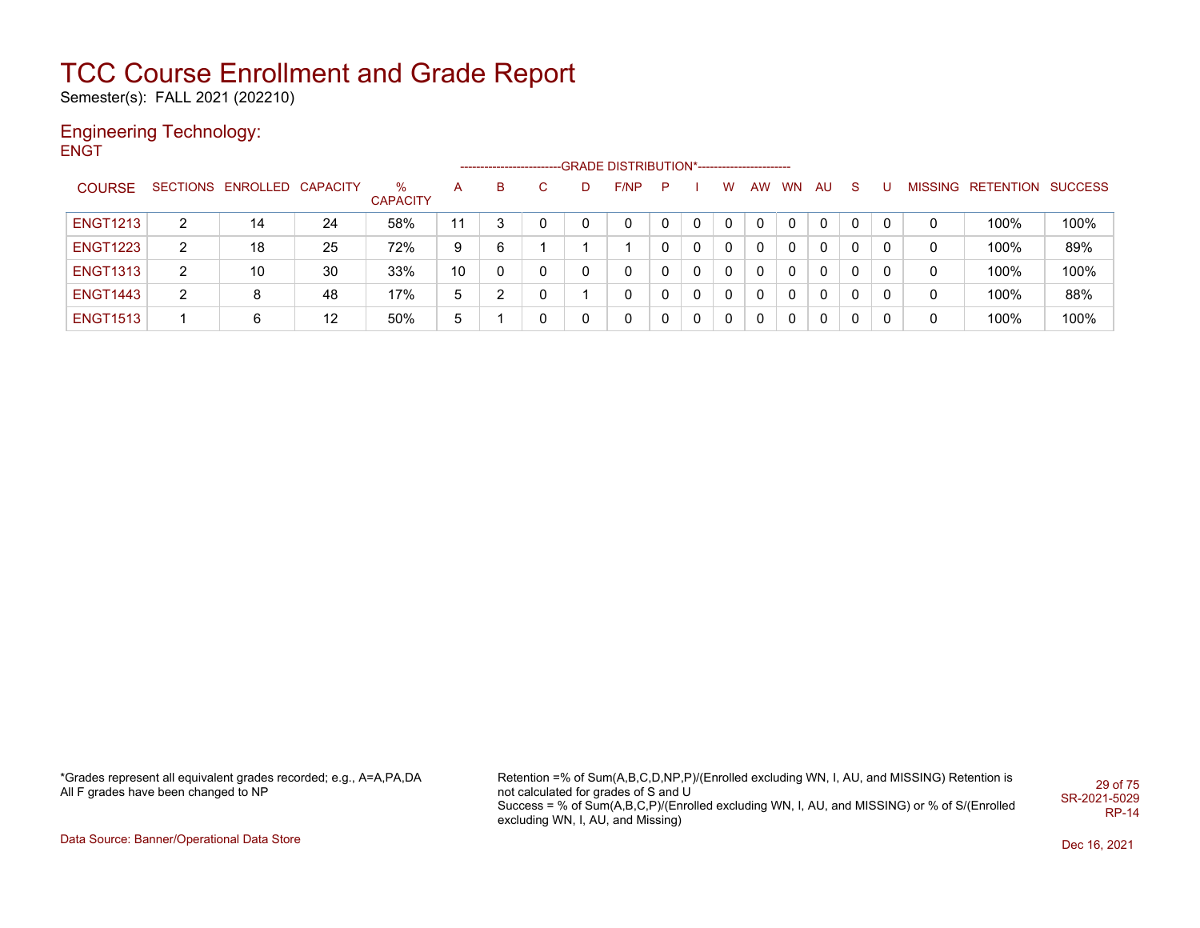Semester(s): FALL 2021 (202210)

#### Engineering Technology: **ENGT**

|                 |                |                            |    |                      |    |   |    |   | ------------------------GRADE DISTRIBUTION*----------------------- |   |   |   |    |           |     |    |   |   |                           |      |
|-----------------|----------------|----------------------------|----|----------------------|----|---|----|---|--------------------------------------------------------------------|---|---|---|----|-----------|-----|----|---|---|---------------------------|------|
| <b>COURSE</b>   |                | SECTIONS ENROLLED CAPACITY |    | ℅<br><b>CAPACITY</b> | A  | B | C. | D | F/NP                                                               | P |   | w | AW | <b>WN</b> | AU. | -S |   |   | MISSING RETENTION SUCCESS |      |
| <b>ENGT1213</b> | 2              | 14                         | 24 | 58%                  | 11 | 3 | 0  | 0 | 0                                                                  |   | 0 |   |    |           | 0   |    |   |   | 100%                      | 100% |
| <b>ENGT1223</b> | $\overline{2}$ | 18                         | 25 | 72%                  | 9  | 6 |    |   |                                                                    |   | 0 | 0 |    | 0         | 0   | 0  |   | 0 | 100%                      | 89%  |
| <b>ENGT1313</b> | 2              | 10                         | 30 | 33%                  | 10 | 0 | 0  | 0 | 0                                                                  | 0 | 0 | 0 | 0  | 0         | 0   | 0  | 0 | 0 | 100%                      | 100% |
| <b>ENGT1443</b> | $\overline{2}$ | 8                          | 48 | 17%                  | 5  | ົ | 0  |   | 0                                                                  |   | 0 | 0 |    | 0         | 0   |    |   | 0 | 100%                      | 88%  |
| <b>ENGT1513</b> |                | 6                          | 12 | 50%                  | 5  |   | 0  |   | 0                                                                  |   | 0 |   |    |           | 0   |    |   | 0 | 100%                      | 100% |

\*Grades represent all equivalent grades recorded; e.g., A=A,PA,DA All F grades have been changed to NP

Retention =% of Sum(A,B,C,D,NP,P)/(Enrolled excluding WN, I, AU, and MISSING) Retention is not calculated for grades of S and U Success = % of Sum(A,B,C,P)/(Enrolled excluding WN, I, AU, and MISSING) or % of S/(Enrolled excluding WN, I, AU, and Missing) 29 of 75 SR-2021-5029 RP-14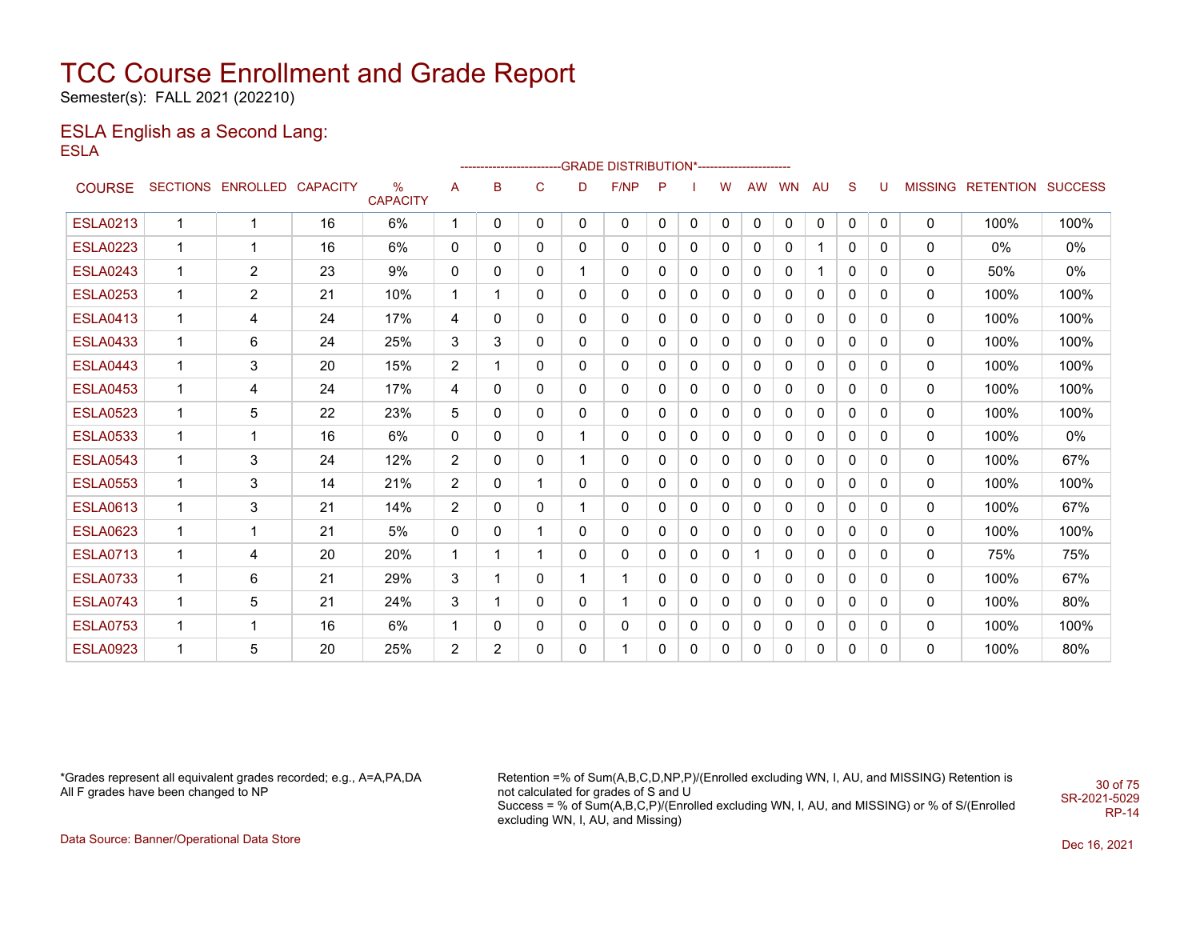Semester(s): FALL 2021 (202210)

#### ESLA English as a Second Lang: ESLA

|                 |              |                            |    |                         |                |   |   |   | ------------------------GRADE                DISTRIBUTION*---------------------- |   |          |              |           |              |           |              |          |              |                           |       |
|-----------------|--------------|----------------------------|----|-------------------------|----------------|---|---|---|----------------------------------------------------------------------------------|---|----------|--------------|-----------|--------------|-----------|--------------|----------|--------------|---------------------------|-------|
| <b>COURSE</b>   |              | SECTIONS ENROLLED CAPACITY |    | $\%$<br><b>CAPACITY</b> | A              | B | C | D | F/NP                                                                             | P |          | W            | <b>AW</b> | <b>WN</b>    | <b>AU</b> | <sub>S</sub> | U        |              | MISSING RETENTION SUCCESS |       |
| <b>ESLA0213</b> | 1            | 1                          | 16 | 6%                      | $\mathbf 1$    | 0 | 0 | 0 | $\mathbf{0}$                                                                     | 0 | 0        | 0            | 0         | $\mathbf{0}$ | 0         | 0            | 0        | 0            | 100%                      | 100%  |
| <b>ESLA0223</b> | 1            | 1                          | 16 | 6%                      | 0              | 0 | 0 | 0 | 0                                                                                | 0 | 0        | $\mathbf{0}$ | 0         | 0            |           | 0            | $\Omega$ | 0            | 0%                        | 0%    |
| <b>ESLA0243</b> | 1            | 2                          | 23 | 9%                      | 0              | 0 | 0 |   | 0                                                                                | 0 | 0        | $\mathbf{0}$ | 0         | 0            |           | $\Omega$     | 0        | 0            | 50%                       | $0\%$ |
| <b>ESLA0253</b> | 1            | $\overline{2}$             | 21 | 10%                     | 1              |   | 0 | 0 | 0                                                                                | 0 | 0        | $\mathbf{0}$ | 0         | 0            | 0         | 0            | 0        | 0            | 100%                      | 100%  |
| <b>ESLA0413</b> | 1            | 4                          | 24 | 17%                     | 4              | 0 | 0 | 0 | 0                                                                                | 0 | 0        | $\mathbf{0}$ | 0         | 0            | 0         | 0            | 0        | 0            | 100%                      | 100%  |
| <b>ESLA0433</b> | 1            | 6                          | 24 | 25%                     | 3              | 3 | 0 | 0 | 0                                                                                | 0 | 0        | $\mathbf{0}$ | 0         | 0            | 0         | 0            | 0        | $\mathbf{0}$ | 100%                      | 100%  |
| <b>ESLA0443</b> | 1            | 3                          | 20 | 15%                     | $\overline{2}$ |   | 0 | 0 | 0                                                                                | 0 | 0        | $\mathbf{0}$ | 0         | 0            | 0         | 0            | 0        | 0            | 100%                      | 100%  |
| <b>ESLA0453</b> | 1            | 4                          | 24 | 17%                     | 4              | 0 | 0 | 0 | 0                                                                                | 0 | 0        | $\mathbf{0}$ | 0         | 0            | 0         | 0            | 0        | 0            | 100%                      | 100%  |
| <b>ESLA0523</b> | 1            | 5                          | 22 | 23%                     | 5              | 0 | 0 | 0 | 0                                                                                | 0 | $\Omega$ | $\mathbf{0}$ | 0         | 0            | 0         | $\mathbf{0}$ | 0        | 0            | 100%                      | 100%  |
| <b>ESLA0533</b> | 1            | 1                          | 16 | 6%                      | 0              | 0 | 0 |   | 0                                                                                | 0 | 0        | 0            | $\Omega$  | 0            | 0         | 0            | $\Omega$ | 0            | 100%                      | $0\%$ |
| <b>ESLA0543</b> | 1            | 3                          | 24 | 12%                     | $\overline{2}$ | 0 | 0 |   | 0                                                                                | 0 | 0        | $\mathbf{0}$ | 0         | 0            | 0         | 0            | 0        | 0            | 100%                      | 67%   |
| <b>ESLA0553</b> | $\mathbf 1$  | 3                          | 14 | 21%                     | $\overline{2}$ | 0 | 1 | 0 | $\mathbf{0}$                                                                     | 0 | 0        | $\mathbf{0}$ | 0         | 0            | 0         | $\mathbf{0}$ | $\Omega$ | 0            | 100%                      | 100%  |
| <b>ESLA0613</b> | 1            | 3                          | 21 | 14%                     | $\overline{2}$ | 0 | 0 | 1 | 0                                                                                | 0 | 0        | $\mathbf{0}$ | 0         | 0            | 0         | 0            | 0        | 0            | 100%                      | 67%   |
| <b>ESLA0623</b> | 1            | 1                          | 21 | 5%                      | 0              | 0 | 1 | 0 | 0                                                                                | 0 | 0        | 0            | 0         | 0            | 0         | 0            | 0        | 0            | 100%                      | 100%  |
| <b>ESLA0713</b> | 1            | 4                          | 20 | 20%                     |                |   | 1 | 0 | 0                                                                                | 0 | 0        | $\mathbf{0}$ | 1         | 0            | 0         | 0            | 0        | 0            | 75%                       | 75%   |
| <b>ESLA0733</b> | 1            | 6                          | 21 | 29%                     | 3              |   | 0 | 1 | 1                                                                                | 0 | 0        | $\mathbf{0}$ | 0         | 0            | 0         | 0            | 0        | 0            | 100%                      | 67%   |
| <b>ESLA0743</b> | 1            | 5                          | 21 | 24%                     | 3              |   | 0 | 0 | 1                                                                                | 0 | 0        | $\mathbf{0}$ | 0         | 0            | 0         | 0            | 0        | 0            | 100%                      | 80%   |
| <b>ESLA0753</b> | $\mathbf{1}$ | 1                          | 16 | 6%                      | 1              | 0 | 0 | 0 | 0                                                                                | 0 | 0        | 0            | 0         | 0            | 0         | 0            | 0        | 0            | 100%                      | 100%  |
| <b>ESLA0923</b> | 1            | 5                          | 20 | 25%                     | 2              | 2 | 0 | 0 |                                                                                  | 0 | 0        | $\Omega$     | 0         | 0            | $\Omega$  | 0            | 0        | 0            | 100%                      | 80%   |

\*Grades represent all equivalent grades recorded; e.g., A=A,PA,DA All F grades have been changed to NP

Retention =% of Sum(A,B,C,D,NP,P)/(Enrolled excluding WN, I, AU, and MISSING) Retention is not calculated for grades of S and U Success = % of Sum(A,B,C,P)/(Enrolled excluding WN, I, AU, and MISSING) or % of S/(Enrolled excluding WN, I, AU, and Missing) 30 of 75 SR-2021-5029

RP-14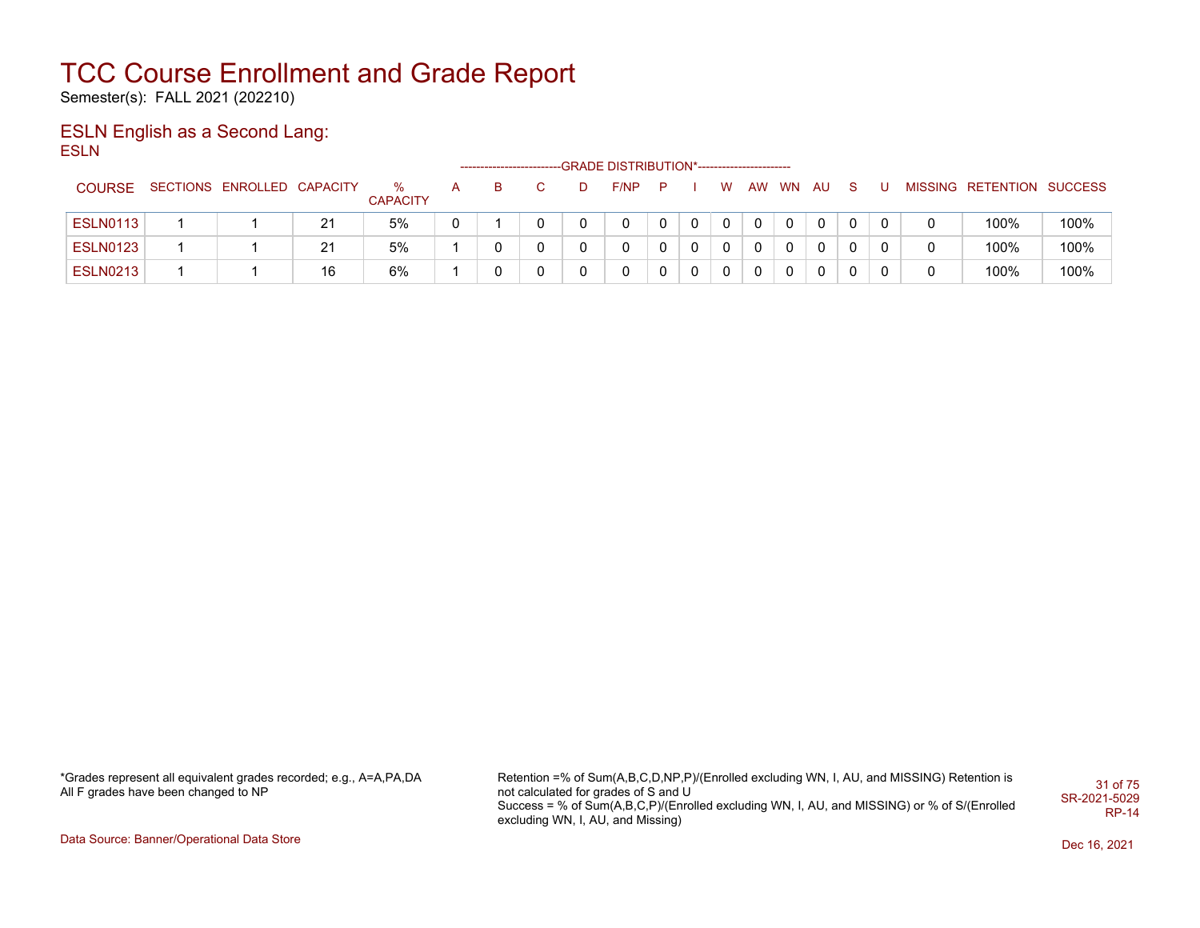Semester(s): FALL 2021 (202210)

#### ESLN English as a Second Lang: ESLN

|                 |                            |    |                      | ------------------------ |   |   | -GRADE DISTRIBUTION*---------------------- |     |              |          |    |       |             |    |          |                           |      |
|-----------------|----------------------------|----|----------------------|--------------------------|---|---|--------------------------------------------|-----|--------------|----------|----|-------|-------------|----|----------|---------------------------|------|
| COURSE          | SECTIONS ENROLLED CAPACITY |    | ℅<br><b>CAPACITY</b> |                          |   | D | F/NP                                       | - P |              | W        | AW | WN AU |             | -S |          | MISSING RETENTION SUCCESS |      |
| <b>ESLN0113</b> |                            | 21 | 5%                   |                          |   |   |                                            | 0   | $\mathbf{0}$ | $\Omega$ | 0  |       | $\mathbf 0$ |    | $\Omega$ | 100%                      | 100% |
| <b>ESLN0123</b> |                            | 21 | 5%                   |                          |   |   |                                            |     | 0            | 0        | 0  | 0     | 0           |    |          | 100%                      | 100% |
| <b>ESLN0213</b> |                            | 16 | 6%                   |                          | 0 |   |                                            |     | 0            | 0        | 0  | 0     |             |    |          | 100%                      | 100% |

\*Grades represent all equivalent grades recorded; e.g., A=A,PA,DA All F grades have been changed to NP

Retention =% of Sum(A,B,C,D,NP,P)/(Enrolled excluding WN, I, AU, and MISSING) Retention is not calculated for grades of S and U Success = % of Sum(A,B,C,P)/(Enrolled excluding WN, I, AU, and MISSING) or % of S/(Enrolled excluding WN, I, AU, and Missing) 31 of 75 SR-2021-5029 RP-14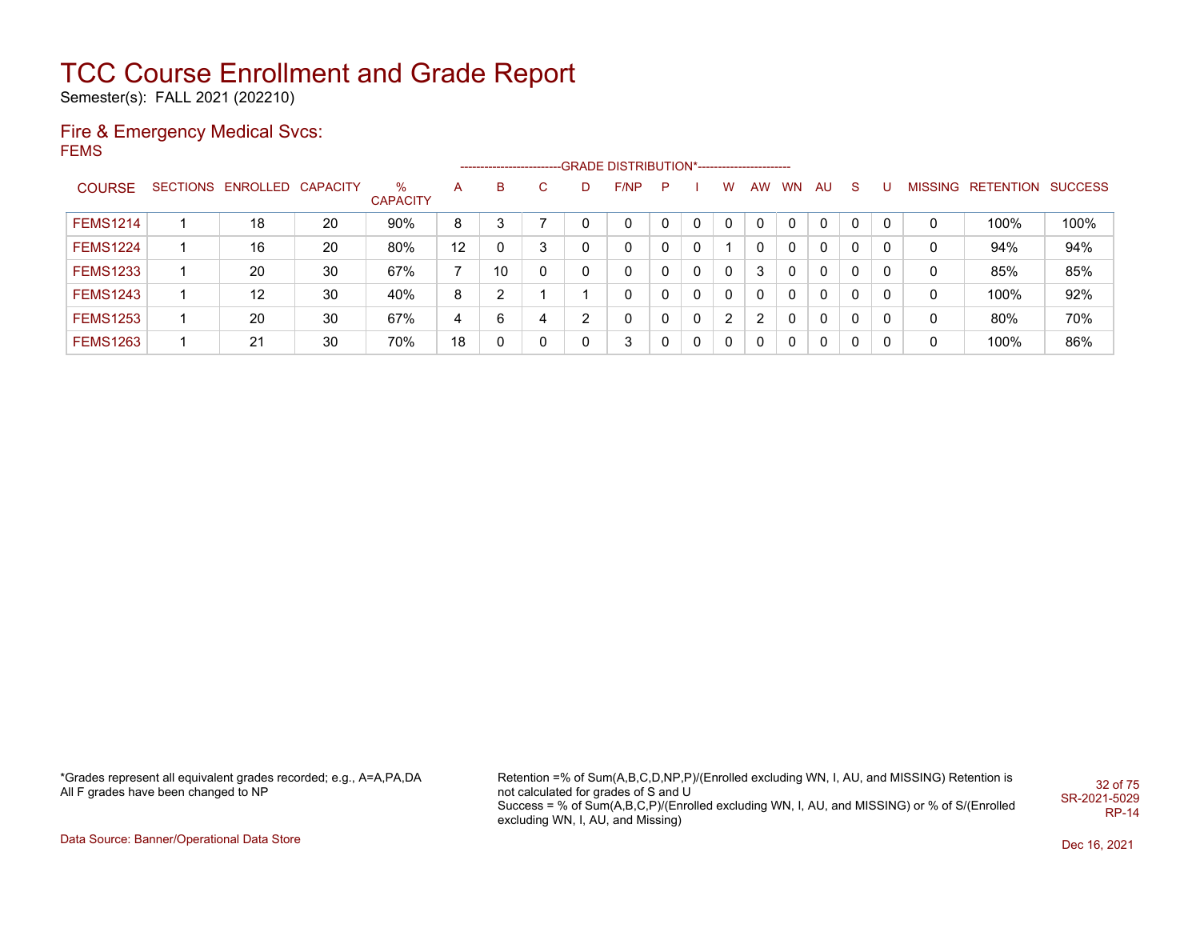Semester(s): FALL 2021 (202210)

#### Fire & Emergency Medical Svcs: FEMS

|                 |                            |    |                      |                |    |   |              | ------------------------GRADE            DISTRIBUTION*------------------------- |   |   |   |    |           |           |              |   |   |                           |      |
|-----------------|----------------------------|----|----------------------|----------------|----|---|--------------|---------------------------------------------------------------------------------|---|---|---|----|-----------|-----------|--------------|---|---|---------------------------|------|
| <b>COURSE</b>   | SECTIONS ENROLLED CAPACITY |    | ℅<br><b>CAPACITY</b> | А              | B  | C | D            | F/NP                                                                            | P |   | W | AW | <b>WN</b> | <b>AU</b> | <sub>S</sub> |   |   | MISSING RETENTION SUCCESS |      |
| <b>FEMS1214</b> | 18                         | 20 | 90%                  | 8              | 3  |   | $\mathbf{0}$ | 0                                                                               | 0 | 0 |   |    |           | 0         | 0            | 0 | 0 | 100%                      | 100% |
| <b>FEMS1224</b> | 16                         | 20 | 80%                  | 12             | 0  | 3 | $\mathbf{0}$ | 0                                                                               | 0 | 0 |   |    | 0         | 0         | 0            |   | 0 | 94%                       | 94%  |
| <b>FEMS1233</b> | 20                         | 30 | 67%                  | $\overline{ }$ | 10 | 0 | $\mathbf{0}$ | 0                                                                               | 0 | 0 | 0 | 3  | 0         | 0         | 0            | 0 | 0 | 85%                       | 85%  |
| <b>FEMS1243</b> | 12                         | 30 | 40%                  | 8              | ົ  |   |              | 0                                                                               | 0 | 0 | 0 |    | 0         | 0         | 0            | 0 | 0 | 100%                      | 92%  |
| <b>FEMS1253</b> | 20                         | 30 | 67%                  | 4              | 6  | 4 | ົ            | 0                                                                               | 0 | 0 | 2 | 2  | 0         | 0         | 0            | 0 | 0 | 80%                       | 70%  |
| <b>FEMS1263</b> | 21                         | 30 | 70%                  | 18             | 0  | 0 | $\mathbf{0}$ | 3                                                                               |   | 0 | 0 |    |           | 0         | 0            | 0 | 0 | 100%                      | 86%  |

\*Grades represent all equivalent grades recorded; e.g., A=A,PA,DA All F grades have been changed to NP

Retention =% of Sum(A,B,C,D,NP,P)/(Enrolled excluding WN, I, AU, and MISSING) Retention is not calculated for grades of S and U Success = % of Sum(A,B,C,P)/(Enrolled excluding WN, I, AU, and MISSING) or % of S/(Enrolled excluding WN, I, AU, and Missing) 32 of 75 SR-2021-5029 RP-14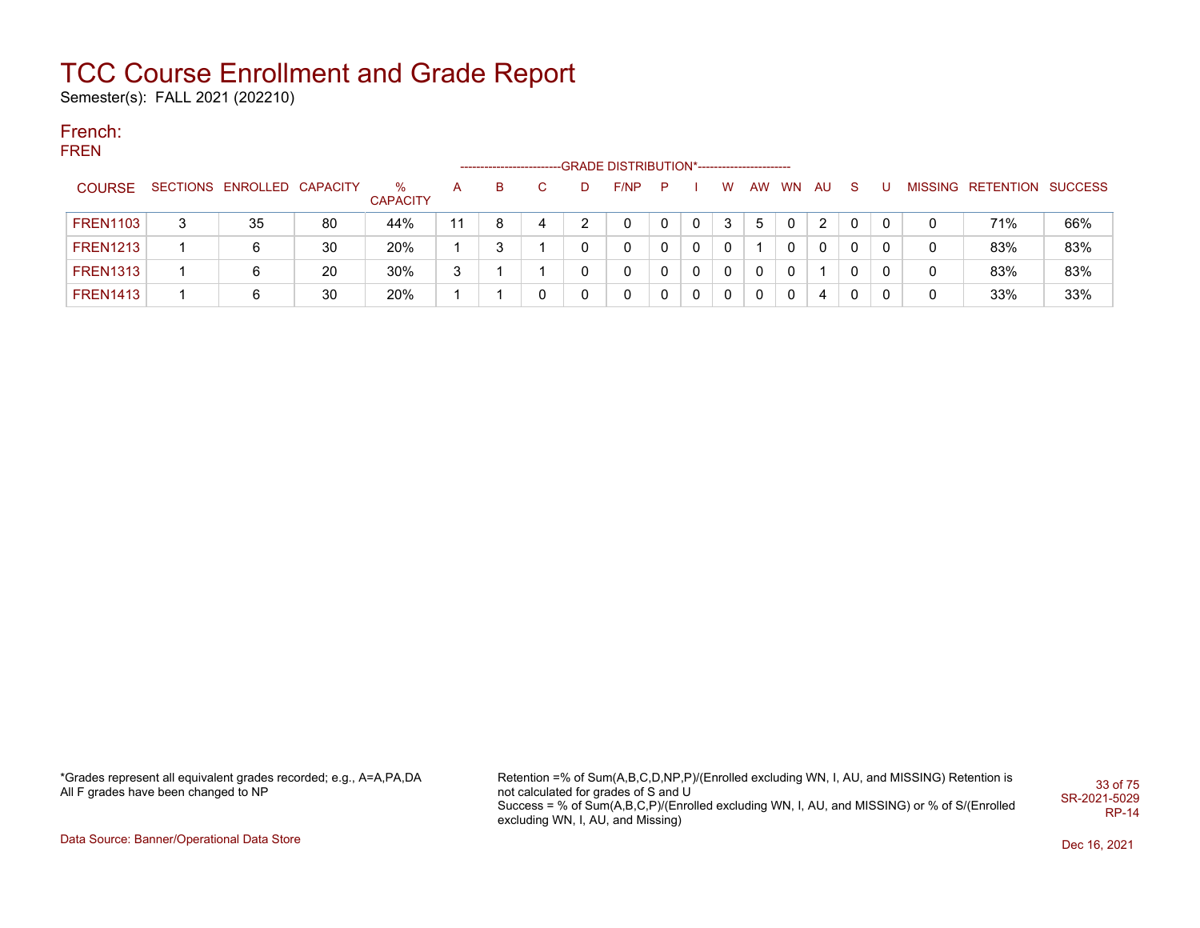Semester(s): FALL 2021 (202210)

#### French: FREN

|                 |   |                            |    |                      |    | --------------------- |    |   | -GRADE DISTRIBUTION*----------------------- |    |              |   |          |              |    |              |    |   |                           |     |
|-----------------|---|----------------------------|----|----------------------|----|-----------------------|----|---|---------------------------------------------|----|--------------|---|----------|--------------|----|--------------|----|---|---------------------------|-----|
| <b>COURSE</b>   |   | SECTIONS ENROLLED CAPACITY |    | ℅<br><b>CAPACITY</b> | А  | B                     | C. | D | F/NP                                        | P. |              | W |          | AW WN        | AU | <sub>S</sub> | -U |   | MISSING RETENTION SUCCESS |     |
| <b>FREN1103</b> | 3 | 35                         | 80 | 44%                  | 11 | 8                     | 4  |   | 0                                           | 0  | $\mathbf{0}$ | 3 | 5        | $\Omega$     | 2  | $\mathbf{0}$ |    | 0 | 71%                       | 66% |
| <b>FREN1213</b> |   |                            | 30 | 20%                  |    | 3                     |    |   | 0                                           | 0  | $\Omega$     | 0 |          | <sup>n</sup> | 0  |              |    | 0 | 83%                       | 83% |
| <b>FREN1313</b> |   |                            | 20 | 30%                  | 3  |                       |    |   | 0                                           | 0  | 0            | 0 | 0        | 0            |    |              |    | 0 | 83%                       | 83% |
| <b>FREN1413</b> |   |                            | 30 | 20%                  |    |                       | 0  |   | 0                                           | 0  | $\Omega$     | 0 | $\Omega$ | $\Omega$     | 4  | 0            |    | 0 | 33%                       | 33% |

\*Grades represent all equivalent grades recorded; e.g., A=A,PA,DA All F grades have been changed to NP

Retention =% of Sum(A,B,C,D,NP,P)/(Enrolled excluding WN, I, AU, and MISSING) Retention is not calculated for grades of S and U Success = % of Sum(A,B,C,P)/(Enrolled excluding WN, I, AU, and MISSING) or % of S/(Enrolled excluding WN, I, AU, and Missing) 33 of 75 SR-2021-5029 RP-14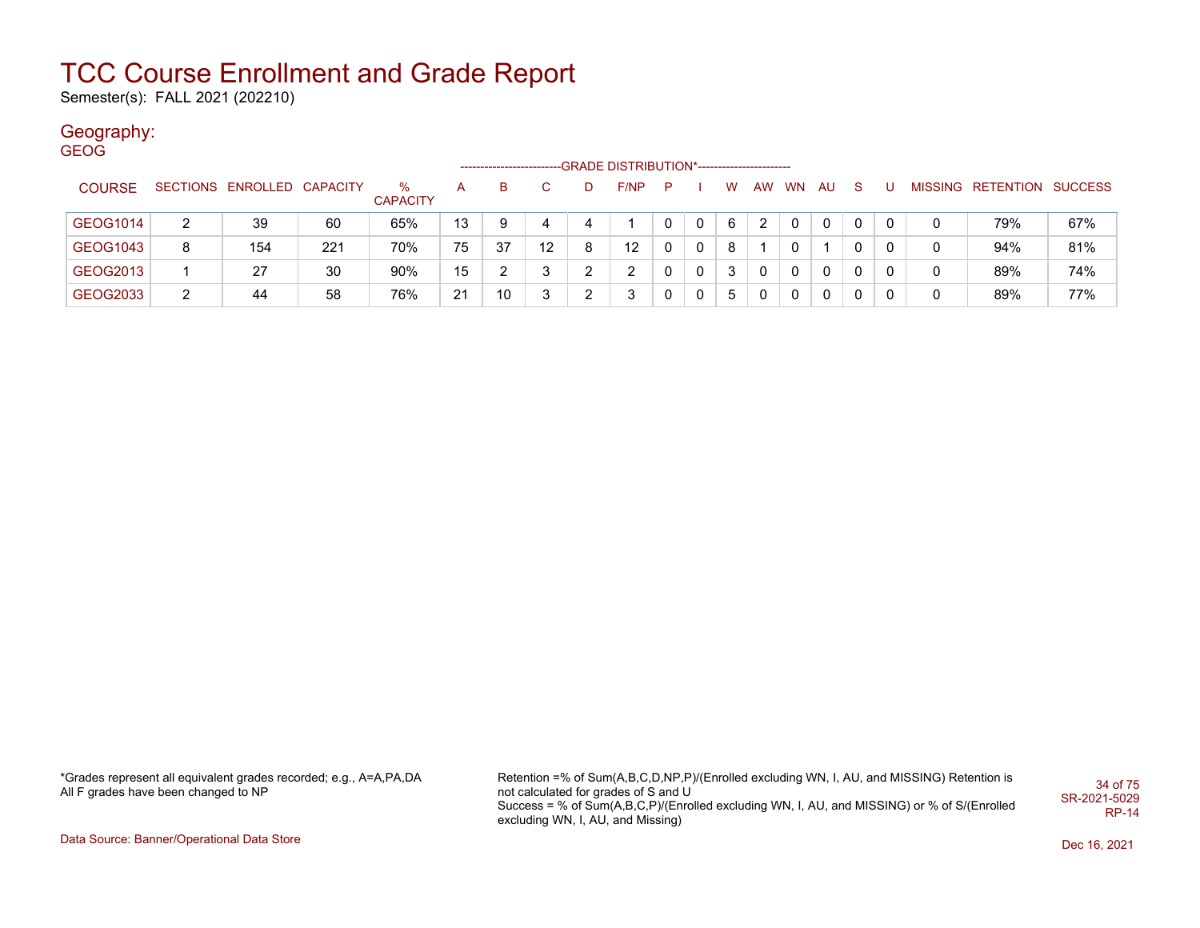Semester(s): FALL 2021 (202210)

## Geography:

| <b>GEOG</b>   |   |                            |     |                      |    |    |    |   | -GRADE DISTRIBUTION*----------------------- |   |   |   |    |           |              |              |   |   |                           |     |
|---------------|---|----------------------------|-----|----------------------|----|----|----|---|---------------------------------------------|---|---|---|----|-----------|--------------|--------------|---|---|---------------------------|-----|
| <b>COURSE</b> |   | SECTIONS ENROLLED CAPACITY |     | %<br><b>CAPACITY</b> | A  | B  | C. | Ð | F/NP                                        | P |   | W | AW | <b>WN</b> | AU           | <sub>S</sub> |   |   | MISSING RETENTION SUCCESS |     |
| GEOG1014      | 2 | 39                         | 60  | 65%                  | 13 | 9  | 4  |   |                                             | 0 | 0 | 6 | 2  | 0         | 0            | 0            | 0 | 0 | 79%                       | 67% |
| GEOG1043      | 8 | 154                        | 221 | 70%                  | 75 | 37 | 12 | 8 | 12                                          | 0 | 0 | 8 |    | 0         |              | 0            | 0 | 0 | 94%                       | 81% |
| GEOG2013      |   | 27                         | 30  | 90%                  | 15 |    | 3  |   | 2                                           | 0 | 0 | 3 | 0  | 0         | $\mathbf{0}$ | 0            | 0 | 0 | 89%                       | 74% |
| GEOG2033      | 2 | 44                         | 58  | 76%                  | 21 | 10 | 3  |   | 3                                           | 0 | 0 | 5 | 0  | 0         | 0            | 0            |   | 0 | 89%                       | 77% |

\*Grades represent all equivalent grades recorded; e.g., A=A,PA,DA All F grades have been changed to NP

Retention =% of Sum(A,B,C,D,NP,P)/(Enrolled excluding WN, I, AU, and MISSING) Retention is not calculated for grades of S and U Success = % of Sum(A,B,C,P)/(Enrolled excluding WN, I, AU, and MISSING) or % of S/(Enrolled excluding WN, I, AU, and Missing) 34 of 75 SR-2021-5029 RP-14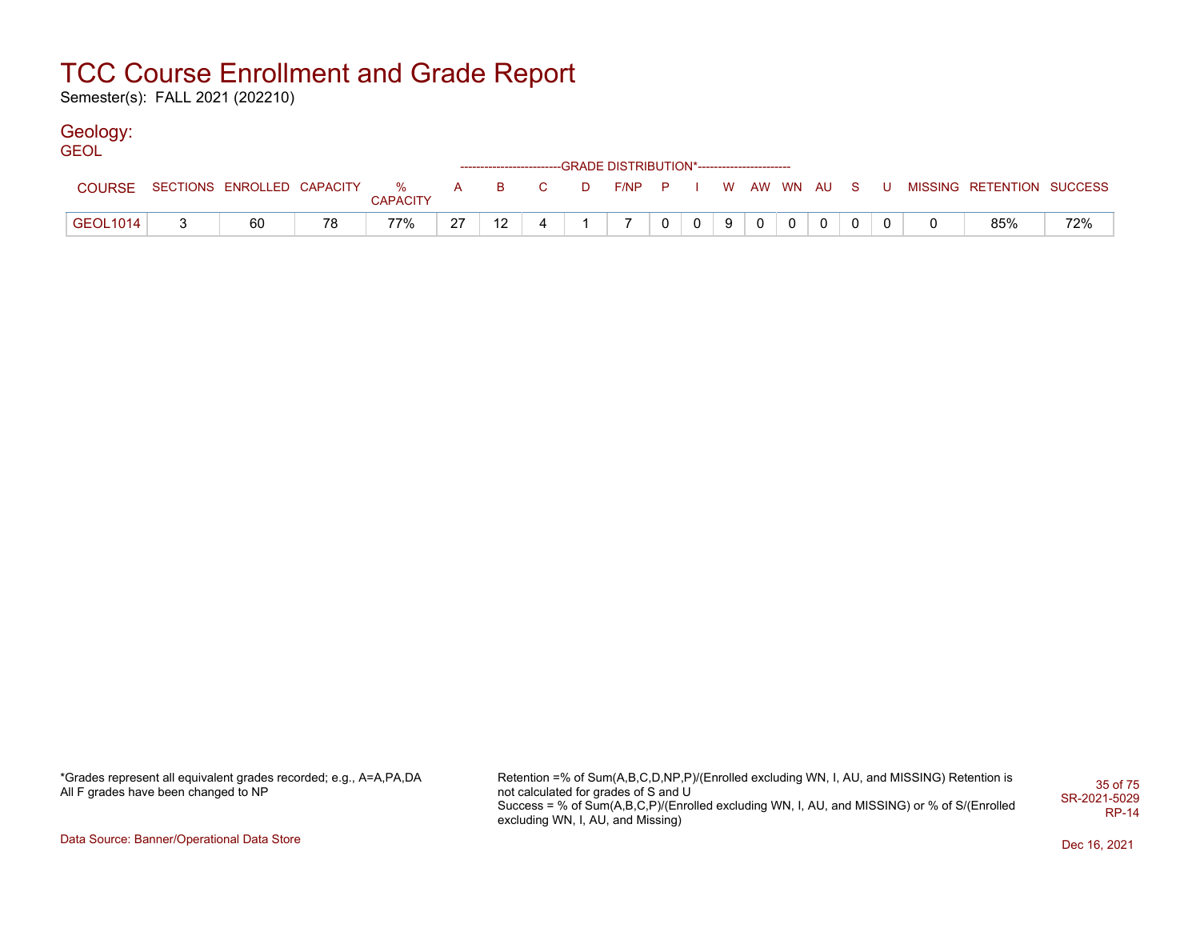Semester(s): FALL 2021 (202210)

## Geology:

| <b>GEOL</b>     |                                    |    |                 |    |    |   |   | ------------------------GRADE DISTRIBUTION*----------------------- |          |                |   |                |          |                |       |                           |     |
|-----------------|------------------------------------|----|-----------------|----|----|---|---|--------------------------------------------------------------------|----------|----------------|---|----------------|----------|----------------|-------|---------------------------|-----|
| COURSE          | SECTIONS ENROLLED CAPACITY % A B C |    | <b>CAPACITY</b> |    |    |   | D | F/NP P I W AW WN AU S                                              |          |                |   |                |          |                | . U . | MISSING RETENTION SUCCESS |     |
| <b>GEOL1014</b> | 60                                 | 78 | 77%             | 27 | 12 | 4 |   |                                                                    | $\Omega$ | 0 <sup>1</sup> | 9 | 0 <sup>1</sup> | $\Omega$ | $\overline{0}$ |       | 85%                       | 72% |

| *Grades represent all equivalent grades recorded; e.g., A=A,PA,DA |  |
|-------------------------------------------------------------------|--|
| All F grades have been changed to NP                              |  |

Retention =% of Sum(A,B,C,D,NP,P)/(Enrolled excluding WN, I, AU, and MISSING) Retention is not calculated for grades of S and U Success = % of Sum(A,B,C,P)/(Enrolled excluding WN, I, AU, and MISSING) or % of S/(Enrolled excluding WN, I, AU, and Missing) 35 of 75 SR-2021-5029 RP-14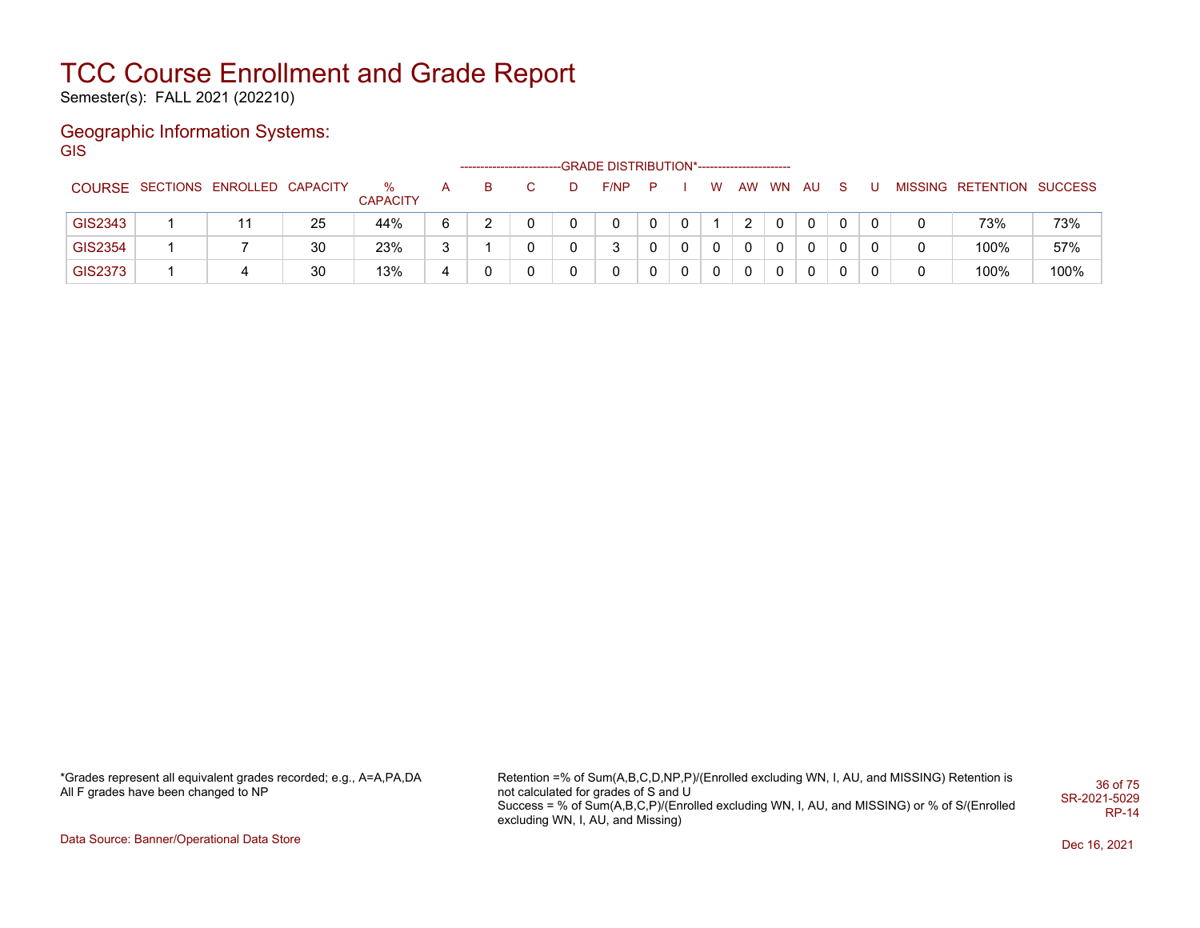Semester(s): FALL 2021 (202210)

#### Geographic Information Systems: **GIS**

|         | --GRADE DISTRIBUTION*-----------------------<br>------------------------ |    |                         |   |   |  |   |      |             |   |              |           |           |    |    |                |                           |      |
|---------|--------------------------------------------------------------------------|----|-------------------------|---|---|--|---|------|-------------|---|--------------|-----------|-----------|----|----|----------------|---------------------------|------|
|         | COURSE SECTIONS ENROLLED CAPACITY                                        |    | $\%$<br><b>CAPACITY</b> | A | в |  | D | F/NP | P           |   | w            | <b>AW</b> | <b>WN</b> | AU | -S |                | MISSING RETENTION SUCCESS |      |
| GIS2343 |                                                                          | 25 | 44%                     | 6 |   |  |   | 0    | $\mathbf 0$ | 0 |              | 2         | 0         |    |    | $\overline{0}$ | 73%                       | 73%  |
| GIS2354 |                                                                          | 30 | 23%                     |   |   |  |   |      |             |   | $\mathbf{0}$ | 0         | 0         |    | 0  | 0              | 100%                      | 57%  |
| GIS2373 | 4                                                                        | 30 | 13%                     | 4 |   |  |   | 0    |             |   | $\mathbf{0}$ | 0         | 0         |    |    | 0              | 100%                      | 100% |

\*Grades represent all equivalent grades recorded; e.g., A=A,PA,DA All F grades have been changed to NP

Retention =% of Sum(A,B,C,D,NP,P)/(Enrolled excluding WN, I, AU, and MISSING) Retention is not calculated for grades of S and U Success = % of Sum(A,B,C,P)/(Enrolled excluding WN, I, AU, and MISSING) or % of S/(Enrolled excluding WN, I, AU, and Missing) 36 of 75 SR-2021-5029 RP-14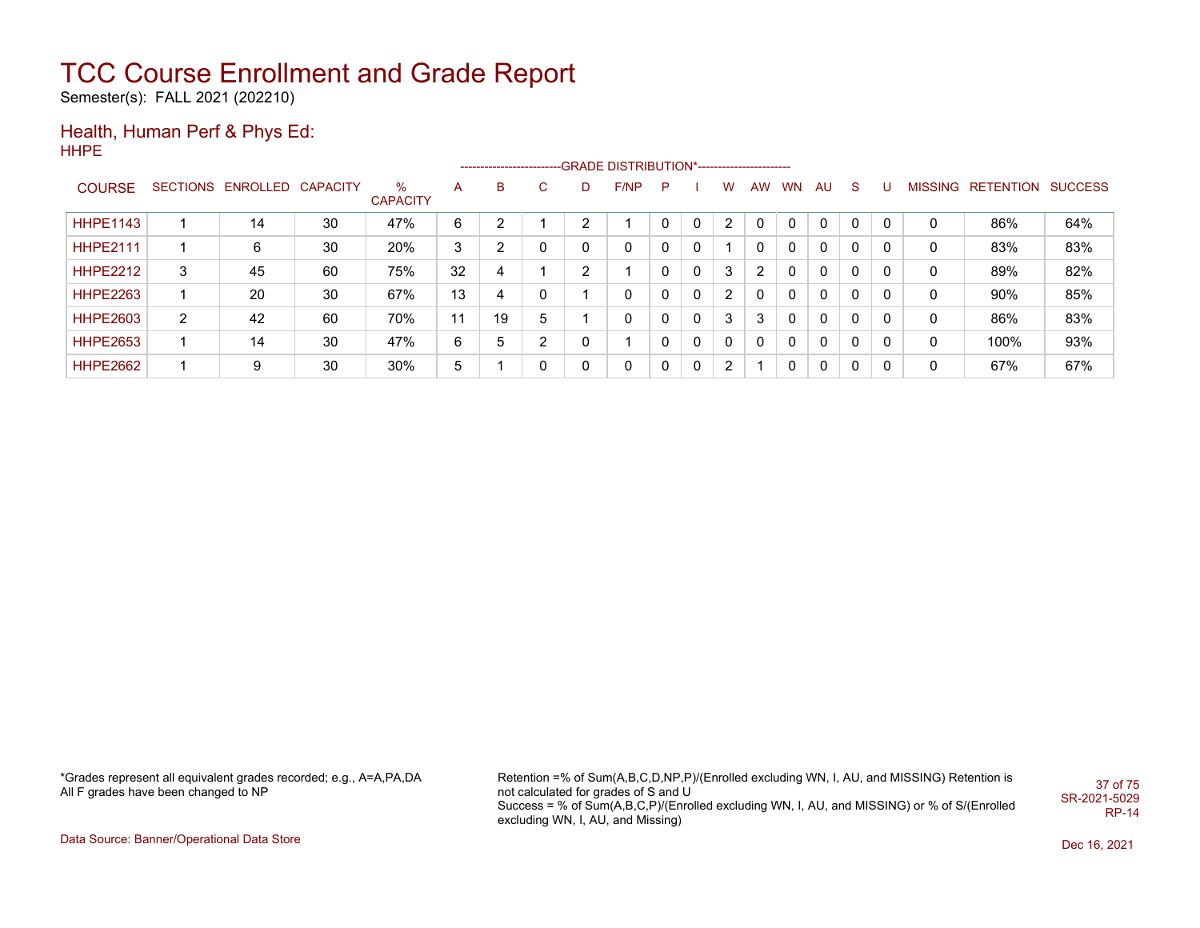Semester(s): FALL 2021 (202210)

#### Health, Human Perf & Phys Ed: HHPE

|                 |   |                            |    |                      |    |    |   |   | ------------------------GRADE                DISTRIBUTION*---------------------- |   |          |                |           |              |     |              |          |                |           |                |
|-----------------|---|----------------------------|----|----------------------|----|----|---|---|----------------------------------------------------------------------------------|---|----------|----------------|-----------|--------------|-----|--------------|----------|----------------|-----------|----------------|
| <b>COURSE</b>   |   | SECTIONS ENROLLED CAPACITY |    | ℅<br><b>CAPACITY</b> | A  | B  | C | D | F/NP                                                                             | P |          | w              | <b>AW</b> | <b>WN</b>    | AU. | S.           | U        | <b>MISSING</b> | RETENTION | <b>SUCCESS</b> |
| <b>HHPE1143</b> |   | 14                         | 30 | 47%                  | 6  | ົ  |   | ົ |                                                                                  |   | $\Omega$ | $\overline{2}$ |           | $\Omega$     | 0   | $\mathbf{0}$ | $\Omega$ | 0              | 86%       | 64%            |
| <b>HHPE2111</b> |   | 6                          | 30 | 20%                  | 3  | ົ  | 0 | 0 | $\mathbf{0}$                                                                     |   | 0        |                |           | $\mathbf{0}$ | 0   | 0            | 0        | 0              | 83%       | 83%            |
| <b>HHPE2212</b> | 3 | 45                         | 60 | 75%                  | 32 | 4  |   | C |                                                                                  |   | 0        | 3              | 2         | 0            | 0   | $\mathbf{0}$ | 0        | 0              | 89%       | 82%            |
| <b>HHPE2263</b> |   | 20                         | 30 | 67%                  | 13 |    | 0 |   | $\mathbf{0}$                                                                     |   | 0        | 2              |           | $\Omega$     | 0   | $\mathbf{0}$ | 0        | 0              | 90%       | 85%            |
| <b>HHPE2603</b> | 2 | 42                         | 60 | 70%                  | 11 | 19 | 5 |   | 0                                                                                |   | 0        | 3              | 3         | $\Omega$     | 0   | $\mathbf{0}$ | 0        | 0              | 86%       | 83%            |
| <b>HHPE2653</b> |   | 14                         | 30 | 47%                  | 6  | 5  | 2 | 0 |                                                                                  |   | 0        | 0              | 0         | $\Omega$     | 0   | 0            | 0        | 0              | 100%      | 93%            |
| <b>HHPE2662</b> |   | 9                          | 30 | 30%                  | 5  |    | 0 | 0 | 0                                                                                |   | 0        | 2              |           | 0            | 0   | 0            | 0        | 0              | 67%       | 67%            |

\*Grades represent all equivalent grades recorded; e.g., A=A,PA,DA All F grades have been changed to NP

Retention =% of Sum(A,B,C,D,NP,P)/(Enrolled excluding WN, I, AU, and MISSING) Retention is not calculated for grades of S and U Success = % of Sum(A,B,C,P)/(Enrolled excluding WN, I, AU, and MISSING) or % of S/(Enrolled excluding WN, I, AU, and Missing) 37 of 75 SR-2021-5029 RP-14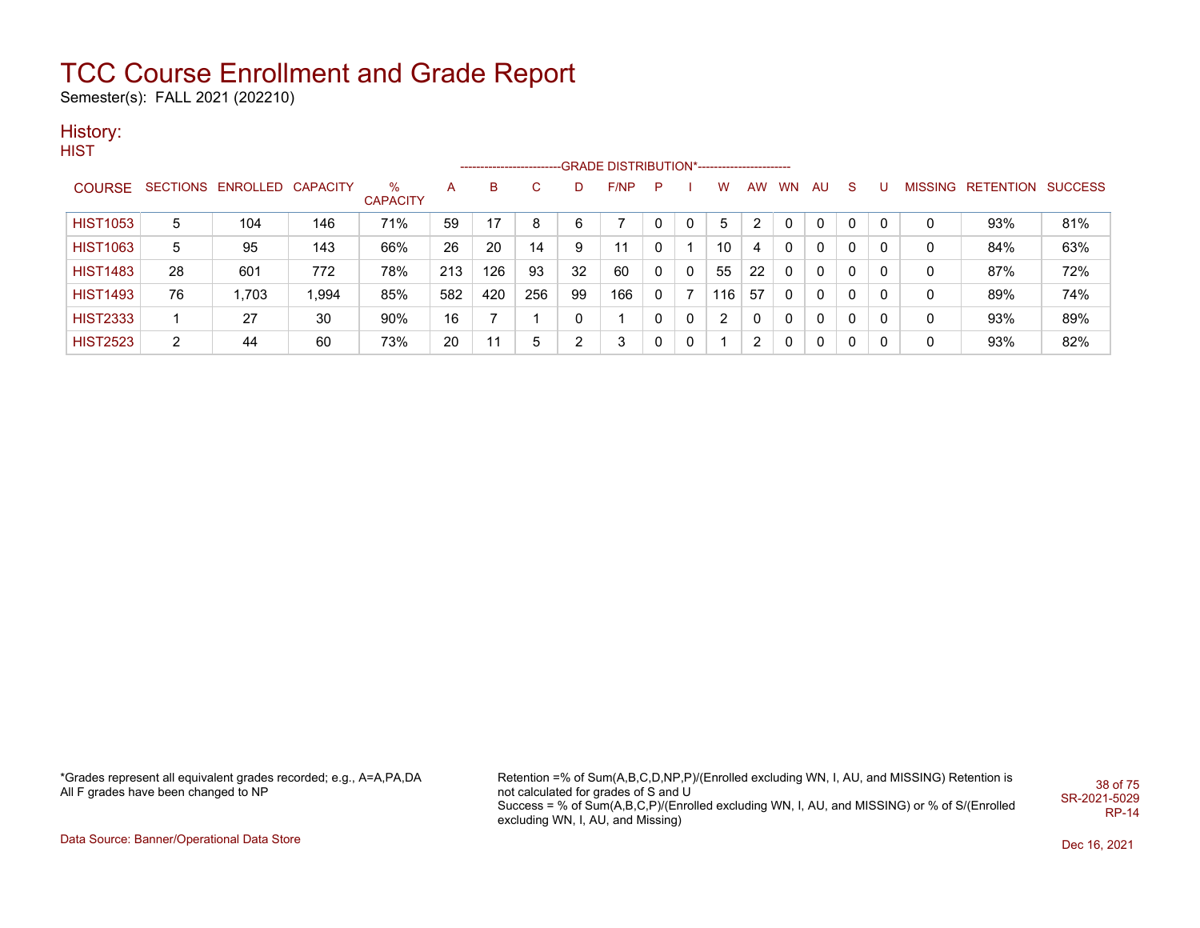Semester(s): FALL 2021 (202210)

### History:

**HIST** 

|                 |    |                            |       |                 |     | ------------------------ |     |    | -GRADE DISTRIBUTION*----------------------- |             |   |     |           |           |     |              |   |   |                           |     |
|-----------------|----|----------------------------|-------|-----------------|-----|--------------------------|-----|----|---------------------------------------------|-------------|---|-----|-----------|-----------|-----|--------------|---|---|---------------------------|-----|
| <b>COURSE</b>   |    | SECTIONS ENROLLED CAPACITY |       | $\%$            | A   | B                        |     |    | F/NP                                        | P           |   | w   | <b>AW</b> | <b>WN</b> | AU. | S.           |   |   | MISSING RETENTION SUCCESS |     |
|                 |    |                            |       | <b>CAPACITY</b> |     |                          |     |    |                                             |             |   |     |           |           |     |              |   |   |                           |     |
| <b>HIST1053</b> | 5  | 104                        | 146   | 71%             | 59  | 17                       | 8   | 6  |                                             | 0           |   | 5   | 2         |           | 0   | 0            | 0 | 0 | 93%                       | 81% |
| <b>HIST1063</b> | 5  | 95                         | 143   | 66%             | 26  | 20                       | 14  | 9  | 11                                          | 0           |   | 10  | 4         | 0         | 0   | 0            | 0 | 0 | 84%                       | 63% |
| <b>HIST1483</b> | 28 | 601                        | 772   | 78%             | 213 | 126                      | 93  | 32 | 60                                          | $\mathbf 0$ | 0 | 55  | 22        | $\Omega$  | 0   | $\mathbf{0}$ | 0 | 0 | 87%                       | 72% |
| <b>HIST1493</b> | 76 | 1.703                      | 1,994 | 85%             | 582 | 420                      | 256 | 99 | 166                                         | 0           |   | 116 | 57        | $\Omega$  | 0   | $\mathbf{0}$ | 0 | 0 | 89%                       | 74% |
| <b>HIST2333</b> |    | 27                         | 30    | 90%             | 16  |                          |     |    |                                             | 0           | 0 | 2   | 0         | $\Omega$  | 0   | 0            | 0 | 0 | 93%                       | 89% |
| <b>HIST2523</b> | 2  | 44                         | 60    | 73%             | 20  | 11                       | 5   |    |                                             | 0           | 0 |     | 2         | 0         | 0   | $\mathbf{0}$ | 0 |   | 93%                       | 82% |

\*Grades represent all equivalent grades recorded; e.g., A=A,PA,DA All F grades have been changed to NP

Retention =% of Sum(A,B,C,D,NP,P)/(Enrolled excluding WN, I, AU, and MISSING) Retention is not calculated for grades of S and U Success = % of Sum(A,B,C,P)/(Enrolled excluding WN, I, AU, and MISSING) or % of S/(Enrolled excluding WN, I, AU, and Missing) 38 of 75 SR-2021-5029 RP-14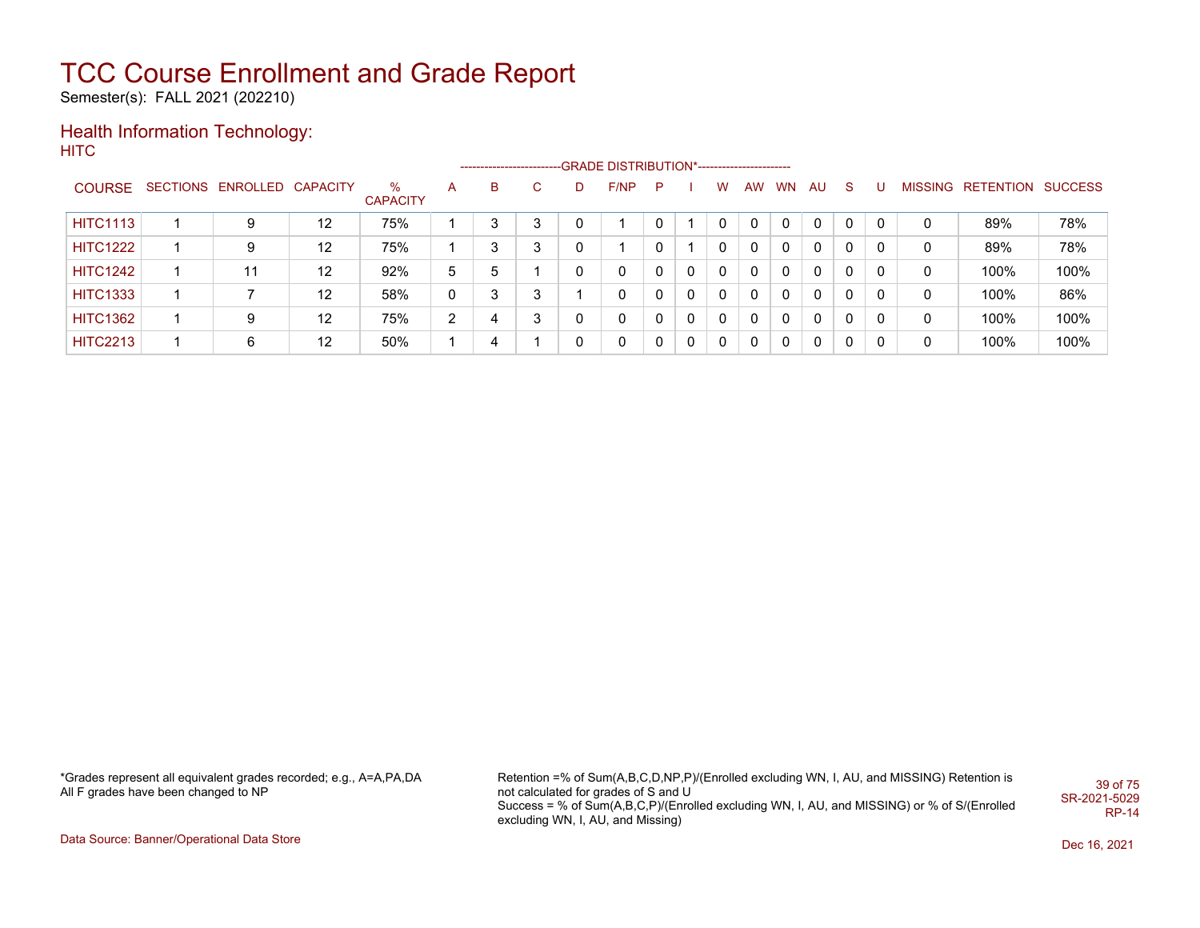Semester(s): FALL 2021 (202210)

#### Health Information Technology: **HITC**

|                 |                            |                   |                 |    |   |    |    | ------------------------GRADE DISTRIBUTION*----------------------- |   |              |              |    |           |          |              |              |   |                           |      |
|-----------------|----------------------------|-------------------|-----------------|----|---|----|----|--------------------------------------------------------------------|---|--------------|--------------|----|-----------|----------|--------------|--------------|---|---------------------------|------|
| <b>COURSE</b>   | SECTIONS ENROLLED CAPACITY |                   | %               | A  | B | C. | D. | F/NP                                                               | P |              | w            | AW | <b>WN</b> | AU       | S.           |              |   | MISSING RETENTION SUCCESS |      |
|                 |                            |                   | <b>CAPACITY</b> |    |   |    |    |                                                                    |   |              |              |    |           |          |              |              |   |                           |      |
| <b>HITC1113</b> | 9                          | $12 \overline{ }$ | 75%             |    |   |    |    |                                                                    |   |              | $\Omega$     |    | 0         | $\Omega$ | $\Omega$     | 0            | 0 | 89%                       | 78%  |
| <b>HITC1222</b> | 9                          | 12                | 75%             |    |   | 3  |    |                                                                    |   |              | $\mathbf{0}$ | 0  | 0         | 0        | $\mathbf{0}$ | $\mathbf{0}$ | 0 | 89%                       | 78%  |
| <b>HITC1242</b> | 11                         | 12                | 92%             | 5. | 5 |    | 0  | 0                                                                  |   | 0            | 0            | 0  | $\Omega$  | 0        | 0            | 0            | 0 | 100%                      | 100% |
| <b>HITC1333</b> |                            | 12                | 58%             | 0  |   | 3  |    | 0                                                                  |   | $\mathbf{0}$ | $\mathbf{0}$ | 0  | 0         | 0        | $\mathbf{0}$ | 0            | 0 | 100%                      | 86%  |
| <b>HITC1362</b> | 9                          | 12                | 75%             | 2  | 4 | 3  |    | 0                                                                  |   | $\mathbf{0}$ | $\mathbf{0}$ | 0  | 0         | 0        | 0            | 0            | 0 | 100%                      | 100% |
| <b>HITC2213</b> | 6                          | 12                | 50%             |    | 4 |    | 0  | 0                                                                  |   | $\mathbf{0}$ | 0            | 0  | 0         | 0        | 0            | 0            | 0 | 100%                      | 100% |

\*Grades represent all equivalent grades recorded; e.g., A=A,PA,DA All F grades have been changed to NP

Retention =% of Sum(A,B,C,D,NP,P)/(Enrolled excluding WN, I, AU, and MISSING) Retention is not calculated for grades of S and U Success = % of Sum(A,B,C,P)/(Enrolled excluding WN, I, AU, and MISSING) or % of S/(Enrolled excluding WN, I, AU, and Missing) 39 of 75 SR-2021-5029 RP-14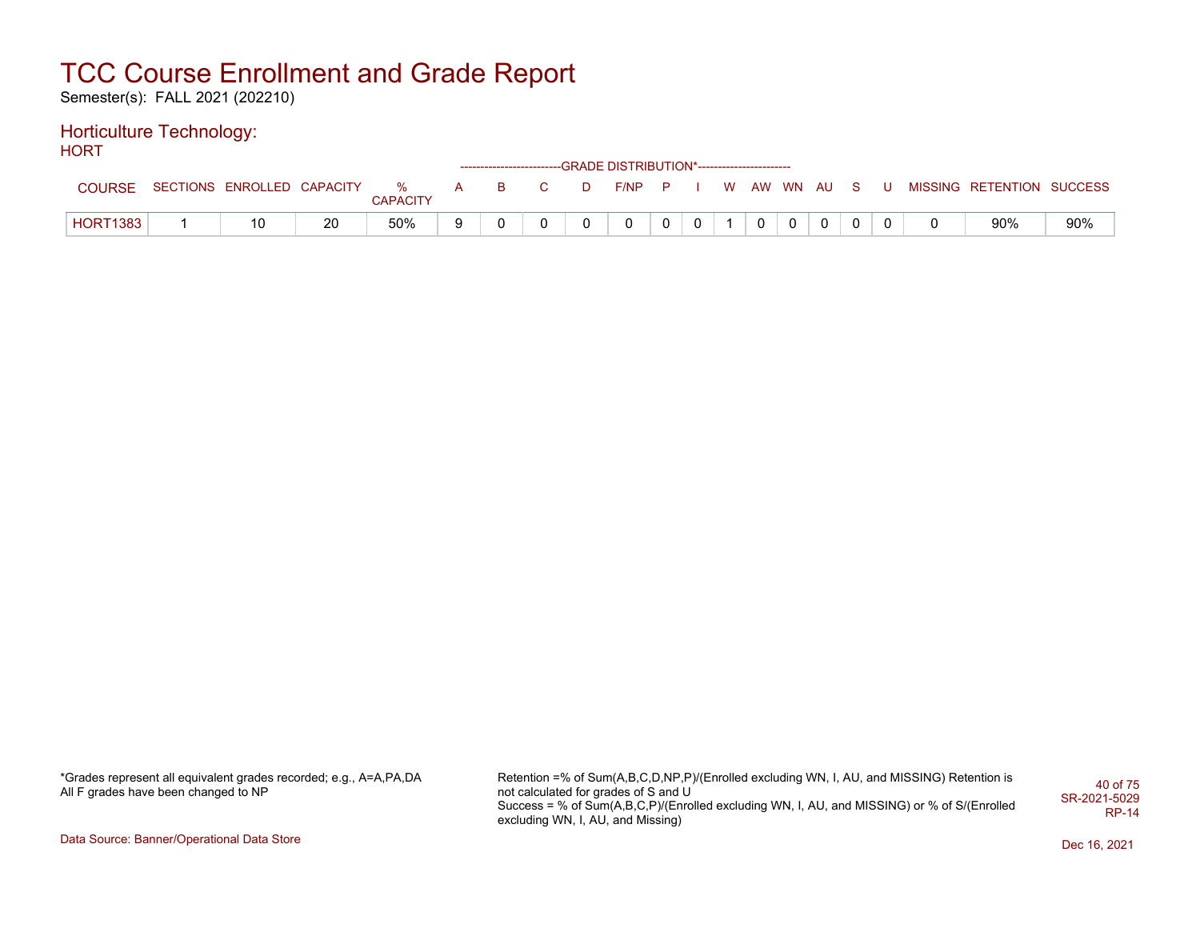Semester(s): FALL 2021 (202210)

#### Horticulture Technology: HORT

| .               |                              |    |                 |     |          |    |   | ------------------------GRADE DISTRIBUTION*----------------------- |   |              |  |            |              |       |  |                           |     |
|-----------------|------------------------------|----|-----------------|-----|----------|----|---|--------------------------------------------------------------------|---|--------------|--|------------|--------------|-------|--|---------------------------|-----|
| COURSE          | SECTIONS ENROLLED CAPACITY % |    | <b>CAPACITY</b> | A – | <b>B</b> | C. | D | $F/NP$ $P$                                                         |   |              |  | W AW WN AU |              | - S - |  | MISSING RETENTION SUCCESS |     |
| <b>HORT1383</b> | 10                           | 20 | 50%             | 9   |          |    |   | 0                                                                  | 0 | $\mathbf{0}$ |  | 0          | $\mathbf{0}$ |       |  | 90%                       | 90% |

\*Grades represent all equivalent grades recorded; e.g., A=A,PA,DA All F grades have been changed to NP

Retention =% of Sum(A,B,C,D,NP,P)/(Enrolled excluding WN, I, AU, and MISSING) Retention is not calculated for grades of S and U Success = % of Sum(A,B,C,P)/(Enrolled excluding WN, I, AU, and MISSING) or % of S/(Enrolled excluding WN, I, AU, and Missing) 40 of 75 SR-2021-5029 RP-14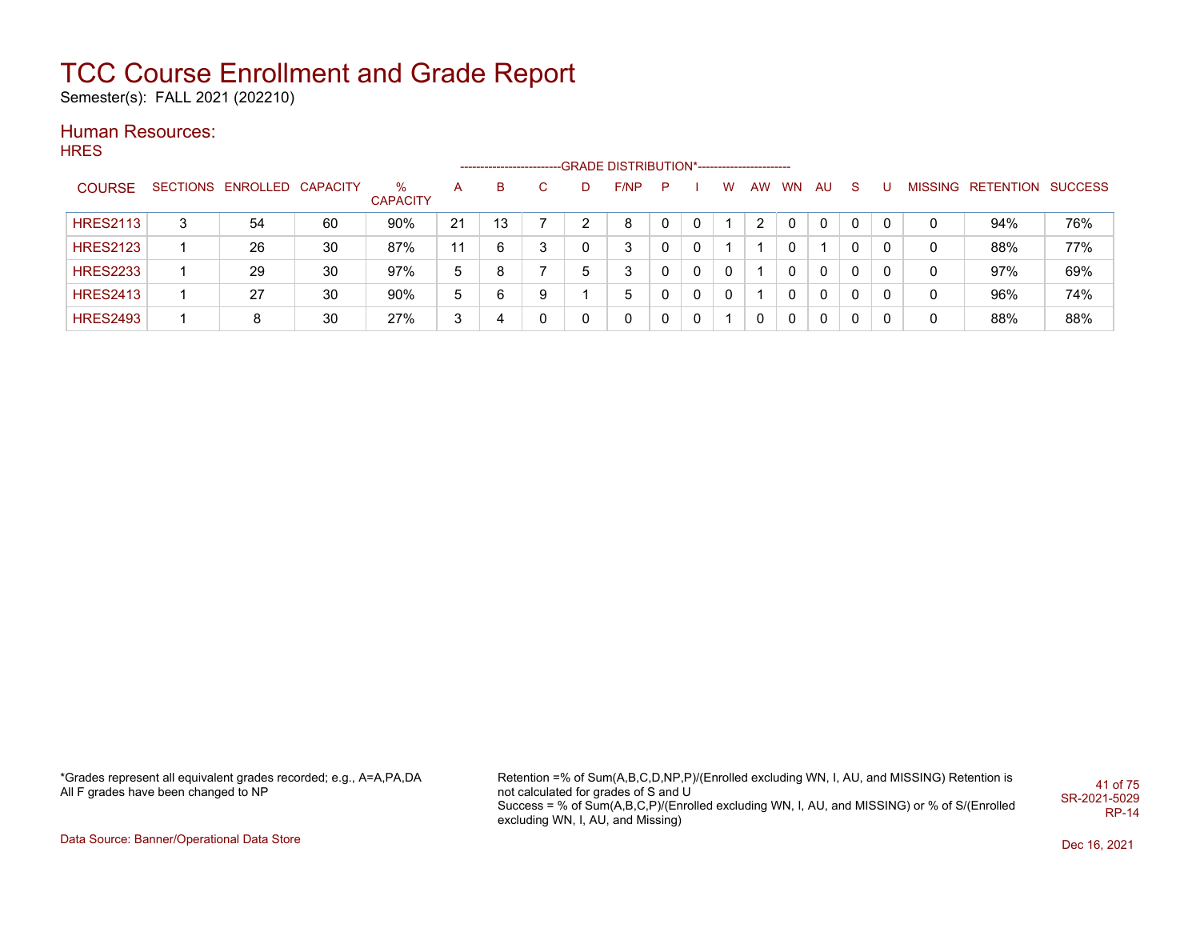Semester(s): FALL 2021 (202210)

### Human Resources:

**HRES** 

|                 |   |                            |    |                      |    |    |    |             | ----------------------GRADE                DISTRIBUTION*----------------------- |   |   |   |    |           |              |          |   |   |                                  |     |
|-----------------|---|----------------------------|----|----------------------|----|----|----|-------------|---------------------------------------------------------------------------------|---|---|---|----|-----------|--------------|----------|---|---|----------------------------------|-----|
| <b>COURSE</b>   |   | SECTIONS ENROLLED CAPACITY |    | ℅<br><b>CAPACITY</b> | A  | B  | C. | D           | F/NP                                                                            | P |   | w | AW | <b>WN</b> | AU           | -S       |   |   | <b>MISSING RETENTION SUCCESS</b> |     |
| <b>HRES2113</b> | 3 | 54                         | 60 | 90%                  | 21 | 13 |    |             | 8                                                                               |   | 0 |   |    | 0         | $\mathbf{0}$ | 0        | 0 | 0 | 94%                              | 76% |
| <b>HRES2123</b> |   | 26                         | 30 | 87%                  | 11 | 6  | 3  | 0           | 3                                                                               |   | 0 |   |    |           |              |          |   | 0 | 88%                              | 77% |
| <b>HRES2233</b> |   | 29                         | 30 | 97%                  | 5  | 8  |    | $\mathbf b$ | 3                                                                               |   | 0 | 0 |    |           | 0            | 0        | 0 | 0 | 97%                              | 69% |
| <b>HRES2413</b> |   | 27                         | 30 | 90%                  | 5  | 6  | 9  |             | 5                                                                               |   | 0 | 0 |    | 0         | $\mathbf{0}$ | 0        | 0 | 0 | 96%                              | 74% |
| <b>HRES2493</b> |   | 8                          | 30 | 27%                  | 3  |    | 0  | 0           | 0                                                                               |   | 0 |   | 0  | 0         | $\mathbf{0}$ | $\Omega$ | 0 | 0 | 88%                              | 88% |

\*Grades represent all equivalent grades recorded; e.g., A=A,PA,DA All F grades have been changed to NP

Retention =% of Sum(A,B,C,D,NP,P)/(Enrolled excluding WN, I, AU, and MISSING) Retention is not calculated for grades of S and U Success = % of Sum(A,B,C,P)/(Enrolled excluding WN, I, AU, and MISSING) or % of S/(Enrolled excluding WN, I, AU, and Missing) 41 of 75 SR-2021-5029 RP-14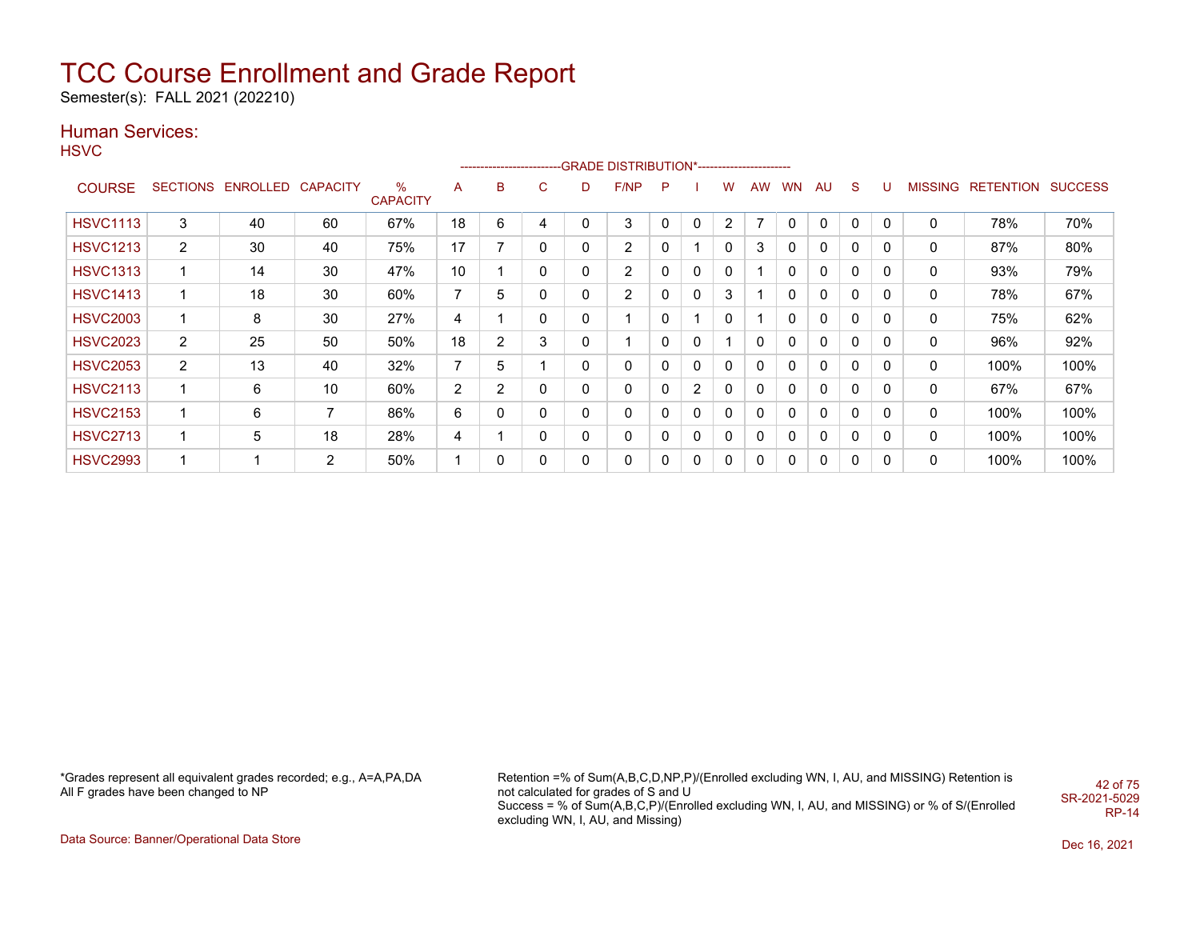Semester(s): FALL 2021 (202210)

### Human Services:

**HSVC** 

|                 |                 |                   |    |                         |                |                |   |              | ------------------------GRADE                DISTRIBUTION*---------------------- |              |                |                |           |           |              |              |          |                |                  |                |
|-----------------|-----------------|-------------------|----|-------------------------|----------------|----------------|---|--------------|----------------------------------------------------------------------------------|--------------|----------------|----------------|-----------|-----------|--------------|--------------|----------|----------------|------------------|----------------|
| <b>COURSE</b>   | <b>SECTIONS</b> | ENROLLED CAPACITY |    | $\%$<br><b>CAPACITY</b> | A              | B              | C | D            | F/NP                                                                             | P            |                | w              | <b>AW</b> | <b>WN</b> | AU           | <sub>S</sub> | U        | <b>MISSING</b> | <b>RETENTION</b> | <b>SUCCESS</b> |
| <b>HSVC1113</b> | 3               | 40                | 60 | 67%                     | 18             | 6              | 4 | 0            | 3                                                                                | $\mathbf{0}$ | 0              | $\overline{2}$ | ⇁         | 0         | $\Omega$     | $\Omega$     | $\Omega$ | 0              | 78%              | 70%            |
| <b>HSVC1213</b> | $\overline{2}$  | 30                | 40 | 75%                     | 17             | 7              | 0 | $\mathbf{0}$ | 2                                                                                | 0            |                | 0              | 3         | 0         | 0            | 0            | 0        | 0              | 87%              | 80%            |
| <b>HSVC1313</b> | $\mathbf 1$     | 14                | 30 | 47%                     | 10             |                | 0 | $\mathbf{0}$ | $\overline{2}$                                                                   | 0            | $\mathbf{0}$   | 0              |           | 0         | $\mathbf{0}$ | $\Omega$     | $\Omega$ | 0              | 93%              | 79%            |
| <b>HSVC1413</b> | 1               | 18                | 30 | 60%                     | $\overline{7}$ | 5              | 0 | $\mathbf{0}$ | $\overline{2}$                                                                   | 0            | $\mathbf{0}$   | 3              |           | 0         | 0            | 0            | 0        | 0              | 78%              | 67%            |
| <b>HSVC2003</b> | 1               | 8                 | 30 | 27%                     | 4              |                | 0 | 0            | $\overline{\mathbf{A}}$                                                          | 0            |                | 0              |           | 0         | 0            | 0            | 0        | 0              | 75%              | 62%            |
| <b>HSVC2023</b> | $\overline{2}$  | 25                | 50 | 50%                     | 18             | $\overline{2}$ | 3 | 0            | 4                                                                                | 0            | 0              |                | 0         | 0         | 0            | 0            | 0        | 0              | 96%              | 92%            |
| <b>HSVC2053</b> | $\overline{2}$  | 13                | 40 | 32%                     | $\overline{7}$ | 5              |   | 0            | 0                                                                                | 0            | 0              | 0              | 0         | 0         | 0            | 0            | $\Omega$ | 0              | 100%             | 100%           |
| <b>HSVC2113</b> | 1               | 6                 | 10 | 60%                     | $\overline{2}$ | $\overline{2}$ | 0 | $\mathbf{0}$ | 0                                                                                | 0            | $\overline{2}$ | 0              | 0         | 0         | $\mathbf{0}$ | 0            | 0        | 0              | 67%              | 67%            |
| <b>HSVC2153</b> | 1               | 6                 | 7  | 86%                     | 6              | 0              | 0 | $\mathbf{0}$ | 0                                                                                | 0            | $\mathbf{0}$   | $\mathbf{0}$   | 0         | 0         | $\mathbf{0}$ | 0            | $\Omega$ | 0              | 100%             | 100%           |
| <b>HSVC2713</b> | 1               | 5                 | 18 | 28%                     | 4              |                | 0 | 0            | 0                                                                                | 0            | 0              | 0              | 0         | 0         | 0            | 0            | 0        | 0              | 100%             | 100%           |
| <b>HSVC2993</b> | 1               |                   | 2  | 50%                     |                | 0              | 0 | 0            | 0                                                                                | 0            | 0              | 0              | 0         | 0         | 0            | 0            | $\Omega$ | 0              | 100%             | 100%           |

\*Grades represent all equivalent grades recorded; e.g., A=A,PA,DA All F grades have been changed to NP

Retention =% of Sum(A,B,C,D,NP,P)/(Enrolled excluding WN, I, AU, and MISSING) Retention is not calculated for grades of S and U Success = % of Sum(A,B,C,P)/(Enrolled excluding WN, I, AU, and MISSING) or % of S/(Enrolled excluding WN, I, AU, and Missing) 42 of 75 SR-2021-5029 RP-14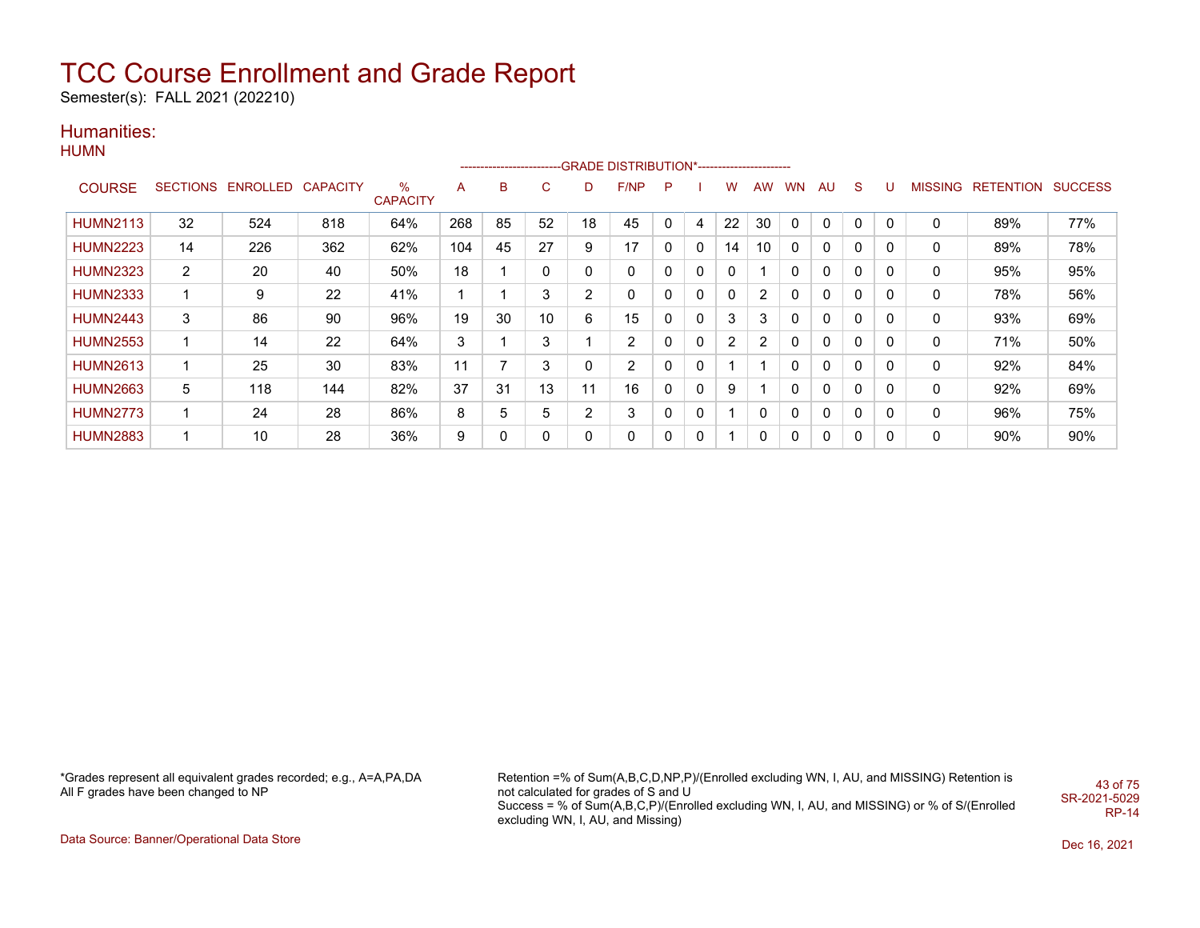Semester(s): FALL 2021 (202210)

### Humanities:

**HUMN** 

|                 |                |                            |     |                         |     |    |    |    | ------------------------GRADE                DISTRIBUTION*---------------------- |   |   |    |                |              |    |             |   |         |                          |     |
|-----------------|----------------|----------------------------|-----|-------------------------|-----|----|----|----|----------------------------------------------------------------------------------|---|---|----|----------------|--------------|----|-------------|---|---------|--------------------------|-----|
| <b>COURSE</b>   |                | SECTIONS ENROLLED CAPACITY |     | $\%$<br><b>CAPACITY</b> | A   | в  | C. |    | F/NP                                                                             | P |   | w  | <b>AW</b>      | <b>WN</b>    | AU | S           | U | MISSING | <b>RETENTION SUCCESS</b> |     |
| <b>HUMN2113</b> | 32             | 524                        | 818 | 64%                     | 268 | 85 | 52 | 18 | 45                                                                               | 0 | 4 | 22 | 30             | 0            | 0  | $\mathbf 0$ | 0 | 0       | 89%                      | 77% |
| <b>HUMN2223</b> | 14             | 226                        | 362 | 62%                     | 104 | 45 | 27 | 9  | 17                                                                               | 0 | 0 | 14 | 10             | 0            | 0  | 0           | 0 | 0       | 89%                      | 78% |
| <b>HUMN2323</b> | $\overline{2}$ | 20                         | 40  | 50%                     | 18  |    | 0  | 0  | 0                                                                                | 0 | 0 | 0  |                | 0            | 0  | $\mathbf 0$ | 0 | 0       | 95%                      | 95% |
| <b>HUMN2333</b> |                | 9                          | 22  | 41%                     |     |    | 3  | 2  | 0                                                                                | 0 | 0 | 0  | $\overline{2}$ | 0            | 0  | $\Omega$    | 0 | 0       | 78%                      | 56% |
| <b>HUMN2443</b> | 3              | 86                         | 90  | 96%                     | 19  | 30 | 10 | 6  | 15                                                                               | 0 | 0 | 3  | 3              | 0            | 0  | $\Omega$    | 0 | 0       | 93%                      | 69% |
| <b>HUMN2553</b> |                | 14                         | 22  | 64%                     | 3   |    | 3  |    | $\overline{2}$                                                                   |   | 0 | 2  | $\overline{2}$ |              | 0  | $\Omega$    | 0 | 0       | 71%                      | 50% |
| <b>HUMN2613</b> |                | 25                         | 30  | 83%                     | 11  |    | 3  | 0  | 2                                                                                | 0 | 0 |    |                |              | 0  | 0           | 0 | 0       | 92%                      | 84% |
| <b>HUMN2663</b> | 5              | 118                        | 144 | 82%                     | 37  | 31 | 13 | 11 | 16                                                                               | 0 | 0 | 9  |                | 0            | 0  | 0           | 0 | 0       | 92%                      | 69% |
| <b>HUMN2773</b> | 1              | 24                         | 28  | 86%                     | 8   | 5  | 5  | 2  | 3                                                                                | 0 | 0 |    | 0              | $\mathbf{0}$ | 0  | 0           | 0 | 0       | 96%                      | 75% |
| <b>HUMN2883</b> |                | 10                         | 28  | 36%                     | 9   | 0  | 0  | 0  | 0                                                                                | 0 | 0 |    | 0              | 0            | 0  | $\mathbf 0$ | 0 | 0       | 90%                      | 90% |

\*Grades represent all equivalent grades recorded; e.g., A=A,PA,DA All F grades have been changed to NP

Retention =% of Sum(A,B,C,D,NP,P)/(Enrolled excluding WN, I, AU, and MISSING) Retention is not calculated for grades of S and U Success = % of Sum(A,B,C,P)/(Enrolled excluding WN, I, AU, and MISSING) or % of S/(Enrolled excluding WN, I, AU, and Missing) 43 of 75 SR-2021-5029 RP-14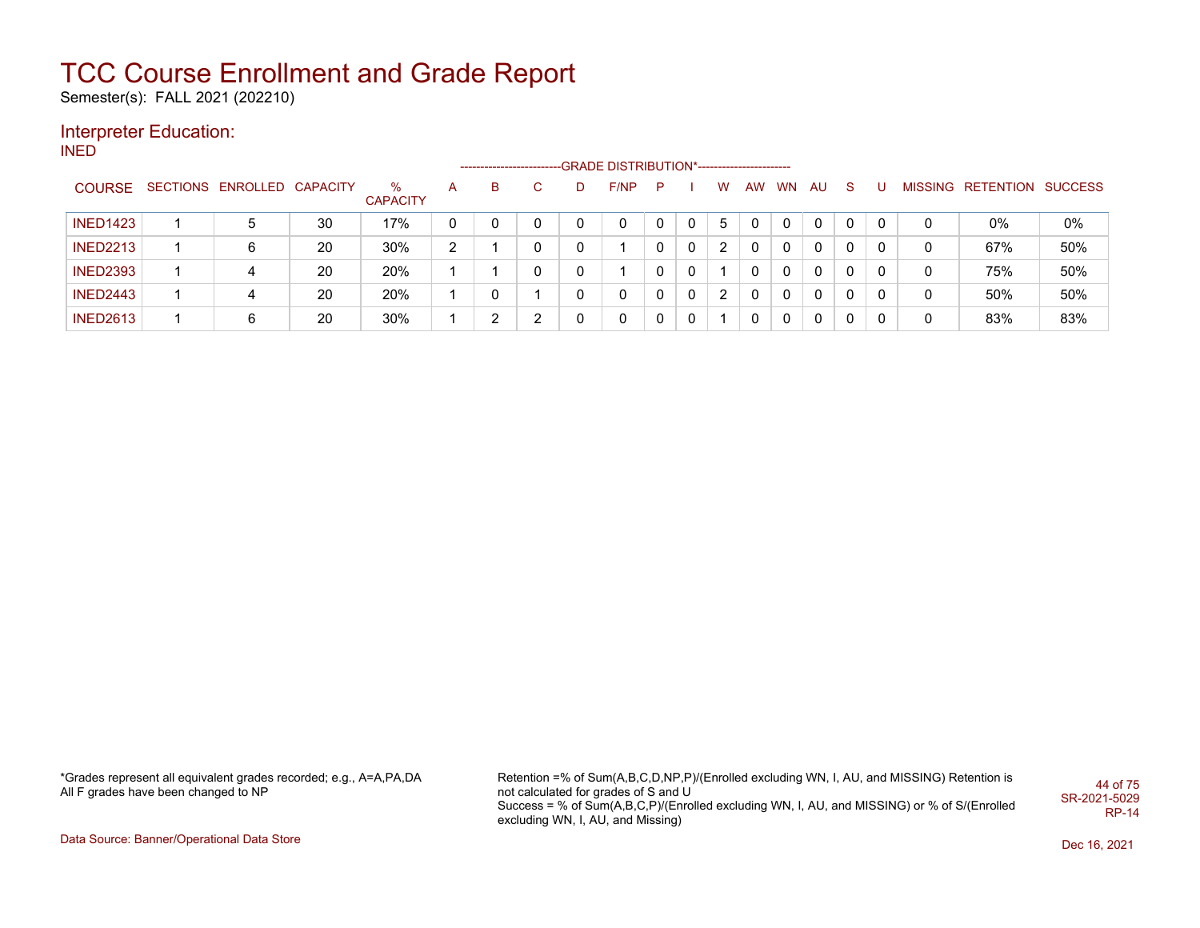Semester(s): FALL 2021 (202210)

### Interpreter Education:

INED

|                 |                            |    |                      |    | -------------------- |    |   | -GRADE DISTRIBUTION*---------------------- |   |             |   |              |           |          |          |   |   |                   |         |
|-----------------|----------------------------|----|----------------------|----|----------------------|----|---|--------------------------------------------|---|-------------|---|--------------|-----------|----------|----------|---|---|-------------------|---------|
| <b>COURSE</b>   | SECTIONS ENROLLED CAPACITY |    | %<br><b>CAPACITY</b> | A  | В                    | C. | D | F/NP                                       | P |             | W | AW           | <b>WN</b> | AU.      | -S       |   |   | MISSING RETENTION | SUCCESS |
| <b>INED1423</b> | 5                          | 30 | 17%                  | 0  |                      |    |   |                                            |   | 0           | 5 | 0            | 0         | $\Omega$ | 0        | 0 |   | $0\%$             | 0%      |
| <b>INED2213</b> | 6                          | 20 | 30%                  | C. |                      |    |   |                                            |   | 0           | 2 | 0            | 0         | 0        | 0        | 0 |   | 67%               | 50%     |
| <b>INED2393</b> | 4                          | 20 | 20%                  |    |                      | 0  |   |                                            |   | 0           |   | 0            | 0         | 0        | 0        | 0 | 0 | 75%               | 50%     |
| <b>INED2443</b> | 4                          | 20 | 20%                  |    |                      |    |   | $\mathbf 0$                                | 0 | $\mathbf 0$ | 2 | $\mathbf{0}$ | 0         | $\Omega$ | $\Omega$ | 0 | 0 | 50%               | 50%     |
| <b>INED2613</b> | 6                          | 20 | 30%                  |    | ົ                    | ົ  |   | $\mathbf 0$                                | 0 | $\mathbf 0$ |   | 0            | 0         | 0        | 0        | 0 |   | 83%               | 83%     |

\*Grades represent all equivalent grades recorded; e.g., A=A,PA,DA All F grades have been changed to NP

Retention =% of Sum(A,B,C,D,NP,P)/(Enrolled excluding WN, I, AU, and MISSING) Retention is not calculated for grades of S and U Success = % of Sum(A,B,C,P)/(Enrolled excluding WN, I, AU, and MISSING) or % of S/(Enrolled excluding WN, I, AU, and Missing) 44 of 75 SR-2021-5029 RP-14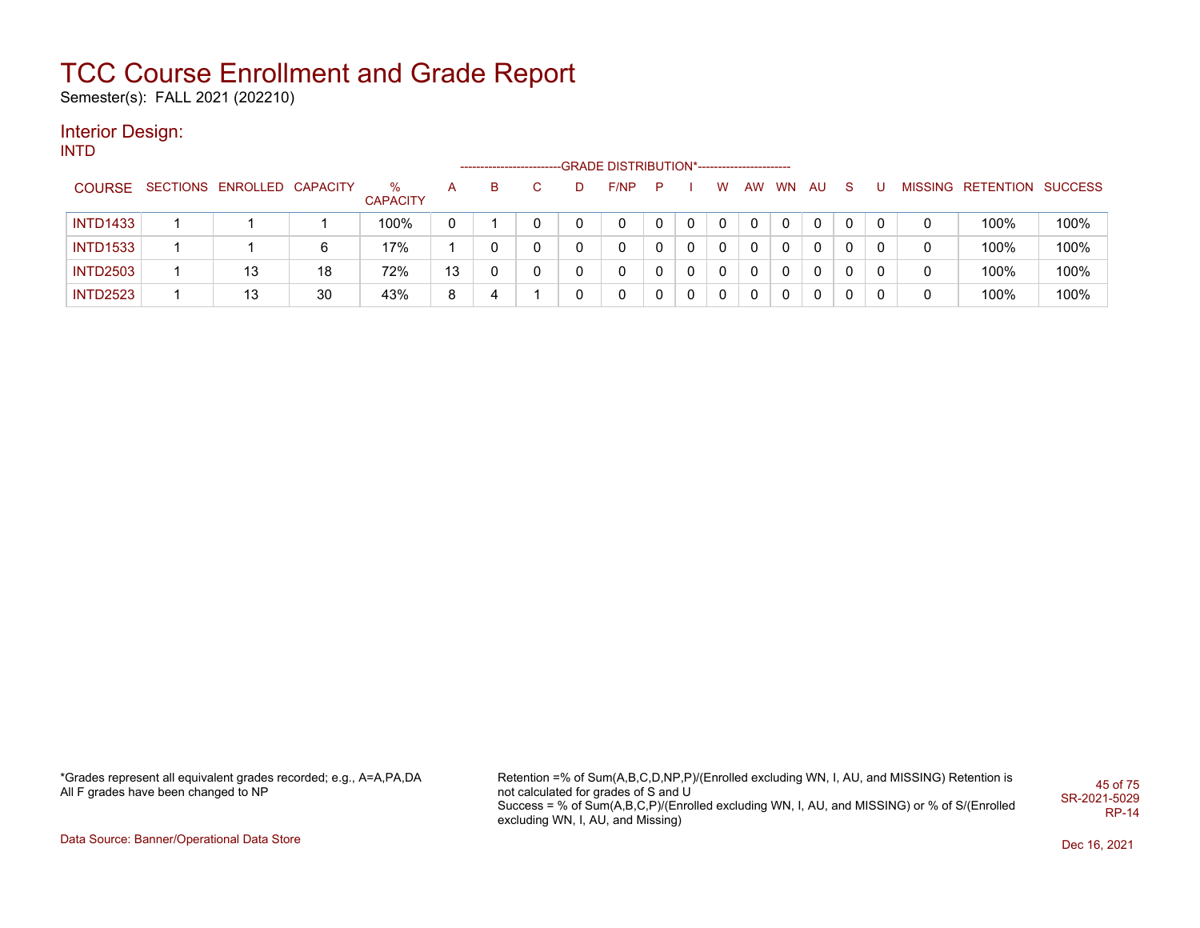Semester(s): FALL 2021 (202210)

#### Interior Design: INTD

|                 |                            |    |                         |    |   |    | -GRADE DISTRIBUTION*----------------------- |    |          |   |    |           |     |              |   |                           |      |
|-----------------|----------------------------|----|-------------------------|----|---|----|---------------------------------------------|----|----------|---|----|-----------|-----|--------------|---|---------------------------|------|
| <b>COURSE</b>   | SECTIONS ENROLLED CAPACITY |    | $\%$<br><b>CAPACITY</b> | A  | в | D. | F/NP                                        | P. |          | w | AW | <b>WN</b> | AU. | <sub>S</sub> |   | MISSING RETENTION SUCCESS |      |
| <b>INTD1433</b> |                            |    | 100%                    |    |   |    | 0                                           |    |          | 0 |    |           | 0   | 0            |   | 100%                      | 100% |
| <b>INTD1533</b> |                            | 6  | 17%                     |    |   |    | 0                                           |    |          | 0 | 0  |           | 0   | 0            | 0 | 100%                      | 100% |
| <b>INTD2503</b> | 13                         | 18 | 72%                     | 13 |   |    | 0                                           |    | $\Omega$ | 0 | 0  | 0         | 0   | $\mathbf{0}$ | 0 | 100%                      | 100% |
| <b>INTD2523</b> | 13                         | 30 | 43%                     | 8  |   |    | 0                                           |    | 0        | 0 | 0  | 0         | 0   | 0            |   | 100%                      | 100% |

\*Grades represent all equivalent grades recorded; e.g., A=A,PA,DA All F grades have been changed to NP

Retention =% of Sum(A,B,C,D,NP,P)/(Enrolled excluding WN, I, AU, and MISSING) Retention is not calculated for grades of S and U Success = % of Sum(A,B,C,P)/(Enrolled excluding WN, I, AU, and MISSING) or % of S/(Enrolled excluding WN, I, AU, and Missing) 45 of 75 SR-2021-5029 RP-14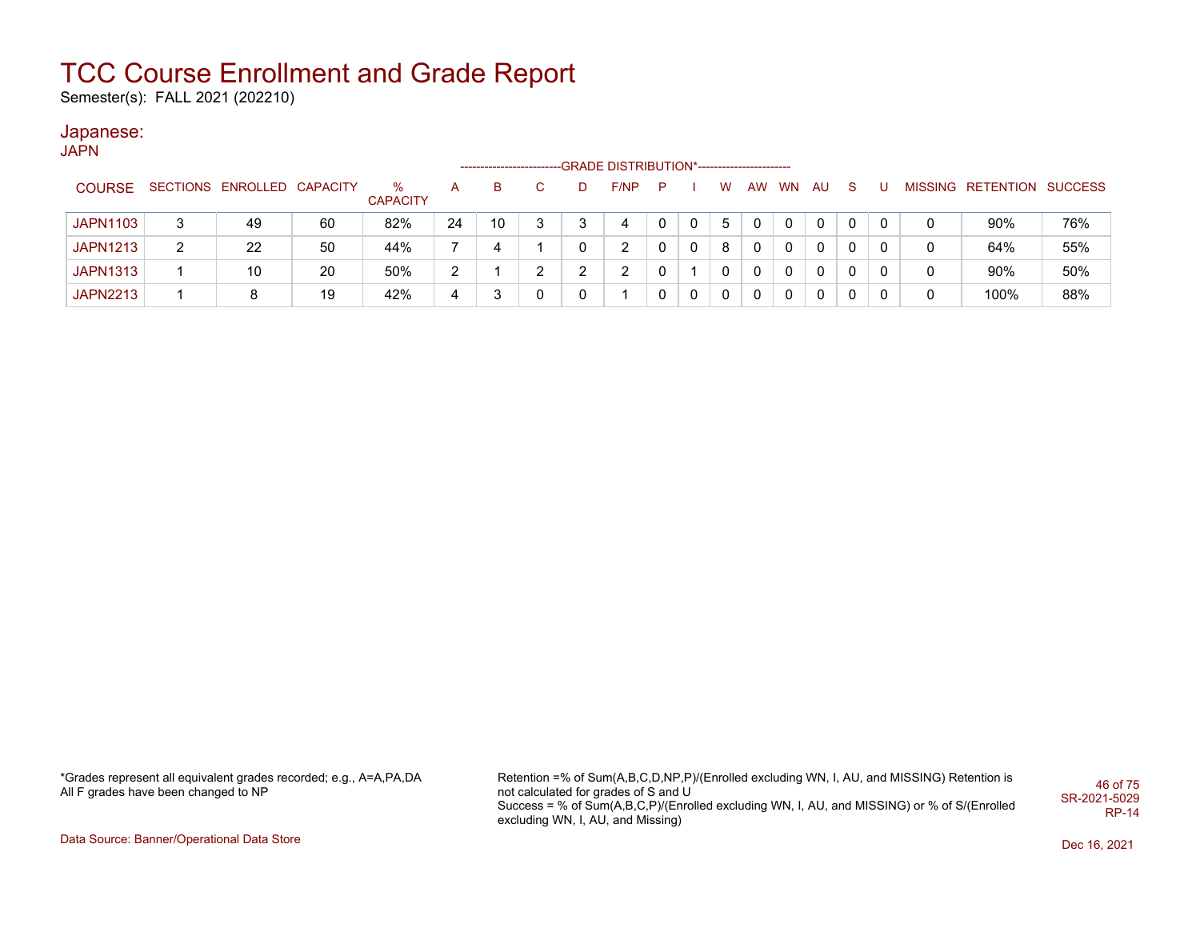Semester(s): FALL 2021 (202210)

### Japanese:

JAPN

|                 |                            |    |                      |    | ----------------------- |   |   | -GRADE DISTRIBUTION*----------------------- |    |              |              |   |       |              |              |   |                           |     |
|-----------------|----------------------------|----|----------------------|----|-------------------------|---|---|---------------------------------------------|----|--------------|--------------|---|-------|--------------|--------------|---|---------------------------|-----|
| <b>COURSE</b>   | SECTIONS ENROLLED CAPACITY |    | %<br><b>CAPACITY</b> | A  | в                       |   |   | F/NP                                        | P. |              | W            |   | AW WN | AU.          | <sub>S</sub> | U | MISSING RETENTION SUCCESS |     |
| <b>JAPN1103</b> | 49                         | 60 | 82%                  | 24 | 10                      | 3 | ີ |                                             |    |              | 5            |   |       | 0            | 0            |   | 90%                       | 76% |
| <b>JAPN1213</b> | 22                         | 50 | 44%                  |    | 4                       |   |   | ົ                                           |    | $\mathbf{0}$ | 8            | 0 | 0     | $\mathbf{0}$ | 0            |   | 64%                       | 55% |
| <b>JAPN1313</b> | 10                         | 20 | 50%                  | っ  |                         | ົ |   | C                                           |    |              | $\mathbf{0}$ | 0 | 0     | $\mathbf{0}$ | 0            | 0 | 90%                       | 50% |
| <b>JAPN2213</b> |                            | 19 | 42%                  |    |                         |   |   |                                             |    | $\mathbf 0$  | 0            | 0 | 0     | 0            | 0            |   | 100%                      | 88% |

\*Grades represent all equivalent grades recorded; e.g., A=A,PA,DA All F grades have been changed to NP

Retention =% of Sum(A,B,C,D,NP,P)/(Enrolled excluding WN, I, AU, and MISSING) Retention is not calculated for grades of S and U Success = % of Sum(A,B,C,P)/(Enrolled excluding WN, I, AU, and MISSING) or % of S/(Enrolled excluding WN, I, AU, and Missing) 46 of 75 SR-2021-5029 RP-14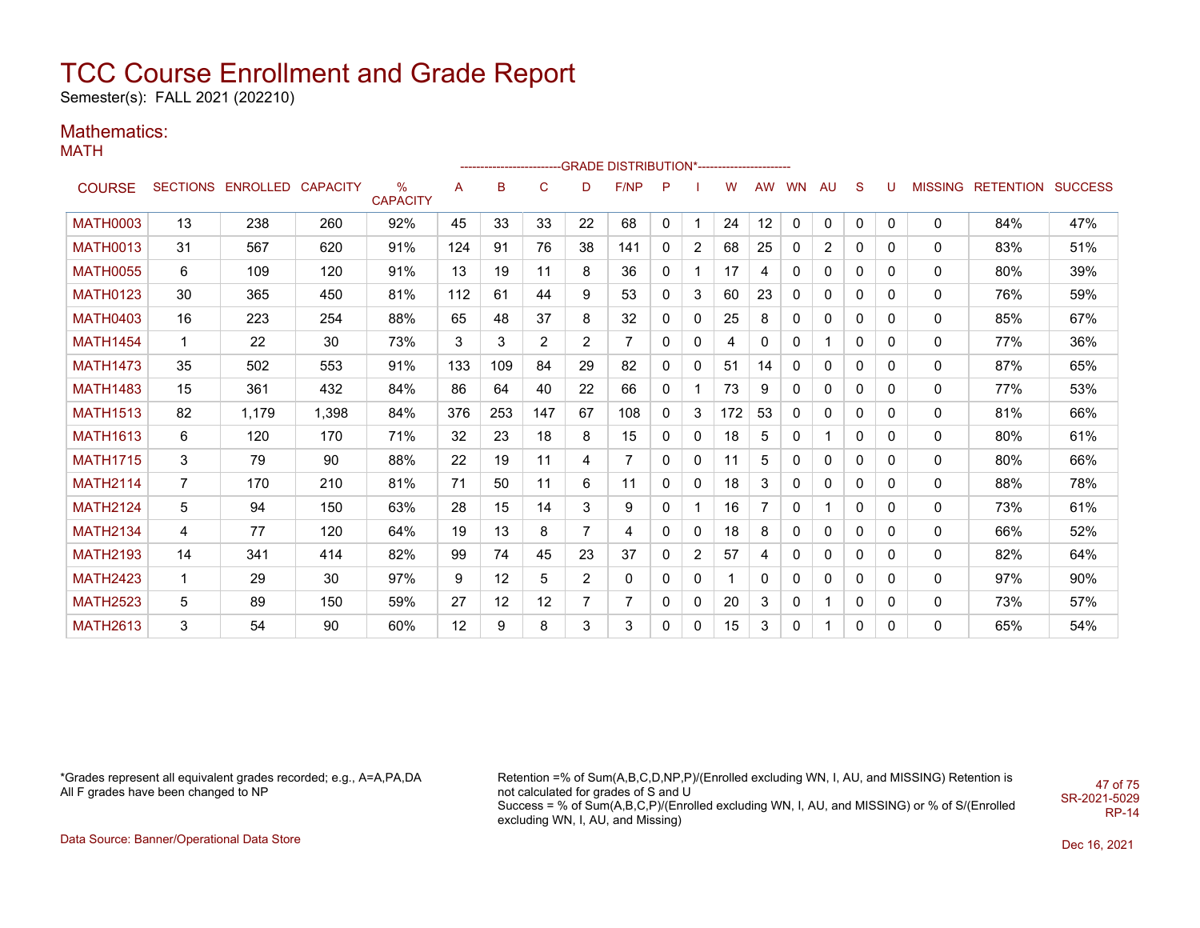Semester(s): FALL 2021 (202210)

### Mathematics:

MATH

|                 |                |                            |       |                      |     |                 |                |                | ------------------------GRADE                DISTRIBUTION*---------------------- |          |                |     |           |          |              |              |              |   |                                  |     |
|-----------------|----------------|----------------------------|-------|----------------------|-----|-----------------|----------------|----------------|----------------------------------------------------------------------------------|----------|----------------|-----|-----------|----------|--------------|--------------|--------------|---|----------------------------------|-----|
| <b>COURSE</b>   |                | SECTIONS ENROLLED CAPACITY |       | %<br><b>CAPACITY</b> | A   | B               | $\mathsf{C}$   | D              | F/NP                                                                             | P        |                | w   | <b>AW</b> | WN       | AU           | <sub>S</sub> |              |   | <b>MISSING RETENTION SUCCESS</b> |     |
| <b>MATH0003</b> | 13             | 238                        | 260   | 92%                  | 45  | 33              | 33             | 22             | 68                                                                               | $\Omega$ | $\mathbf{1}$   | 24  | 12        | $\Omega$ | $\mathbf 0$  | $\mathbf{0}$ | $\mathbf{0}$ | 0 | 84%                              | 47% |
| <b>MATH0013</b> | 31             | 567                        | 620   | 91%                  | 124 | 91              | 76             | 38             | 141                                                                              | 0        | $\overline{2}$ | 68  | 25        | $\Omega$ | 2            | 0            | 0            | 0 | 83%                              | 51% |
| <b>MATH0055</b> | 6              | 109                        | 120   | 91%                  | 13  | 19              | 11             | 8              | 36                                                                               | 0        |                | 17  | 4         | 0        | 0            | 0            | 0            | 0 | 80%                              | 39% |
| <b>MATH0123</b> | 30             | 365                        | 450   | 81%                  | 112 | 61              | 44             | 9              | 53                                                                               | 0        | 3              | 60  | 23        | 0        | 0            | 0            | 0            | 0 | 76%                              | 59% |
| <b>MATH0403</b> | 16             | 223                        | 254   | 88%                  | 65  | 48              | 37             | 8              | 32                                                                               | 0        | 0              | 25  | 8         | 0        | 0            | 0            | 0            | 0 | 85%                              | 67% |
| <b>MATH1454</b> | $\mathbf 1$    | 22                         | 30    | 73%                  | 3   | 3               | $\overline{2}$ | $\overline{2}$ | $\overline{7}$                                                                   | 0        | 0              | 4   | 0         | 0        |              | 0            | 0            | 0 | 77%                              | 36% |
| <b>MATH1473</b> | 35             | 502                        | 553   | 91%                  | 133 | 109             | 84             | 29             | 82                                                                               | 0        | 0              | 51  | 14        | 0        | 0            | 0            | $\Omega$     | 0 | 87%                              | 65% |
| <b>MATH1483</b> | 15             | 361                        | 432   | 84%                  | 86  | 64              | 40             | 22             | 66                                                                               | 0        |                | 73  | 9         | 0        | 0            | 0            | 0            | 0 | 77%                              | 53% |
| <b>MATH1513</b> | 82             | 1.179                      | 1,398 | 84%                  | 376 | 253             | 147            | 67             | 108                                                                              | 0        | 3              | 172 | 53        | 0        | 0            | 0            | 0            | 0 | 81%                              | 66% |
| <b>MATH1613</b> | 6              | 120                        | 170   | 71%                  | 32  | 23              | 18             | 8              | 15                                                                               | 0        | 0              | 18  | 5         | 0        |              | 0            | $\Omega$     | 0 | 80%                              | 61% |
| <b>MATH1715</b> | 3              | 79                         | 90    | 88%                  | 22  | 19              | 11             | 4              | 7                                                                                | 0        | 0              | 11  | 5         | 0        | 0            | 0            | $\Omega$     | 0 | 80%                              | 66% |
| <b>MATH2114</b> | $\overline{7}$ | 170                        | 210   | 81%                  | 71  | 50              | 11             | 6              | 11                                                                               | 0        | 0              | 18  | 3         | 0        | 0            | 0            | 0            | 0 | 88%                              | 78% |
| <b>MATH2124</b> | 5              | 94                         | 150   | 63%                  | 28  | 15              | 14             | 3              | 9                                                                                | 0        | 1              | 16  |           | 0        |              | 0            | $\Omega$     | 0 | 73%                              | 61% |
| <b>MATH2134</b> | 4              | 77                         | 120   | 64%                  | 19  | 13              | 8              | 7              | 4                                                                                | 0        | $\mathbf{0}$   | 18  | 8         | 0        | $\mathbf{0}$ | 0            | $\Omega$     | 0 | 66%                              | 52% |
| <b>MATH2193</b> | 14             | 341                        | 414   | 82%                  | 99  | 74              | 45             | 23             | 37                                                                               | 0        | $\overline{2}$ | 57  | 4         | 0        | 0            | 0            | $\Omega$     | 0 | 82%                              | 64% |
| <b>MATH2423</b> | $\mathbf{1}$   | 29                         | 30    | 97%                  | 9   | 12 <sup>°</sup> | 5              | 2              | $\mathbf{0}$                                                                     | $\Omega$ | $\mathbf{0}$   |     | 0         | 0        | $\mathbf{0}$ | 0            | $\Omega$     | 0 | 97%                              | 90% |
| <b>MATH2523</b> | 5              | 89                         | 150   | 59%                  | 27  | 12              | 12             | $\overline{7}$ | $\overline{7}$                                                                   | 0        | 0              | 20  | 3         | 0        |              | 0            | $\Omega$     | 0 | 73%                              | 57% |
| <b>MATH2613</b> | 3              | 54                         | 90    | 60%                  | 12  | 9               | 8              | 3              | 3                                                                                | 0        | 0              | 15  | 3         | 0        |              | 0            | $\Omega$     | 0 | 65%                              | 54% |

\*Grades represent all equivalent grades recorded; e.g., A=A,PA,DA All F grades have been changed to NP

Retention =% of Sum(A,B,C,D,NP,P)/(Enrolled excluding WN, I, AU, and MISSING) Retention is not calculated for grades of S and U Success = % of Sum(A,B,C,P)/(Enrolled excluding WN, I, AU, and MISSING) or % of S/(Enrolled excluding WN, I, AU, and Missing) 47 of 75 SR-2021-5029

Data Source: Banner/Operational Data Store Dec 16, 2021

RP-14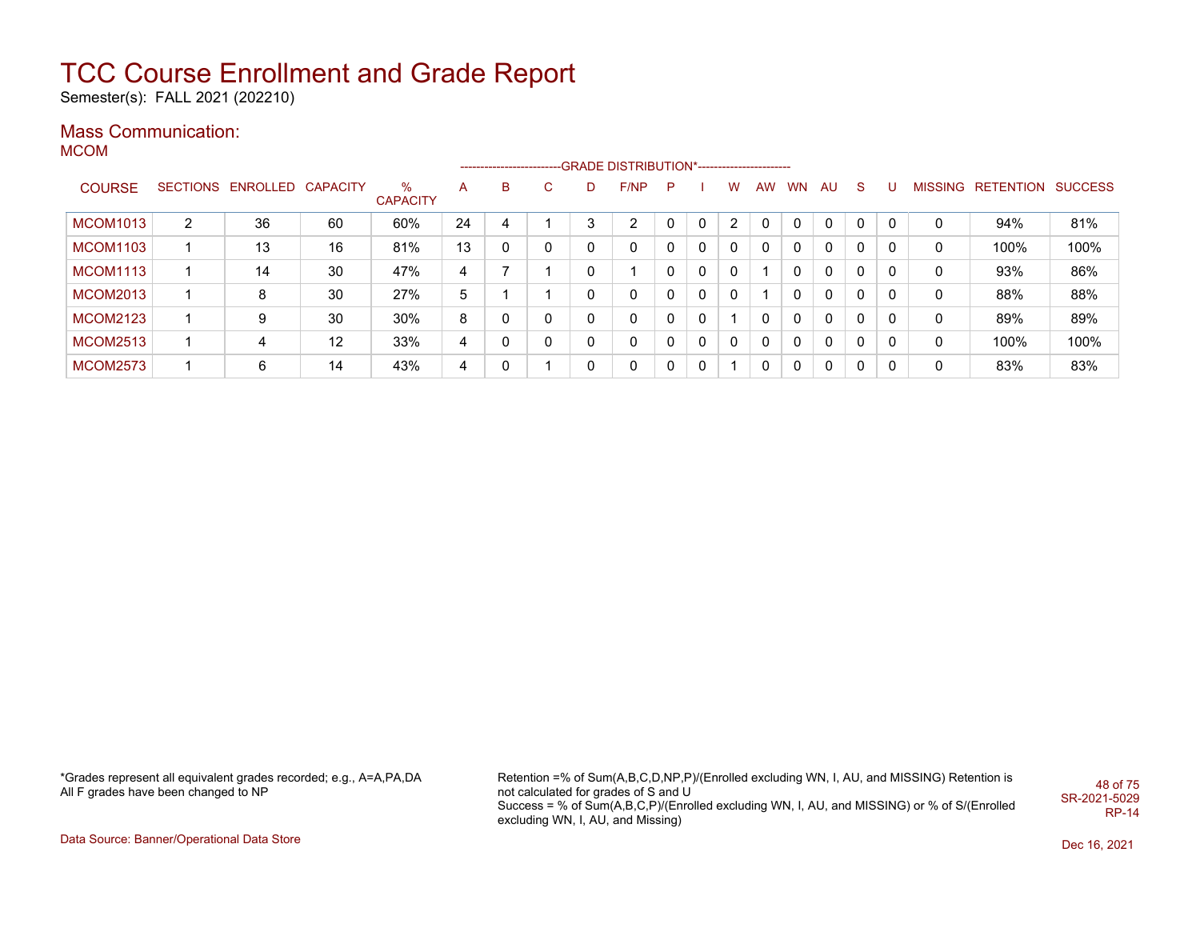Semester(s): FALL 2021 (202210)

### Mass Communication:

MCOM

|                 |   |                            |    |                      |    |   |              |          | ------------------------GRADE DISTRIBUTION*---------------------- |              |              |   |           |           |                |              |          |   |                   |                |
|-----------------|---|----------------------------|----|----------------------|----|---|--------------|----------|-------------------------------------------------------------------|--------------|--------------|---|-----------|-----------|----------------|--------------|----------|---|-------------------|----------------|
| <b>COURSE</b>   |   | SECTIONS ENROLLED CAPACITY |    | %<br><b>CAPACITY</b> | A  | B | $\mathbf{C}$ | D        | F/NP                                                              | P            |              | w | <b>AW</b> | <b>WN</b> | AU             | -S           |          |   | MISSING RETENTION | <b>SUCCESS</b> |
| <b>MCOM1013</b> | 2 | 36                         | 60 | 60%                  | 24 | 4 |              | 3        | $\overline{2}$                                                    | 0            |              | 2 |           |           | C              |              |          | 0 | 94%               | 81%            |
| <b>MCOM1103</b> |   | 13                         | 16 | 81%                  | 13 |   | 0            | 0        | 0                                                                 | 0            | 0            |   |           | 0         | 0              |              |          | 0 | 100%              | 100%           |
| <b>MCOM1113</b> |   | 14                         | 30 | 47%                  | 4  |   |              | 0        |                                                                   | 0            | $\Omega$     |   |           |           | 0              |              |          | 0 | 93%               | 86%            |
| <b>MCOM2013</b> |   | 8                          | 30 | 27%                  | 5  |   |              | 0        | 0                                                                 | $\mathbf{0}$ | $\Omega$     |   |           |           | 0              |              |          | 0 | 88%               | 88%            |
| <b>MCOM2123</b> |   | 9                          | 30 | 30%                  | 8  |   | 0            | 0        | 0                                                                 | $\mathbf{0}$ | 0            |   |           | 0         | 0              |              |          | 0 | 89%               | 89%            |
| <b>MCOM2513</b> |   | 4                          | 12 | 33%                  | 4  |   | 0            | $\Omega$ | 0                                                                 | $\Omega$     | $\mathbf{0}$ | 0 | $\Omega$  | 0         | $\overline{0}$ | $\mathbf{0}$ | -0       | 0 | 100%              | 100%           |
| <b>MCOM2573</b> |   | 6                          | 14 | 43%                  | 4  |   |              | 0        | 0                                                                 | $\Omega$     | 0            |   |           | 0         | 0              | $\mathbf{0}$ | $\Omega$ | 0 | 83%               | 83%            |

\*Grades represent all equivalent grades recorded; e.g., A=A,PA,DA All F grades have been changed to NP

Retention =% of Sum(A,B,C,D,NP,P)/(Enrolled excluding WN, I, AU, and MISSING) Retention is not calculated for grades of S and U Success = % of Sum(A,B,C,P)/(Enrolled excluding WN, I, AU, and MISSING) or % of S/(Enrolled excluding WN, I, AU, and Missing) 48 of 75 SR-2021-5029 RP-14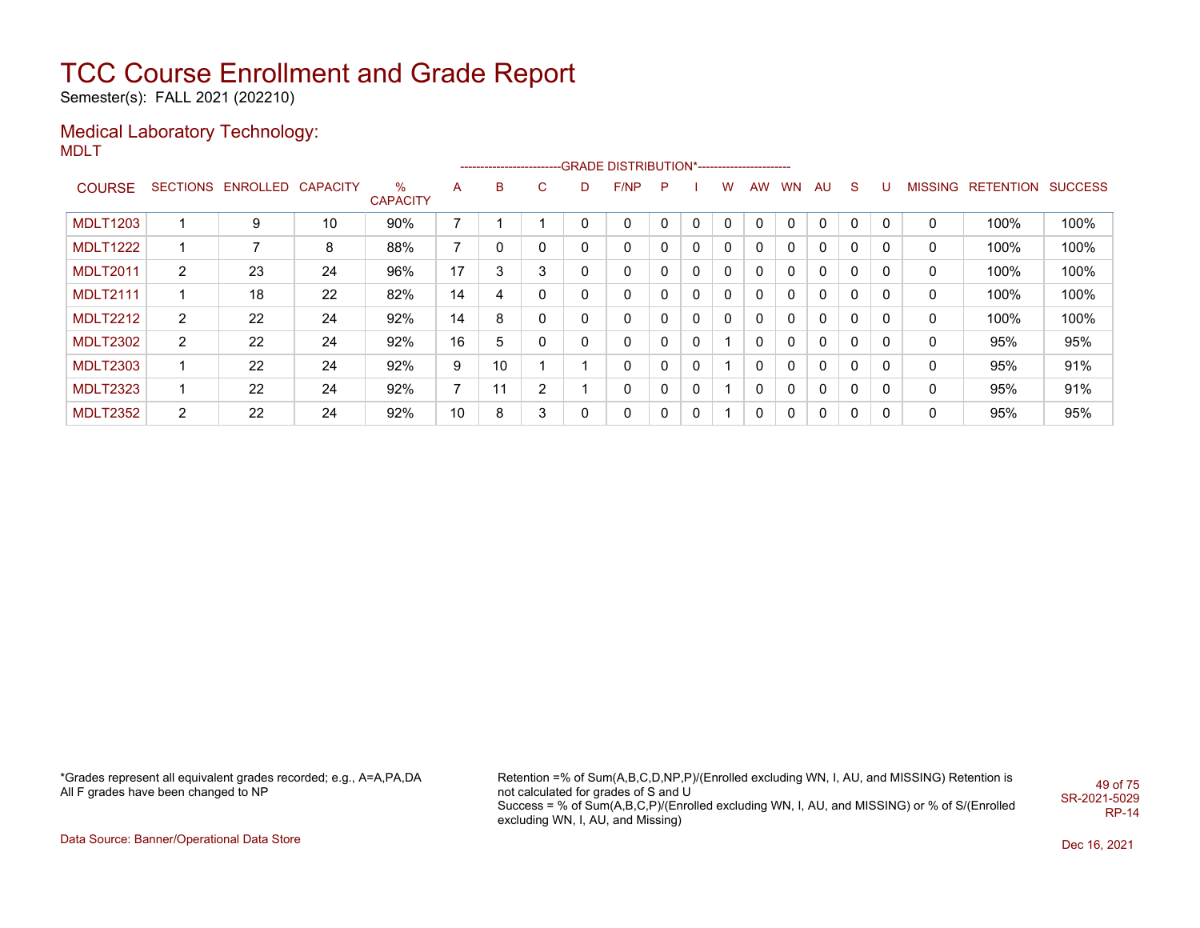Semester(s): FALL 2021 (202210)

#### Medical Laboratory Technology: MDLT

|                 |                 |                   |    |                      |    |    |             |   | ------------------------GRADE                DISTRIBUTION*---------------------- |   |   |          |           |           |              |                |          |                |           |                |
|-----------------|-----------------|-------------------|----|----------------------|----|----|-------------|---|----------------------------------------------------------------------------------|---|---|----------|-----------|-----------|--------------|----------------|----------|----------------|-----------|----------------|
| <b>COURSE</b>   | <b>SECTIONS</b> | ENROLLED CAPACITY |    | %<br><b>CAPACITY</b> | A  | в  | $\sim$<br>U | D | F/NP                                                                             | P |   | w        | <b>AW</b> | <b>WN</b> | <b>AU</b>    | <sub>S</sub>   | U        | <b>MISSING</b> | RETENTION | <b>SUCCESS</b> |
| <b>MDLT1203</b> |                 | 9                 | 10 | 90%                  | 7  |    |             | 0 | 0                                                                                | 0 | 0 | 0        | 0         |           | 0            | $\mathbf 0$    | $\Omega$ | 0              | 100%      | 100%           |
| <b>MDLT1222</b> |                 |                   | 8  | 88%                  | 7  | 0  | 0           | 0 | 0                                                                                |   | 0 | 0        | 0         | $\Omega$  | 0            | 0              | 0        | 0              | 100%      | 100%           |
| <b>MDLT2011</b> | $\overline{2}$  | 23                | 24 | 96%                  | 17 | 3  | 3           | 0 | 0                                                                                |   | 0 | 0        | 0         | $\Omega$  | $\mathbf{0}$ | $\Omega$       | $\Omega$ | 0              | 100%      | 100%           |
| <b>MDLT2111</b> |                 | 18                | 22 | 82%                  | 14 | 4  | 0           | 0 | 0                                                                                |   | 0 | 0        | 0         | 0         | 0            | 0              | 0        | 0              | 100%      | 100%           |
| <b>MDLT2212</b> | $\overline{2}$  | 22                | 24 | 92%                  | 14 | 8  | 0           | 0 | 0                                                                                |   | 0 | $\Omega$ | 0         | $\Omega$  | 0            | 0              | 0        | 0              | 100%      | 100%           |
| <b>MDLT2302</b> | $\overline{2}$  | 22                | 24 | 92%                  | 16 | 5  | 0           | 0 | 0                                                                                |   | 0 |          | 0         |           | 0            | $\Omega$       |          | 0              | 95%       | 95%            |
| <b>MDLT2303</b> |                 | 22                | 24 | 92%                  | 9  | 10 |             |   | 0                                                                                | 0 | 0 |          | 0         | 0         | $\mathbf{0}$ | $\mathbf{0}$   | 0        | 0              | 95%       | 91%            |
| <b>MDLT2323</b> | ◢               | 22                | 24 | 92%                  | 7  | 11 | 2           |   | 0                                                                                |   | 0 |          | 0         | $\Omega$  | 0            | 0              | 0        | 0              | 95%       | 91%            |
| <b>MDLT2352</b> | $\overline{2}$  | 22                | 24 | 92%                  | 10 | 8  | 3           | 0 | 0                                                                                |   | 0 |          | 0         | 0         | 0            | $\overline{0}$ | 0        | 0              | 95%       | 95%            |

\*Grades represent all equivalent grades recorded; e.g., A=A,PA,DA All F grades have been changed to NP

Retention =% of Sum(A,B,C,D,NP,P)/(Enrolled excluding WN, I, AU, and MISSING) Retention is not calculated for grades of S and U Success = % of Sum(A,B,C,P)/(Enrolled excluding WN, I, AU, and MISSING) or % of S/(Enrolled excluding WN, I, AU, and Missing) 49 of 75 SR-2021-5029 RP-14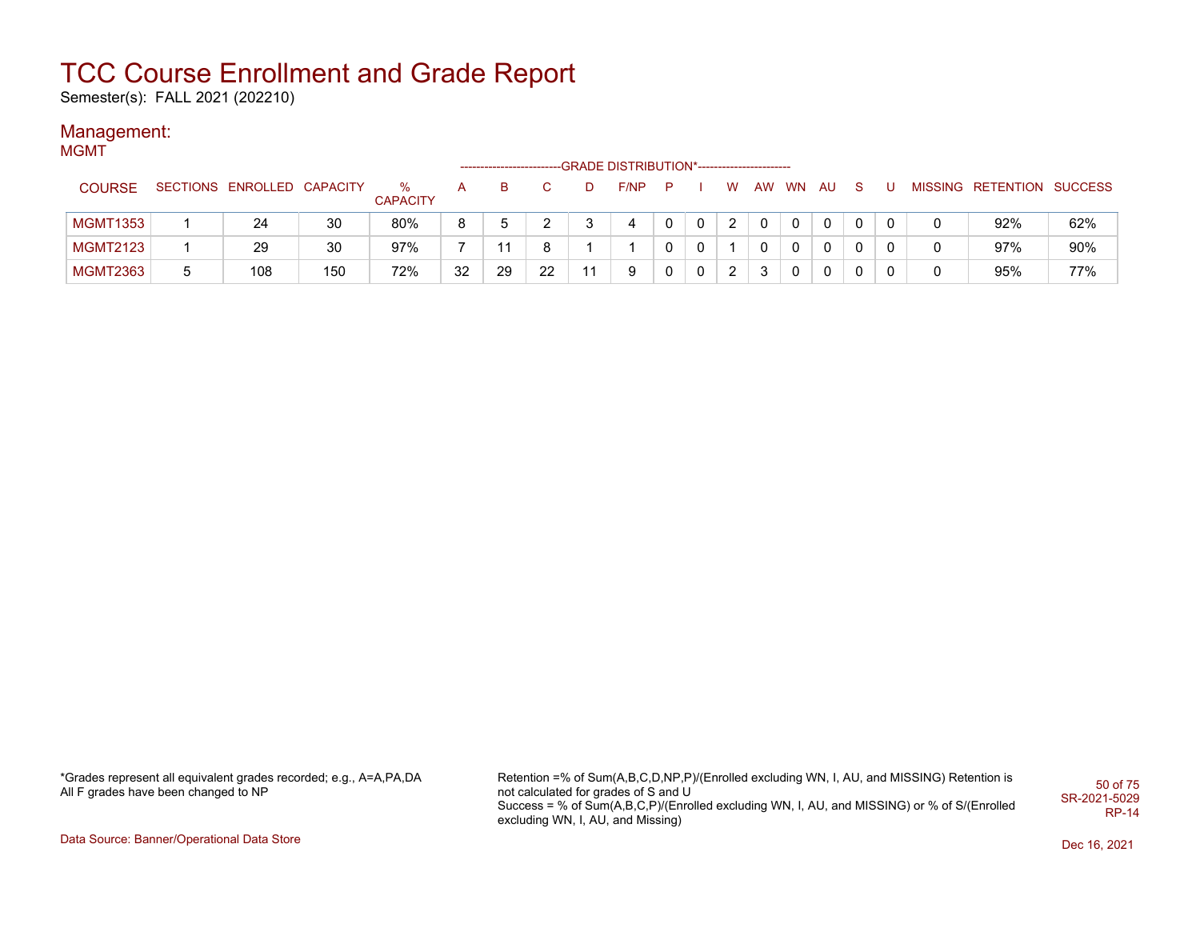Semester(s): FALL 2021 (202210)

#### Management: **MGMT**

|                 | -GRADE DISTRIBUTION*----------------------- |                            |     |                         |    |    |    |    |      |              |          |    |    |           |              |    |  |                           |     |
|-----------------|---------------------------------------------|----------------------------|-----|-------------------------|----|----|----|----|------|--------------|----------|----|----|-----------|--------------|----|--|---------------------------|-----|
| <b>COURSE</b>   |                                             | SECTIONS ENROLLED CAPACITY |     | $\%$<br><b>CAPACITY</b> | A  | B  |    | D. | F/NP | P            |          | w  | AW | <b>WN</b> | <b>AU</b>    | -S |  | MISSING RETENTION SUCCESS |     |
| <b>MGMT1353</b> |                                             | 24                         | 30  | 80%                     | 8  |    |    |    | 4    | 0            | 0        | -2 | 0  |           | 0            | 0  |  | 92%                       | 62% |
| <b>MGMT2123</b> |                                             | 29                         | 30  | 97%                     |    |    | 8  |    |      | 0            | 0        |    |    | 0         | 0            |    |  | 97%                       | 90% |
| <b>MGMT2363</b> |                                             | 108                        | 150 | 72%                     | 32 | 29 | 22 | 11 | 9    | $\mathbf{0}$ | $\Omega$ | 2  | 3  | 0         | $\mathbf{0}$ | 0  |  | 95%                       | 77% |

\*Grades represent all equivalent grades recorded; e.g., A=A,PA,DA All F grades have been changed to NP

Retention =% of Sum(A,B,C,D,NP,P)/(Enrolled excluding WN, I, AU, and MISSING) Retention is not calculated for grades of S and U Success = % of Sum(A,B,C,P)/(Enrolled excluding WN, I, AU, and MISSING) or % of S/(Enrolled excluding WN, I, AU, and Missing) 50 of 75 SR-2021-5029 RP-14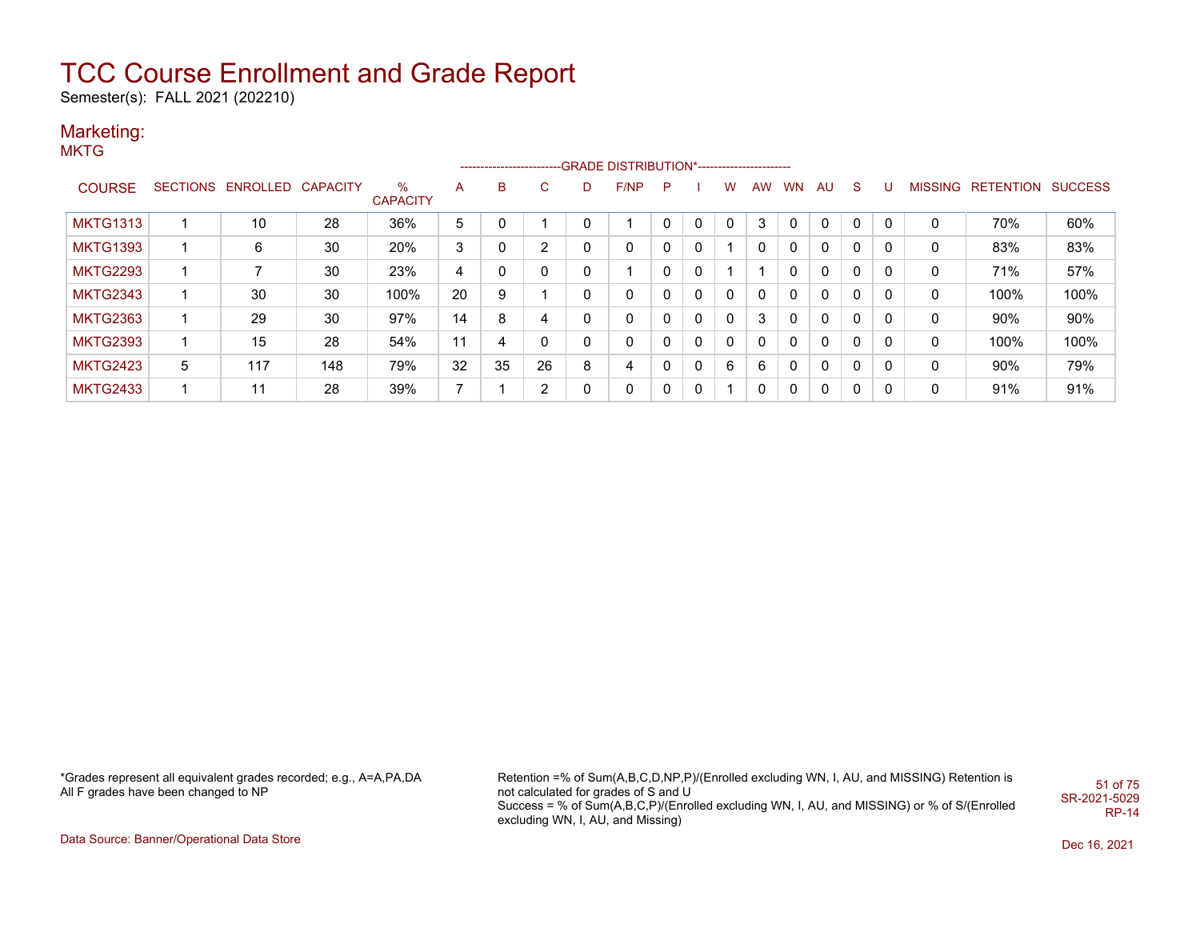Semester(s): FALL 2021 (202210)

### Marketing:

**MKTG** 

|                 |   |                            |     |                         |                |    |    |          | -------------------------GRADE DISTRIBUTION*---------------------- |   |   |   |    |           |    |    |   |   |                   |                |
|-----------------|---|----------------------------|-----|-------------------------|----------------|----|----|----------|--------------------------------------------------------------------|---|---|---|----|-----------|----|----|---|---|-------------------|----------------|
| <b>COURSE</b>   |   | SECTIONS ENROLLED CAPACITY |     | $\%$<br><b>CAPACITY</b> | A              | B  | C. |          | F/NP                                                               | P |   | w | AW | <b>WN</b> | AU | S. | U |   | MISSING RETENTION | <b>SUCCESS</b> |
| <b>MKTG1313</b> |   | 10                         | 28  | 36%                     | 5              | 0  |    | 0        |                                                                    |   | 0 |   | 3  |           | 0  |    | 0 | 0 | 70%               | 60%            |
| <b>MKTG1393</b> |   | 6                          | 30  | 20%                     | 3              | 0  | 2  | 0        | 0                                                                  | 0 | 0 |   | 0  | 0         | 0  | 0  | 0 | 0 | 83%               | 83%            |
| <b>MKTG2293</b> |   |                            | 30  | 23%                     | 4              | 0  | 0  | 0        |                                                                    |   | 0 |   |    |           | 0  | 0  | 0 | 0 | 71%               | 57%            |
| <b>MKTG2343</b> |   | 30                         | 30  | 100%                    | 20             | 9  |    | $\Omega$ | 0                                                                  |   | 0 | 0 | 0  | 0         | 0  | 0  | 0 | 0 | 100%              | 100%           |
| <b>MKTG2363</b> |   | 29                         | 30  | 97%                     | 14             | 8  | 4  | 0        | 0                                                                  |   | 0 | 0 | 3  | 0         | 0  | 0  | 0 | 0 | 90%               | 90%            |
| <b>MKTG2393</b> |   | 15                         | 28  | 54%                     | 11             | 4  | 0  | 0        | 0                                                                  |   | 0 | 0 | 0  | 0         | 0  | 0  | 0 | 0 | 100%              | 100%           |
| <b>MKTG2423</b> | 5 | 117                        | 148 | 79%                     | 32             | 35 | 26 | 8        | 4                                                                  |   | 0 | 6 | 6  |           | 0  | 0  | 0 | 0 | $90\%$            | 79%            |
| <b>MKTG2433</b> |   | 11                         | 28  | 39%                     | $\overline{ }$ |    | 2  | 0        | 0                                                                  |   | 0 |   | 0  |           | 0  | 0  | 0 | 0 | 91%               | 91%            |

\*Grades represent all equivalent grades recorded; e.g., A=A,PA,DA All F grades have been changed to NP

Retention =% of Sum(A,B,C,D,NP,P)/(Enrolled excluding WN, I, AU, and MISSING) Retention is not calculated for grades of S and U Success = % of Sum(A,B,C,P)/(Enrolled excluding WN, I, AU, and MISSING) or % of S/(Enrolled excluding WN, I, AU, and Missing) 51 of 75 SR-2021-5029 RP-14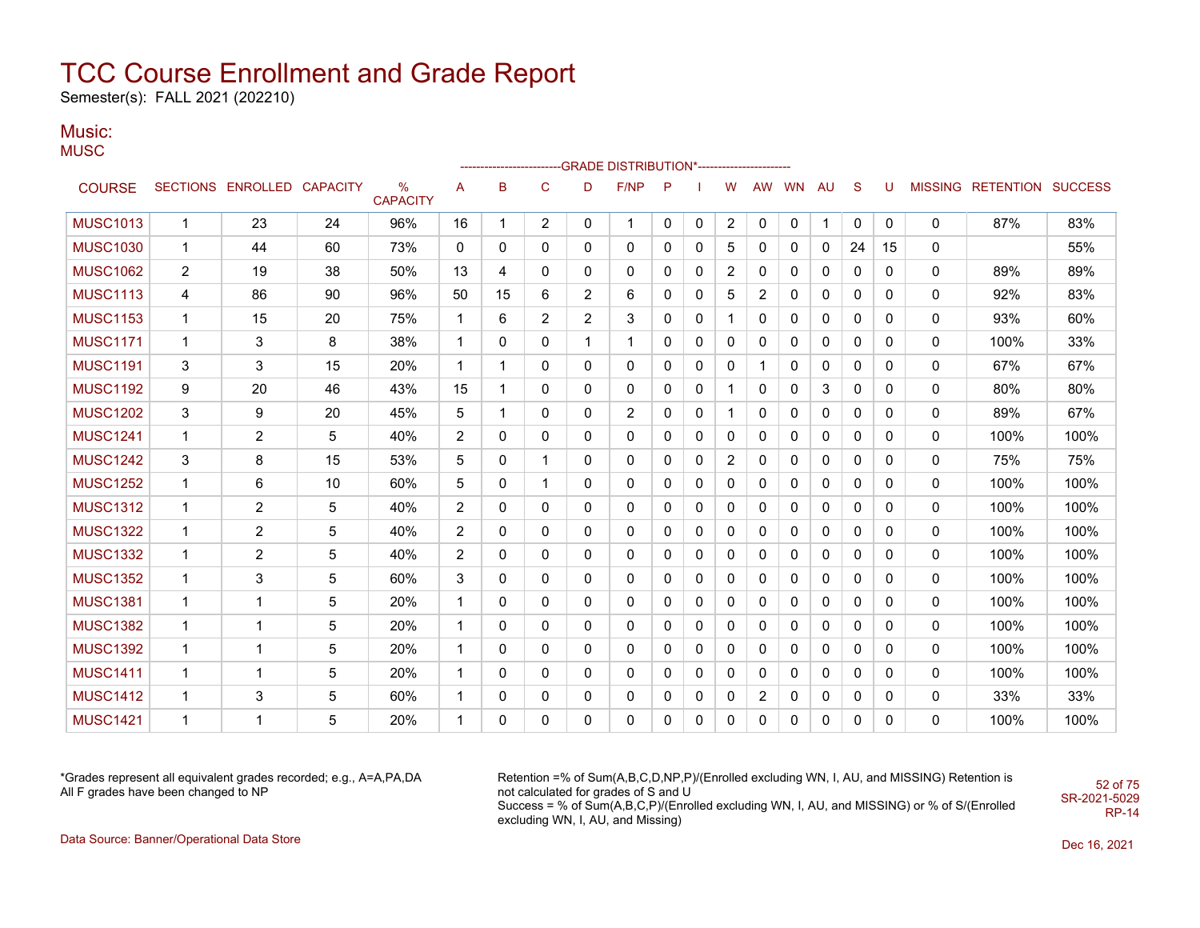Semester(s): FALL 2021 (202210)

### Music:

**MUSC** 

|                 |                |                            |    |                                  |                |              |                |                | ------------------------GRADE                DISTRIBUTION*---------------------- |              |              |                |              |              |              |              |          |              |                           |      |
|-----------------|----------------|----------------------------|----|----------------------------------|----------------|--------------|----------------|----------------|----------------------------------------------------------------------------------|--------------|--------------|----------------|--------------|--------------|--------------|--------------|----------|--------------|---------------------------|------|
| <b>COURSE</b>   |                | SECTIONS ENROLLED CAPACITY |    | $\frac{0}{0}$<br><b>CAPACITY</b> | Α              | B            | $\mathbf C$    | D              | F/NP                                                                             | P            |              | W              | AW           | <b>WN</b>    | AU           | S            | U        |              | MISSING RETENTION SUCCESS |      |
| <b>MUSC1013</b> | $\mathbf{1}$   | 23                         | 24 | 96%                              | 16             | $\mathbf{1}$ | $\overline{2}$ | 0              | $\mathbf{1}$                                                                     | 0            | 0            | $\overline{2}$ | $\mathbf{0}$ | 0            | 1            | $\mathbf 0$  | $\Omega$ | $\mathbf{0}$ | 87%                       | 83%  |
| <b>MUSC1030</b> | $\mathbf 1$    | 44                         | 60 | 73%                              | 0              | 0            | 0              | $\mathbf{0}$   | $\mathbf{0}$                                                                     | 0            | 0            | 5              | $\Omega$     | 0            | 0            | 24           | 15       | 0            |                           | 55%  |
| <b>MUSC1062</b> | $\overline{2}$ | 19                         | 38 | 50%                              | 13             | 4            | 0              | 0              | 0                                                                                | 0            | 0            | $\overline{c}$ | 0            | 0            | 0            | 0            | 0        | 0            | 89%                       | 89%  |
| <b>MUSC1113</b> | 4              | 86                         | 90 | 96%                              | 50             | 15           | 6              | $\overline{2}$ | 6                                                                                | 0            | 0            | 5              | 2            | 0            | 0            | 0            | 0        | 0            | 92%                       | 83%  |
| <b>MUSC1153</b> | $\mathbf 1$    | 15                         | 20 | 75%                              | $\mathbf 1$    | 6            | $\overline{2}$ | 2              | 3                                                                                | 0            | 0            | $\mathbf 1$    | 0            | 0            | 0            | 0            | 0        | 0            | 93%                       | 60%  |
| <b>MUSC1171</b> | $\mathbf 1$    | 3                          | 8  | 38%                              | $\mathbf{1}$   | 0            | 0              | $\mathbf{1}$   | 1                                                                                | $\mathbf{0}$ | 0            | 0              | $\Omega$     | $\mathbf{0}$ | 0            | $\mathbf{0}$ | 0        | 0            | 100%                      | 33%  |
| <b>MUSC1191</b> | 3              | 3                          | 15 | 20%                              | $\mathbf{1}$   | 1            | 0              | $\mathbf{0}$   | 0                                                                                | 0            | 0            | 0              | 1            | $\mathbf{0}$ | 0            | $\mathbf{0}$ | 0        | 0            | 67%                       | 67%  |
| <b>MUSC1192</b> | 9              | 20                         | 46 | 43%                              | 15             | $\mathbf{1}$ | $\Omega$       | $\mathbf{0}$   | 0                                                                                | $\mathbf{0}$ | $\mathbf{0}$ | 1              | $\Omega$     | $\mathbf{0}$ | 3            | $\mathbf 0$  | 0        | 0            | 80%                       | 80%  |
| <b>MUSC1202</b> | 3              | 9                          | 20 | 45%                              | 5              | $\mathbf{1}$ | 0              | 0              | $\overline{2}$                                                                   | 0            | 0            | $\mathbf{1}$   | $\Omega$     | 0            | $\mathbf{0}$ | 0            | 0        | 0            | 89%                       | 67%  |
| <b>MUSC1241</b> | $\mathbf 1$    | 2                          | 5  | 40%                              | $\overline{2}$ | $\Omega$     | $\mathbf{0}$   | $\mathbf{0}$   | $\mathbf{0}$                                                                     | 0            | 0            | $\mathbf{0}$   | $\Omega$     | 0            | 0            | $\mathbf{0}$ | 0        | 0            | 100%                      | 100% |
| <b>MUSC1242</b> | 3              | 8                          | 15 | 53%                              | 5              | 0            | $\mathbf{1}$   | $\mathbf{0}$   | $\mathbf{0}$                                                                     | 0            | 0            | $\overline{2}$ | $\Omega$     | 0            | 0            | $\mathbf{0}$ | 0        | 0            | 75%                       | 75%  |
| <b>MUSC1252</b> | 1              | 6                          | 10 | 60%                              | 5              | 0            | $\mathbf{1}$   | $\mathbf{0}$   | $\mathbf{0}$                                                                     | 0            | 0            | 0              | 0            | 0            | 0            | $\mathbf{0}$ | 0        | 0            | 100%                      | 100% |
| <b>MUSC1312</b> | 1              | $\overline{2}$             | 5  | 40%                              | $\overline{2}$ | 0            | 0              | $\mathbf{0}$   | 0                                                                                | 0            | 0            | 0              | 0            | 0            | 0            | 0            | 0        | 0            | 100%                      | 100% |
| <b>MUSC1322</b> | $\mathbf 1$    | $\overline{2}$             | 5  | 40%                              | $\overline{2}$ | 0            | 0              | $\mathbf{0}$   | 0                                                                                | 0            | 0            | 0              | $\Omega$     | 0            | 0            | $\mathbf{0}$ | 0        | 0            | 100%                      | 100% |
| <b>MUSC1332</b> | $\mathbf{1}$   | 2                          | 5  | 40%                              | $\overline{2}$ | 0            | 0              | $\mathbf{0}$   | 0                                                                                | 0            | 0            | $\mathbf 0$    | $\Omega$     | $\mathbf{0}$ | 0            | 0            | 0        | 0            | 100%                      | 100% |
| <b>MUSC1352</b> | $\mathbf{1}$   | 3                          | 5  | 60%                              | 3              | $\Omega$     | $\Omega$       | $\mathbf{0}$   | $\mathbf{0}$                                                                     | 0            | 0            | 0              | $\Omega$     | $\mathbf{0}$ | 0            | $\mathbf{0}$ | 0        | 0            | 100%                      | 100% |
| <b>MUSC1381</b> | $\mathbf{1}$   | $\mathbf{1}$               | 5  | 20%                              | $\mathbf{1}$   | $\Omega$     | $\mathbf{0}$   | $\mathbf{0}$   | $\mathbf{0}$                                                                     | 0            | 0            | $\mathbf{0}$   | $\Omega$     | $\mathbf{0}$ | $\mathbf{0}$ | $\mathbf{0}$ | 0        | 0            | 100%                      | 100% |
| <b>MUSC1382</b> | $\mathbf 1$    | -1                         | 5  | 20%                              | $\mathbf{1}$   | 0            | $\mathbf{0}$   | $\mathbf{0}$   | $\mathbf{0}$                                                                     | $\mathbf{0}$ | 0            | $\mathbf{0}$   | $\Omega$     | $\Omega$     | $\Omega$     | $\mathbf{0}$ | 0        | 0            | 100%                      | 100% |
| <b>MUSC1392</b> | $\mathbf 1$    | -1                         | 5  | 20%                              | $\mathbf{1}$   | 0            | $\mathbf{0}$   | $\mathbf{0}$   | $\mathbf{0}$                                                                     | $\mathbf{0}$ | 0            | 0              | $\Omega$     | $\Omega$     | $\Omega$     | $\mathbf{0}$ | 0        | 0            | 100%                      | 100% |
| <b>MUSC1411</b> | $\mathbf 1$    | $\mathbf{1}$               | 5  | 20%                              | $\mathbf{1}$   | 0            | 0              | $\mathbf{0}$   | 0                                                                                | $\mathbf{0}$ | 0            | $\mathbf 0$    | $\Omega$     | $\Omega$     | 0            | $\mathbf{0}$ | 0        | 0            | 100%                      | 100% |
| <b>MUSC1412</b> | $\mathbf 1$    | 3                          | 5  | 60%                              | $\mathbf{1}$   | 0            | 0              | 0              | 0                                                                                | 0            | 0            | 0              | 2            | 0            | 0            | 0            | 0        | 0            | 33%                       | 33%  |
| <b>MUSC1421</b> | $\mathbf 1$    | 1                          | 5  | 20%                              | 1              | 0            | 0              | 0              | 0                                                                                | 0            | 0            | $\mathbf{0}$   | $\Omega$     | 0            | 0            | 0            | 0        | 0            | 100%                      | 100% |

\*Grades represent all equivalent grades recorded; e.g., A=A,PA,DA All F grades have been changed to NP

Retention =% of Sum(A,B,C,D,NP,P)/(Enrolled excluding WN, I, AU, and MISSING) Retention is not calculated for grades of S and U Success = % of Sum(A,B,C,P)/(Enrolled excluding WN, I, AU, and MISSING) or % of S/(Enrolled excluding WN, I, AU, and Missing) SR-2021-5029

52 of 75

RP-14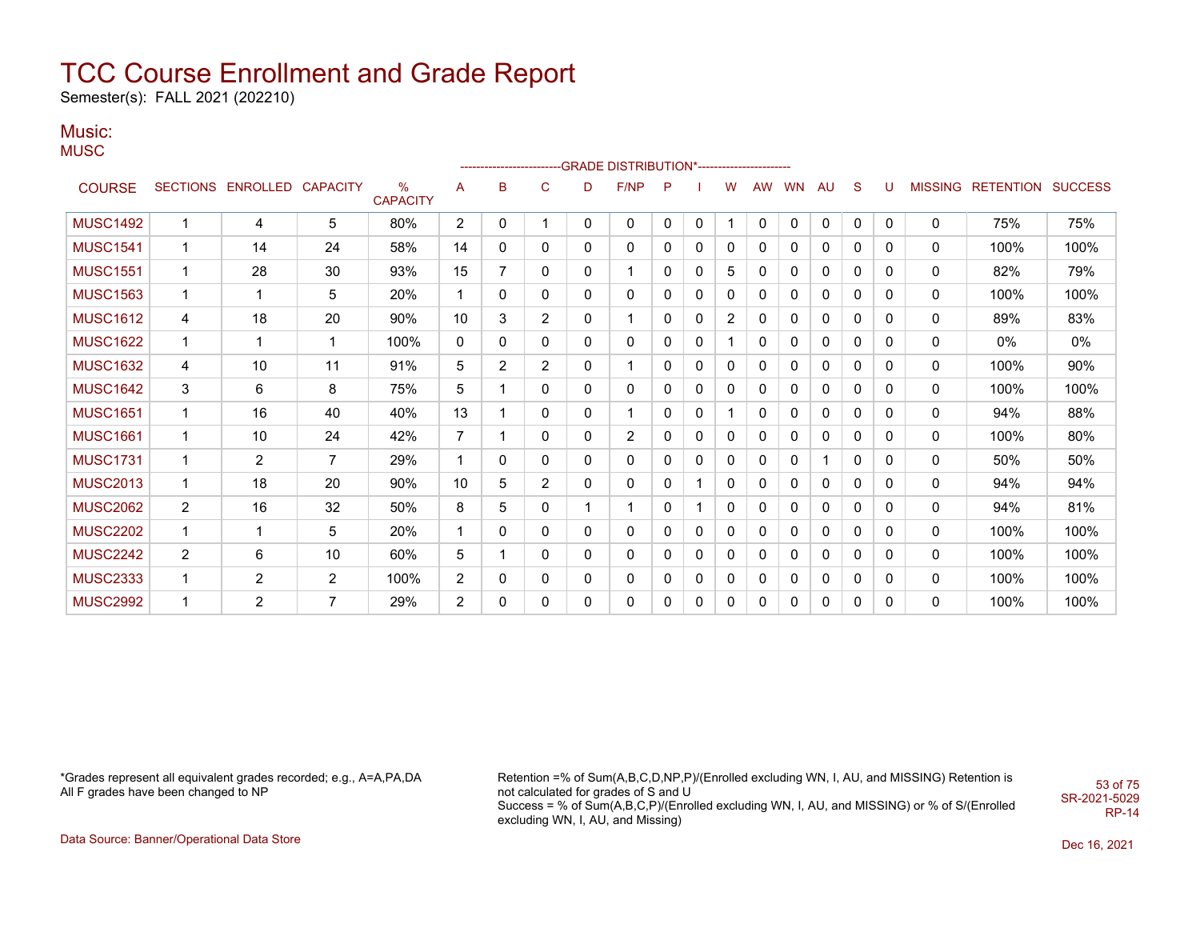Semester(s): FALL 2021 (202210)

### Music:

**MUSC** 

|                 |                |                            |                |                         |                |                |              |              | ------------------------GRADE                DISTRIBUTION*---------------------- |              |   |          |              |              |    |              |   |                |                          |       |
|-----------------|----------------|----------------------------|----------------|-------------------------|----------------|----------------|--------------|--------------|----------------------------------------------------------------------------------|--------------|---|----------|--------------|--------------|----|--------------|---|----------------|--------------------------|-------|
| <b>COURSE</b>   |                | SECTIONS ENROLLED CAPACITY |                | $\%$<br><b>CAPACITY</b> | Α              | B              | $\mathsf{C}$ | D            | F/NP                                                                             | P            |   | W        | <b>AW</b>    | <b>WN</b>    | AU | S            | U | <b>MISSING</b> | <b>RETENTION SUCCESS</b> |       |
| <b>MUSC1492</b> | $\overline{1}$ | 4                          | 5              | 80%                     | $\overline{2}$ | 0              | 1            | $\mathbf{0}$ | 0                                                                                | $\mathbf{0}$ | 0 |          | $\mathbf{0}$ | $\mathbf{0}$ | 0  | $\mathbf{0}$ | 0 | $\mathbf{0}$   | 75%                      | 75%   |
| <b>MUSC1541</b> | 1              | 14                         | 24             | 58%                     | 14             | $\mathbf{0}$   | 0            | 0            | 0                                                                                | 0            | 0 | 0        | 0            | 0            | 0  | $\Omega$     | 0 | 0              | 100%                     | 100%  |
| <b>MUSC1551</b> | $\mathbf 1$    | 28                         | 30             | 93%                     | 15             | 7              | 0            | 0            | 1                                                                                | 0            | 0 | 5        | 0            | 0            | 0  | 0            | 0 | 0              | 82%                      | 79%   |
| <b>MUSC1563</b> | -1             | 1                          | 5              | 20%                     | $\mathbf{1}$   | $\mathbf{0}$   | 0            | 0            | 0                                                                                | 0            | 0 | $\Omega$ | 0            | 0            | 0  | 0            | 0 | 0              | 100%                     | 100%  |
| <b>MUSC1612</b> | 4              | 18                         | 20             | 90%                     | 10             | 3              | 2            | 0            | 1                                                                                | 0            | 0 | 2        | 0            | 0            | 0  | 0            | 0 | 0              | 89%                      | 83%   |
| <b>MUSC1622</b> | $\overline{1}$ | 1                          | 1              | 100%                    | 0              | $\mathbf{0}$   | $\mathbf{0}$ | 0            | 0                                                                                | 0            | 0 |          | 0            | 0            | 0  | 0            | 0 | 0              | $0\%$                    | $0\%$ |
| <b>MUSC1632</b> | 4              | 10                         | 11             | 91%                     | 5              | $\overline{2}$ | 2            | 0            | 1                                                                                | 0            | 0 | 0        | 0            | 0            | 0  | 0            | 0 | 0              | 100%                     | 90%   |
| <b>MUSC1642</b> | 3              | 6                          | 8              | 75%                     | 5              |                | 0            | 0            | 0                                                                                | 0            | 0 | 0        | 0            | 0            | 0  | 0            | 0 | 0              | 100%                     | 100%  |
| <b>MUSC1651</b> | $\overline{1}$ | 16                         | 40             | 40%                     | 13             |                | 0            | 0            | 1                                                                                | 0            | 0 |          | 0            | 0            | 0  | 0            | 0 | 0              | 94%                      | 88%   |
| <b>MUSC1661</b> | $\mathbf{1}$   | 10                         | 24             | 42%                     | $\overline{7}$ |                | $\mathbf{0}$ | 0            | $\overline{2}$                                                                   | 0            | 0 | 0        | 0            | 0            | 0  | 0            | 0 | 0              | 100%                     | 80%   |
| <b>MUSC1731</b> | $\mathbf 1$    | $\overline{2}$             | $\overline{7}$ | 29%                     | $\mathbf{1}$   | $\mathbf{0}$   | $\mathbf{0}$ | 0            | 0                                                                                | 0            | 0 | 0        | 0            | 0            |    | 0            | 0 | 0              | 50%                      | 50%   |
| <b>MUSC2013</b> | $\mathbf{1}$   | 18                         | 20             | 90%                     | 10             | 5              | 2            | 0            | 0                                                                                | 0            | 1 | 0        | 0            | 0            | 0  | 0            | 0 | 0              | 94%                      | 94%   |
| <b>MUSC2062</b> | $\overline{2}$ | 16                         | 32             | 50%                     | 8              | 5              | 0            | 1            | 1                                                                                | 0            | 1 | 0        | 0            | 0            | 0  | 0            | 0 | 0              | 94%                      | 81%   |
| <b>MUSC2202</b> | $\mathbf 1$    | -1                         | 5              | 20%                     | $\mathbf{1}$   | 0              | 0            | $\mathbf{0}$ | 0                                                                                | 0            | 0 | 0        | 0            | 0            | 0  | 0            | 0 | 0              | 100%                     | 100%  |
| <b>MUSC2242</b> | $\overline{2}$ | 6                          | 10             | 60%                     | 5              |                | $\mathbf{0}$ | $\mathbf{0}$ | 0                                                                                | 0            | 0 | 0        | 0            | 0            | 0  | 0            | 0 | 0              | 100%                     | 100%  |
| <b>MUSC2333</b> | 1              | 2                          | $\overline{2}$ | 100%                    | $\overline{2}$ | 0              | 0            | $\mathbf{0}$ | 0                                                                                | 0            | 0 | 0        | 0            | 0            | 0  | 0            | 0 | 0              | 100%                     | 100%  |
| <b>MUSC2992</b> | 1              | 2                          | $\overline{7}$ | 29%                     | 2              | 0              | 0            | 0            | 0                                                                                | 0            | 0 | 0        | 0            | 0            | 0  | 0            | 0 | 0              | 100%                     | 100%  |

\*Grades represent all equivalent grades recorded; e.g., A=A,PA,DA All F grades have been changed to NP

Retention =% of Sum(A,B,C,D,NP,P)/(Enrolled excluding WN, I, AU, and MISSING) Retention is not calculated for grades of S and U Success = % of Sum(A,B,C,P)/(Enrolled excluding WN, I, AU, and MISSING) or % of S/(Enrolled excluding WN, I, AU, and Missing) SR-2021-5029

Data Source: Banner/Operational Data Store Dec 16, 2021

53 of 75

RP-14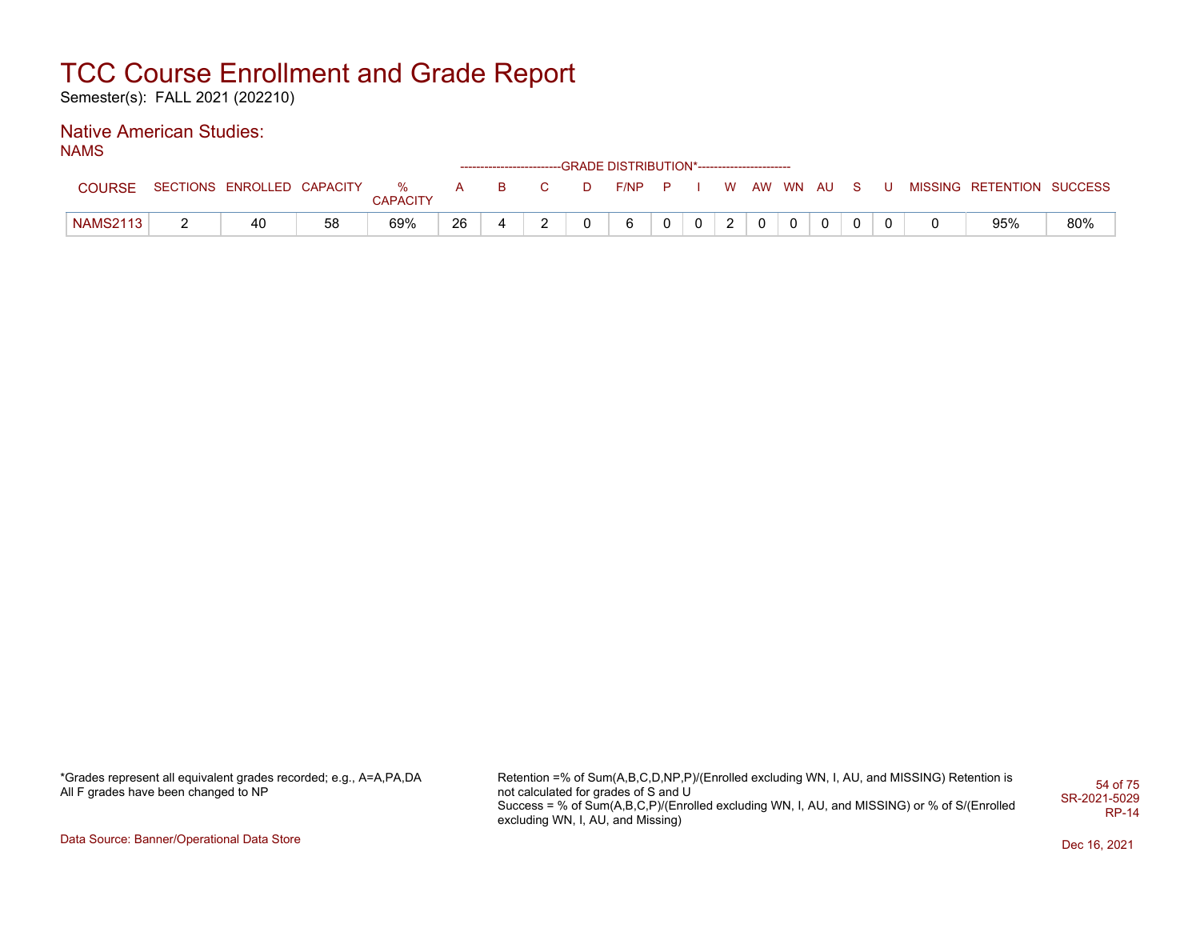Semester(s): FALL 2021 (202210)

#### Native American Studies: NAMS

| .               |                            |    |                          |     |    |              |   | ------------------------GRADE DISTRIBUTION*----------------------- |          |              |   |            |  |    |   |                           |     |
|-----------------|----------------------------|----|--------------------------|-----|----|--------------|---|--------------------------------------------------------------------|----------|--------------|---|------------|--|----|---|---------------------------|-----|
| COURSE          | SECTIONS ENROLLED CAPACITY |    | $\cdots$ % .<br>CAPACITY | A – | B. | $\mathbf{C}$ | n | F/NP P                                                             |          |              |   | W AW WN AU |  | S. | U | MISSING RETENTION SUCCESS |     |
| <b>NAMS2113</b> | 40                         | 58 | 69%                      | 26  |    | -            |   | 6                                                                  | $\Omega$ | $\mathbf{0}$ | ົ |            |  |    |   | 95%                       | 80% |

\*Grades represent all equivalent grades recorded; e.g., A=A,PA,DA All F grades have been changed to NP

Retention =% of Sum(A,B,C,D,NP,P)/(Enrolled excluding WN, I, AU, and MISSING) Retention is not calculated for grades of S and U Success = % of Sum(A,B,C,P)/(Enrolled excluding WN, I, AU, and MISSING) or % of S/(Enrolled excluding WN, I, AU, and Missing) 54 of 75 SR-2021-5029 RP-14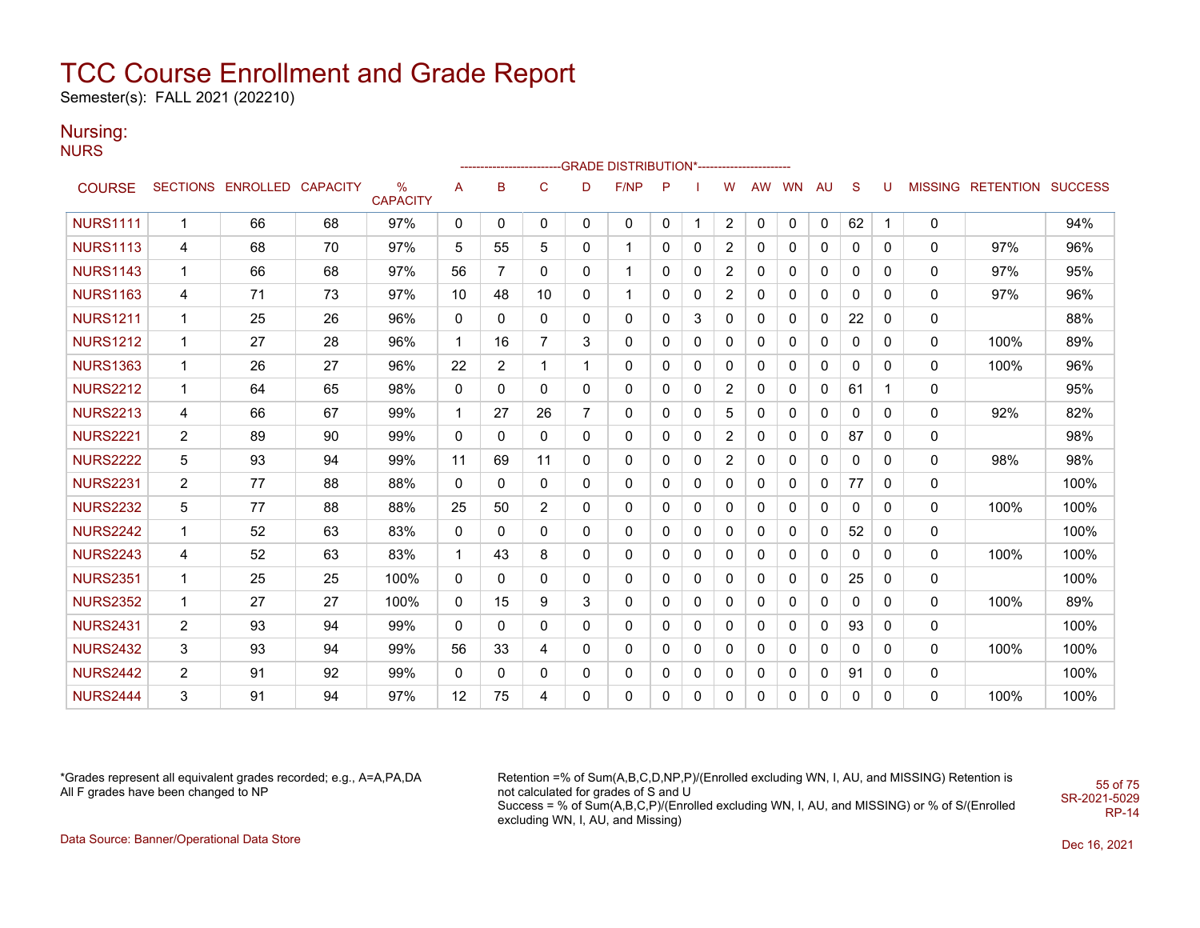Semester(s): FALL 2021 (202210)

### Nursing:

**NURS** 

|                 |                |                            |    |                         |              |                |                |                | -----------------------GRADE                DISTRIBUTION*----------------------- |          |   |                |           |              |    |              |          |              |                           |      |
|-----------------|----------------|----------------------------|----|-------------------------|--------------|----------------|----------------|----------------|----------------------------------------------------------------------------------|----------|---|----------------|-----------|--------------|----|--------------|----------|--------------|---------------------------|------|
| <b>COURSE</b>   |                | SECTIONS ENROLLED CAPACITY |    | $\%$<br><b>CAPACITY</b> | Α            | B              | $\mathbf C$    | D              | F/NP                                                                             | P        |   | W              | <b>AW</b> | <b>WN</b>    | AU | <sub>S</sub> | U        |              | MISSING RETENTION SUCCESS |      |
| <b>NURS1111</b> | $\mathbf{1}$   | 66                         | 68 | 97%                     | $\mathbf{0}$ | 0              | $\mathbf{0}$   | $\mathbf{0}$   | $\mathbf{0}$                                                                     | 0        | 1 | $\overline{2}$ | 0         | $\mathbf{0}$ | 0  | 62           | 1        | $\mathbf{0}$ |                           | 94%  |
| <b>NURS1113</b> | 4              | 68                         | 70 | 97%                     | 5            | 55             | 5              | $\mathbf{0}$   | $\mathbf{1}$                                                                     | 0        | 0 | 2              | 0         | 0            | 0  | 0            | 0        | 0            | 97%                       | 96%  |
| <b>NURS1143</b> | 1              | 66                         | 68 | 97%                     | 56           | 7              | 0              | 0              | $\mathbf 1$                                                                      | 0        | 0 | 2              | 0         | 0            | 0  | 0            | 0        | 0            | 97%                       | 95%  |
| <b>NURS1163</b> | 4              | 71                         | 73 | 97%                     | 10           | 48             | 10             | $\mathbf{0}$   | 1                                                                                | $\Omega$ | 0 | 2              | $\Omega$  | 0            | 0  | 0            | $\Omega$ | 0            | 97%                       | 96%  |
| <b>NURS1211</b> | 1              | 25                         | 26 | 96%                     | 0            | 0              | 0              | 0              | 0                                                                                | 0        | 3 | 0              | 0         | 0            | 0  | 22           | 0        | 0            |                           | 88%  |
| <b>NURS1212</b> | 1              | 27                         | 28 | 96%                     | $\mathbf 1$  | 16             | $\overline{7}$ | 3              | 0                                                                                | 0        | 0 | 0              | 0         | 0            | 0  | 0            | 0        | 0            | 100%                      | 89%  |
| <b>NURS1363</b> | $\mathbf{1}$   | 26                         | 27 | 96%                     | 22           | $\overline{2}$ | $\mathbf{1}$   | $\mathbf{1}$   | $\mathbf{0}$                                                                     | 0        | 0 | 0              | $\Omega$  | 0            | 0  | $\mathbf{0}$ | $\Omega$ | 0            | 100%                      | 96%  |
| <b>NURS2212</b> | 1              | 64                         | 65 | 98%                     | $\mathbf{0}$ | $\Omega$       | 0              | $\mathbf{0}$   | 0                                                                                | 0        | 0 | 2              | 0         | 0            | 0  | 61           | 1        | 0            |                           | 95%  |
| <b>NURS2213</b> | 4              | 66                         | 67 | 99%                     | $\mathbf{1}$ | 27             | 26             | $\overline{7}$ | 0                                                                                | 0        | 0 | 5              | 0         | 0            | 0  | 0            | 0        | 0            | 92%                       | 82%  |
| <b>NURS2221</b> | $\overline{2}$ | 89                         | 90 | 99%                     | $\mathbf{0}$ | $\mathbf{0}$   | 0              | $\mathbf{0}$   | $\mathbf{0}$                                                                     | 0        | 0 | $\overline{2}$ | 0         | 0            | 0  | 87           | 0        | 0            |                           | 98%  |
| <b>NURS2222</b> | 5              | 93                         | 94 | 99%                     | 11           | 69             | 11             | $\mathbf{0}$   | 0                                                                                | 0        | 0 | 2              | 0         | 0            | 0  | 0            | 0        | 0            | 98%                       | 98%  |
| <b>NURS2231</b> | $\overline{2}$ | 77                         | 88 | 88%                     | $\mathbf{0}$ | $\mathbf{0}$   | 0              | $\mathbf{0}$   | 0                                                                                | 0        | 0 | 0              | 0         | 0            | 0  | 77           | 0        | 0            |                           | 100% |
| <b>NURS2232</b> | 5              | 77                         | 88 | 88%                     | 25           | 50             | $\overline{2}$ | $\mathbf{0}$   | 0                                                                                | 0        | 0 | 0              | 0         | 0            | 0  | 0            | $\Omega$ | $\mathbf{0}$ | 100%                      | 100% |
| <b>NURS2242</b> | 1              | 52                         | 63 | 83%                     | 0            | $\mathbf{0}$   | 0              | $\mathbf{0}$   | 0                                                                                | 0        | 0 | 0              | 0         | 0            | 0  | 52           | 0        | 0            |                           | 100% |
| <b>NURS2243</b> | 4              | 52                         | 63 | 83%                     | $\mathbf{1}$ | 43             | 8              | $\Omega$       | $\mathbf{0}$                                                                     | $\Omega$ | 0 | 0              | $\Omega$  | 0            | 0  | $\mathbf{0}$ | $\Omega$ | $\mathbf{0}$ | 100%                      | 100% |
| <b>NURS2351</b> | 1              | 25                         | 25 | 100%                    | 0            | 0              | 0              | $\Omega$       | $\mathbf 0$                                                                      | 0        | 0 | 0              | 0         | 0            | 0  | 25           | 0        | 0            |                           | 100% |
| <b>NURS2352</b> | $\mathbf{1}$   | 27                         | 27 | 100%                    | $\mathbf{0}$ | 15             | 9              | 3              | 0                                                                                | 0        | 0 | 0              | 0         | 0            | 0  | $\mathbf{0}$ | $\Omega$ | $\mathbf{0}$ | 100%                      | 89%  |
| <b>NURS2431</b> | $\overline{2}$ | 93                         | 94 | 99%                     | 0            | $\Omega$       | 0              | $\Omega$       | $\mathbf 0$                                                                      | 0        | 0 | 0              | 0         | 0            | 0  | 93           | 0        | 0            |                           | 100% |
| <b>NURS2432</b> | 3              | 93                         | 94 | 99%                     | 56           | 33             | 4              | 0              | 0                                                                                | 0        | 0 | 0              | 0         | 0            | 0  | 0            | 0        | 0            | 100%                      | 100% |
| <b>NURS2442</b> | $\overline{2}$ | 91                         | 92 | 99%                     | 0            | $\mathbf{0}$   | 0              | 0              | 0                                                                                | 0        | 0 | 0              | 0         | 0            | 0  | 91           | 0        | 0            |                           | 100% |
| <b>NURS2444</b> | 3              | 91                         | 94 | 97%                     | 12           | 75             | 4              | 0              | 0                                                                                | 0        | 0 | 0              | 0         | 0            | 0  | 0            | 0        | 0            | 100%                      | 100% |

\*Grades represent all equivalent grades recorded; e.g., A=A,PA,DA All F grades have been changed to NP

Retention =% of Sum(A,B,C,D,NP,P)/(Enrolled excluding WN, I, AU, and MISSING) Retention is not calculated for grades of S and U Success = % of Sum(A,B,C,P)/(Enrolled excluding WN, I, AU, and MISSING) or % of S/(Enrolled excluding WN, I, AU, and Missing) SR-2021-5029

55 of 75

RP-14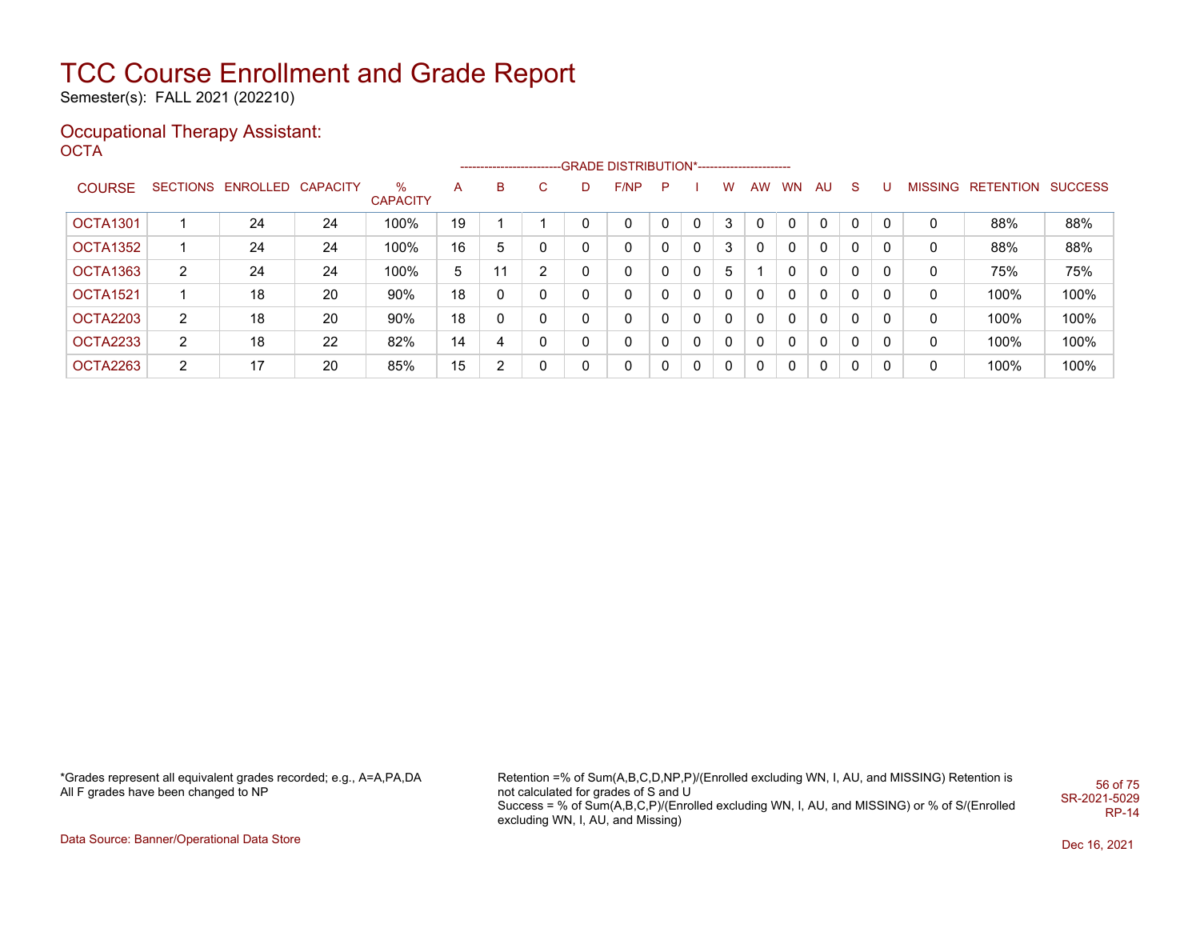Semester(s): FALL 2021 (202210)

#### Occupational Therapy Assistant: OCTA<sup>'</sup>

|               |                |                            |    |                      |    |              |   |              | ------------------------GRADE                DISTRIBUTION*---------------------- |   |   |              |    |           |           |              |   |   |                           |      |
|---------------|----------------|----------------------------|----|----------------------|----|--------------|---|--------------|----------------------------------------------------------------------------------|---|---|--------------|----|-----------|-----------|--------------|---|---|---------------------------|------|
| <b>COURSE</b> |                | SECTIONS ENROLLED CAPACITY |    | %<br><b>CAPACITY</b> | A  | B            | C | D            | F/NP                                                                             | P |   | W            | AW | <b>WN</b> | <b>AU</b> | <sub>S</sub> | U |   | MISSING RETENTION SUCCESS |      |
| OCTA1301      |                | 24                         | 24 | 100%                 | 19 |              |   | 0            | $\mathbf{0}$                                                                     | 0 | 0 | 3            | 0  | 0         | 0         | 0            |   | 0 | 88%                       | 88%  |
| OCTA1352      |                | 24                         | 24 | 100%                 | 16 | 5            | 0 | $\mathbf{0}$ | 0                                                                                | 0 | 0 | 3            |    | 0         | 0         | 0            | 0 | 0 | 88%                       | 88%  |
| OCTA1363      | $\overline{2}$ | 24                         | 24 | 100%                 | 5  | 11           | 2 | $\mathbf{0}$ | 0                                                                                | 0 | 0 | 5            |    | 0         | 0         | 0            | 0 | 0 | 75%                       | 75%  |
| OCTA1521      |                | 18                         | 20 | 90%                  | 18 | 0            | 0 | $\mathbf{0}$ | 0                                                                                | 0 | 0 | $\mathbf{0}$ | 0  | 0         | 0         | 0            |   | 0 | 100%                      | 100% |
| OCTA2203      | 2              | 18                         | 20 | 90%                  | 18 | $\mathbf{0}$ | 0 | $\mathbf{0}$ | 0                                                                                | 0 | 0 | $\mathbf{0}$ | 0  | 0         | 0         | 0            | 0 | 0 | 100%                      | 100% |
| OCTA2233      | $\overline{2}$ | 18                         | 22 | 82%                  | 14 | 4            | 0 | $\mathbf{0}$ | $\mathbf{0}$                                                                     | 0 | 0 | $\Omega$     | 0  | 0         | 0         | 0            | 0 | 0 | 100%                      | 100% |
| OCTA2263      | 2              | 17                         | 20 | 85%                  | 15 | 2            | 0 | $\mathbf{0}$ | $\mathbf 0$                                                                      | 0 | 0 | $\mathbf{0}$ | 0  | 0         | 0         | 0            | 0 | 0 | 100%                      | 100% |

\*Grades represent all equivalent grades recorded; e.g., A=A,PA,DA All F grades have been changed to NP

Retention =% of Sum(A,B,C,D,NP,P)/(Enrolled excluding WN, I, AU, and MISSING) Retention is not calculated for grades of S and U Success = % of Sum(A,B,C,P)/(Enrolled excluding WN, I, AU, and MISSING) or % of S/(Enrolled excluding WN, I, AU, and Missing) 56 of 75 SR-2021-5029 RP-14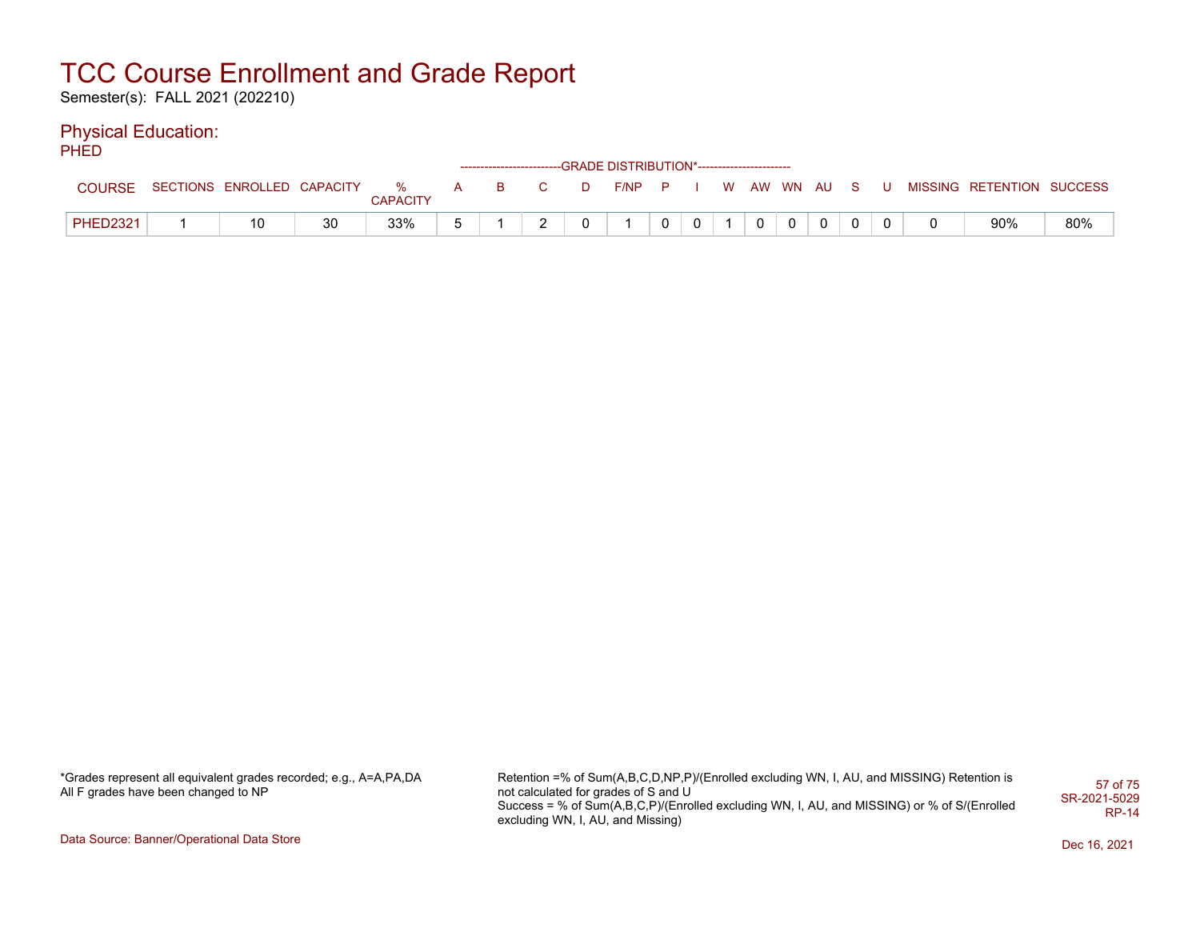Semester(s): FALL 2021 (202210)

### Physical Education:

PHED

|                 |                              |    |                 |  |         | ------------------------GRADE                DISTRIBUTION*---------------------- |                |  |  |  |                           |     |
|-----------------|------------------------------|----|-----------------|--|---------|----------------------------------------------------------------------------------|----------------|--|--|--|---------------------------|-----|
| <b>COURSE</b>   | SECTIONS ENROLLED CAPACITY % |    | <b>CAPACITY</b> |  | A B C D | F/NP P I W AW WN AU S U                                                          |                |  |  |  | MISSING RETENTION SUCCESS |     |
| <b>PHED2321</b> |                              | 30 | 33%             |  |         |                                                                                  | 0 <sup>1</sup> |  |  |  | 90%                       | 80% |

\*Grades represent all equivalent grades recorded; e.g., A=A,PA,DA All F grades have been changed to NP

Retention =% of Sum(A,B,C,D,NP,P)/(Enrolled excluding WN, I, AU, and MISSING) Retention is not calculated for grades of S and U Success = % of Sum(A,B,C,P)/(Enrolled excluding WN, I, AU, and MISSING) or % of S/(Enrolled excluding WN, I, AU, and Missing) 57 of 75 SR-2021-5029 RP-14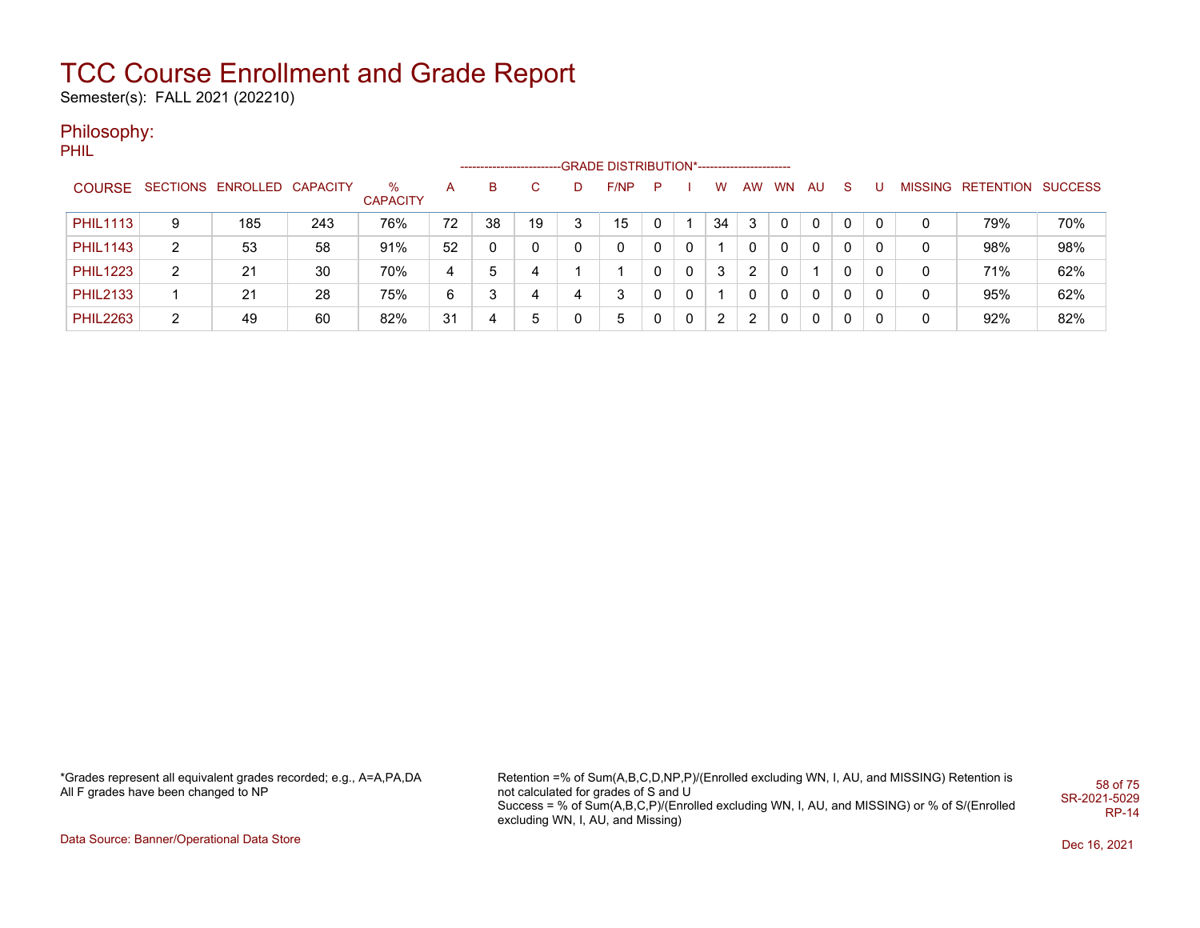Semester(s): FALL 2021 (202210)

### Philosophy:

PHIL

|                 |   |                            |     |                      |    | -------------------- |              |   | -GRADE DISTRIBUTION*----------------------- |   |   |    |   |       |              |          |   |   |                           |     |
|-----------------|---|----------------------------|-----|----------------------|----|----------------------|--------------|---|---------------------------------------------|---|---|----|---|-------|--------------|----------|---|---|---------------------------|-----|
| <b>COURSE</b>   |   | SECTIONS ENROLLED CAPACITY |     | ℅<br><b>CAPACITY</b> | A  | B.                   |              | D | F/NP                                        | P |   | w  |   | AW WN | AU.          | -S       |   |   | MISSING RETENTION SUCCESS |     |
| <b>PHIL1113</b> | 9 | 185                        | 243 | 76%                  | 72 | 38                   | 19           |   | 15                                          |   |   | 34 | 3 |       | $\Omega$     | 0        | 0 |   | 79%                       | 70% |
| <b>PHIL1143</b> | 2 | 53                         | 58  | 91%                  | 52 |                      | <sup>n</sup> |   | 0                                           |   | 0 |    | 0 | 0     | $\mathbf{0}$ | $\Omega$ | 0 | 0 | 98%                       | 98% |
| <b>PHIL1223</b> | 2 | 21                         | 30  | 70%                  | 4  | 5                    |              |   |                                             |   | 0 | 3  | 2 |       |              | 0        | 0 |   | 71%                       | 62% |
| <b>PHIL2133</b> |   | 21                         | 28  | 75%                  | 6  |                      |              |   | 3                                           |   |   |    | 0 | 0     | $\Omega$     | 0        | 0 |   | 95%                       | 62% |
| <b>PHIL2263</b> | 2 | 49                         | 60  | 82%                  | 31 | 4                    | 5            |   | 5                                           |   | 0 | 2  | 2 | 0     | 0            | 0        | 0 |   | 92%                       | 82% |

\*Grades represent all equivalent grades recorded; e.g., A=A,PA,DA All F grades have been changed to NP

Retention =% of Sum(A,B,C,D,NP,P)/(Enrolled excluding WN, I, AU, and MISSING) Retention is not calculated for grades of S and U Success = % of Sum(A,B,C,P)/(Enrolled excluding WN, I, AU, and MISSING) or % of S/(Enrolled excluding WN, I, AU, and Missing) 58 of 75 SR-2021-5029 RP-14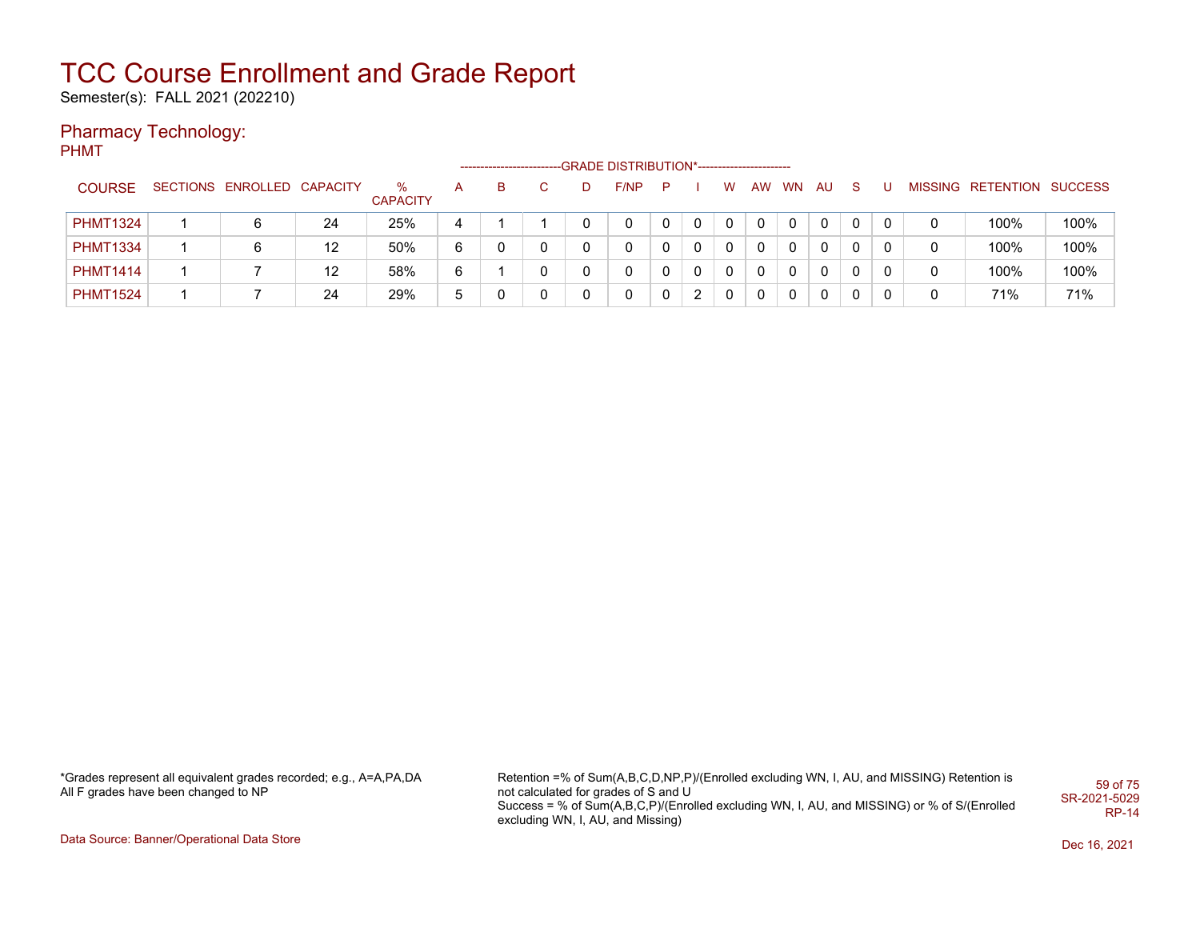Semester(s): FALL 2021 (202210)

### Pharmacy Technology:

PHMT

|                 |                            |    |                         |   | --------------------- |    |   | -GRADE DISTRIBUTION*----------------------- |   |   |              |    |           |          |              |   |   |                           |      |
|-----------------|----------------------------|----|-------------------------|---|-----------------------|----|---|---------------------------------------------|---|---|--------------|----|-----------|----------|--------------|---|---|---------------------------|------|
| <b>COURSE</b>   | SECTIONS ENROLLED CAPACITY |    | $\%$<br><b>CAPACITY</b> | A | B.                    | C. | D | F/NP                                        | P |   | w            | AW | <b>WN</b> | AU       | -S           | υ |   | MISSING RETENTION SUCCESS |      |
| <b>PHMT1324</b> |                            | 24 | 25%                     | 4 |                       |    |   | 0                                           |   | 0 | 0            | 0  | 0         | 0        |              |   |   | 100%                      | 100% |
| <b>PHMT1334</b> |                            | 12 | 50%                     | 6 |                       | 0  |   | 0                                           |   | 0 | 0            | 0  | 0         | $\Omega$ | $\mathbf{0}$ |   | 0 | 100%                      | 100% |
| <b>PHMT1414</b> |                            | 12 | 58%                     | 6 |                       | 0  |   | 0                                           |   | 0 | 0            | 0  | 0         | 0        |              |   | 0 | 100%                      | 100% |
| <b>PHMT1524</b> |                            | 24 | 29%                     | 5 | 0                     | 0  |   | 0                                           | 0 | 2 | $\mathbf{0}$ | 0  | $\Omega$  | $\Omega$ | $\Omega$     |   | 0 | 71%                       | 71%  |

\*Grades represent all equivalent grades recorded; e.g., A=A,PA,DA All F grades have been changed to NP

Retention =% of Sum(A,B,C,D,NP,P)/(Enrolled excluding WN, I, AU, and MISSING) Retention is not calculated for grades of S and U Success = % of Sum(A,B,C,P)/(Enrolled excluding WN, I, AU, and MISSING) or % of S/(Enrolled excluding WN, I, AU, and Missing) 59 of 75 SR-2021-5029 RP-14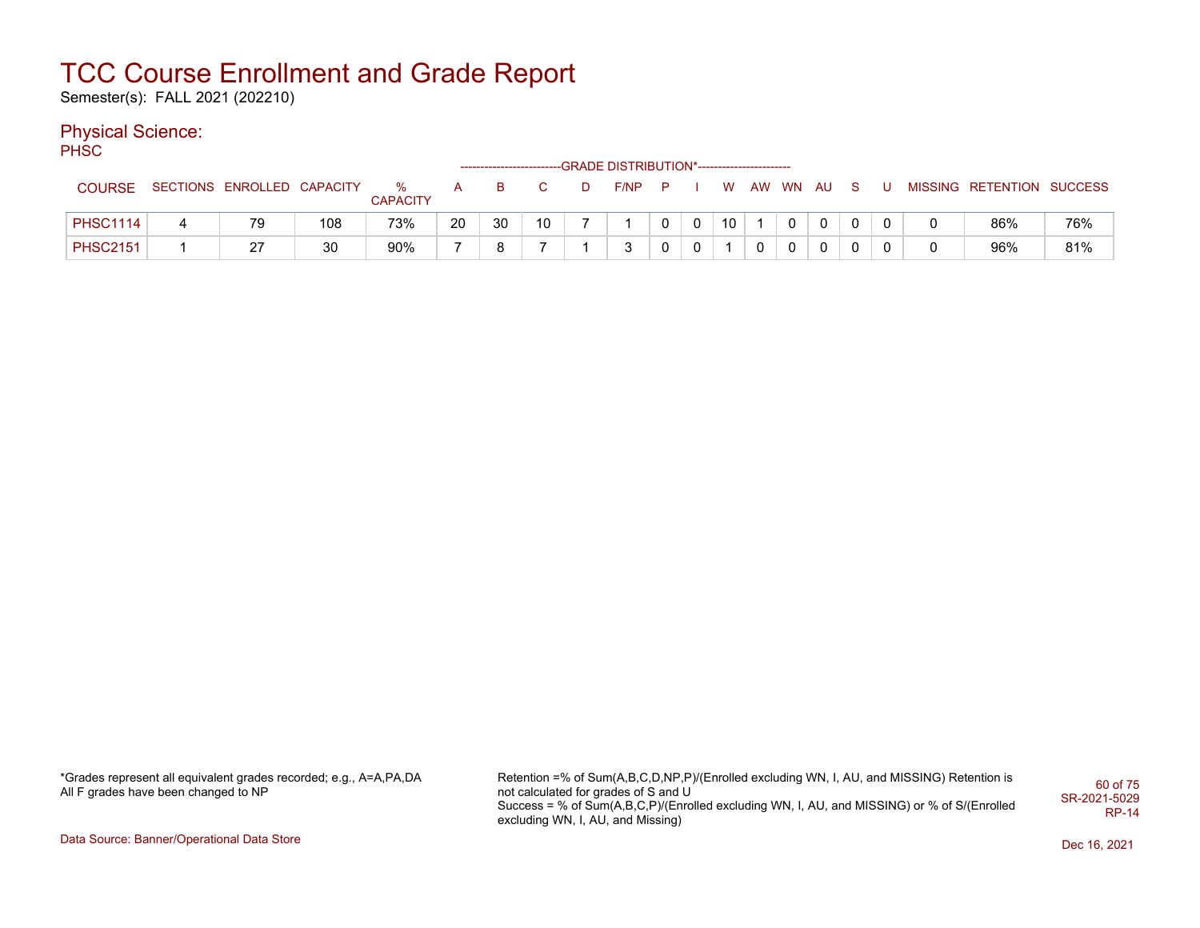Semester(s): FALL 2021 (202210)

### Physical Science:

PH<sub>SC</sub>

|                 |                            |     |                      |    |    |                 | ------------------------GRADE DISTRIBUTION*----------------------- |    |              |    |          |              |              |  |                           |     |
|-----------------|----------------------------|-----|----------------------|----|----|-----------------|--------------------------------------------------------------------|----|--------------|----|----------|--------------|--------------|--|---------------------------|-----|
| <b>COURSE</b>   | SECTIONS ENROLLED CAPACITY |     | %<br><b>CAPACITY</b> |    | B  |                 | F/NP                                                               | P. |              | W  | AW WN AU |              | S.           |  | MISSING RETENTION SUCCESS |     |
| <b>PHSC1114</b> | 79                         | 108 | 73%                  | 20 | 30 | 10 <sup>°</sup> |                                                                    |    | $\mathbf{0}$ | 10 | $\Omega$ | $\mathbf{0}$ | $\Omega$     |  | 86%                       | 76% |
| <b>PHSC2151</b> | 27                         | 30  | 90%                  |    | ິ  |                 | ິ                                                                  |    |              |    |          | $\Omega$     | $\mathbf{0}$ |  | 96%                       | 81% |

\*Grades represent all equivalent grades recorded; e.g., A=A,PA,DA All F grades have been changed to NP

Retention =% of Sum(A,B,C,D,NP,P)/(Enrolled excluding WN, I, AU, and MISSING) Retention is not calculated for grades of S and U Success = % of Sum(A,B,C,P)/(Enrolled excluding WN, I, AU, and MISSING) or % of S/(Enrolled excluding WN, I, AU, and Missing) 60 of 75 SR-2021-5029 RP-14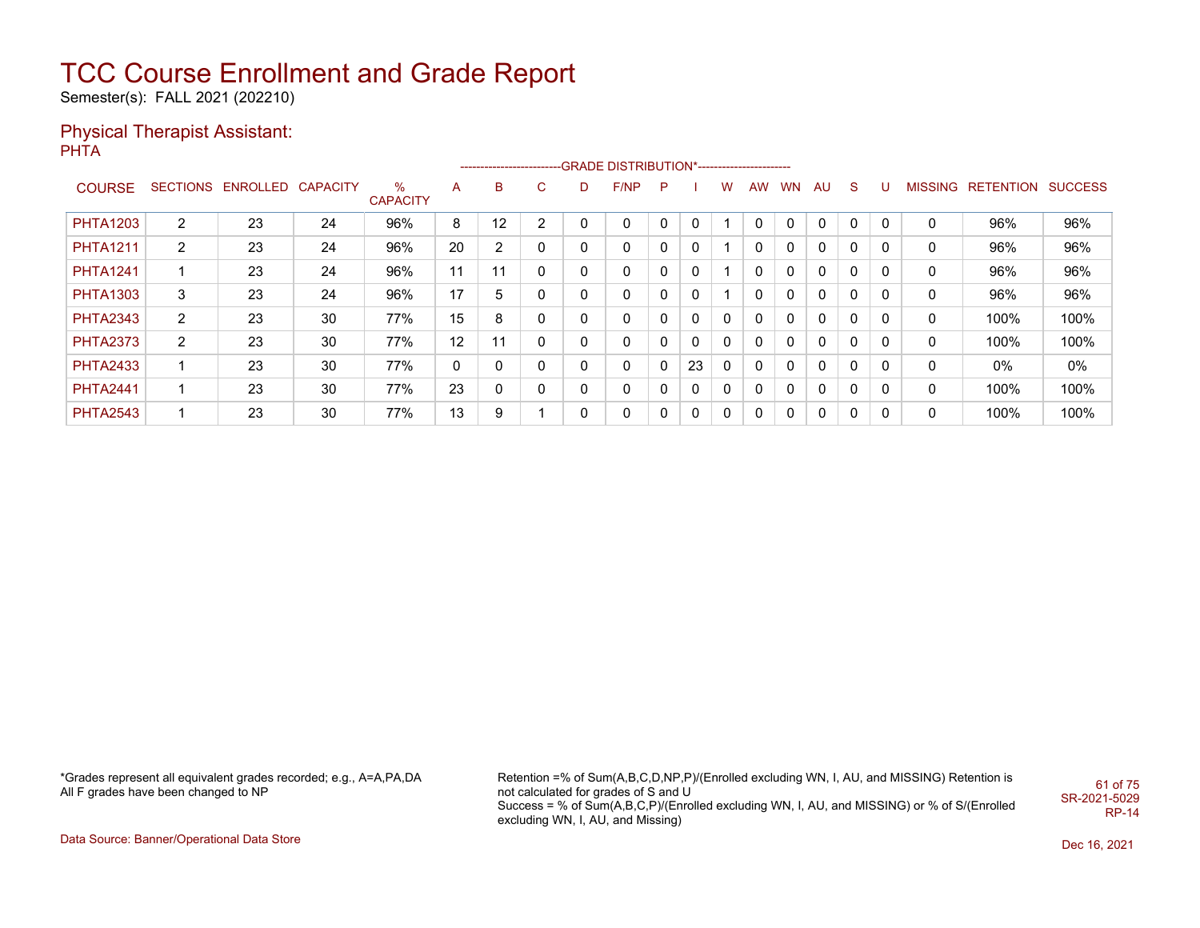Semester(s): FALL 2021 (202210)

#### Physical Therapist Assistant: **PHTA**

|                 |                 |          |                 |                      |    |    |             |          | -------------------------GRADE DISTRIBUTION*---------------------- |   |    |              |           |           |              |              |          |                |                  |                |
|-----------------|-----------------|----------|-----------------|----------------------|----|----|-------------|----------|--------------------------------------------------------------------|---|----|--------------|-----------|-----------|--------------|--------------|----------|----------------|------------------|----------------|
| <b>COURSE</b>   | <b>SECTIONS</b> | ENROLLED | <b>CAPACITY</b> | %<br><b>CAPACITY</b> | A  | B  | $\sim$<br>U | D        | F/NP                                                               | P |    | w            | <b>AW</b> | <b>WN</b> | AU.          | <sub>S</sub> | U        | <b>MISSING</b> | <b>RETENTION</b> | <b>SUCCESS</b> |
| <b>PHTA1203</b> | $\overline{2}$  | 23       | 24              | 96%                  | 8  | 12 | 2           |          | 0                                                                  |   | 0  |              | 0         |           | 0            | $\Omega$     | 0        | 0              | 96%              | 96%            |
| <b>PHTA1211</b> | $\overline{2}$  | 23       | 24              | 96%                  | 20 | 2  | 0           |          | 0                                                                  |   | 0  |              | 0         | 0         | $\mathbf{0}$ | 0            | 0        | 0              | 96%              | 96%            |
| <b>PHTA1241</b> |                 | 23       | 24              | 96%                  | 11 | 11 | 0           | $\Omega$ | $\Omega$                                                           | 0 | 0  |              | 0         | $\Omega$  | $\mathbf{0}$ | $\Omega$     | 0        | 0              | 96%              | 96%            |
| <b>PHTA1303</b> | 3               | 23       | 24              | 96%                  | 17 | 5  | 0           |          | 0                                                                  |   | 0  |              | 0         |           | $\mathbf{0}$ | $\Omega$     | 0        | 0              | 96%              | 96%            |
| <b>PHTA2343</b> | $\overline{2}$  | 23       | 30              | 77%                  | 15 | 8  | 0           |          | 0                                                                  |   | 0  | 0            | 0         | $\Omega$  | $\mathbf{0}$ | 0            | 0        | 0              | 100%             | 100%           |
| <b>PHTA2373</b> | $\overline{2}$  | 23       | 30              | 77%                  | 12 | 11 | 0           | 0        | 0                                                                  |   | 0  | 0            | 0         | $\Omega$  | $\mathbf{0}$ | $\Omega$     | 0        | 0              | 100%             | 100%           |
| <b>PHTA2433</b> |                 | 23       | 30              | 77%                  | 0  | 0  | 0           |          | 0                                                                  | 0 | 23 | $\mathbf{0}$ | 0         |           | $\mathbf{0}$ | $\Omega$     | 0        | 0              | 0%               | $0\%$          |
| <b>PHTA2441</b> |                 | 23       | 30              | 77%                  | 23 | 0  | 0           |          | 0                                                                  |   | 0  | 0            | 0         | 0         | $\mathbf{0}$ | 0            | 0        | 0              | 100%             | 100%           |
| <b>PHTA2543</b> |                 | 23       | 30              | 77%                  | 13 | 9  |             | 0        | 0                                                                  |   | 0  | 0            | 0         |           | 0            | $\Omega$     | $\Omega$ | 0              | 100%             | 100%           |

\*Grades represent all equivalent grades recorded; e.g., A=A,PA,DA All F grades have been changed to NP

Retention =% of Sum(A,B,C,D,NP,P)/(Enrolled excluding WN, I, AU, and MISSING) Retention is not calculated for grades of S and U Success = % of Sum(A,B,C,P)/(Enrolled excluding WN, I, AU, and MISSING) or % of S/(Enrolled excluding WN, I, AU, and Missing) 61 of 75 SR-2021-5029 RP-14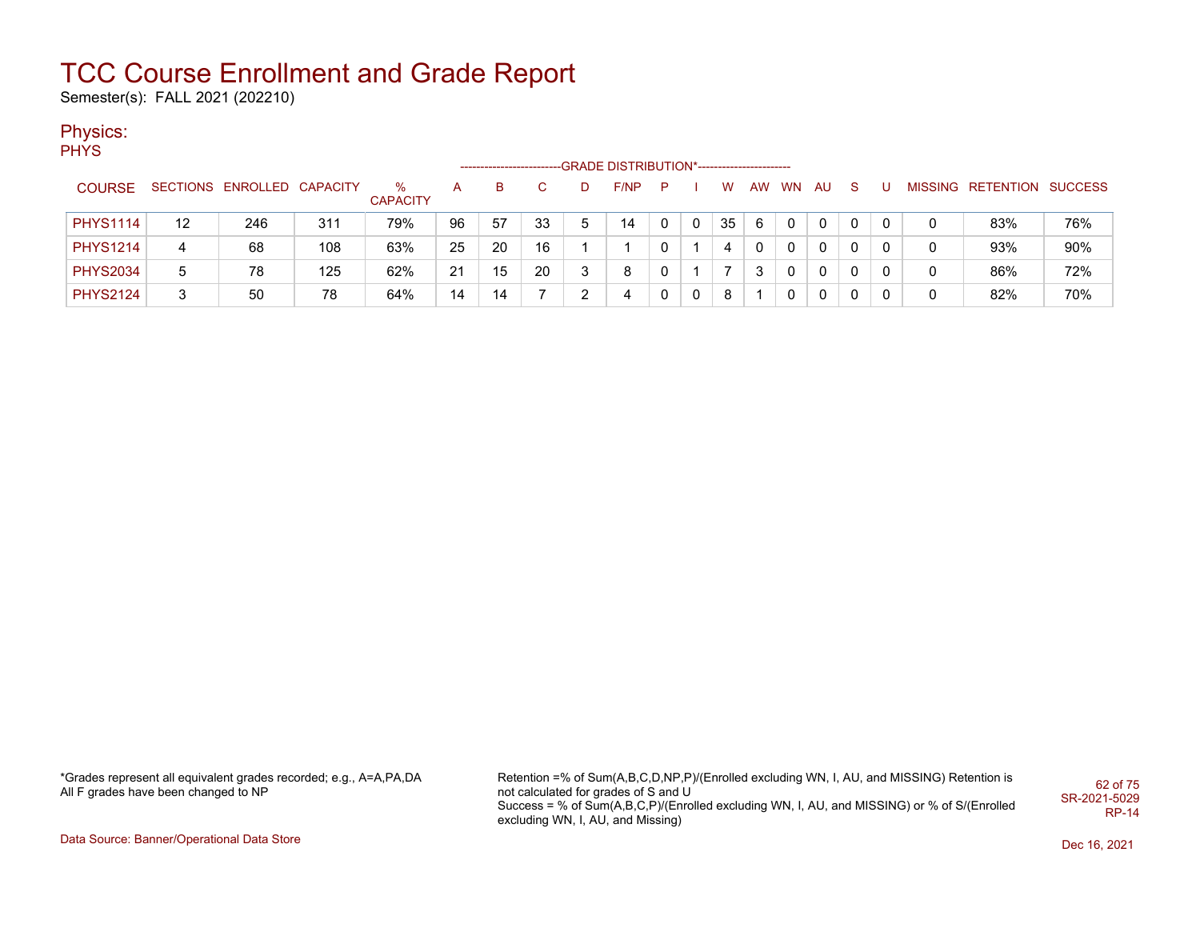Semester(s): FALL 2021 (202210)

### Physics:

PHYS

|                 |    |                            |     |                      |    | --------------------- |    |   | -GRADE DISTRIBUTION*----------------------- |   |          |    |    |           |          |          |   |                           |     |
|-----------------|----|----------------------------|-----|----------------------|----|-----------------------|----|---|---------------------------------------------|---|----------|----|----|-----------|----------|----------|---|---------------------------|-----|
| <b>COURSE</b>   |    | SECTIONS ENROLLED CAPACITY |     | ℅<br><b>CAPACITY</b> | А  | в                     |    |   | F/NP                                        | P |          | w  | AW | <b>WN</b> | AU       | -S       |   | MISSING RETENTION SUCCESS |     |
| <b>PHYS1114</b> | 12 | 246                        | 311 | 79%                  | 96 | 57                    | 33 | 5 | 14                                          |   | 0        | 35 | 6  |           |          |          |   | 83%                       | 76% |
| <b>PHYS1214</b> | 4  | 68                         | 108 | 63%                  | 25 | 20                    | 16 |   |                                             |   |          | 4  |    |           | $\Omega$ | - 0      | 0 | 93%                       | 90% |
| <b>PHYS2034</b> | 5  | 78                         | 125 | 62%                  | 21 | 15                    | 20 |   | 8                                           |   |          |    | 3  |           | $\Omega$ |          | 0 | 86%                       | 72% |
| <b>PHYS2124</b> | 3  | 50                         | 78  | 64%                  | 14 | 14                    |    |   |                                             |   | $\Omega$ | 8  |    |           | 0        | $\Omega$ | 0 | 82%                       | 70% |

\*Grades represent all equivalent grades recorded; e.g., A=A,PA,DA All F grades have been changed to NP

Retention =% of Sum(A,B,C,D,NP,P)/(Enrolled excluding WN, I, AU, and MISSING) Retention is not calculated for grades of S and U Success = % of Sum(A,B,C,P)/(Enrolled excluding WN, I, AU, and MISSING) or % of S/(Enrolled excluding WN, I, AU, and Missing) 62 of 75 SR-2021-5029 RP-14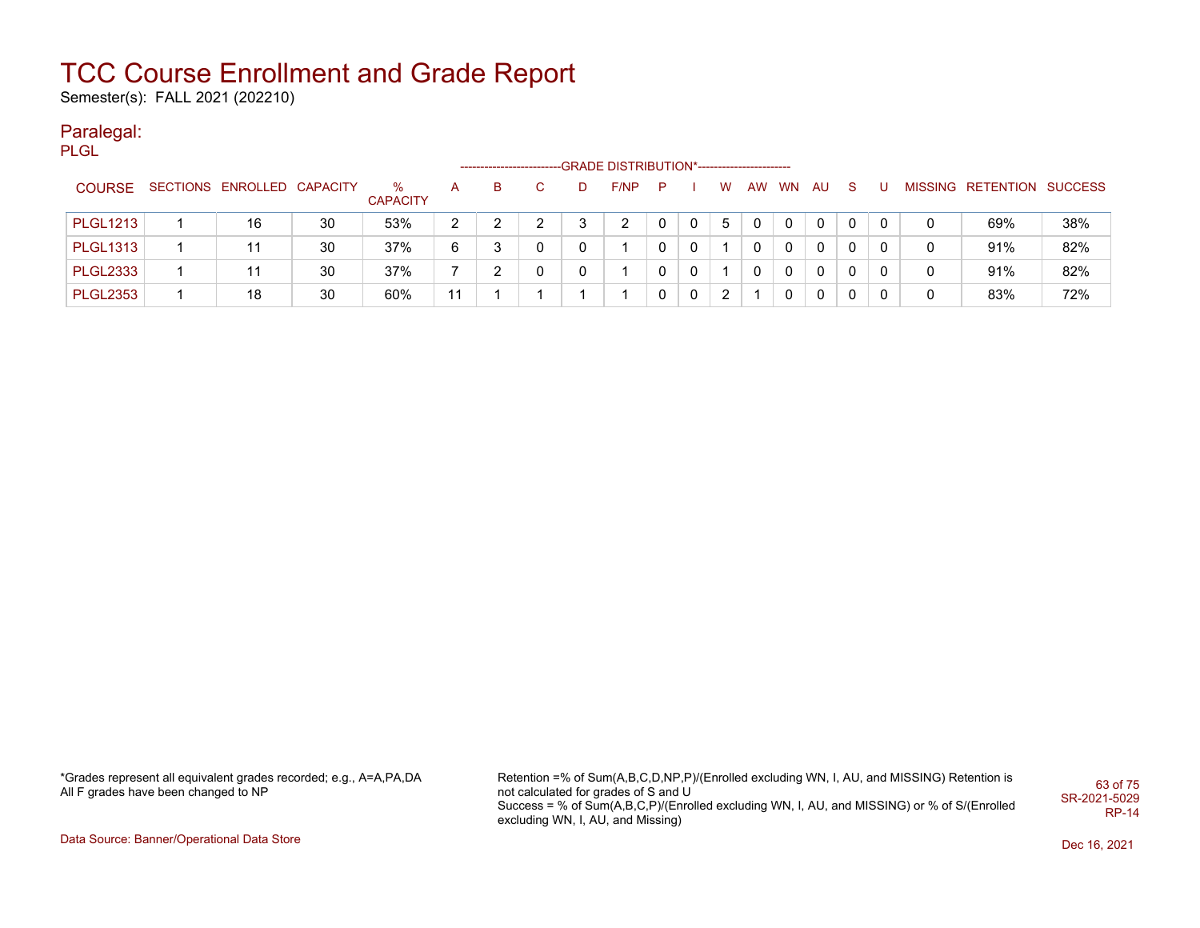Semester(s): FALL 2021 (202210)

#### Paralegal: PLGL

|                 |                            |    |                         |    |   |    |   | -GRADE DISTRIBUTION*----------------------- |   |             |   |    |           |     |              |   |   |                           |     |
|-----------------|----------------------------|----|-------------------------|----|---|----|---|---------------------------------------------|---|-------------|---|----|-----------|-----|--------------|---|---|---------------------------|-----|
| <b>COURSE</b>   | SECTIONS ENROLLED CAPACITY |    | $\%$<br><b>CAPACITY</b> | A  | В | C. | D | F/NP                                        | P |             | W | AW | <b>WN</b> | AU. | <sub>S</sub> |   |   | MISSING RETENTION SUCCESS |     |
| <b>PLGL1213</b> | 16                         | 30 | 53%                     | 2  |   |    |   |                                             |   | 0           | 5 | 0  | 0         | 0   | 0            | 0 |   | 69%                       | 38% |
| <b>PLGL1313</b> |                            | 30 | 37%                     | 6  |   | 0  |   |                                             |   | $\Omega$    |   |    | 0         | 0   | $\mathbf{0}$ | 0 | 0 | 91%                       | 82% |
| <b>PLGL2333</b> |                            | 30 | 37%                     |    |   | 0  |   |                                             |   | $\Omega$    |   |    | 0         | 0   | $\mathbf{0}$ | 0 |   | 91%                       | 82% |
| <b>PLGL2353</b> | 18                         | 30 | 60%                     | 11 |   |    |   |                                             |   | $\mathbf 0$ | 2 |    | 0         | 0   | 0            | 0 |   | 83%                       | 72% |

\*Grades represent all equivalent grades recorded; e.g., A=A,PA,DA All F grades have been changed to NP

Retention =% of Sum(A,B,C,D,NP,P)/(Enrolled excluding WN, I, AU, and MISSING) Retention is not calculated for grades of S and U Success = % of Sum(A,B,C,P)/(Enrolled excluding WN, I, AU, and MISSING) or % of S/(Enrolled excluding WN, I, AU, and Missing) 63 of 75 SR-2021-5029 RP-14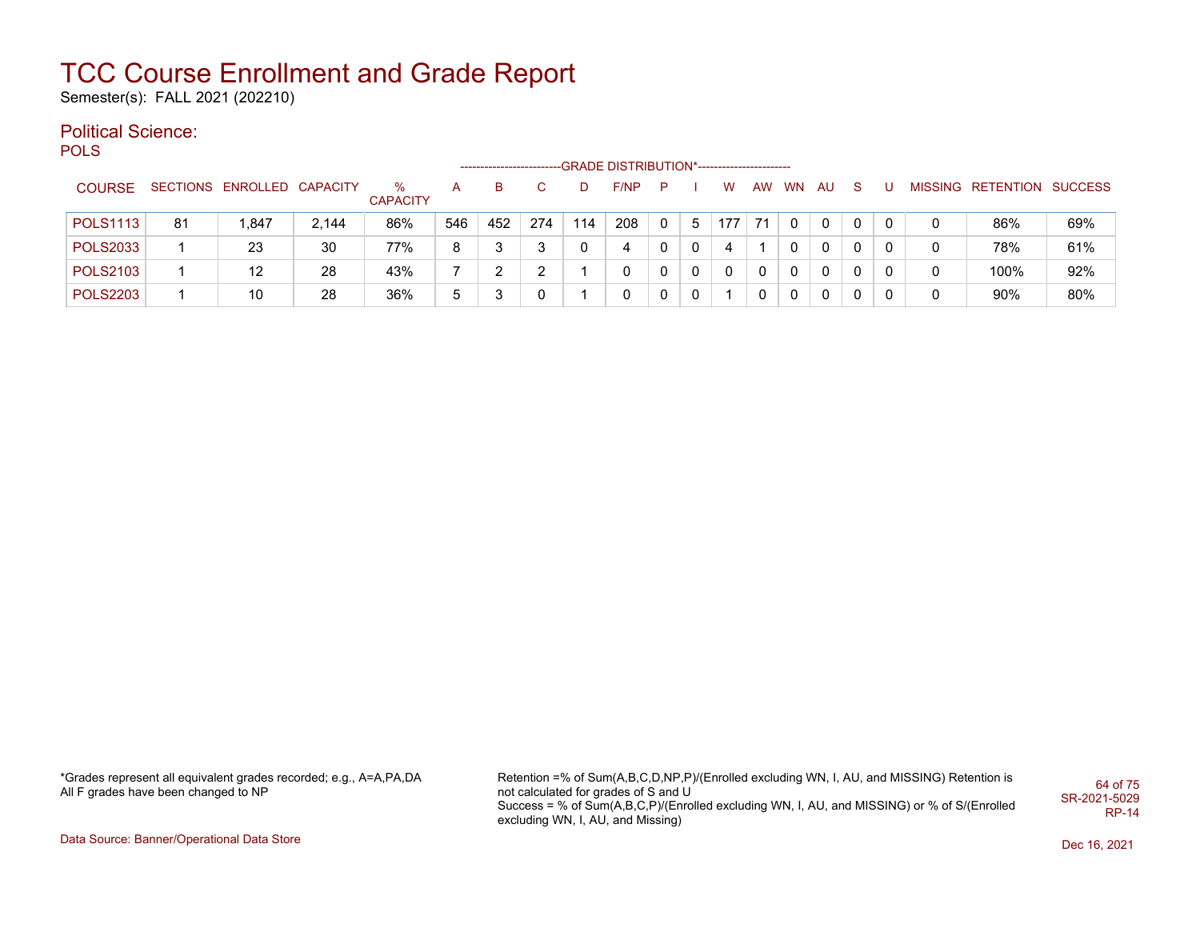Semester(s): FALL 2021 (202210)

#### Political Science: POLS

--GRADE DISTRIBUTION\*-------------------------COURSE SECTIONS ENROLLED CAPACITY % **CAPACITY** A B C D F/NP P I W AW WN AU S U MISSING RETENTION SUCCESS POLS1113 81 | 1,847 | 2,144 | 86% | 546 | 452 | 274 | 114 | 208 | 0 | 5 | 177 | 71 | 0 | 0 | 0 | 0 | 0 | 0 | 86% | 69% POLS2033 | 1 | 23 | 30 | 77% | 8 | 3 | 3 | 0 | 4 | 0 | 0 | 4 | 1 | 0 | 0 | 0 | 0 | 0 | 78% | 61% POLS2103 1 12 28 43% 7 2 2 1 0 0 0 0 0 0 0 0 0 0 100% 92% POLS2203 1 10 28 36% 5 3 0 1 0 0 0 1 0 0 0 0 0 0 90% 80%

\*Grades represent all equivalent grades recorded; e.g., A=A,PA,DA All F grades have been changed to NP

Retention =% of Sum(A,B,C,D,NP,P)/(Enrolled excluding WN, I, AU, and MISSING) Retention is not calculated for grades of S and U Success = % of Sum(A,B,C,P)/(Enrolled excluding WN, I, AU, and MISSING) or % of S/(Enrolled excluding WN, I, AU, and Missing) 64 of 75 SR-2021-5029 RP-14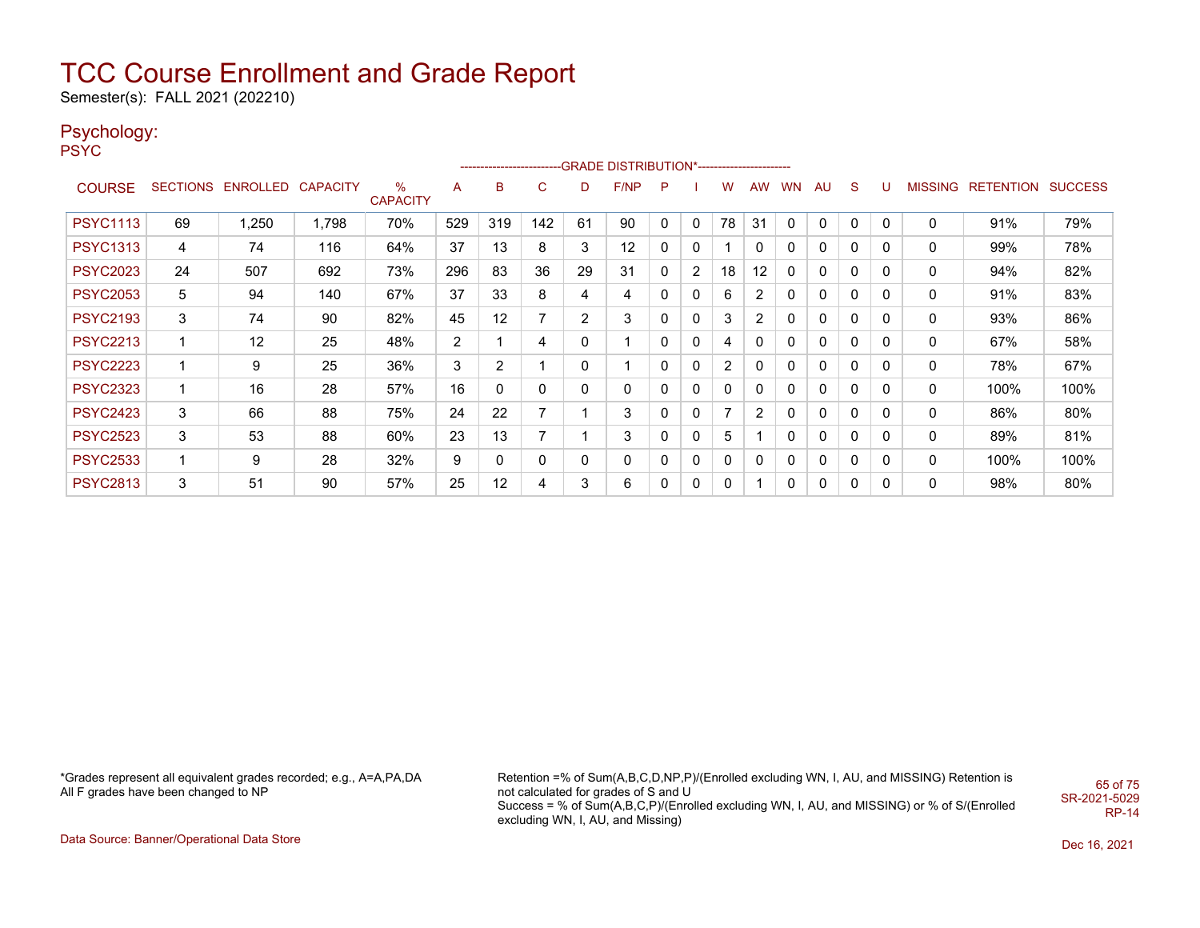Semester(s): FALL 2021 (202210)

### Psychology:

PSYC

|                 |             |                            |       |                      |                |                 |                |                | ------------------------GRADE                DISTRIBUTION*---------------------- |              |                |                |              |           |              |             |          |   |                   |                |
|-----------------|-------------|----------------------------|-------|----------------------|----------------|-----------------|----------------|----------------|----------------------------------------------------------------------------------|--------------|----------------|----------------|--------------|-----------|--------------|-------------|----------|---|-------------------|----------------|
| <b>COURSE</b>   |             | SECTIONS ENROLLED CAPACITY |       | %<br><b>CAPACITY</b> | A              | B               | C              | D              | F/NP                                                                             | P            |                | w              | AW           | <b>WN</b> | AU           | S           | U        |   | MISSING RETENTION | <b>SUCCESS</b> |
| <b>PSYC1113</b> | 69          | 1,250                      | 1,798 | 70%                  | 529            | 319             | 142            | 61             | 90                                                                               | $\mathbf{0}$ | $\mathbf{0}$   | 78             | 31           | 0         | $\Omega$     | 0           | 0        | 0 | 91%               | 79%            |
| <b>PSYC1313</b> | 4           | 74                         | 116   | 64%                  | 37             | 13              | 8              | 3              | 12                                                                               | 0            | 0              |                | 0            | 0         | 0            | 0           | 0        | 0 | 99%               | 78%            |
| <b>PSYC2023</b> | 24          | 507                        | 692   | 73%                  | 296            | 83              | 36             | 29             | 31                                                                               | 0            | $\overline{2}$ | 18             | 12           | 0         | 0            | 0           | 0        | 0 | 94%               | 82%            |
| <b>PSYC2053</b> | 5           | 94                         | 140   | 67%                  | 37             | 33              | 8              | 4              | 4                                                                                | 0            | 0              | 6              | 2            | 0         | $\mathbf{0}$ | $\mathbf 0$ | 0        | 0 | 91%               | 83%            |
| <b>PSYC2193</b> | 3           | 74                         | 90    | 82%                  | 45             | 12 <sup>2</sup> | 7              | $\overline{2}$ | 3                                                                                | 0            | 0              | 3              | 2            | 0         | 0            | 0           | 0        | 0 | 93%               | 86%            |
| <b>PSYC2213</b> | 1           | 12                         | 25    | 48%                  | $\overline{2}$ |                 | $\overline{4}$ | 0              |                                                                                  | 0            | 0              | 4              | 0            | 0         | 0            | 0           | 0        | 0 | 67%               | 58%            |
| <b>PSYC2223</b> | 1           | 9                          | 25    | 36%                  | 3              | $\overline{2}$  |                | 0              |                                                                                  | 0            | 0              | $\overline{2}$ | $\mathbf{0}$ | 0         | $\mathbf 0$  | 0           | 0        | 0 | 78%               | 67%            |
| <b>PSYC2323</b> | $\mathbf 1$ | 16                         | 28    | 57%                  | 16             | 0               | 0              | 0              | 0                                                                                | 0            | 0              | $\mathbf{0}$   | 0            | 0         | $\mathbf{0}$ | 0           | 0        | 0 | 100%              | 100%           |
| <b>PSYC2423</b> | 3           | 66                         | 88    | 75%                  | 24             | 22              | $\overline{7}$ |                | 3                                                                                | 0            | 0              | $\overline{7}$ | 2            | 0         | 0            | 0           | $\Omega$ | 0 | 86%               | 80%            |
| <b>PSYC2523</b> | 3           | 53                         | 88    | 60%                  | 23             | 13              | 7              |                | 3                                                                                | 0            | 0              | 5              |              | 0         | 0            | 0           | 0        | 0 | 89%               | 81%            |
| <b>PSYC2533</b> | $\mathbf 1$ | 9                          | 28    | 32%                  | 9              | 0               | 0              | $\mathbf{0}$   | 0                                                                                | 0            | 0              | $\mathbf{0}$   | 0            | 0         | $\mathbf{0}$ | $\mathbf 0$ | 0        | 0 | 100%              | 100%           |
| <b>PSYC2813</b> | 3           | 51                         | 90    | 57%                  | 25             | 12              | 4              | 3              | 6                                                                                | 0            | 0              | 0              |              | 0         | 0            | $\mathbf 0$ | $\Omega$ | 0 | 98%               | 80%            |

\*Grades represent all equivalent grades recorded; e.g., A=A,PA,DA All F grades have been changed to NP

Retention =% of Sum(A,B,C,D,NP,P)/(Enrolled excluding WN, I, AU, and MISSING) Retention is not calculated for grades of S and U Success = % of Sum(A,B,C,P)/(Enrolled excluding WN, I, AU, and MISSING) or % of S/(Enrolled excluding WN, I, AU, and Missing) 65 of 75 SR-2021-5029 RP-14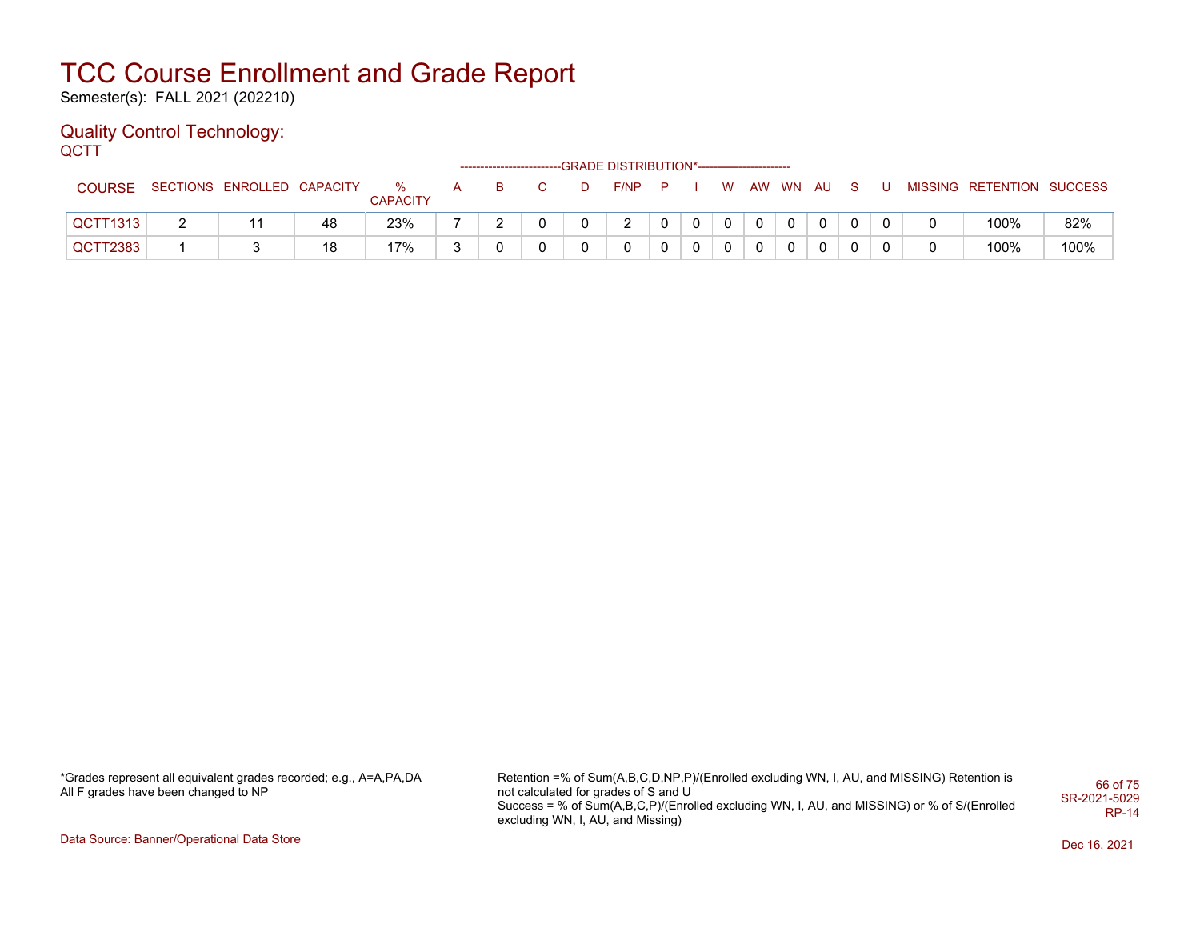Semester(s): FALL 2021 (202210)

#### Quality Control Technology: **QCTT**

|               |                            |    |                      |              |    |  | -GRADE DISTRIBUTION*----------------------- |     |              |             |          |              |   |                           |      |
|---------------|----------------------------|----|----------------------|--------------|----|--|---------------------------------------------|-----|--------------|-------------|----------|--------------|---|---------------------------|------|
| <b>COURSE</b> | SECTIONS ENROLLED CAPACITY |    | %<br><b>CAPACITY</b> | $\mathsf{A}$ | B. |  | F/NP                                        | - P |              | <b>W</b>    | AW WN AU | S.           | U | MISSING RETENTION SUCCESS |      |
| QCTT1313      |                            | 48 | 23%                  |              |    |  | ົ                                           |     | $\mathbf{0}$ | $\mathbf 0$ |          | $\mathbf{0}$ |   | 100%                      | 82%  |
| QCTT2383      |                            | 18 | 17%                  | ົ            |    |  |                                             |     |              |             |          | 0            |   | 100%                      | 100% |

\*Grades represent all equivalent grades recorded; e.g., A=A,PA,DA All F grades have been changed to NP

Retention =% of Sum(A,B,C,D,NP,P)/(Enrolled excluding WN, I, AU, and MISSING) Retention is not calculated for grades of S and U Success = % of Sum(A,B,C,P)/(Enrolled excluding WN, I, AU, and MISSING) or % of S/(Enrolled excluding WN, I, AU, and Missing) 66 of 75 SR-2021-5029 RP-14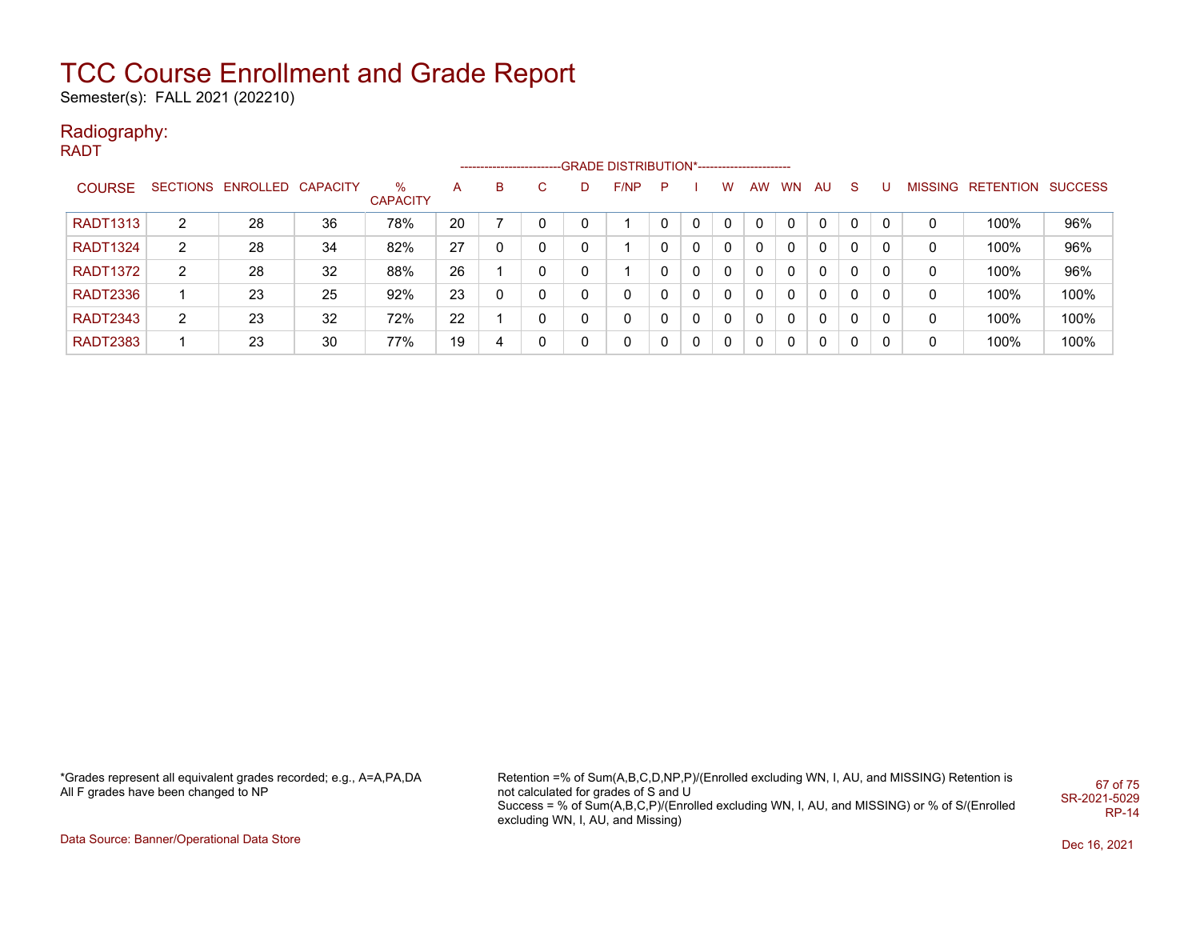Semester(s): FALL 2021 (202210)

### Radiography:

RADT

|                 |                |                            |    |                      |    | ---------------------- |    | -GRADE DISTRIBUTION*----------------------- |   |   |   |    |    |          |          |          |   |                           |      |
|-----------------|----------------|----------------------------|----|----------------------|----|------------------------|----|---------------------------------------------|---|---|---|----|----|----------|----------|----------|---|---------------------------|------|
| <b>COURSE</b>   |                | SECTIONS ENROLLED CAPACITY |    | %<br><b>CAPACITY</b> | A  | B                      | C. | F/NP                                        | P |   | w | AW | WN | AU       | -S       | U        |   | MISSING RETENTION SUCCESS |      |
| <b>RADT1313</b> | 2              | 28                         | 36 | 78%                  | 20 |                        |    |                                             |   | 0 | 0 | 0  |    | $\Omega$ | $\Omega$ | $\Omega$ |   | 100%                      | 96%  |
| <b>RADT1324</b> | 2              | 28                         | 34 | 82%                  | 27 |                        |    |                                             |   | 0 | 0 | 0  |    | $\Omega$ | $\Omega$ | 0        | 0 | 100%                      | 96%  |
| <b>RADT1372</b> | 2              | 28                         | 32 | 88%                  | 26 |                        |    |                                             |   | 0 | 0 | 0  |    | $\Omega$ | $\Omega$ | 0        | 0 | 100%                      | 96%  |
| <b>RADT2336</b> |                | 23                         | 25 | 92%                  | 23 | 0                      |    | 0                                           |   | 0 | 0 | 0  |    | $\Omega$ | $\Omega$ | 0        | 0 | 100%                      | 100% |
| <b>RADT2343</b> | $\overline{2}$ | 23                         | 32 | 72%                  | 22 |                        |    | 0                                           |   | 0 | 0 | 0  |    | $\Omega$ | $\Omega$ | $\Omega$ | 0 | 100%                      | 100% |
| <b>RADT2383</b> |                | 23                         | 30 | 77%                  | 19 |                        |    | 0                                           |   | 0 | 0 | 0  |    | $\Omega$ | $\Omega$ | 0        | 0 | 100%                      | 100% |

Retention =% of Sum(A,B,C,D,NP,P)/(Enrolled excluding WN, I, AU, and MISSING) Retention is not calculated for grades of S and U Success = % of Sum(A,B,C,P)/(Enrolled excluding WN, I, AU, and MISSING) or % of S/(Enrolled excluding WN, I, AU, and Missing) 67 of 75 SR-2021-5029 RP-14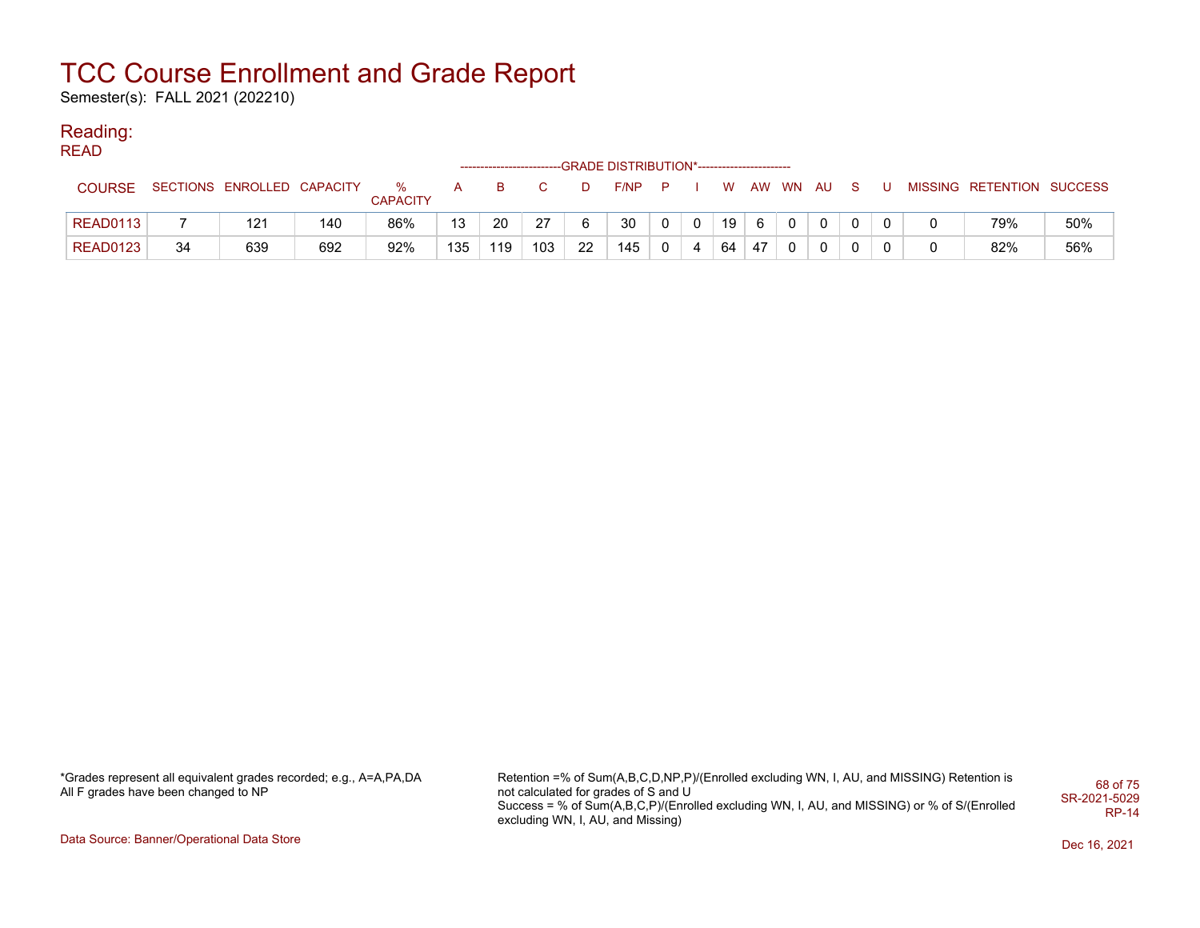Semester(s): FALL 2021 (202210)

#### Reading: READ

| '''''           |    |                            |     |                      |     |     |     |    | ------------------------GRADE DISTRIBUTION*----------------------- |          |   |    |    |          |    |  |                           |     |
|-----------------|----|----------------------------|-----|----------------------|-----|-----|-----|----|--------------------------------------------------------------------|----------|---|----|----|----------|----|--|---------------------------|-----|
| <b>COURSE</b>   |    | SECTIONS ENROLLED CAPACITY |     | %<br><b>CAPACITY</b> | A   | B   | C.  | D  | F/NP                                                               | <b>P</b> |   | W. |    | AW WN AU | -S |  | MISSING RETENTION SUCCESS |     |
| <b>READ0113</b> |    | 121                        | 140 | 86%                  | 13  | 20  | 27  | 6  | 30                                                                 |          |   | 19 |    |          |    |  | 79%                       | 50% |
| READ0123        | 34 | 639                        | 692 | 92%                  | 135 | 119 | 103 | 22 | 145                                                                | $\Omega$ | 4 | 64 | 47 |          |    |  | 82%                       | 56% |

\*Grades represent all equivalent grades recorded; e.g., A=A,PA,DA All F grades have been changed to NP

Retention =% of Sum(A,B,C,D,NP,P)/(Enrolled excluding WN, I, AU, and MISSING) Retention is not calculated for grades of S and U Success = % of Sum(A,B,C,P)/(Enrolled excluding WN, I, AU, and MISSING) or % of S/(Enrolled excluding WN, I, AU, and Missing) 68 of 75 SR-2021-5029 RP-14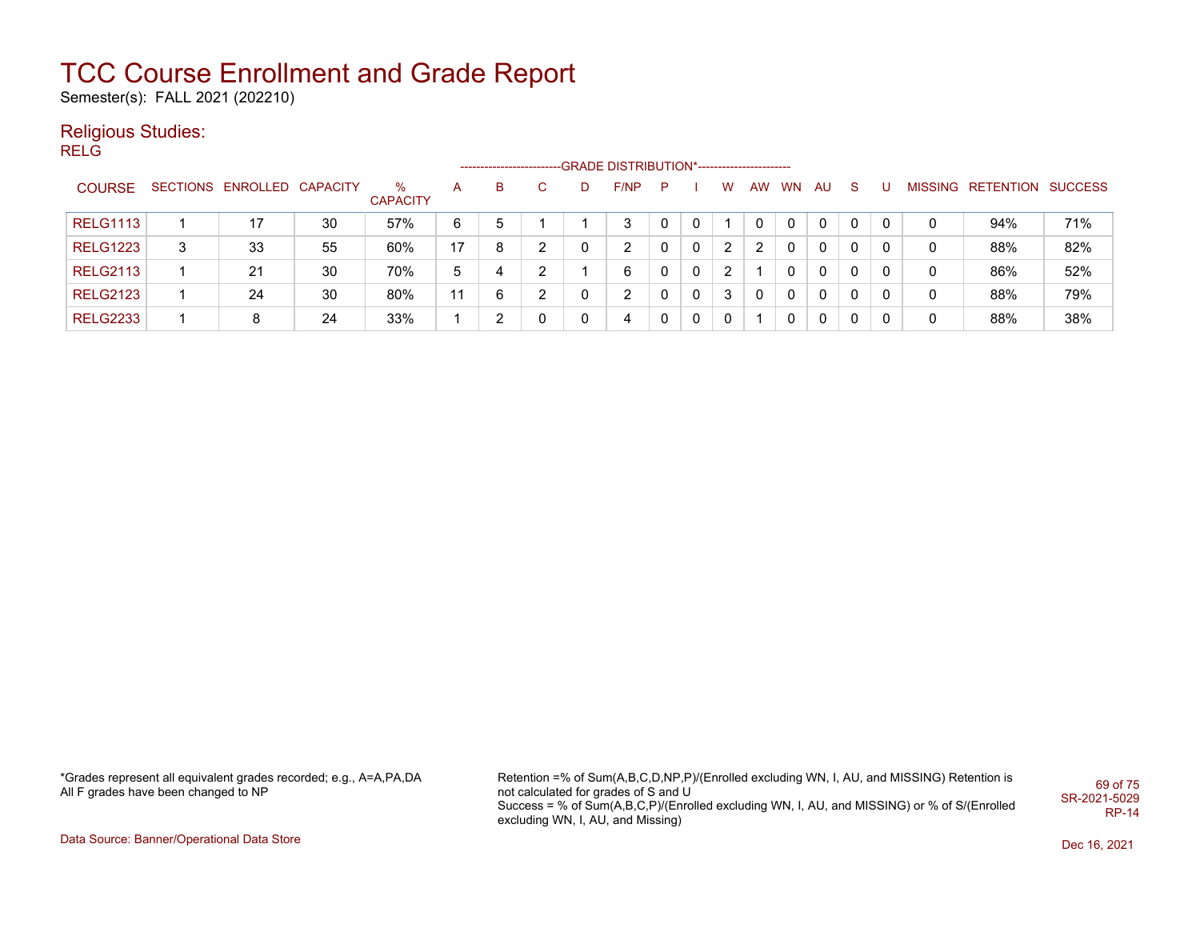Semester(s): FALL 2021 (202210)

### Religious Studies:

RELG

|                 |   |                            |    |                      |    | ------------------- |               |   | ----GRADE DISTRIBUTION*------------------------ |   |   |   |           |           |              |              |              |             |                           |     |
|-----------------|---|----------------------------|----|----------------------|----|---------------------|---------------|---|-------------------------------------------------|---|---|---|-----------|-----------|--------------|--------------|--------------|-------------|---------------------------|-----|
| <b>COURSE</b>   |   | SECTIONS ENROLLED CAPACITY |    | %<br><b>CAPACITY</b> | A  | в                   |               | D | F/NP                                            | P |   | W | <b>AW</b> | <b>WN</b> | AU.          | <sub>S</sub> |              |             | MISSING RETENTION SUCCESS |     |
| <b>RELG1113</b> |   | 17                         | 30 | 57%                  | 6  |                     |               |   | 3                                               |   |   |   |           | 0         | $\mathbf{0}$ | $\mathbf{0}$ | $\Omega$     | 0           | 94%                       | 71% |
| <b>RELG1223</b> | 3 | 33                         | 55 | 60%                  | 17 | 8                   | C             |   | 2                                               |   | 0 | 2 | 2         | 0         | 0            | 0            |              | 0           | 88%                       | 82% |
| <b>RELG2113</b> |   | 21                         | 30 | 70%                  | 5  | 4                   | C             |   | 6                                               |   | 0 | 2 |           | 0         | 0            | $\mathbf 0$  |              | 0           | 86%                       | 52% |
| <b>RELG2123</b> |   | 24                         | 30 | 80%                  | 11 | 6                   | $\mathcal{D}$ | 0 | 2                                               |   | 0 | 3 | 0         | 0         | $\Omega$     | 0            | $\mathbf{0}$ | $\mathbf 0$ | 88%                       | 79% |
| <b>RELG2233</b> |   | 8                          | 24 | 33%                  |    |                     | 0             | 0 | 4                                               |   | 0 | 0 |           | 0         | 0            | 0            |              | 0           | 88%                       | 38% |

\*Grades represent all equivalent grades recorded; e.g., A=A,PA,DA All F grades have been changed to NP

Retention =% of Sum(A,B,C,D,NP,P)/(Enrolled excluding WN, I, AU, and MISSING) Retention is not calculated for grades of S and U Success = % of Sum(A,B,C,P)/(Enrolled excluding WN, I, AU, and MISSING) or % of S/(Enrolled excluding WN, I, AU, and Missing) 69 of 75 SR-2021-5029 RP-14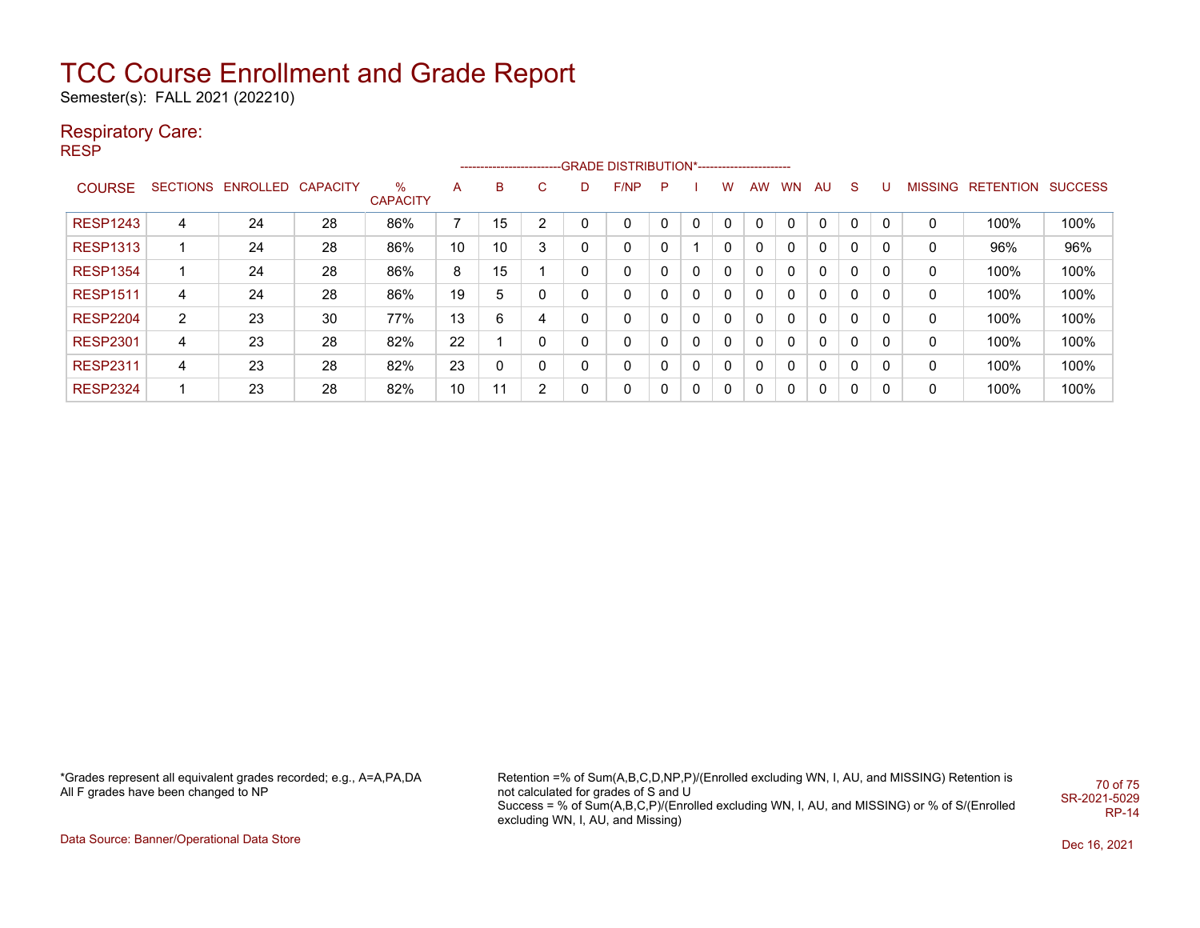Semester(s): FALL 2021 (202210)

### Respiratory Care:

RESP

|                 |   |                            |    |                      |    |    |                |   | ------------------------GRADE DISTRIBUTION*----------------------- |   |   |              |           |           |           |              |   |   |                                  |      |
|-----------------|---|----------------------------|----|----------------------|----|----|----------------|---|--------------------------------------------------------------------|---|---|--------------|-----------|-----------|-----------|--------------|---|---|----------------------------------|------|
| <b>COURSE</b>   |   | SECTIONS ENROLLED CAPACITY |    | %<br><b>CAPACITY</b> | A  | B  | C              | D | F/NP                                                               | P |   | w            | <b>AW</b> | <b>WN</b> | <b>AU</b> | <sub>S</sub> | U |   | <b>MISSING RETENTION SUCCESS</b> |      |
| <b>RESP1243</b> | 4 | 24                         | 28 | 86%                  | ⇁  | 15 | 2              | 0 | $\mathbf 0$                                                        |   | 0 | 0            | 0         |           | 0         |              |   | 0 | 100%                             | 100% |
| <b>RESP1313</b> |   | 24                         | 28 | 86%                  | 10 | 10 | 3              | 0 | 0                                                                  | 0 |   | $\Omega$     | 0         | 0         | 0         | 0            | 0 | 0 | 96%                              | 96%  |
| <b>RESP1354</b> |   | 24                         | 28 | 86%                  | 8  | 15 |                | 0 | 0                                                                  |   | 0 | 0            | 0         | 0         | 0         | 0            | 0 | 0 | 100%                             | 100% |
| <b>RESP1511</b> | 4 | 24                         | 28 | 86%                  | 19 | 5  | 0              | 0 | 0                                                                  | 0 | 0 | $\mathbf{0}$ | 0         | 0         | 0         | 0            |   | 0 | 100%                             | 100% |
| <b>RESP2204</b> | 2 | 23                         | 30 | 77%                  | 13 | 6  | 4              | 0 | 0                                                                  | 0 | 0 | $\Omega$     | 0         | 0         | 0         | 0            | 0 | 0 | 100%                             | 100% |
| <b>RESP2301</b> | 4 | 23                         | 28 | 82%                  | 22 |    | 0              | 0 | 0                                                                  |   | 0 | 0            | 0         | 0         | 0         | 0            | 0 | 0 | 100%                             | 100% |
| <b>RESP2311</b> | 4 | 23                         | 28 | 82%                  | 23 | 0  | 0              | 0 | 0                                                                  | 0 | 0 | $\mathbf{0}$ | 0         | 0         | 0         | 0            |   | 0 | 100%                             | 100% |
| <b>RESP2324</b> |   | 23                         | 28 | 82%                  | 10 | 44 | $\overline{2}$ | 0 | 0                                                                  |   | 0 | 0            | 0         |           | 0         | 0            |   | 0 | 100%                             | 100% |

\*Grades represent all equivalent grades recorded; e.g., A=A,PA,DA All F grades have been changed to NP

Retention =% of Sum(A,B,C,D,NP,P)/(Enrolled excluding WN, I, AU, and MISSING) Retention is not calculated for grades of S and U Success = % of Sum(A,B,C,P)/(Enrolled excluding WN, I, AU, and MISSING) or % of S/(Enrolled excluding WN, I, AU, and Missing) 70 of 75 SR-2021-5029 RP-14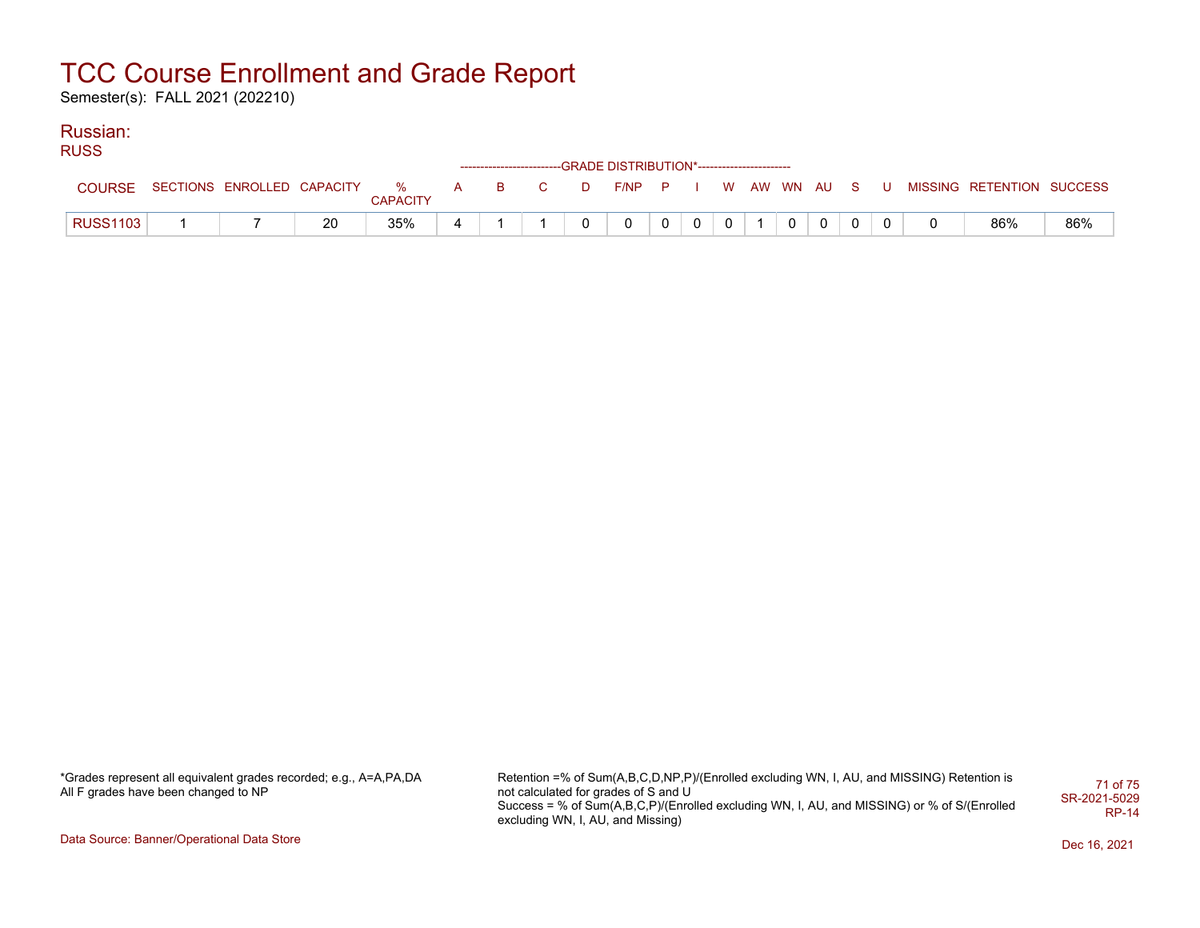Semester(s): FALL 2021 (202210)

### Russian:

RUSS

|                 |                              |    |                 |              |                  |    |   | ------------------------GRADE                DISTRIBUTION*---------------------- |              |              |               |                |   |  |                           |     |
|-----------------|------------------------------|----|-----------------|--------------|------------------|----|---|----------------------------------------------------------------------------------|--------------|--------------|---------------|----------------|---|--|---------------------------|-----|
| COURSE          | SECTIONS ENROLLED CAPACITY % |    | <b>CAPACITY</b> | $\mathsf{A}$ | and <b>B</b> and | C. | D | F/NPP I                                                                          |              |              | W AW WN AU SU |                |   |  | MISSING RETENTION SUCCESS |     |
| <b>RUSS1103</b> |                              | 20 | 35%             |              |                  |    |   | 0                                                                                | $\mathbf{0}$ | $\mathbf{0}$ | $\mathbf{0}$  | $\overline{0}$ | 0 |  | 86%                       | 86% |

\*Grades represent all equivalent grades recorded; e.g., A=A,PA,DA All F grades have been changed to NP

Retention =% of Sum(A,B,C,D,NP,P)/(Enrolled excluding WN, I, AU, and MISSING) Retention is not calculated for grades of S and U Success = % of Sum(A,B,C,P)/(Enrolled excluding WN, I, AU, and MISSING) or % of S/(Enrolled excluding WN, I, AU, and Missing) 71 of 75 SR-2021-5029 RP-14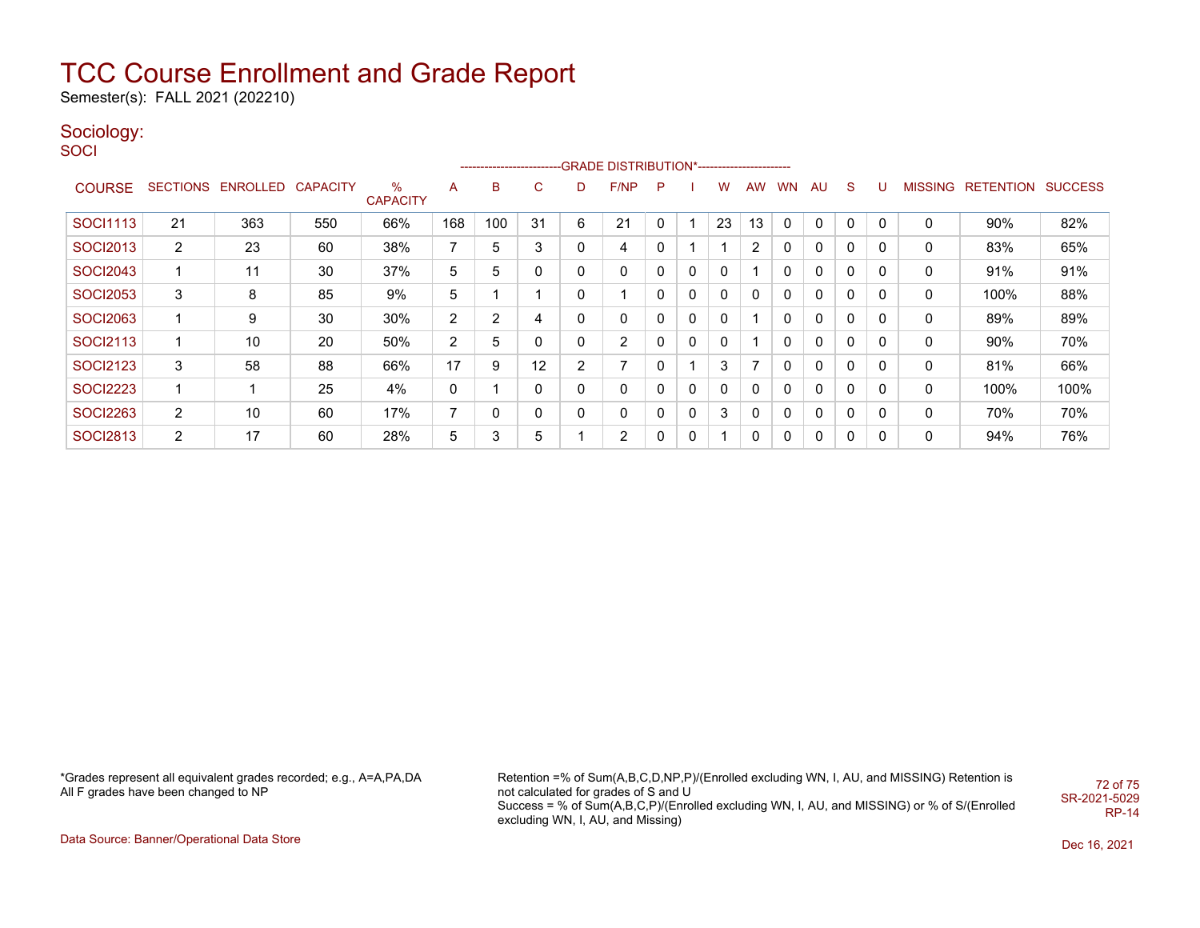Semester(s): FALL 2021 (202210)

### Sociology:

**SOCI** 

|                 |                |                   |                 |                         |                |     |    |   | ------------------------GRADE DISTRIBUTION*----------------------- |   |   |              |           |           |    |          |          |                |                          |      |
|-----------------|----------------|-------------------|-----------------|-------------------------|----------------|-----|----|---|--------------------------------------------------------------------|---|---|--------------|-----------|-----------|----|----------|----------|----------------|--------------------------|------|
| <b>COURSE</b>   |                | SECTIONS ENROLLED | <b>CAPACITY</b> | $\%$<br><b>CAPACITY</b> | A              | в   | С  | D | F/NP                                                               | P |   | w            | <b>AW</b> | <b>WN</b> | AU | S        | U        | <b>MISSING</b> | <b>RETENTION SUCCESS</b> |      |
| <b>SOCI1113</b> | 21             | 363               | 550             | 66%                     | 168            | 100 | 31 | 6 | 21                                                                 | 0 |   | 23           | 13        | 0         | 0  | 0        | 0        | 0              | 90%                      | 82%  |
| SOCI2013        | $\overline{2}$ | 23                | 60              | 38%                     |                | 5   | 3  | 0 | 4                                                                  | 0 |   |              | 2         |           | 0  | 0        | 0        | 0              | 83%                      | 65%  |
| <b>SOCI2043</b> | 1              | 11                | 30              | 37%                     | 5              | 5   | 0  | 0 | 0                                                                  | 0 | 0 | $\mathbf{0}$ |           | 0         | 0  | $\Omega$ | $\Omega$ | 0              | 91%                      | 91%  |
| <b>SOCI2053</b> | 3              | 8                 | 85              | 9%                      | 5              |     |    | 0 | $\overline{A}$                                                     | 0 | 0 | $\mathbf{0}$ | 0         | 0         | 0  | $\Omega$ | $\Omega$ | 0              | 100%                     | 88%  |
| <b>SOCI2063</b> |                | 9                 | 30              | 30%                     | $\overline{2}$ | 2   | 4  | 0 | 0                                                                  | 0 | 0 | $\mathbf{0}$ |           | 0         | 0  | $\Omega$ | $\Omega$ | 0              | 89%                      | 89%  |
| SOCI2113        |                | 10                | 20              | 50%                     | $\overline{2}$ | 5   | 0  | 0 | 2                                                                  | 0 | 0 | $\mathbf{0}$ |           | 0         | 0  | 0        | 0        | 0              | 90%                      | 70%  |
| <b>SOCI2123</b> | 3              | 58                | 88              | 66%                     | 17             | 9   | 12 | 2 | $\overline{ }$                                                     | 0 |   | 3            | ⇁         |           | 0  | $\Omega$ | 0        | 0              | 81%                      | 66%  |
| <b>SOCI2223</b> | 1              |                   | 25              | 4%                      | 0              |     | 0  | 0 | 0                                                                  | 0 | 0 | 0            | 0         |           | 0  | 0        | 0        | 0              | 100%                     | 100% |
| <b>SOCI2263</b> | $\overline{2}$ | 10                | 60              | 17%                     |                |     | 0  | 0 | 0                                                                  | 0 | 0 | 3            | 0         | 0         | 0  | 0        | 0        | 0              | 70%                      | 70%  |
| <b>SOCI2813</b> | $\overline{2}$ | 17                | 60              | 28%                     | 5              | 3   | 5  |   | 2                                                                  | 0 | 0 | -4           | 0         | 0         | 0  | 0        | 0        | 0              | 94%                      | 76%  |

\*Grades represent all equivalent grades recorded; e.g., A=A,PA,DA All F grades have been changed to NP

Retention =% of Sum(A,B,C,D,NP,P)/(Enrolled excluding WN, I, AU, and MISSING) Retention is not calculated for grades of S and U Success = % of Sum(A,B,C,P)/(Enrolled excluding WN, I, AU, and MISSING) or % of S/(Enrolled excluding WN, I, AU, and Missing) 72 of 75 SR-2021-5029 RP-14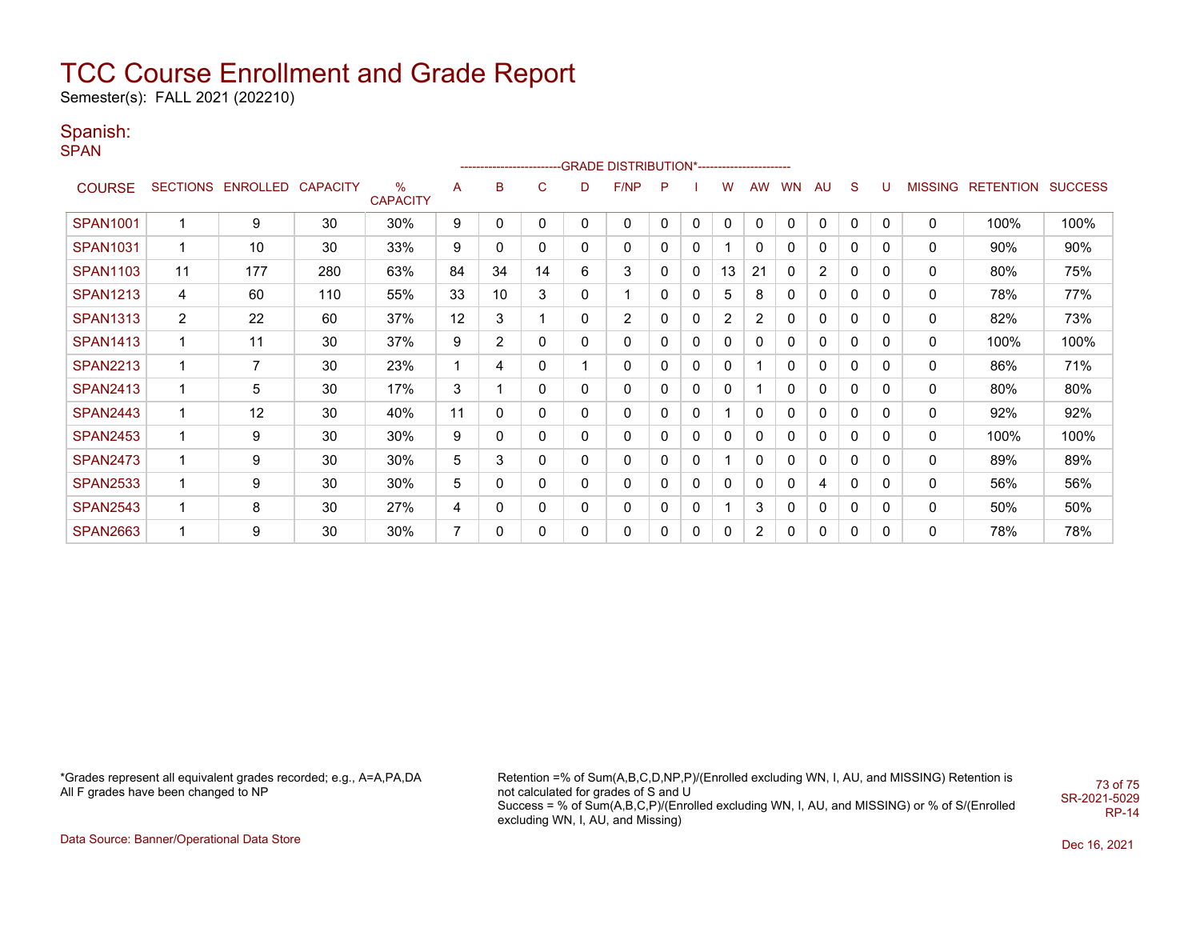# TCC Course Enrollment and Grade Report

Semester(s): FALL 2021 (202210)

### Spanish:

**SPAN** 

|                 | ------------------------GRADE                DISTRIBUTION*---------------------- |                |                 |                      |                |                 |              |              |      |              |             |              |              |           |                |              |          |                |                  |                |
|-----------------|----------------------------------------------------------------------------------|----------------|-----------------|----------------------|----------------|-----------------|--------------|--------------|------|--------------|-------------|--------------|--------------|-----------|----------------|--------------|----------|----------------|------------------|----------------|
| <b>COURSE</b>   | <b>SECTIONS</b>                                                                  | ENROLLED       | <b>CAPACITY</b> | %<br><b>CAPACITY</b> | A              | B               | $\mathsf{C}$ | D            | F/NP | P            |             | w            | AW           | <b>WN</b> | AU             | S            | U        | <b>MISSING</b> | <b>RETENTION</b> | <b>SUCCESS</b> |
| <b>SPAN1001</b> | 1                                                                                | 9              | 30              | 30%                  | 9              | 0               | 0            | 0            | 0    | $\mathbf{0}$ | $\mathbf 0$ | $\Omega$     | $\mathbf{0}$ | 0         | 0              | 0            | 0        | $\mathbf 0$    | 100%             | 100%           |
| <b>SPAN1031</b> | 1                                                                                | 10             | 30              | 33%                  | 9              | 0               | 0            | 0            | 0    | 0            | 0           |              | 0            | 0         | 0              | 0            | $\Omega$ | 0              | 90%              | 90%            |
| <b>SPAN1103</b> | 11                                                                               | 177            | 280             | 63%                  | 84             | 34              | 14           | 6            | 3    | 0            | 0           | 13           | 21           | 0         | $\overline{2}$ | 0            | 0        | 0              | 80%              | 75%            |
| <b>SPAN1213</b> | 4                                                                                | 60             | 110             | 55%                  | 33             | 10 <sup>°</sup> | 3            | $\mathbf{0}$ |      | 0            | 0           | 5            | 8            | 0         | 0              | 0            | 0        | 0              | 78%              | 77%            |
| <b>SPAN1313</b> | $\overline{2}$                                                                   | 22             | 60              | 37%                  | 12             | 3               |              | 0            | 2    | 0            | 0           | 2            | 2            | 0         | 0              | 0            | 0        | 0              | 82%              | 73%            |
| <b>SPAN1413</b> | 1                                                                                | 11             | 30              | 37%                  | 9              | $\overline{2}$  | 0            | 0            | 0    | 0            | 0           | 0            | 0            | 0         | 0              | 0            | 0        | 0              | 100%             | 100%           |
| <b>SPAN2213</b> | 1                                                                                | $\overline{7}$ | 30              | 23%                  |                | 4               | 0            |              | 0    | 0            | 0           | 0            |              | 0         | 0              | $\mathbf{0}$ | 0        | 0              | 86%              | 71%            |
| <b>SPAN2413</b> | 1                                                                                | 5              | 30              | 17%                  | 3              |                 | 0            | 0            | 0    | 0            | 0           | 0            |              | 0         | 0              | 0            | 0        | 0              | 80%              | 80%            |
| <b>SPAN2443</b> | 1                                                                                | 12             | 30              | 40%                  | 11             | 0               | 0            | 0            | 0    | 0            | 0           |              | 0            | 0         | 0              | 0            | 0        | 0              | 92%              | 92%            |
| <b>SPAN2453</b> | 1                                                                                | 9              | 30              | 30%                  | 9              | 0               | 0            | 0            | 0    | 0            | 0           | $\mathbf{0}$ | 0            | 0         | 0              | 0            | 0        | 0              | 100%             | 100%           |
| <b>SPAN2473</b> | 1                                                                                | 9              | 30              | 30%                  | 5              | 3               | 0            | 0            | 0    | 0            | 0           |              | 0            | 0         | 0              | 0            | 0        | 0              | 89%              | 89%            |
| <b>SPAN2533</b> | 1                                                                                | 9              | 30              | 30%                  | 5              | 0               | 0            | 0            | 0    | 0            | 0           | 0            | 0            | 0         | 4              | 0            | 0        | 0              | 56%              | 56%            |
| <b>SPAN2543</b> | 1                                                                                | 8              | 30              | 27%                  | 4              | 0               | 0            | 0            | 0    | 0            | 0           |              | 3            | 0         | 0              | $\mathbf{0}$ | 0        | 0              | 50%              | 50%            |
| <b>SPAN2663</b> | 1                                                                                | 9              | 30              | 30%                  | $\overline{7}$ | 0               | 0            | 0            | 0    | 0            | 0           | $\mathbf{0}$ | 2            | 0         | 0              | 0            | 0        | 0              | 78%              | 78%            |

\*Grades represent all equivalent grades recorded; e.g., A=A,PA,DA All F grades have been changed to NP

Retention =% of Sum(A,B,C,D,NP,P)/(Enrolled excluding WN, I, AU, and MISSING) Retention is not calculated for grades of S and U Success = % of Sum(A,B,C,P)/(Enrolled excluding WN, I, AU, and MISSING) or % of S/(Enrolled excluding WN, I, AU, and Missing) 73 of 75 SR-2021-5029 RP-14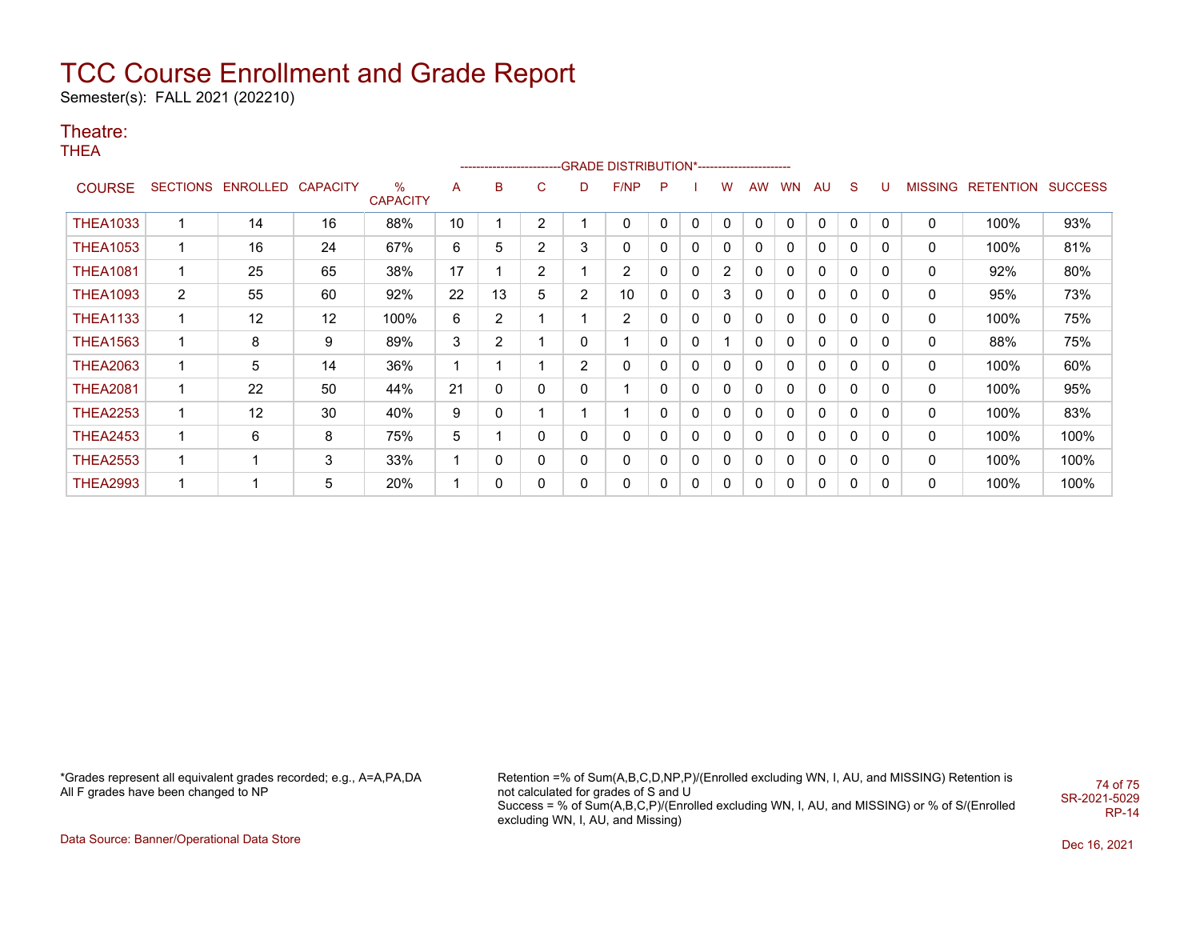# TCC Course Enrollment and Grade Report

Semester(s): FALL 2021 (202210)

#### Theatre:

THEA

|                 | ------------------------GRADE                DISTRIBUTION*---------------------- |                            |    |                      |              |                |                |                |                         |              |              |              |          |          |              |              |   |                |                  |                |
|-----------------|----------------------------------------------------------------------------------|----------------------------|----|----------------------|--------------|----------------|----------------|----------------|-------------------------|--------------|--------------|--------------|----------|----------|--------------|--------------|---|----------------|------------------|----------------|
| <b>COURSE</b>   |                                                                                  | SECTIONS ENROLLED CAPACITY |    | %<br><b>CAPACITY</b> | A            | B              | C              | D              | F/NP                    | P            |              | w            | AW       | WN       | AU           | S.           | U | <b>MISSING</b> | <b>RETENTION</b> | <b>SUCCESS</b> |
| <b>THEA1033</b> |                                                                                  | 14                         | 16 | 88%                  | 10           |                | $\overline{2}$ |                | 0                       | $\mathbf{0}$ | $\mathbf{0}$ | $\Omega$     | $\Omega$ | $\Omega$ | $\mathbf{0}$ | $\mathbf{0}$ | 0 | 0              | 100%             | 93%            |
| <b>THEA1053</b> | $\mathbf 1$                                                                      | 16                         | 24 | 67%                  | 6            | 5              | $\overline{2}$ | 3              | 0                       |              | $\mathbf{0}$ | $\mathbf 0$  | 0        | 0        | 0            | $\mathbf{0}$ | 0 | 0              | 100%             | 81%            |
| <b>THEA1081</b> | 1                                                                                | 25                         | 65 | 38%                  | 17           |                | $\overline{2}$ |                | $\overline{c}$          |              | 0            | 2            | 0        | 0        | 0            | $\mathbf{0}$ | 0 | 0              | 92%              | 80%            |
| <b>THEA1093</b> | $\overline{2}$                                                                   | 55                         | 60 | 92%                  | 22           | 13             | 5              | $\overline{2}$ | 10                      | 0            | $\mathbf{0}$ | 3            | 0        | 0        | 0            | $\mathbf{0}$ | 0 | 0              | 95%              | 73%            |
| <b>THEA1133</b> | $\mathbf 1$                                                                      | 12                         | 12 | 100%                 | 6            | $\overline{2}$ |                |                | $\overline{2}$          | 0            | $\mathbf{0}$ | $\mathbf{0}$ | 0        | $\Omega$ | 0            | $\mathbf{0}$ | 0 | 0              | 100%             | 75%            |
| <b>THEA1563</b> | 1                                                                                | 8                          | 9  | 89%                  | 3            | $\overline{2}$ | 4              | 0              | $\overline{\mathbf{A}}$ | 0            | $\mathbf{0}$ |              | 0        | $\Omega$ | 0            | $\mathbf{0}$ | 0 | 0              | 88%              | 75%            |
| <b>THEA2063</b> | 1                                                                                | 5                          | 14 | 36%                  | 1            |                |                | $\overline{2}$ | 0                       | 0            | 0            | $\Omega$     | 0        | 0        | 0            | 0            | 0 | 0              | 100%             | 60%            |
| <b>THEA2081</b> | 1                                                                                | 22                         | 50 | 44%                  | 21           | 0              | 0              | 0              |                         | 0            | $\mathbf{0}$ | 0            | 0        | 0        | 0            | 0            | 0 | 0              | 100%             | 95%            |
| <b>THEA2253</b> | 1                                                                                | 12                         | 30 | 40%                  | 9            | 0              |                |                |                         | $\Omega$     | $\mathbf{0}$ | $\Omega$     | 0        | 0        | 0            | $\mathbf{0}$ | 0 | 0              | 100%             | 83%            |
| <b>THEA2453</b> | 1                                                                                | 6                          | 8  | 75%                  | 5            |                | 0              | 0              | 0                       | $\mathbf{0}$ | 0            | 0            | 0        | 0        | 0            | 0            | 0 | 0              | 100%             | 100%           |
| <b>THEA2553</b> | $\mathbf 1$                                                                      | -1                         | 3  | 33%                  | $\mathbf{1}$ | 0              | 0              | 0              | 0                       | 0            | $\mathbf{0}$ | 0            | $\Omega$ | 0        | 0            | 0            | 0 | 0              | 100%             | 100%           |
| <b>THEA2993</b> | 1                                                                                |                            | 5  | 20%                  |              | 0              | 0              | $\mathbf{0}$   | 0                       | $\Omega$     | 0            | 0            | 0        | 0        | 0            | 0            | 0 | 0              | 100%             | 100%           |

\*Grades represent all equivalent grades recorded; e.g., A=A,PA,DA All F grades have been changed to NP

Retention =% of Sum(A,B,C,D,NP,P)/(Enrolled excluding WN, I, AU, and MISSING) Retention is not calculated for grades of S and U Success = % of Sum(A,B,C,P)/(Enrolled excluding WN, I, AU, and MISSING) or % of S/(Enrolled excluding WN, I, AU, and Missing) 74 of 75 SR-2021-5029 RP-14